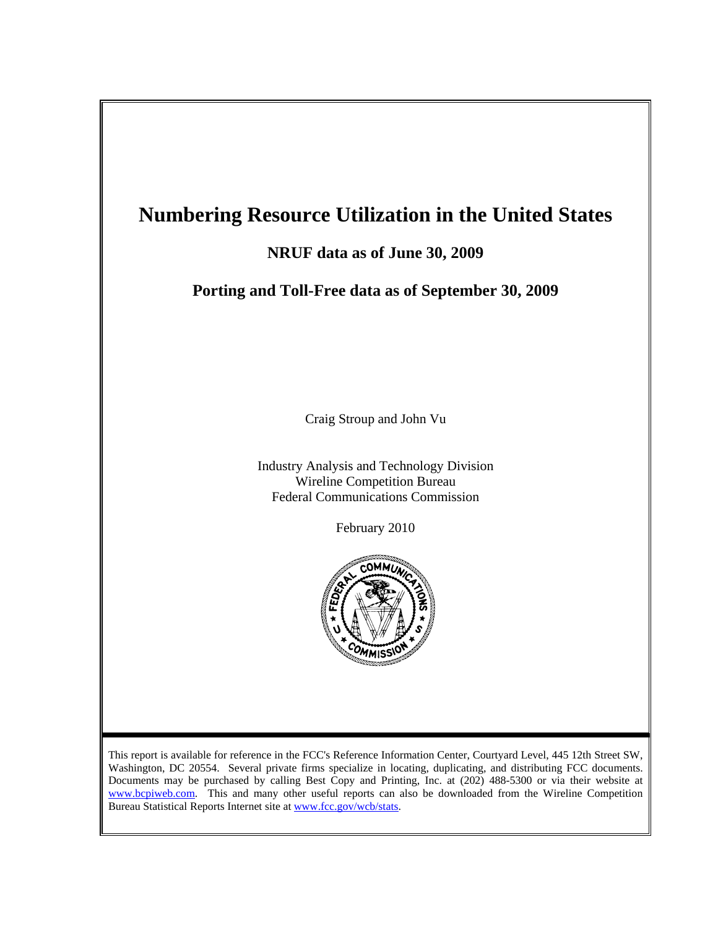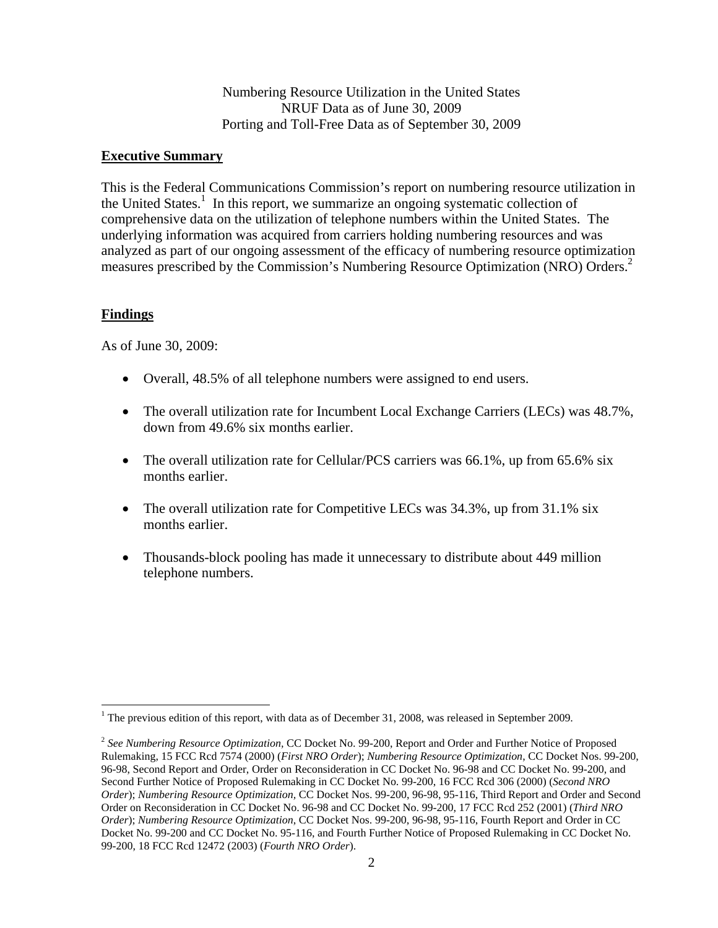Numbering Resource Utilization in the United States NRUF Data as of June 30, 2009 Porting and Toll-Free Data as of September 30, 2009

## **Executive Summary**

This is the Federal Communications Commission's report on numbering resource utilization in the United States.<sup>1</sup> In this report, we summarize an ongoing systematic collection of comprehensive data on the utilization of telephone numbers within the United States. The underlying information was acquired from carriers holding numbering resources and was analyzed as part of our ongoing assessment of the efficacy of numbering resource optimization measures prescribed by the Commission's Numbering Resource Optimization (NRO) Orders.2

# **Findings**

 $\overline{a}$ 

As of June 30, 2009:

- Overall, 48.5% of all telephone numbers were assigned to end users.
- The overall utilization rate for Incumbent Local Exchange Carriers (LECs) was  $48.7\%$ , down from 49.6% six months earlier.
- The overall utilization rate for Cellular/PCS carriers was 66.1%, up from 65.6% six months earlier.
- The overall utilization rate for Competitive LECs was 34.3%, up from 31.1% six months earlier.
- Thousands-block pooling has made it unnecessary to distribute about 449 million telephone numbers.

<sup>&</sup>lt;sup>1</sup> The previous edition of this report, with data as of December 31, 2008, was released in September 2009.

<sup>2</sup> *See Numbering Resource Optimization,* CC Docket No. 99-200, Report and Order and Further Notice of Proposed Rulemaking, 15 FCC Rcd 7574 (2000) (*First NRO Order*); *Numbering Resource Optimization*, CC Docket Nos. 99-200, 96-98, Second Report and Order, Order on Reconsideration in CC Docket No. 96-98 and CC Docket No. 99-200, and Second Further Notice of Proposed Rulemaking in CC Docket No. 99-200, 16 FCC Rcd 306 (2000) (*Second NRO Order*); *Numbering Resource Optimization,* CC Docket Nos. 99-200, 96-98, 95-116, Third Report and Order and Second Order on Reconsideration in CC Docket No. 96-98 and CC Docket No. 99-200, 17 FCC Rcd 252 (2001) (*Third NRO Order*); *Numbering Resource Optimization*, CC Docket Nos. 99-200, 96-98, 95-116, Fourth Report and Order in CC Docket No. 99-200 and CC Docket No. 95-116, and Fourth Further Notice of Proposed Rulemaking in CC Docket No. 99-200, 18 FCC Rcd 12472 (2003) (*Fourth NRO Order*).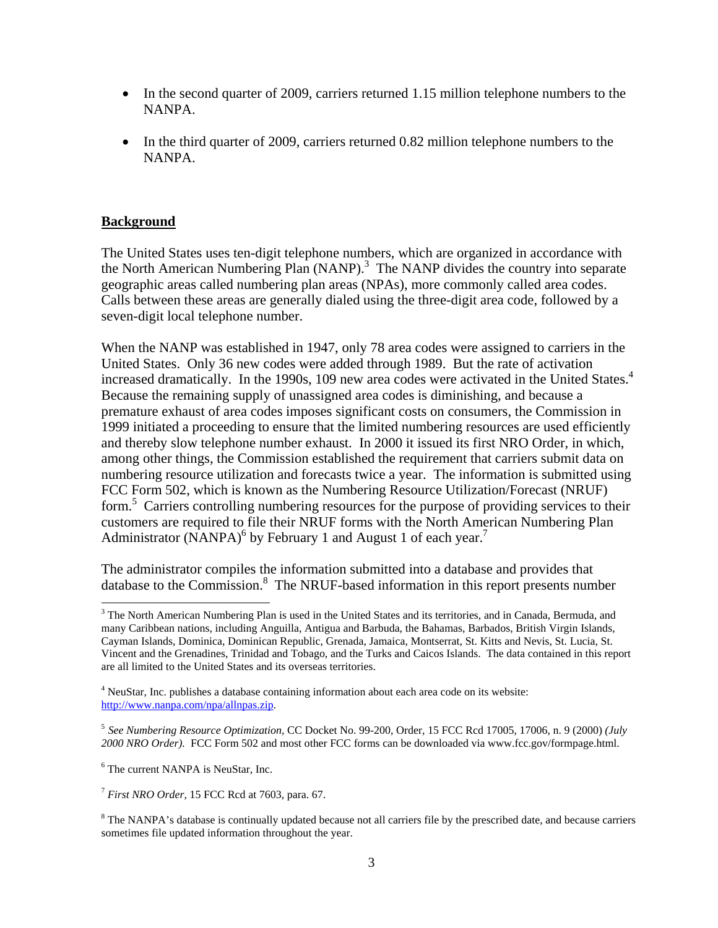- In the second quarter of 2009, carriers returned 1.15 million telephone numbers to the NANPA.
- In the third quarter of 2009, carriers returned 0.82 million telephone numbers to the NANPA.

# **Background**

l

The United States uses ten-digit telephone numbers, which are organized in accordance with the North American Numbering Plan  $(NANP)$ .<sup>3</sup> The NANP divides the country into separate geographic areas called numbering plan areas (NPAs), more commonly called area codes. Calls between these areas are generally dialed using the three-digit area code, followed by a seven-digit local telephone number.

When the NANP was established in 1947, only 78 area codes were assigned to carriers in the United States. Only 36 new codes were added through 1989. But the rate of activation increased dramatically. In the 1990s, 109 new area codes were activated in the United States.<sup>4</sup> Because the remaining supply of unassigned area codes is diminishing, and because a premature exhaust of area codes imposes significant costs on consumers, the Commission in 1999 initiated a proceeding to ensure that the limited numbering resources are used efficiently and thereby slow telephone number exhaust. In 2000 it issued its first NRO Order, in which, among other things, the Commission established the requirement that carriers submit data on numbering resource utilization and forecasts twice a year. The information is submitted using FCC Form 502, which is known as the Numbering Resource Utilization/Forecast (NRUF) form.<sup>5</sup> Carriers controlling numbering resources for the purpose of providing services to their customers are required to file their NRUF forms with the North American Numbering Plan Administrator  $(NAPA)^6$  by February 1 and August 1 of each year.<sup>7</sup>

The administrator compiles the information submitted into a database and provides that database to the Commission.<sup>8</sup> The NRUF-based information in this report presents number

<sup>&</sup>lt;sup>3</sup> The North American Numbering Plan is used in the United States and its territories, and in Canada, Bermuda, and many Caribbean nations, including Anguilla, Antigua and Barbuda, the Bahamas, Barbados, British Virgin Islands, Cayman Islands, Dominica, Dominican Republic, Grenada, Jamaica, Montserrat, St. Kitts and Nevis, St. Lucia, St. Vincent and the Grenadines, Trinidad and Tobago, and the Turks and Caicos Islands. The data contained in this report are all limited to the United States and its overseas territories.

<sup>&</sup>lt;sup>4</sup> NeuStar, Inc. publishes a database containing information about each area code on its website: http://www.nanpa.com/npa/allnpas.zip.

<sup>5</sup> *See Numbering Resource Optimization,* CC Docket No. 99-200, Order, 15 FCC Rcd 17005, 17006, n. 9 (2000) *(July 2000 NRO Order).* FCC Form 502 and most other FCC forms can be downloaded via www.fcc.gov/formpage.html.

<sup>6</sup> The current NANPA is NeuStar, Inc.

<sup>7</sup> *First NRO Order,* 15 FCC Rcd at 7603, para. 67.

<sup>&</sup>lt;sup>8</sup> The NANPA's database is continually updated because not all carriers file by the prescribed date, and because carriers sometimes file updated information throughout the year.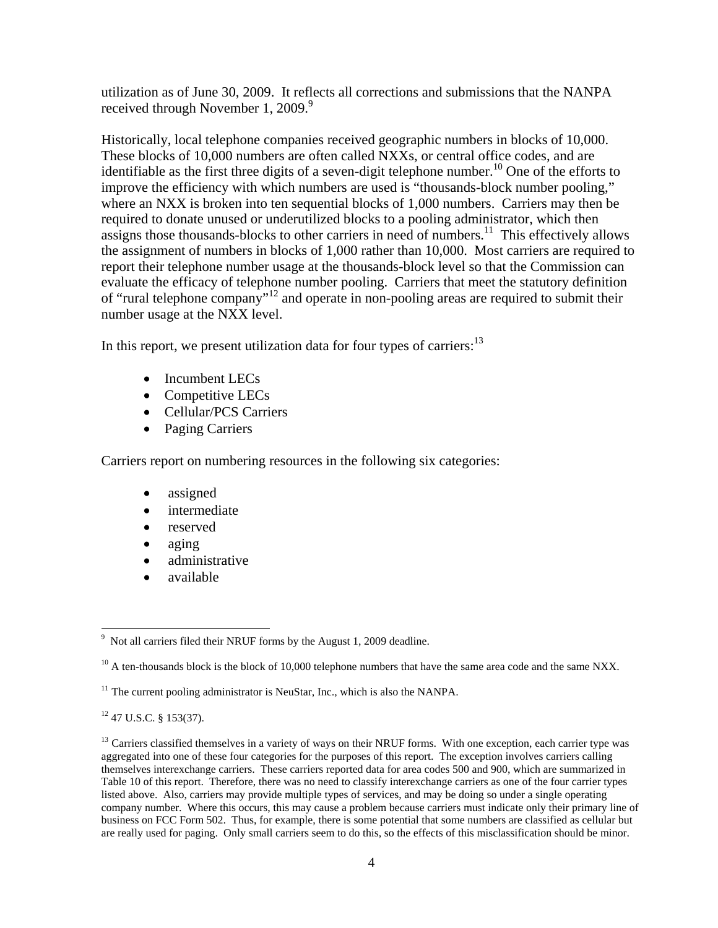utilization as of June 30, 2009. It reflects all corrections and submissions that the NANPA received through November 1, 2009. $9$ 

Historically, local telephone companies received geographic numbers in blocks of 10,000. These blocks of 10,000 numbers are often called NXXs, or central office codes, and are identifiable as the first three digits of a seven-digit telephone number.<sup>10</sup> One of the efforts to improve the efficiency with which numbers are used is "thousands-block number pooling," where an NXX is broken into ten sequential blocks of 1,000 numbers. Carriers may then be required to donate unused or underutilized blocks to a pooling administrator, which then assigns those thousands-blocks to other carriers in need of numbers. $11$  This effectively allows the assignment of numbers in blocks of 1,000 rather than 10,000. Most carriers are required to report their telephone number usage at the thousands-block level so that the Commission can evaluate the efficacy of telephone number pooling. Carriers that meet the statutory definition of "rural telephone company"<sup>12</sup> and operate in non-pooling areas are required to submit their number usage at the NXX level.

In this report, we present utilization data for four types of carriers: $13$ 

- Incumbent LECs
- Competitive LECs
- Cellular/PCS Carriers
- Paging Carriers

Carriers report on numbering resources in the following six categories:

- assigned
- intermediate
- reserved
- aging
- administrative
- available

 $12$  47 U.S.C. § 153(37).

 $\overline{a}$ 

 $9$  Not all carriers filed their NRUF forms by the August 1, 2009 deadline.

 $10$  A ten-thousands block is the block of 10,000 telephone numbers that have the same area code and the same NXX.

 $11$  The current pooling administrator is NeuStar, Inc., which is also the NANPA.

 $<sup>13</sup>$  Carriers classified themselves in a variety of ways on their NRUF forms. With one exception, each carrier type was</sup> aggregated into one of these four categories for the purposes of this report. The exception involves carriers calling themselves interexchange carriers. These carriers reported data for area codes 500 and 900, which are summarized in Table 10 of this report. Therefore, there was no need to classify interexchange carriers as one of the four carrier types listed above. Also, carriers may provide multiple types of services, and may be doing so under a single operating company number. Where this occurs, this may cause a problem because carriers must indicate only their primary line of business on FCC Form 502. Thus, for example, there is some potential that some numbers are classified as cellular but are really used for paging. Only small carriers seem to do this, so the effects of this misclassification should be minor.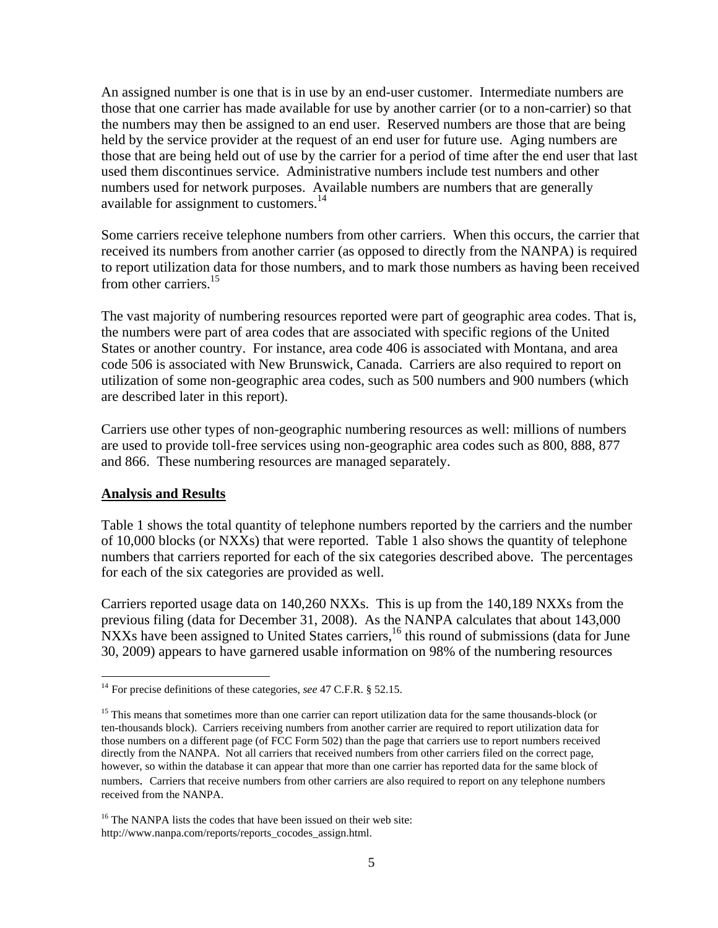An assigned number is one that is in use by an end-user customer. Intermediate numbers are those that one carrier has made available for use by another carrier (or to a non-carrier) so that the numbers may then be assigned to an end user. Reserved numbers are those that are being held by the service provider at the request of an end user for future use. Aging numbers are those that are being held out of use by the carrier for a period of time after the end user that last used them discontinues service. Administrative numbers include test numbers and other numbers used for network purposes. Available numbers are numbers that are generally available for assignment to customers.<sup>14</sup>

Some carriers receive telephone numbers from other carriers. When this occurs, the carrier that received its numbers from another carrier (as opposed to directly from the NANPA) is required to report utilization data for those numbers, and to mark those numbers as having been received from other carriers.<sup>15</sup>

The vast majority of numbering resources reported were part of geographic area codes. That is, the numbers were part of area codes that are associated with specific regions of the United States or another country. For instance, area code 406 is associated with Montana, and area code 506 is associated with New Brunswick, Canada. Carriers are also required to report on utilization of some non-geographic area codes, such as 500 numbers and 900 numbers (which are described later in this report).

Carriers use other types of non-geographic numbering resources as well: millions of numbers are used to provide toll-free services using non-geographic area codes such as 800, 888, 877 and 866. These numbering resources are managed separately.

# **Analysis and Results**

Table 1 shows the total quantity of telephone numbers reported by the carriers and the number of 10,000 blocks (or NXXs) that were reported. Table 1 also shows the quantity of telephone numbers that carriers reported for each of the six categories described above. The percentages for each of the six categories are provided as well.

Carriers reported usage data on 140,260 NXXs. This is up from the 140,189 NXXs from the previous filing (data for December 31, 2008). As the NANPA calculates that about 143,000 NXXs have been assigned to United States carriers,<sup>16</sup> this round of submissions (data for June 30, 2009) appears to have garnered usable information on 98% of the numbering resources

<sup>14</sup> For precise definitions of these categories, *see* 47 C.F.R. § 52.15.

<sup>&</sup>lt;sup>15</sup> This means that sometimes more than one carrier can report utilization data for the same thousands-block (or ten-thousands block). Carriers receiving numbers from another carrier are required to report utilization data for those numbers on a different page (of FCC Form 502) than the page that carriers use to report numbers received directly from the NANPA. Not all carriers that received numbers from other carriers filed on the correct page, however, so within the database it can appear that more than one carrier has reported data for the same block of numbers. Carriers that receive numbers from other carriers are also required to report on any telephone numbers received from the NANPA.

 $16$  The NANPA lists the codes that have been issued on their web site: http://www.nanpa.com/reports/reports\_cocodes\_assign.html.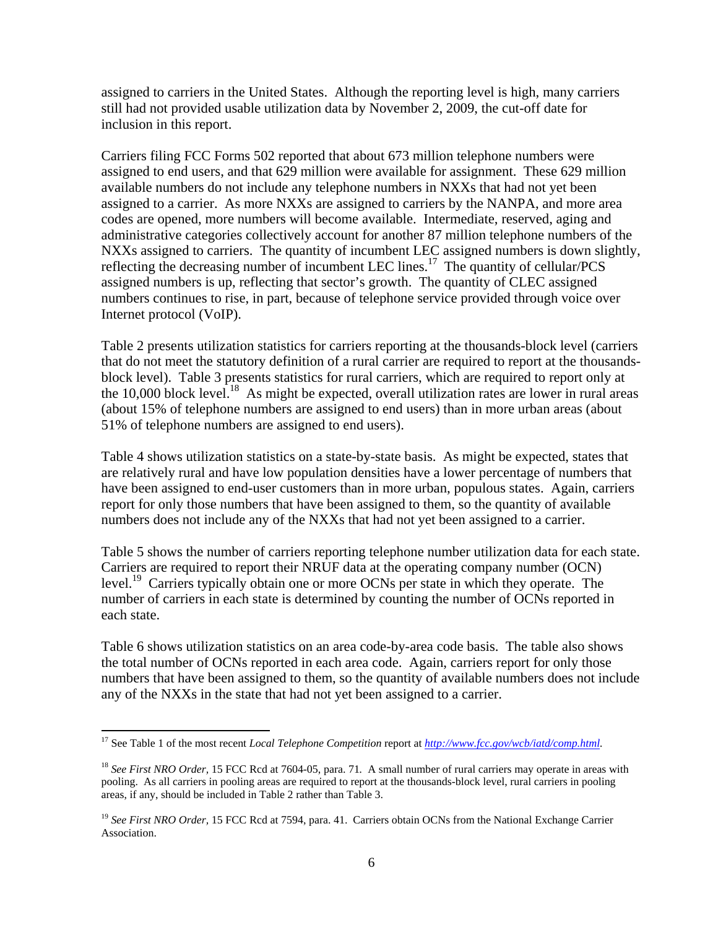assigned to carriers in the United States. Although the reporting level is high, many carriers still had not provided usable utilization data by November 2, 2009, the cut-off date for inclusion in this report.

Carriers filing FCC Forms 502 reported that about 673 million telephone numbers were assigned to end users, and that 629 million were available for assignment. These 629 million available numbers do not include any telephone numbers in NXXs that had not yet been assigned to a carrier. As more NXXs are assigned to carriers by the NANPA, and more area codes are opened, more numbers will become available. Intermediate, reserved, aging and administrative categories collectively account for another 87 million telephone numbers of the NXXs assigned to carriers. The quantity of incumbent LEC assigned numbers is down slightly, reflecting the decreasing number of incumbent LEC lines.<sup>17</sup> The quantity of cellular/PCS assigned numbers is up, reflecting that sector's growth. The quantity of CLEC assigned numbers continues to rise, in part, because of telephone service provided through voice over Internet protocol (VoIP).

Table 2 presents utilization statistics for carriers reporting at the thousands-block level (carriers that do not meet the statutory definition of a rural carrier are required to report at the thousandsblock level). Table 3 presents statistics for rural carriers, which are required to report only at the 10,000 block level.18 As might be expected, overall utilization rates are lower in rural areas (about 15% of telephone numbers are assigned to end users) than in more urban areas (about 51% of telephone numbers are assigned to end users).

Table 4 shows utilization statistics on a state-by-state basis. As might be expected, states that are relatively rural and have low population densities have a lower percentage of numbers that have been assigned to end-user customers than in more urban, populous states. Again, carriers report for only those numbers that have been assigned to them, so the quantity of available numbers does not include any of the NXXs that had not yet been assigned to a carrier.

Table 5 shows the number of carriers reporting telephone number utilization data for each state. Carriers are required to report their NRUF data at the operating company number (OCN) level.<sup>19</sup> Carriers typically obtain one or more OCNs per state in which they operate. The number of carriers in each state is determined by counting the number of OCNs reported in each state.

Table 6 shows utilization statistics on an area code-by-area code basis. The table also shows the total number of OCNs reported in each area code. Again, carriers report for only those numbers that have been assigned to them, so the quantity of available numbers does not include any of the NXXs in the state that had not yet been assigned to a carrier.

 17 See Table 1 of the most recent *Local Telephone Competition* report at *http://www.fcc.gov/wcb/iatd/comp.html.* 

<sup>&</sup>lt;sup>18</sup> *See First NRO Order*, 15 FCC Rcd at 7604-05, para. 71. A small number of rural carriers may operate in areas with pooling. As all carriers in pooling areas are required to report at the thousands-block level, rural carriers in pooling areas, if any, should be included in Table 2 rather than Table 3.

<sup>&</sup>lt;sup>19</sup> See First NRO Order, 15 FCC Rcd at 7594, para. 41. Carriers obtain OCNs from the National Exchange Carrier Association.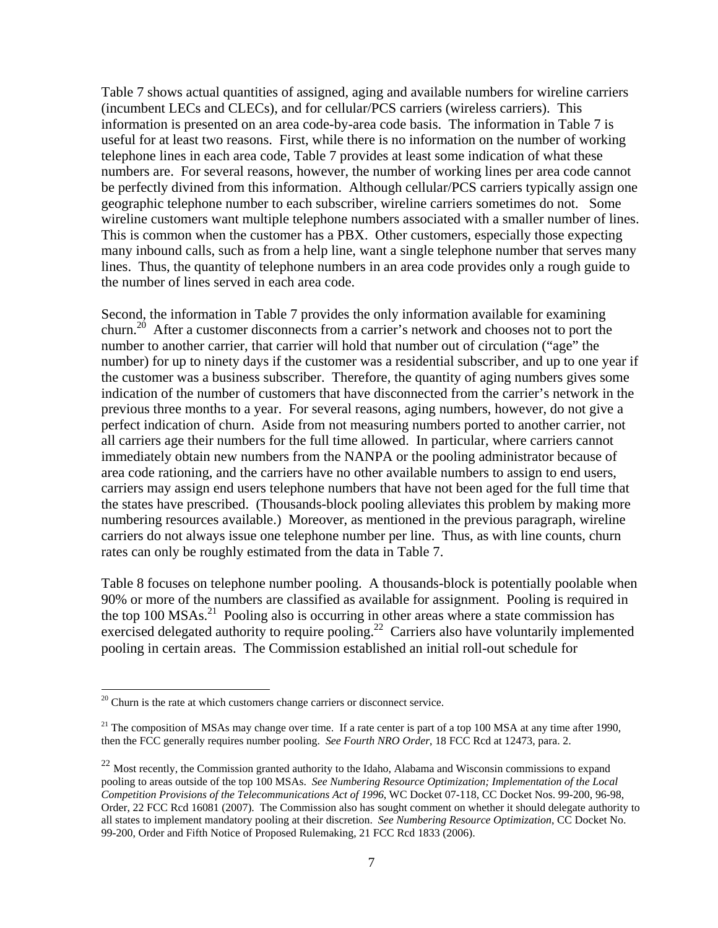Table 7 shows actual quantities of assigned, aging and available numbers for wireline carriers (incumbent LECs and CLECs), and for cellular/PCS carriers (wireless carriers). This information is presented on an area code-by-area code basis. The information in Table 7 is useful for at least two reasons. First, while there is no information on the number of working telephone lines in each area code, Table 7 provides at least some indication of what these numbers are. For several reasons, however, the number of working lines per area code cannot be perfectly divined from this information. Although cellular/PCS carriers typically assign one geographic telephone number to each subscriber, wireline carriers sometimes do not. Some wireline customers want multiple telephone numbers associated with a smaller number of lines. This is common when the customer has a PBX. Other customers, especially those expecting many inbound calls, such as from a help line, want a single telephone number that serves many lines. Thus, the quantity of telephone numbers in an area code provides only a rough guide to the number of lines served in each area code.

Second, the information in Table 7 provides the only information available for examining churn.20 After a customer disconnects from a carrier's network and chooses not to port the number to another carrier, that carrier will hold that number out of circulation ("age" the number) for up to ninety days if the customer was a residential subscriber, and up to one year if the customer was a business subscriber. Therefore, the quantity of aging numbers gives some indication of the number of customers that have disconnected from the carrier's network in the previous three months to a year. For several reasons, aging numbers, however, do not give a perfect indication of churn. Aside from not measuring numbers ported to another carrier, not all carriers age their numbers for the full time allowed. In particular, where carriers cannot immediately obtain new numbers from the NANPA or the pooling administrator because of area code rationing, and the carriers have no other available numbers to assign to end users, carriers may assign end users telephone numbers that have not been aged for the full time that the states have prescribed. (Thousands-block pooling alleviates this problem by making more numbering resources available.) Moreover, as mentioned in the previous paragraph, wireline carriers do not always issue one telephone number per line. Thus, as with line counts, churn rates can only be roughly estimated from the data in Table 7.

Table 8 focuses on telephone number pooling. A thousands-block is potentially poolable when 90% or more of the numbers are classified as available for assignment. Pooling is required in the top 100 MSAs.<sup>21</sup> Pooling also is occurring in other areas where a state commission has exercised delegated authority to require pooling.<sup>22</sup> Carriers also have voluntarily implemented pooling in certain areas. The Commission established an initial roll-out schedule for

 $20$  Churn is the rate at which customers change carriers or disconnect service.

 $21$  The composition of MSAs may change over time. If a rate center is part of a top 100 MSA at any time after 1990, then the FCC generally requires number pooling. *See Fourth NRO Order*, 18 FCC Rcd at 12473, para. 2.

<sup>&</sup>lt;sup>22</sup> Most recently, the Commission granted authority to the Idaho, Alabama and Wisconsin commissions to expand pooling to areas outside of the top 100 MSAs. *See Numbering Resource Optimization; Implementation of the Local Competition Provisions of the Telecommunications Act of 1996*, WC Docket 07-118, CC Docket Nos. 99-200, 96-98, Order, 22 FCC Rcd 16081 (2007). The Commission also has sought comment on whether it should delegate authority to all states to implement mandatory pooling at their discretion. *See Numbering Resource Optimization*, CC Docket No. 99-200, Order and Fifth Notice of Proposed Rulemaking, 21 FCC Rcd 1833 (2006).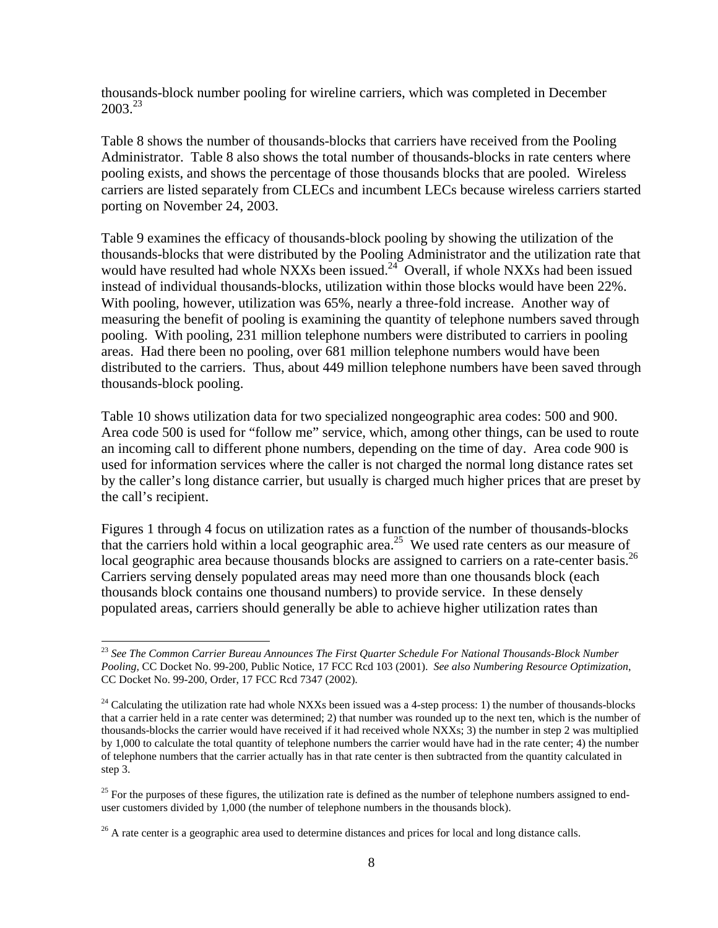thousands-block number pooling for wireline carriers, which was completed in December 2003.23

Table 8 shows the number of thousands-blocks that carriers have received from the Pooling Administrator. Table 8 also shows the total number of thousands-blocks in rate centers where pooling exists, and shows the percentage of those thousands blocks that are pooled. Wireless carriers are listed separately from CLECs and incumbent LECs because wireless carriers started porting on November 24, 2003.

Table 9 examines the efficacy of thousands-block pooling by showing the utilization of the thousands-blocks that were distributed by the Pooling Administrator and the utilization rate that would have resulted had whole NXXs been issued. $^{24}$  Overall, if whole NXXs had been issued instead of individual thousands-blocks, utilization within those blocks would have been 22%. With pooling, however, utilization was 65%, nearly a three-fold increase. Another way of measuring the benefit of pooling is examining the quantity of telephone numbers saved through pooling. With pooling, 231 million telephone numbers were distributed to carriers in pooling areas. Had there been no pooling, over 681 million telephone numbers would have been distributed to the carriers. Thus, about 449 million telephone numbers have been saved through thousands-block pooling.

Table 10 shows utilization data for two specialized nongeographic area codes: 500 and 900. Area code 500 is used for "follow me" service, which, among other things, can be used to route an incoming call to different phone numbers, depending on the time of day. Area code 900 is used for information services where the caller is not charged the normal long distance rates set by the caller's long distance carrier, but usually is charged much higher prices that are preset by the call's recipient.

Figures 1 through 4 focus on utilization rates as a function of the number of thousands-blocks that the carriers hold within a local geographic area.<sup>25</sup> We used rate centers as our measure of local geographic area because thousands blocks are assigned to carriers on a rate-center basis.<sup>26</sup> Carriers serving densely populated areas may need more than one thousands block (each thousands block contains one thousand numbers) to provide service. In these densely populated areas, carriers should generally be able to achieve higher utilization rates than

<sup>23</sup> *See The Common Carrier Bureau Announces The First Quarter Schedule For National Thousands-Block Number Pooling,* CC Docket No. 99-200, Public Notice, 17 FCC Rcd 103 (2001). *See also Numbering Resource Optimization*, CC Docket No. 99-200, Order, 17 FCC Rcd 7347 (2002).

 $24$  Calculating the utilization rate had whole NXXs been issued was a 4-step process: 1) the number of thousands-blocks that a carrier held in a rate center was determined; 2) that number was rounded up to the next ten, which is the number of thousands-blocks the carrier would have received if it had received whole NXXs; 3) the number in step 2 was multiplied by 1,000 to calculate the total quantity of telephone numbers the carrier would have had in the rate center; 4) the number of telephone numbers that the carrier actually has in that rate center is then subtracted from the quantity calculated in step 3.

 $25$  For the purposes of these figures, the utilization rate is defined as the number of telephone numbers assigned to enduser customers divided by 1,000 (the number of telephone numbers in the thousands block).

<sup>&</sup>lt;sup>26</sup> A rate center is a geographic area used to determine distances and prices for local and long distance calls.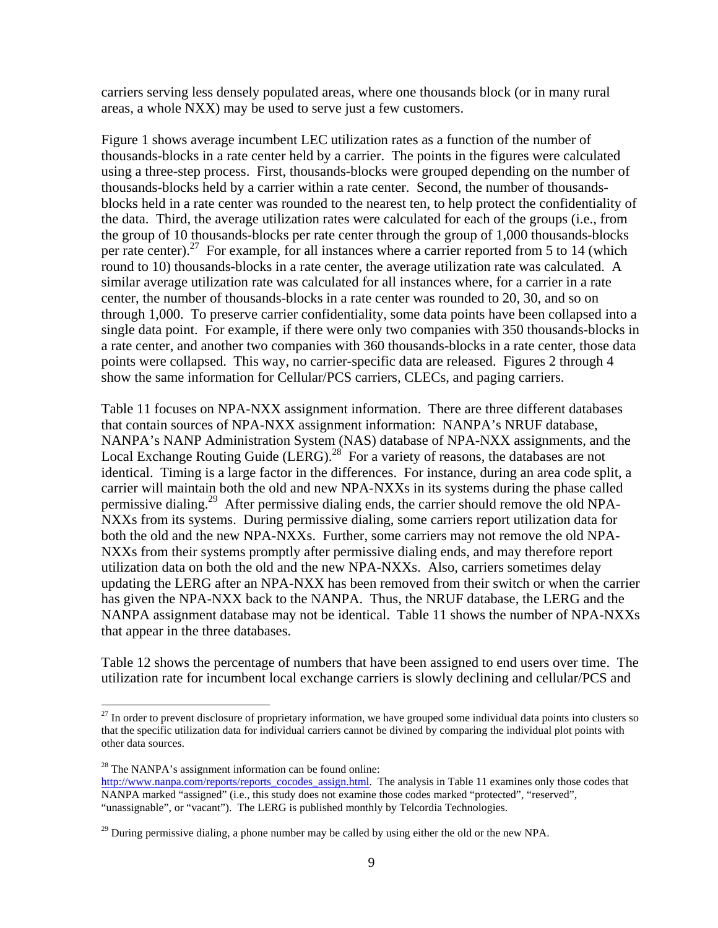carriers serving less densely populated areas, where one thousands block (or in many rural areas, a whole NXX) may be used to serve just a few customers.

Figure 1 shows average incumbent LEC utilization rates as a function of the number of thousands-blocks in a rate center held by a carrier. The points in the figures were calculated using a three-step process. First, thousands-blocks were grouped depending on the number of thousands-blocks held by a carrier within a rate center. Second, the number of thousandsblocks held in a rate center was rounded to the nearest ten, to help protect the confidentiality of the data. Third, the average utilization rates were calculated for each of the groups (i.e., from the group of 10 thousands-blocks per rate center through the group of 1,000 thousands-blocks per rate center).<sup>27</sup> For example, for all instances where a carrier reported from 5 to 14 (which round to 10) thousands-blocks in a rate center, the average utilization rate was calculated. A similar average utilization rate was calculated for all instances where, for a carrier in a rate center, the number of thousands-blocks in a rate center was rounded to 20, 30, and so on through 1,000. To preserve carrier confidentiality, some data points have been collapsed into a single data point. For example, if there were only two companies with 350 thousands-blocks in a rate center, and another two companies with 360 thousands-blocks in a rate center, those data points were collapsed. This way, no carrier-specific data are released. Figures 2 through 4 show the same information for Cellular/PCS carriers, CLECs, and paging carriers.

Table 11 focuses on NPA-NXX assignment information. There are three different databases that contain sources of NPA-NXX assignment information: NANPA's NRUF database, NANPA's NANP Administration System (NAS) database of NPA-NXX assignments, and the Local Exchange Routing Guide (LERG).<sup>28</sup> For a variety of reasons, the databases are not identical. Timing is a large factor in the differences. For instance, during an area code split, a carrier will maintain both the old and new NPA-NXXs in its systems during the phase called permissive dialing.29 After permissive dialing ends, the carrier should remove the old NPA-NXXs from its systems. During permissive dialing, some carriers report utilization data for both the old and the new NPA-NXXs. Further, some carriers may not remove the old NPA-NXXs from their systems promptly after permissive dialing ends, and may therefore report utilization data on both the old and the new NPA-NXXs. Also, carriers sometimes delay updating the LERG after an NPA-NXX has been removed from their switch or when the carrier has given the NPA-NXX back to the NANPA. Thus, the NRUF database, the LERG and the NANPA assignment database may not be identical. Table 11 shows the number of NPA-NXXs that appear in the three databases.

Table 12 shows the percentage of numbers that have been assigned to end users over time. The utilization rate for incumbent local exchange carriers is slowly declining and cellular/PCS and

 $\overline{a}$ 

 $27$  In order to prevent disclosure of proprietary information, we have grouped some individual data points into clusters so that the specific utilization data for individual carriers cannot be divined by comparing the individual plot points with other data sources.

<sup>&</sup>lt;sup>28</sup> The NANPA's assignment information can be found online: http://www.nanpa.com/reports/reports\_cocodes\_assign.html. The analysis in Table 11 examines only those codes that NANPA marked "assigned" (i.e., this study does not examine those codes marked "protected", "reserved",

<sup>&</sup>quot;unassignable", or "vacant"). The LERG is published monthly by Telcordia Technologies.

<sup>&</sup>lt;sup>29</sup> During permissive dialing, a phone number may be called by using either the old or the new NPA.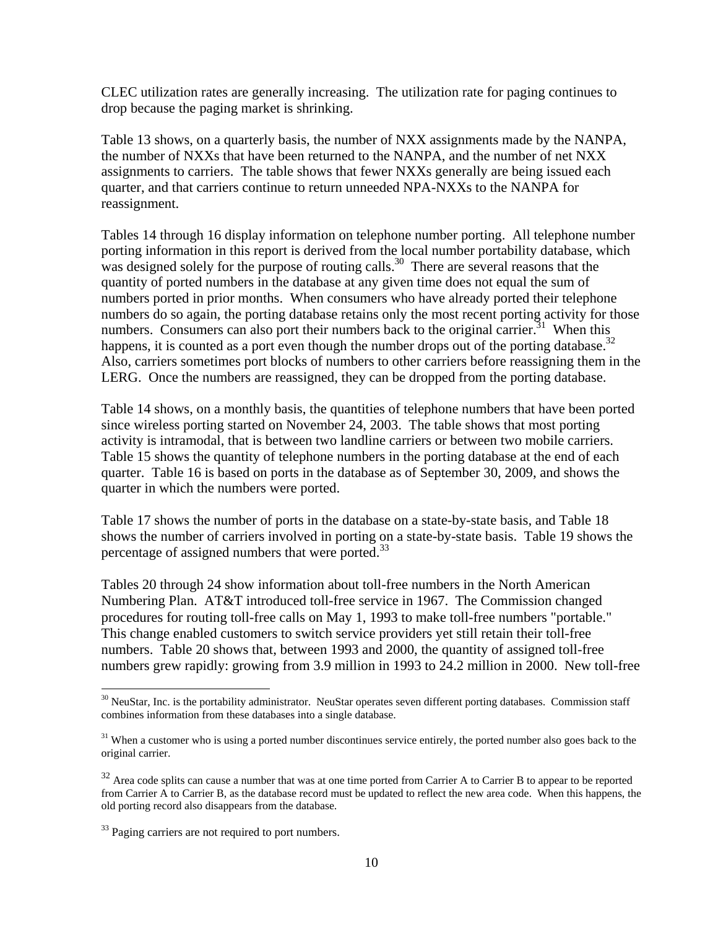CLEC utilization rates are generally increasing. The utilization rate for paging continues to drop because the paging market is shrinking.

Table 13 shows, on a quarterly basis, the number of NXX assignments made by the NANPA, the number of NXXs that have been returned to the NANPA, and the number of net NXX assignments to carriers. The table shows that fewer NXXs generally are being issued each quarter, and that carriers continue to return unneeded NPA-NXXs to the NANPA for reassignment.

Tables 14 through 16 display information on telephone number porting. All telephone number porting information in this report is derived from the local number portability database, which was designed solely for the purpose of routing calls.<sup>30</sup> There are several reasons that the quantity of ported numbers in the database at any given time does not equal the sum of numbers ported in prior months. When consumers who have already ported their telephone numbers do so again, the porting database retains only the most recent porting activity for those numbers. Consumers can also port their numbers back to the original carrier.<sup>31</sup> When this happens, it is counted as a port even though the number drops out of the porting database.<sup>32</sup> Also, carriers sometimes port blocks of numbers to other carriers before reassigning them in the LERG. Once the numbers are reassigned, they can be dropped from the porting database.

Table 14 shows, on a monthly basis, the quantities of telephone numbers that have been ported since wireless porting started on November 24, 2003. The table shows that most porting activity is intramodal, that is between two landline carriers or between two mobile carriers. Table 15 shows the quantity of telephone numbers in the porting database at the end of each quarter. Table 16 is based on ports in the database as of September 30, 2009, and shows the quarter in which the numbers were ported.

Table 17 shows the number of ports in the database on a state-by-state basis, and Table 18 shows the number of carriers involved in porting on a state-by-state basis. Table 19 shows the percentage of assigned numbers that were ported.<sup>33</sup>

Tables 20 through 24 show information about toll-free numbers in the North American Numbering Plan. AT&T introduced toll-free service in 1967. The Commission changed procedures for routing toll-free calls on May 1, 1993 to make toll-free numbers "portable." This change enabled customers to switch service providers yet still retain their toll-free numbers. Table 20 shows that, between 1993 and 2000, the quantity of assigned toll-free numbers grew rapidly: growing from 3.9 million in 1993 to 24.2 million in 2000. New toll-free

 $30$  NeuStar, Inc. is the portability administrator. NeuStar operates seven different porting databases. Commission staff combines information from these databases into a single database.

 $31$  When a customer who is using a ported number discontinues service entirely, the ported number also goes back to the original carrier.

 $32$  Area code splits can cause a number that was at one time ported from Carrier A to Carrier B to appear to be reported from Carrier A to Carrier B, as the database record must be updated to reflect the new area code. When this happens, the old porting record also disappears from the database.

<sup>&</sup>lt;sup>33</sup> Paging carriers are not required to port numbers.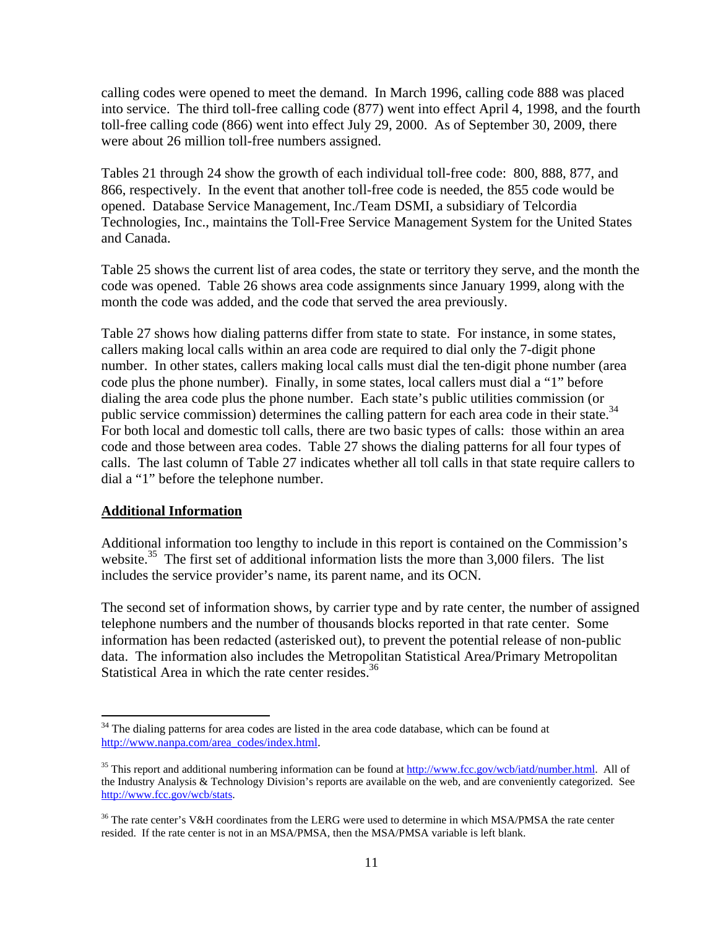calling codes were opened to meet the demand. In March 1996, calling code 888 was placed into service. The third toll-free calling code (877) went into effect April 4, 1998, and the fourth toll-free calling code (866) went into effect July 29, 2000. As of September 30, 2009, there were about 26 million toll-free numbers assigned.

Tables 21 through 24 show the growth of each individual toll-free code: 800, 888, 877, and 866, respectively. In the event that another toll-free code is needed, the 855 code would be opened. Database Service Management, Inc./Team DSMI, a subsidiary of Telcordia Technologies, Inc., maintains the Toll-Free Service Management System for the United States and Canada.

Table 25 shows the current list of area codes, the state or territory they serve, and the month the code was opened. Table 26 shows area code assignments since January 1999, along with the month the code was added, and the code that served the area previously.

Table 27 shows how dialing patterns differ from state to state. For instance, in some states, callers making local calls within an area code are required to dial only the 7-digit phone number. In other states, callers making local calls must dial the ten-digit phone number (area code plus the phone number). Finally, in some states, local callers must dial a "1" before dialing the area code plus the phone number. Each state's public utilities commission (or public service commission) determines the calling pattern for each area code in their state.<sup>34</sup> For both local and domestic toll calls, there are two basic types of calls: those within an area code and those between area codes. Table 27 shows the dialing patterns for all four types of calls. The last column of Table 27 indicates whether all toll calls in that state require callers to dial a "1" before the telephone number.

### **Additional Information**

Additional information too lengthy to include in this report is contained on the Commission's website.<sup>35</sup> The first set of additional information lists the more than 3,000 filers. The list includes the service provider's name, its parent name, and its OCN.

The second set of information shows, by carrier type and by rate center, the number of assigned telephone numbers and the number of thousands blocks reported in that rate center. Some information has been redacted (asterisked out), to prevent the potential release of non-public data. The information also includes the Metropolitan Statistical Area/Primary Metropolitan Statistical Area in which the rate center resides. $36$ 

<sup>&</sup>lt;sup>34</sup> The dialing patterns for area codes are listed in the area code database, which can be found at http://www.nanpa.com/area\_codes/index.html.

 $35$  This report and additional numbering information can be found at  $\frac{http://www.fcc.gov/web/iatd/number.html}{http://www.fcc.gov/web/iatd/number.html}$ . All of the Industry Analysis & Technology Division's reports are available on the web, and are conveniently categorized. See http://www.fcc.gov/wcb/stats.

<sup>&</sup>lt;sup>36</sup> The rate center's V&H coordinates from the LERG were used to determine in which MSA/PMSA the rate center resided. If the rate center is not in an MSA/PMSA, then the MSA/PMSA variable is left blank.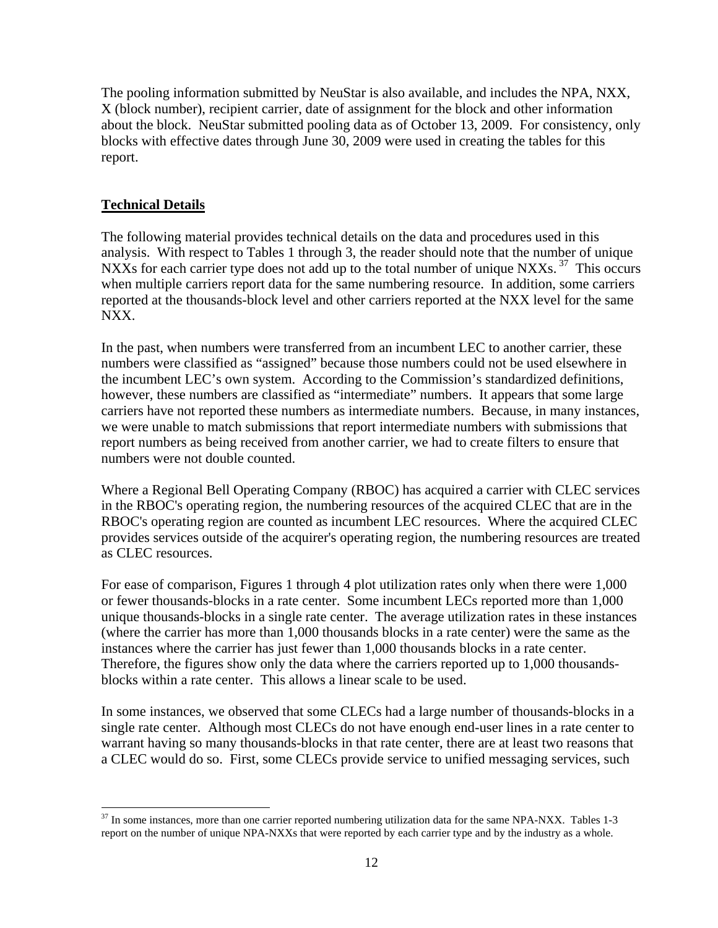The pooling information submitted by NeuStar is also available, and includes the NPA, NXX, X (block number), recipient carrier, date of assignment for the block and other information about the block. NeuStar submitted pooling data as of October 13, 2009. For consistency, only blocks with effective dates through June 30, 2009 were used in creating the tables for this report.

# **Technical Details**

 $\overline{a}$ 

The following material provides technical details on the data and procedures used in this analysis. With respect to Tables 1 through 3, the reader should note that the number of unique NXXs for each carrier type does not add up to the total number of unique  $NXXs$ . <sup>37</sup> This occurs when multiple carriers report data for the same numbering resource. In addition, some carriers reported at the thousands-block level and other carriers reported at the NXX level for the same NXX.

In the past, when numbers were transferred from an incumbent LEC to another carrier, these numbers were classified as "assigned" because those numbers could not be used elsewhere in the incumbent LEC's own system. According to the Commission's standardized definitions, however, these numbers are classified as "intermediate" numbers. It appears that some large carriers have not reported these numbers as intermediate numbers. Because, in many instances, we were unable to match submissions that report intermediate numbers with submissions that report numbers as being received from another carrier, we had to create filters to ensure that numbers were not double counted.

Where a Regional Bell Operating Company (RBOC) has acquired a carrier with CLEC services in the RBOC's operating region, the numbering resources of the acquired CLEC that are in the RBOC's operating region are counted as incumbent LEC resources. Where the acquired CLEC provides services outside of the acquirer's operating region, the numbering resources are treated as CLEC resources.

For ease of comparison, Figures 1 through 4 plot utilization rates only when there were 1,000 or fewer thousands-blocks in a rate center. Some incumbent LECs reported more than 1,000 unique thousands-blocks in a single rate center. The average utilization rates in these instances (where the carrier has more than 1,000 thousands blocks in a rate center) were the same as the instances where the carrier has just fewer than 1,000 thousands blocks in a rate center. Therefore, the figures show only the data where the carriers reported up to 1,000 thousandsblocks within a rate center. This allows a linear scale to be used.

In some instances, we observed that some CLECs had a large number of thousands-blocks in a single rate center. Although most CLECs do not have enough end-user lines in a rate center to warrant having so many thousands-blocks in that rate center, there are at least two reasons that a CLEC would do so. First, some CLECs provide service to unified messaging services, such

 $37$  In some instances, more than one carrier reported numbering utilization data for the same NPA-NXX. Tables 1-3 report on the number of unique NPA-NXXs that were reported by each carrier type and by the industry as a whole.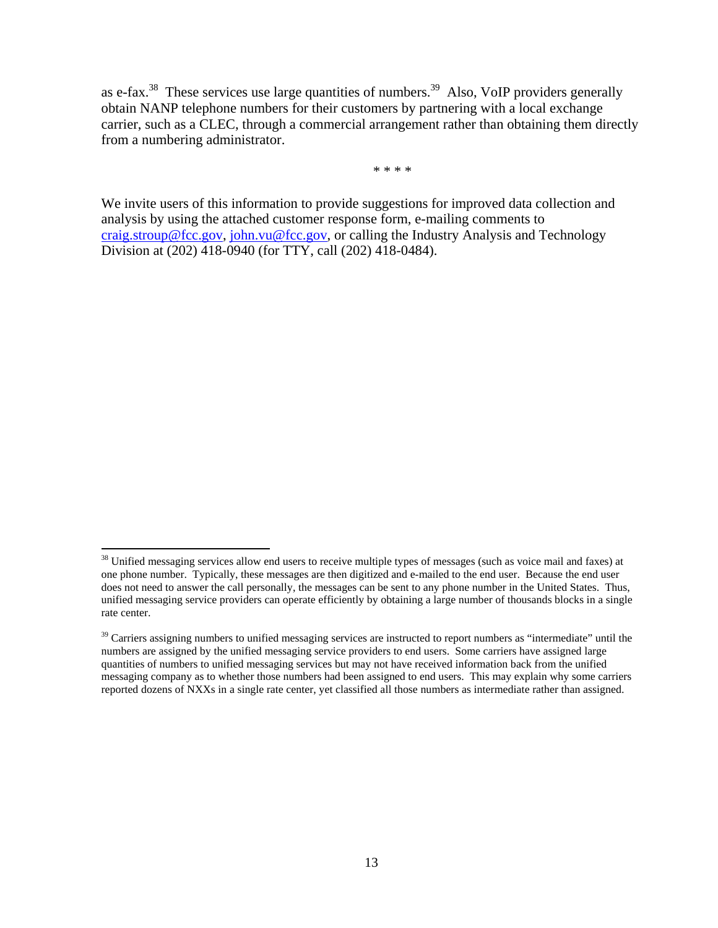as e-fax.<sup>38</sup> These services use large quantities of numbers.<sup>39</sup> Also, VoIP providers generally obtain NANP telephone numbers for their customers by partnering with a local exchange carrier, such as a CLEC, through a commercial arrangement rather than obtaining them directly from a numbering administrator.

\* \* \* \*

We invite users of this information to provide suggestions for improved data collection and analysis by using the attached customer response form, e-mailing comments to craig.stroup@fcc.gov, john.vu@fcc.gov, or calling the Industry Analysis and Technology Division at (202) 418-0940 (for TTY, call (202) 418-0484).

<sup>&</sup>lt;sup>38</sup> Unified messaging services allow end users to receive multiple types of messages (such as voice mail and faxes) at one phone number. Typically, these messages are then digitized and e-mailed to the end user. Because the end user does not need to answer the call personally, the messages can be sent to any phone number in the United States. Thus, unified messaging service providers can operate efficiently by obtaining a large number of thousands blocks in a single rate center.

<sup>&</sup>lt;sup>39</sup> Carriers assigning numbers to unified messaging services are instructed to report numbers as "intermediate" until the numbers are assigned by the unified messaging service providers to end users. Some carriers have assigned large quantities of numbers to unified messaging services but may not have received information back from the unified messaging company as to whether those numbers had been assigned to end users. This may explain why some carriers reported dozens of NXXs in a single rate center, yet classified all those numbers as intermediate rather than assigned.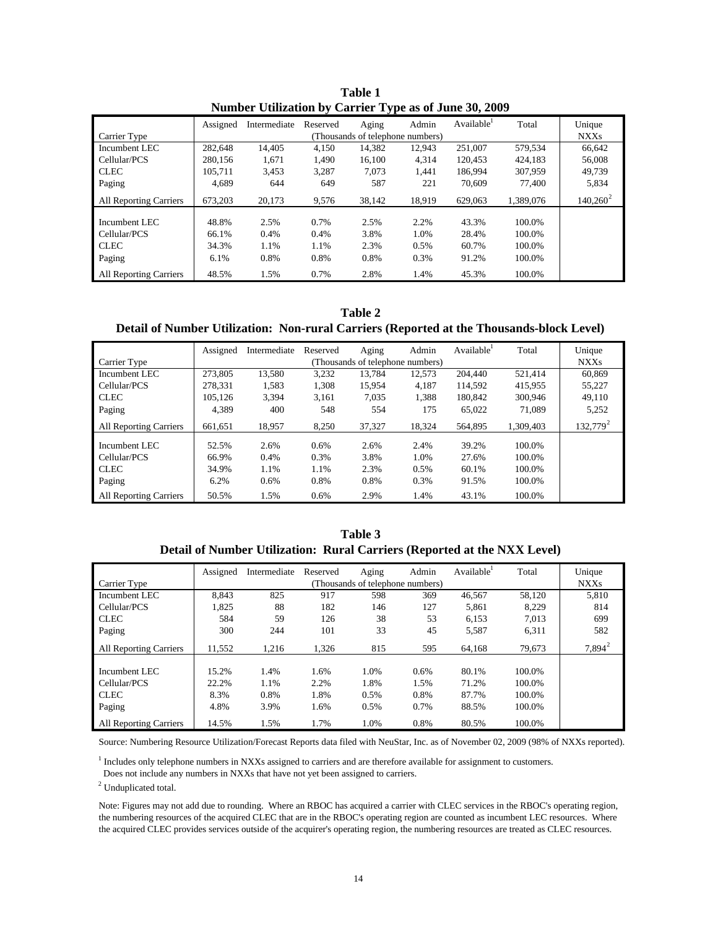|                               |          | Tumber Utmzation by Carrier Type as of June 50, 2007 |          |                                  |        |                        |           |             |
|-------------------------------|----------|------------------------------------------------------|----------|----------------------------------|--------|------------------------|-----------|-------------|
|                               | Assigned | Intermediate                                         | Reserved | Aging                            | Admin  | Available <sup>1</sup> | Total     | Unique      |
| Carrier Type                  |          |                                                      |          | (Thousands of telephone numbers) |        |                        |           | <b>NXXs</b> |
| Incumbent LEC                 | 282,648  | 14.405                                               | 4.150    | 14.382                           | 12.943 | 251,007                | 579.534   | 66.642      |
| Cellular/PCS                  | 280.156  | 1,671                                                | 1,490    | 16,100                           | 4,314  | 120.453                | 424,183   | 56,008      |
| <b>CLEC</b>                   | 105.711  | 3,453                                                | 3,287    | 7.073                            | 1,441  | 186.994                | 307,959   | 49.739      |
| Paging                        | 4.689    | 644                                                  | 649      | 587                              | 221    | 70,609                 | 77,400    | 5,834       |
| <b>All Reporting Carriers</b> | 673.203  | 20,173                                               | 9,576    | 38,142                           | 18,919 | 629,063                | 1.389.076 | $140,260^2$ |
|                               |          |                                                      |          |                                  |        |                        |           |             |
| Incumbent LEC                 | 48.8%    | 2.5%                                                 | 0.7%     | 2.5%                             | 2.2%   | 43.3%                  | 100.0%    |             |
| Cellular/PCS                  | 66.1%    | 0.4%                                                 | 0.4%     | 3.8%                             | 1.0%   | 28.4%                  | 100.0%    |             |
| <b>CLEC</b>                   | 34.3%    | 1.1%                                                 | 1.1%     | 2.3%                             | 0.5%   | 60.7%                  | 100.0%    |             |
| Paging                        | 6.1%     | 0.8%                                                 | 0.8%     | 0.8%                             | 0.3%   | 91.2%                  | 100.0%    |             |
| <b>All Reporting Carriers</b> | 48.5%    | 1.5%                                                 | 0.7%     | 2.8%                             | 1.4%   | 45.3%                  | 100.0%    |             |

**Table 1 Number Utilization by Carrier Type as of June 30, 2009**

**Table 2**

#### **Detail of Number Utilization: Non-rural Carriers (Reported at the Thousands-block Level)**

|                               | Assigned | Intermediate | Reserved | Aging                            | Admin  | Available <sup>1</sup> | Total     | Unique      |
|-------------------------------|----------|--------------|----------|----------------------------------|--------|------------------------|-----------|-------------|
| Carrier Type                  |          |              |          | (Thousands of telephone numbers) |        |                        |           | <b>NXXs</b> |
| Incumbent LEC                 | 273,805  | 13,580       | 3,232    | 13.784                           | 12.573 | 204,440                | 521.414   | 60.869      |
| Cellular/PCS                  | 278.331  | 1,583        | 1,308    | 15.954                           | 4.187  | 114.592                | 415,955   | 55.227      |
| <b>CLEC</b>                   | 105.126  | 3,394        | 3,161    | 7,035                            | 1,388  | 180.842                | 300,946   | 49,110      |
| Paging                        | 4,389    | 400          | 548      | 554                              | 175    | 65.022                 | 71.089    | 5,252       |
| <b>All Reporting Carriers</b> | 661.651  | 18,957       | 8.250    | 37,327                           | 18.324 | 564.895                | 1.309.403 | $132,779^2$ |
| Incumbent LEC                 | 52.5%    | 2.6%         | 0.6%     | 2.6%                             | 2.4%   | 39.2%                  | 100.0%    |             |
| Cellular/PCS                  | 66.9%    | 0.4%         | 0.3%     | 3.8%                             | 1.0%   | 27.6%                  | 100.0%    |             |
| <b>CLEC</b>                   | 34.9%    | 1.1%         | 1.1%     | 2.3%                             | 0.5%   | 60.1%                  | 100.0%    |             |
| Paging                        | 6.2%     | 0.6%         | 0.8%     | 0.8%                             | 0.3%   | 91.5%                  | 100.0%    |             |
| <b>All Reporting Carriers</b> | 50.5%    | 1.5%         | 0.6%     | 2.9%                             | 1.4%   | 43.1%                  | 100.0%    |             |

**Table 3 Detail of Number Utilization: Rural Carriers (Reported at the NXX Level)**

|                               | Assigned | Intermediate | Reserved | Aging                            | Admin | Available <sup>1</sup> | Total  | Unique      |
|-------------------------------|----------|--------------|----------|----------------------------------|-------|------------------------|--------|-------------|
| Carrier Type                  |          |              |          | (Thousands of telephone numbers) |       |                        |        | <b>NXXs</b> |
| Incumbent LEC                 | 8.843    | 825          | 917      | 598                              | 369   | 46,567                 | 58,120 | 5,810       |
| Cellular/PCS                  | 1.825    | 88           | 182      | 146                              | 127   | 5.861                  | 8,229  | 814         |
| <b>CLEC</b>                   | 584      | 59           | 126      | 38                               | 53    | 6,153                  | 7,013  | 699         |
| Paging                        | 300      | 244          | 101      | 33                               | 45    | 5,587                  | 6,311  | 582         |
| <b>All Reporting Carriers</b> | 11,552   | 1,216        | 1,326    | 815                              | 595   | 64,168                 | 79,673 | $7,894^2$   |
|                               |          |              |          |                                  |       |                        |        |             |
| Incumbent LEC                 | 15.2%    | 1.4%         | 1.6%     | 1.0%                             | 0.6%  | 80.1%                  | 100.0% |             |
| Cellular/PCS                  | 22.2%    | 1.1%         | 2.2%     | 1.8%                             | 1.5%  | 71.2%                  | 100.0% |             |
| <b>CLEC</b>                   | 8.3%     | 0.8%         | 1.8%     | 0.5%                             | 0.8%  | 87.7%                  | 100.0% |             |
| Paging                        | 4.8%     | 3.9%         | 1.6%     | 0.5%                             | 0.7%  | 88.5%                  | 100.0% |             |
| <b>All Reporting Carriers</b> | 14.5%    | 1.5%         | 1.7%     | 1.0%                             | 0.8%  | 80.5%                  | 100.0% |             |

Source: Numbering Resource Utilization/Forecast Reports data filed with NeuStar, Inc. as of November 02, 2009 (98% of NXXs reported).

<sup>1</sup> Includes only telephone numbers in NXXs assigned to carriers and are therefore available for assignment to customers.

Does not include any numbers in NXXs that have not yet been assigned to carriers.

<sup>2</sup> Unduplicated total.

Note: Figures may not add due to rounding. Where an RBOC has acquired a carrier with CLEC services in the RBOC's operating region, the numbering resources of the acquired CLEC that are in the RBOC's operating region are counted as incumbent LEC resources. Where the acquired CLEC provides services outside of the acquirer's operating region, the numbering resources are treated as CLEC resources.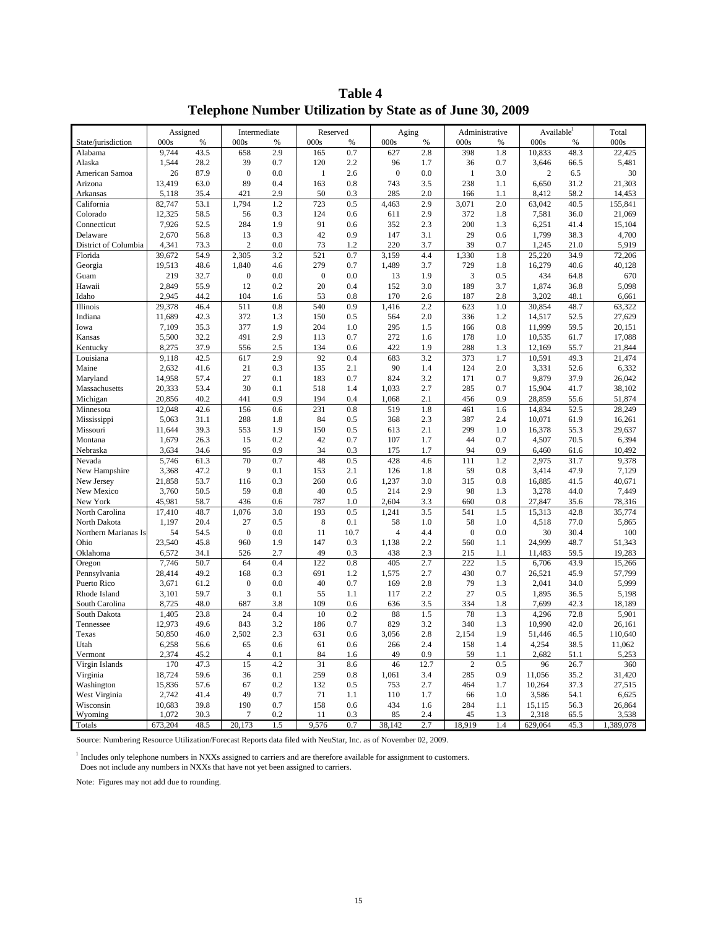| Assigned                   |               |              | Intermediate         |            | Reserved         |            | Aging          | Administrative |                  | Available <sup>1</sup> |                | Total        |               |
|----------------------------|---------------|--------------|----------------------|------------|------------------|------------|----------------|----------------|------------------|------------------------|----------------|--------------|---------------|
| State/jurisdiction         | 000s          | $\%$         | 000s                 | $\%$       | 000s             | $\%$       | 000s           | %              | 000s             | $\%$                   | 000s           | %            | 000s          |
| Alabama                    | 9.744         | 43.5         | 658                  | 2.9        | 165              | 0.7        | 627            | 2.8            | 398              | 1.8                    | 10,833         | 48.3         | 22,425        |
| Alaska                     | 1,544         | 28.2         | 39                   | 0.7        | 120              | 2.2        | 96             | 1.7            | 36               | 0.7                    | 3,646          | 66.5         | 5,481         |
| American Samoa             | 26            | 87.9         | $\boldsymbol{0}$     | 0.0        | $\mathbf{1}$     | 2.6        | $\mathbf{0}$   | 0.0            | 1                | 3.0                    | $\overline{2}$ | 6.5          | 30            |
| Arizona                    | 13,419        | 63.0         | 89                   | 0.4        | 163              | 0.8        | 743            | 3.5            | 238              | 1.1                    | 6,650          | 31.2         | 21,303        |
| Arkansas                   | 5,118         | 35.4         | 421                  | 2.9        | 50               | 0.3        | 285            | 2.0            | 166              | 1.1                    | 8,412          | 58.2         | 14,453        |
| California                 | 82,747        | 53.1         | 1,794                | 1.2        | 723              | 0.5        | 4,463          | 2.9            | 3,071            | 2.0                    | 63,042         | 40.5         | 155,841       |
| Colorado                   | 12,325        | 58.5         | 56                   | 0.3        | 124              | 0.6        | 611            | 2.9            | 372              | 1.8                    | 7,581          | 36.0         | 21,069        |
| Connecticut                | 7,926         | 52.5         | 284                  | 1.9        | 91               | 0.6        | 352            | 2.3            | 200              | 1.3                    | 6,251          | 41.4         | 15,104        |
| Delaware                   | 2,670         | 56.8         | 13                   | 0.3        | 42               | 0.9        | 147            | 3.1            | 29               | 0.6                    | 1,799          | 38.3         | 4,700         |
| District of Columbia       | 4,341         | 73.3         | $\overline{c}$       | 0.0        | 73               | 1.2        | 220            | 3.7            | 39               | 0.7                    | 1,245          | 21.0         | 5,919         |
| Florida                    | 39,672        | 54.9         | 2,305                | 3.2        | 521              | 0.7        | 3,159          | 4.4            | 1,330            | 1.8                    | 25,220         | 34.9         | 72,206        |
| Georgia                    | 19,513        | 48.6         | 1,840                | 4.6        | 279              | 0.7        | 1,489          | 3.7            | 729              | 1.8                    | 16,279         | 40.6         | 40,128        |
| Guam                       | 219           | 32.7         | 0                    | 0.0        | $\boldsymbol{0}$ | 0.0        | 13             | 1.9            | 3                | 0.5                    | 434            | 64.8         | 670           |
| Hawaii                     | 2,849         | 55.9         | 12                   | 0.2        | 20               | 0.4        | 152            | 3.0            | 189              | 3.7                    | 1,874          | 36.8         | 5,098         |
| Idaho                      | 2,945         | 44.2         | 104                  | 1.6        | 53               | 0.8        | 170            | 2.6            | 187              | 2.8                    | 3,202          | 48.1         | 6,661         |
| Illinois                   | 29,378        | 46.4         | 511                  | 0.8        | 540              | 0.9        | 1,416          | 2.2            | 623              | 1.0                    | 30,854         | 48.7         | 63,322        |
| Indiana                    | 11,689        | 42.3         | 372                  | 1.3        | 150              | 0.5        | 564            | 2.0            | 336              | 1.2                    | 14,517         | 52.5         | 27,629        |
| Iowa                       | 7,109         | 35.3         | 377                  | 1.9        | 204              | 1.0        | 295            | 1.5            | 166              | 0.8                    | 11,999         | 59.5         | 20,151        |
| Kansas                     | 5,500         | 32.2         | 491                  | 2.9        | 113              | 0.7        | 272            | 1.6            | 178              | 1.0                    | 10,535         | 61.7         | 17,088        |
| Kentucky                   | 8,275         | 37.9         | 556                  | 2.5        | 134              | 0.6        | 422            | 1.9            | 288              | 1.3                    | 12,169         | 55.7         | 21,844        |
| Louisiana                  | 9,118         | 42.5         | 617                  | 2.9        | 92               | 0.4        | 683            | 3.2            | 373              | 1.7                    | 10,591         | 49.3         | 21,474        |
| Maine                      | 2,632         | 41.6         | 21                   | 0.3        | 135              | 2.1        | 90             | 1.4            | 124              | 2.0                    | 3,331          | 52.6         | 6,332         |
| Maryland                   | 14,958        | 57.4         | 27                   | 0.1        | 183              | 0.7        | 824            | 3.2            | 171              | 0.7                    | 9,879          | 37.9         | 26,042        |
| Massachusetts              | 20,333        | 53.4         | 30                   | 0.1        | 518              | 1.4        | 1,033          | 2.7            | 285              | 0.7                    | 15,904         | 41.7         | 38,102        |
| Michigan                   | 20,856        | 40.2         | 441                  | 0.9        | 194              | 0.4        | 1,068          | 2.1            | 456              | 0.9                    | 28,859         | 55.6         | 51,874        |
| Minnesota                  | 12,048        | 42.6         | 156                  | 0.6        | 231              | 0.8        | 519            | 1.8            | 461              | 1.6                    | 14,834         | 52.5         | 28,249        |
| Mississippi                | 5,063         | 31.1         | 288                  | 1.8        | 84               | 0.5        | 368            | 2.3            | 387              | 2.4                    | 10,071         | 61.9         | 16,261        |
| Missouri                   | 11,644        | 39.3         | 553                  | 1.9        | 150              | 0.5        | 613            | 2.1            | 299              | 1.0                    | 16,378         | 55.3         | 29,637        |
| Montana                    | 1,679         | 26.3         | 15                   | 0.2        | 42               | 0.7        | 107            | 1.7            | 44               | 0.7                    | 4,507          | 70.5         | 6,394         |
| Nebraska                   | 3,634         | 34.6         | 95                   | 0.9        | 34               | 0.3        | 175            | 1.7            | 94               | 0.9                    | 6,460          | 61.6         | 10,492        |
| Nevada                     | 5,746         | 61.3         | 70                   | 0.7        | 48               | 0.5        | 428            | 4.6            | 111              | 1.2                    | 2,975          | 31.7         | 9,378         |
| New Hampshire              | 3,368         | 47.2         | 9                    | 0.1        | 153              | 2.1        | 126            | 1.8            | 59               | 0.8                    | 3,414          | 47.9         | 7,129         |
| New Jersey                 | 21,858        | 53.7         | 116                  | 0.3        | 260              | 0.6        | 1,237          | 3.0            | 315              | 0.8                    | 16,885         | 41.5         | 40,671        |
| New Mexico                 | 3,760         | 50.5         | 59                   | 0.8        | 40               | 0.5        | 214            | 2.9            | 98               | 1.3                    | 3,278          | 44.0         | 7,449         |
| New York                   | 45,981        | 58.7         | 436                  | 0.6        | 787              | 1.0        | 2,604          | 3.3            | 660              | 0.8                    | 27,847         | 35.6         | 78,316        |
| North Carolina             | 17,410        | 48.7         | 1,076                | 3.0        | 193              | 0.5        | 1,241          | 3.5            | 541              | 1.5                    | 15,313         | 42.8         | 35,774        |
| North Dakota               | 1,197         | 20.4         | 27                   | 0.5        | 8                | 0.1        | 58             | 1.0            | 58               | 1.0                    | 4,518          | 77.0         | 5,865         |
| Northern Marianas Is       | 54            | 54.5         | $\boldsymbol{0}$     | 0.0        | 11               | 10.7       | $\overline{4}$ | 4.4            | $\boldsymbol{0}$ | 0.0                    | 30             | 30.4         | 100           |
| Ohio                       | 23,540        | 45.8         | 960                  | 1.9        | 147              | 0.3        | 1,138          | 2.2            | 560              | 1.1                    | 24,999         | 48.7         | 51,343        |
| Oklahoma                   | 6,572         | 34.1         | 526                  | 2.7        | 49               | 0.3        | 438            | 2.3            | 215              | 1.1                    | 11,483         | 59.5         | 19,283        |
| Oregon                     | 7,746         | 50.7         | 64                   | 0.4        | 122              | 0.8        | 405            | 2.7            | 222              | 1.5                    | 6,706          | 43.9         | 15,266        |
| Pennsylvania               | 28,414        | 49.2         | 168                  | 0.3        | 691              | 1.2        | 1,575          | 2.7            | 430              | 0.7                    | 26,521         | 45.9         | 57,799        |
| Puerto Rico                | 3,671         | 61.2         | $\mathbf{0}$         | 0.0        | 40               | 0.7        | 169            | 2.8            | 79               | 1.3                    | 2,041          | 34.0         | 5,999         |
| Rhode Island               | 3,101         | 59.7         | 3                    | 0.1        | 55               | 1.1        | 117            | 2.2            | 27               | 0.5                    | 1,895          | 36.5         | 5,198         |
| South Carolina             | 8,725         | 48.0         | 687                  | 3.8        | 109              | 0.6        | 636            | 3.5            | 334              | 1.8                    | 7,699          | 42.3         | 18,189        |
| South Dakota               | 1,405         | 23.8         | 24                   | 0.4        | 10               | 0.2        | 88             | 1.5            | 78               | 1.3                    | 4,296          | 72.8         | 5,901         |
| Tennessee                  | 12,973        | 49.6         | 843                  | 3.2        | 186              | 0.7        | 829            | 3.2            | 340              | 1.3                    | 10,990         | 42.0         | 26,161        |
| Texas                      | 50,850        | 46.0         | 2,502                | 2.3        | 631              | 0.6        | 3,056          | 2.8            | 2,154            | 1.9                    | 51,446         | 46.5         | 110,640       |
| Utah                       | 6,258         | 56.6         | 65<br>$\overline{4}$ | 0.6        | 61               | 0.6        | 266<br>49      | 2.4            | 158<br>59        | 1.4                    | 4,254          | 38.5         | 11,062        |
| Vermont                    | 2,374         | 45.2         | 15                   | 0.1<br>4.2 | 84<br>31         | 1.6<br>8.6 | 46             | 0.9<br>12.7    | $\overline{c}$   | 1.1                    | 2,682<br>96    | 51.1         | 5,253         |
| Virgin Islands<br>Virginia | 170<br>18,724 | 47.3<br>59.6 | 36                   | 0.1        | 259              | 0.8        | 1,061          | 3.4            | 285              | 0.5<br>0.9             | 11,056         | 26.7<br>35.2 | 360<br>31,420 |
| Washington                 | 15,836        | 57.6         | 67                   | 0.2        | 132              | 0.5        | 753            | 2.7            | 464              | 1.7                    | 10,264         | 37.3         | 27,515        |
| West Virginia              | 2,742         | 41.4         | 49                   | 0.7        | 71               | 1.1        | 110            | 1.7            | 66               | 1.0                    | 3,586          | 54.1         | 6,625         |
| Wisconsin                  | 10,683        | 39.8         | 190                  | 0.7        | 158              | 0.6        | 434            | 1.6            | 284              | 1.1                    | 15,115         | 56.3         | 26,864        |
| Wyoming                    | 1.072         | 30.3         | 7                    | 0.2        | 11               | 0.3        | 85             | 2.4            | 45               | 1.3                    | 2,318          | 65.5         | 3,538         |
| Totals                     | 673,204       | 48.5         | 20,173               | 1.5        | 9,576            | 0.7        | 38,142         | 2.7            | 18,919           | 1.4                    | 629,064        | 45.3         | 1,389,078     |

**Table 4 Telephone Number Utilization by State as of June 30, 2009**

Source: Numbering Resource Utilization/Forecast Reports data filed with NeuStar, Inc. as of November 02, 2009.

<sup>1</sup> Includes only telephone numbers in NXXs assigned to carriers and are therefore available for assignment to customers. Does not include any numbers in NXXs that have not yet been assigned to carriers.

Note: Figures may not add due to rounding.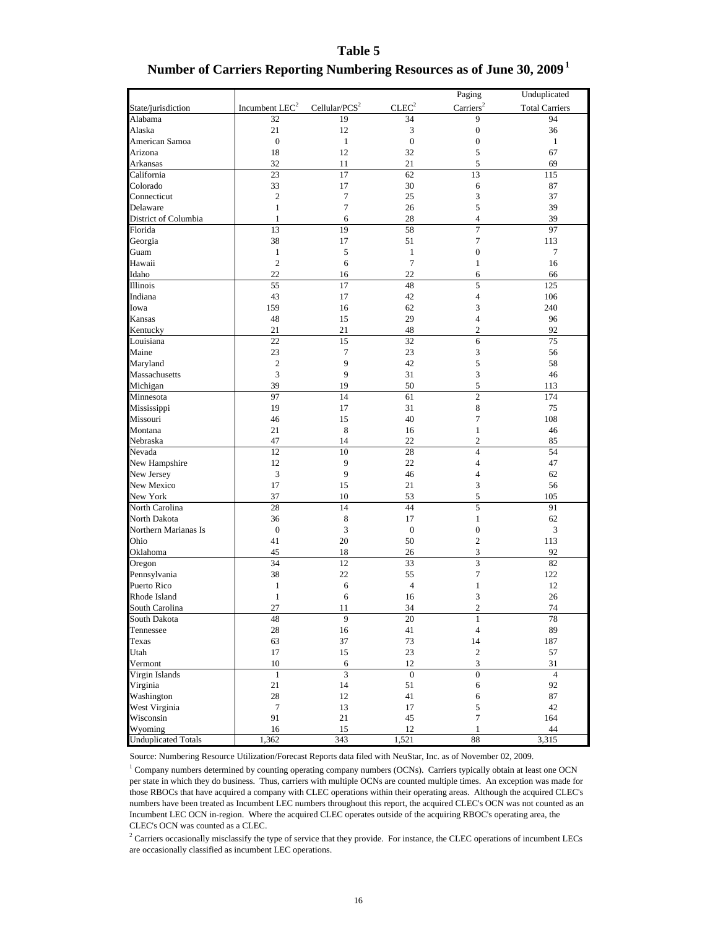# **Table 5 Number of Carriers Reporting Numbering Resources as of June 30, 2009<sup>1</sup>**

|                            |                            |                           |                   | Paging              | Unduplicated          |
|----------------------------|----------------------------|---------------------------|-------------------|---------------------|-----------------------|
| State/jurisdiction         | Incumbent LEC <sup>2</sup> | Cellular/PCS <sup>2</sup> | CLEC <sup>2</sup> | $Carriers^2$        | <b>Total Carriers</b> |
| Alabama                    | 32                         | 19                        | 34                | 9                   | 94                    |
| Alaska                     | 21                         | 12                        | 3                 | $\boldsymbol{0}$    | 36                    |
| American Samoa             | $\boldsymbol{0}$           | $\mathbf{1}$              | $\boldsymbol{0}$  | $\boldsymbol{0}$    | $\mathbf{1}$          |
| Arizona                    | 18                         | 12                        | 32                | 5                   | 67                    |
| Arkansas                   | 32                         | 11                        | 21                | 5                   | 69                    |
| California                 | 23                         | 17                        | 62                | 13                  | 115                   |
| Colorado                   | 33                         | 17                        | 30                | 6                   | 87                    |
| Connecticut                | $\overline{c}$             | $\tau$                    | 25                | 3                   | 37                    |
| Delaware                   | $\mathbf{1}$               | $\tau$                    | 26                | 5                   | 39                    |
| District of Columbia       | $\mathbf{1}$               | 6                         | 28                | $\overline{4}$      | 39                    |
| Florida                    | 13                         | 19                        | 58                | $\tau$              | 97                    |
| Georgia                    | 38                         | 17                        | 51                | $\tau$              | 113                   |
| Guam                       | $\mathbf{1}$               | 5                         | $\mathbf{1}$      | $\boldsymbol{0}$    | 7                     |
| Hawaii                     | $\overline{c}$             | 6                         | $\tau$            | $\mathbf{1}$        | 16                    |
| Idaho                      | 22                         | 16                        | 22                | 6                   | 66                    |
| Illinois                   | 55                         | 17                        | 48                | 5                   | 125                   |
| Indiana                    | 43                         | 17                        | 42                | $\overline{4}$      | 106                   |
| Iowa                       | 159                        | 16                        | 62                | 3                   | 240                   |
| Kansas                     | 48                         | 15                        | 29                | $\overline{4}$      | 96                    |
| Kentucky                   | 21                         | 21                        | 48                | $\overline{2}$      | 92                    |
| Louisiana                  | $\overline{22}$            | 15                        | 32                | 6                   | $\overline{75}$       |
| Maine                      | 23                         | 7                         | 23                | 3                   | 56                    |
| Maryland                   | $\overline{2}$             | 9                         | 42                | 5                   | 58                    |
| Massachusetts              | 3                          | 9                         | 31                | 3                   | 46                    |
| Michigan                   | 39                         | 19                        | 50                | 5                   | 113                   |
| Minnesota                  | 97                         | 14                        | 61                | $\overline{2}$      | 174                   |
| Mississippi                | 19                         | 17                        | 31                | 8                   | 75                    |
| Missouri                   | 46                         | 15                        | 40                | $\tau$              | 108                   |
|                            | 21                         | $\,$ 8 $\,$               | 16                |                     | 46                    |
| Montana<br>Nebraska        | 47                         | 14                        | 22                | 1<br>$\overline{2}$ | 85                    |
| Nevada                     | 12                         | 10                        | 28                | $\overline{4}$      | 54                    |
| New Hampshire              | 12                         | 9                         | 22                | $\overline{4}$      | 47                    |
|                            | 3                          | 9                         | 46                | $\overline{4}$      | 62                    |
| New Jersey                 | 17                         | 15                        | 21                | 3                   | 56                    |
| New Mexico<br>New York     | 37                         | 10                        | 53                | 5                   | 105                   |
|                            |                            | 14                        | 44                | 5                   |                       |
| North Carolina             | 28                         |                           |                   |                     | 91                    |
| North Dakota               | 36                         | 8                         | 17                | $\mathbf{1}$        | 62                    |
| Northern Marianas Is       | $\boldsymbol{0}$           | 3                         | $\boldsymbol{0}$  | $\boldsymbol{0}$    | 3                     |
| Ohio                       | 41                         | 20                        | 50                | $\mathfrak{2}$      | 113                   |
| Oklahoma                   | 45                         | 18                        | 26                | 3                   | 92                    |
| Oregon                     | 34                         | 12                        | 33                | $\overline{3}$      | 82                    |
| Pennsylvania               | 38                         | 22                        | 55                | $\boldsymbol{7}$    | 122                   |
| Puerto Rico                | $\mathbf{1}$               | 6                         | $\overline{4}$    | $\mathbf{1}$        | 12                    |
| Rhode Island               | $\mathbf{1}$               | 6                         | 16                | 3                   | 26                    |
| South Carolina             | 27                         | 11                        | 34                | $\overline{2}$      | 74                    |
| South Dakota               | 48                         | $\overline{9}$            | 20                | $\mathbf{1}$        | 78                    |
| Tennessee                  | 28                         | $16\,$                    | 41                | $\overline{4}$      | 89                    |
| Texas                      | 63                         | 37                        | 73                | 14                  | 187                   |
| Utah                       | 17                         | 15                        | 23                | $\overline{c}$      | 57                    |
| Vermont                    | 10                         | 6                         | 12                | 3                   | 31                    |
| Virgin Islands             | $\mathbf{1}$               | 3                         | $\mathbf{0}$      | $\overline{0}$      | $\overline{4}$        |
| Virginia                   | 21                         | 14                        | 51                | 6                   | 92                    |
| Washington                 | 28                         | 12                        | 41                | 6                   | 87                    |
| West Virginia              | $\overline{7}$             | 13                        | 17                | 5                   | 42                    |
| Wisconsin                  | 91                         | 21                        | 45                | $\tau$              | 164                   |
| Wyoming                    | 16                         | 15                        | 12                | 1                   | 44                    |
| <b>Unduplicated Totals</b> | 1,362                      | 343                       | 1,521             | 88                  | 3,315                 |

Source: Numbering Resource Utilization/Forecast Reports data filed with NeuStar, Inc. as of November 02, 2009.

<sup>1</sup> Company numbers determined by counting operating company numbers (OCNs). Carriers typically obtain at least one OCN per state in which they do business. Thus, carriers with multiple OCNs are counted multiple times. An exception was made for those RBOCs that have acquired a company with CLEC operations within their operating areas. Although the acquired CLEC's numbers have been treated as Incumbent LEC numbers throughout this report, the acquired CLEC's OCN was not counted as an Incumbent LEC OCN in-region. Where the acquired CLEC operates outside of the acquiring RBOC's operating area, the CLEC's OCN was counted as a CLEC.

<sup>2</sup> Carriers occasionally misclassify the type of service that they provide. For instance, the CLEC operations of incumbent LECs are occasionally classified as incumbent LEC operations.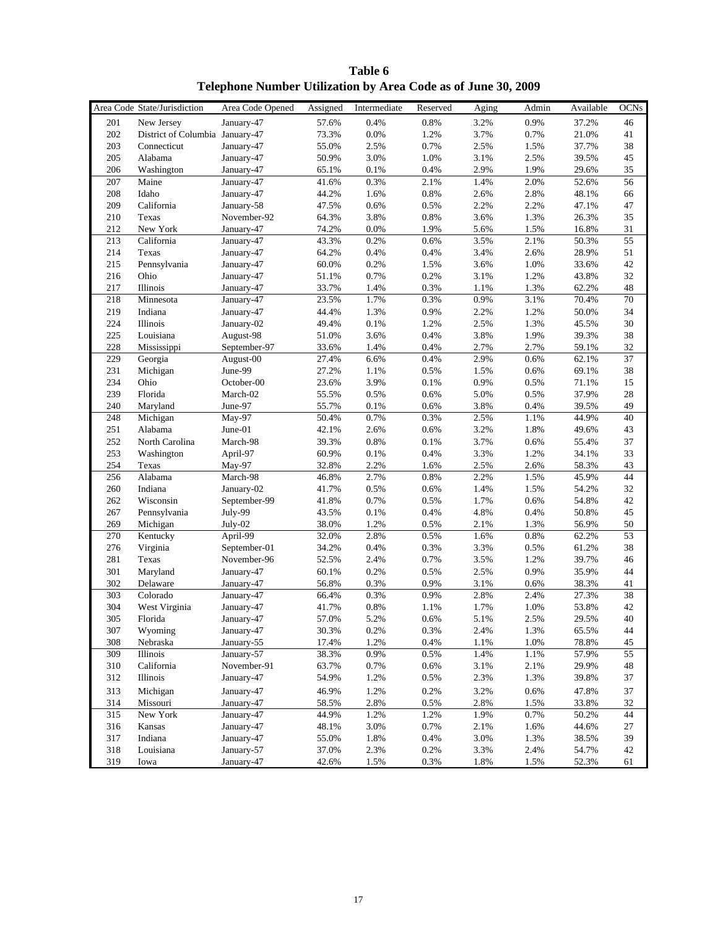**Table 6 Telephone Number Utilization by Area Code as of June 30, 2009**

|     | Area Code State/Jurisdiction    | Area Code Opened | Assigned | Intermediate | Reserved | Aging | Admin | Available | <b>OCNs</b>     |
|-----|---------------------------------|------------------|----------|--------------|----------|-------|-------|-----------|-----------------|
| 201 | New Jersey                      | January-47       | 57.6%    | 0.4%         | 0.8%     | 3.2%  | 0.9%  | 37.2%     | 46              |
| 202 | District of Columbia January-47 |                  | 73.3%    | 0.0%         | 1.2%     | 3.7%  | 0.7%  | 21.0%     | 41              |
| 203 | Connecticut                     | January-47       | 55.0%    | 2.5%         | 0.7%     | 2.5%  | 1.5%  | 37.7%     | 38              |
| 205 | Alabama                         | January-47       | 50.9%    | 3.0%         | 1.0%     | 3.1%  | 2.5%  | 39.5%     | 45              |
| 206 | Washington                      | January-47       | 65.1%    | 0.1%         | 0.4%     | 2.9%  | 1.9%  | 29.6%     | 35              |
| 207 | Maine                           | January-47       | 41.6%    | 0.3%         | 2.1%     | 1.4%  | 2.0%  | 52.6%     | 56              |
| 208 | Idaho                           | January-47       | 44.2%    | 1.6%         | 0.8%     | 2.6%  | 2.8%  | 48.1%     | 66              |
| 209 | California                      | January-58       | 47.5%    | 0.6%         | 0.5%     | 2.2%  | 2.2%  | 47.1%     | 47              |
| 210 | Texas                           | November-92      | 64.3%    | 3.8%         | 0.8%     | 3.6%  | 1.3%  | 26.3%     | 35              |
|     |                                 |                  |          |              |          |       |       |           |                 |
| 212 | New York                        | January-47       | 74.2%    | 0.0%         | 1.9%     | 5.6%  | 1.5%  | 16.8%     | 31              |
| 213 | California                      | January-47       | 43.3%    | 0.2%         | 0.6%     | 3.5%  | 2.1%  | 50.3%     | 55              |
| 214 | Texas                           | January-47       | 64.2%    | 0.4%         | 0.4%     | 3.4%  | 2.6%  | 28.9%     | 51              |
| 215 | Pennsylvania                    | January-47       | 60.0%    | 0.2%         | 1.5%     | 3.6%  | 1.0%  | 33.6%     | 42              |
| 216 | Ohio                            | January-47       | 51.1%    | 0.7%         | 0.2%     | 3.1%  | 1.2%  | 43.8%     | 32              |
| 217 | Illinois                        | January-47       | 33.7%    | 1.4%         | 0.3%     | 1.1%  | 1.3%  | 62.2%     | 48              |
| 218 | Minnesota                       | January-47       | 23.5%    | 1.7%         | 0.3%     | 0.9%  | 3.1%  | 70.4%     | 70              |
| 219 | Indiana                         | January-47       | 44.4%    | 1.3%         | 0.9%     | 2.2%  | 1.2%  | 50.0%     | 34              |
| 224 | Illinois                        | January-02       | 49.4%    | 0.1%         | 1.2%     | 2.5%  | 1.3%  | 45.5%     | 30              |
| 225 | Louisiana                       | August-98        | 51.0%    | 3.6%         | 0.4%     | 3.8%  | 1.9%  | 39.3%     | 38              |
| 228 | Mississippi                     | September-97     | 33.6%    | 1.4%         | 0.4%     | 2.7%  | 2.7%  | 59.1%     | 32              |
| 229 | Georgia                         | August-00        | 27.4%    | 6.6%         | 0.4%     | 2.9%  | 0.6%  | 62.1%     | 37              |
| 231 | Michigan                        | June-99          | 27.2%    | 1.1%         | 0.5%     | 1.5%  | 0.6%  | 69.1%     | 38              |
| 234 | Ohio                            | October-00       | 23.6%    | 3.9%         | 0.1%     | 0.9%  | 0.5%  | 71.1%     | 15              |
| 239 | Florida                         | March-02         | 55.5%    | 0.5%         | 0.6%     | 5.0%  | 0.5%  | 37.9%     | $28\,$          |
| 240 | Maryland                        | June-97          | 55.7%    | 0.1%         | 0.6%     | 3.8%  | 0.4%  | 39.5%     | 49              |
| 248 | Michigan                        | May-97           | 50.4%    | 0.7%         | 0.3%     | 2.5%  | 1.1%  | 44.9%     | 40              |
| 251 | Alabama                         | June-01          | 42.1%    | 2.6%         | 0.6%     | 3.2%  | 1.8%  | 49.6%     | 43              |
| 252 | North Carolina                  | March-98         | 39.3%    | 0.8%         | 0.1%     | 3.7%  | 0.6%  | 55.4%     | 37              |
| 253 | Washington                      | April-97         | 60.9%    | 0.1%         | 0.4%     | 3.3%  | 1.2%  | 34.1%     | 33              |
| 254 | Texas                           | May-97           | 32.8%    | 2.2%         | 1.6%     | 2.5%  | 2.6%  | 58.3%     | 43              |
| 256 | Alabama                         | March-98         | 46.8%    | 2.7%         | 0.8%     | 2.2%  | 1.5%  | 45.9%     | 44              |
| 260 | Indiana                         | January-02       | 41.7%    | 0.5%         | 0.6%     | 1.4%  | 1.5%  | 54.2%     | 32              |
| 262 | Wisconsin                       | September-99     | 41.8%    | 0.7%         | 0.5%     | 1.7%  | 0.6%  | 54.8%     | 42              |
| 267 | Pennsylvania                    | July-99          | 43.5%    | 0.1%         | 0.4%     | 4.8%  | 0.4%  | 50.8%     | 45              |
| 269 | Michigan                        | July-02          | 38.0%    | 1.2%         | 0.5%     | 2.1%  | 1.3%  | 56.9%     | $50\,$          |
| 270 | Kentucky                        | April-99         | 32.0%    | 2.8%         | 0.5%     | 1.6%  | 0.8%  | 62.2%     | $\overline{53}$ |
| 276 | Virginia                        | September-01     | 34.2%    | 0.4%         | 0.3%     | 3.3%  | 0.5%  | 61.2%     | 38              |
| 281 | Texas                           | November-96      | 52.5%    | 2.4%         | 0.7%     | 3.5%  | 1.2%  | 39.7%     | 46              |
|     | Maryland                        |                  |          |              |          |       |       |           |                 |
| 301 |                                 | January-47       | 60.1%    | 0.2%         | 0.5%     | 2.5%  | 0.9%  | 35.9%     | 44              |
| 302 | Delaware                        | January-47       | 56.8%    | 0.3%         | 0.9%     | 3.1%  | 0.6%  | 38.3%     | 41              |
| 303 | Colorado                        | January-47       | 66.4%    | 0.3%         | 0.9%     | 2.8%  | 2.4%  | 27.3%     | 38              |
| 304 | West Virginia                   | January-47       | 41.7%    | 0.8%         | 1.1%     | 1.7%  | 1.0%  | 53.8%     | 42              |
| 305 | Florida                         | January-47       | 57.0%    | 5.2%         | 0.6%     | 5.1%  | 2.5%  | 29.5%     | 40              |
| 307 | Wyoming                         | January-47       | 30.3%    | 0.2%         | 0.3%     | 2.4%  | 1.3%  | 65.5%     | 44              |
| 308 | Nebraska                        | January-55       | 17.4%    | 1.2%         | 0.4%     | 1.1%  | 1.0%  | 78.8%     | 45              |
| 309 | Illinois                        | January-57       | 38.3%    | 0.9%         | 0.5%     | 1.4%  | 1.1%  | 57.9%     | 55              |
| 310 | California                      | November-91      | 63.7%    | 0.7%         | 0.6%     | 3.1%  | 2.1%  | 29.9%     | 48              |
| 312 | Illinois                        | January-47       | 54.9%    | 1.2%         | 0.5%     | 2.3%  | 1.3%  | 39.8%     | 37              |
| 313 | Michigan                        | January-47       | 46.9%    | 1.2%         | 0.2%     | 3.2%  | 0.6%  | 47.8%     | $37\,$          |
| 314 | Missouri                        | January-47       | 58.5%    | 2.8%         | 0.5%     | 2.8%  | 1.5%  | 33.8%     | 32              |
| 315 | New York                        | January-47       | 44.9%    | 1.2%         | 1.2%     | 1.9%  | 0.7%  | 50.2%     | $44$            |
| 316 | Kansas                          | January-47       | 48.1%    | 3.0%         | 0.7%     | 2.1%  | 1.6%  | 44.6%     | 27              |
| 317 | Indiana                         | January-47       | 55.0%    | 1.8%         | 0.4%     | 3.0%  | 1.3%  | 38.5%     | 39              |
| 318 | Louisiana                       | January-57       | 37.0%    | 2.3%         | 0.2%     | 3.3%  | 2.4%  | 54.7%     | 42              |
| 319 | Iowa                            | January-47       | 42.6%    | 1.5%         | 0.3%     | 1.8%  | 1.5%  | 52.3%     | 61              |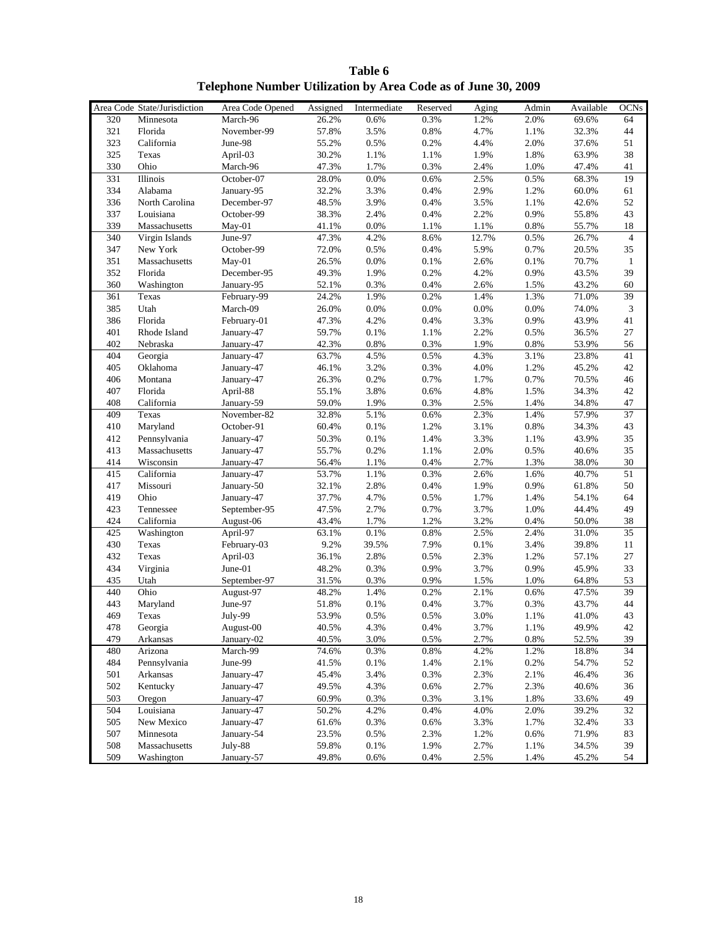**Table 6 Telephone Number Utilization by Area Code as of June 30, 2009**

|     | Area Code State/Jurisdiction | Area Code Opened | Assigned | Intermediate | Reserved | Aging | Admin   | Available      | <b>OCNs</b>    |
|-----|------------------------------|------------------|----------|--------------|----------|-------|---------|----------------|----------------|
| 320 | $\overline{\text{Minness}}$  | March-96         | 26.2%    | 0.6%         | 0.3%     | 1.2%  | 2.0%    | 69.6%          | 64             |
| 321 | Florida                      | November-99      | 57.8%    | 3.5%         | 0.8%     | 4.7%  | 1.1%    | 32.3%          | 44             |
| 323 | California                   | June-98          | 55.2%    | 0.5%         | 0.2%     | 4.4%  | 2.0%    | 37.6%          | 51             |
| 325 | Texas                        | April-03         | 30.2%    | 1.1%         | 1.1%     | 1.9%  | 1.8%    | 63.9%          | 38             |
| 330 | Ohio                         | March-96         | 47.3%    | 1.7%         | 0.3%     | 2.4%  | 1.0%    | 47.4%          | 41             |
| 331 | Illinois                     | October-07       | 28.0%    | 0.0%         | 0.6%     | 2.5%  | 0.5%    | 68.3%          | 19             |
| 334 | Alabama                      | January-95       | 32.2%    | 3.3%         | 0.4%     | 2.9%  | 1.2%    | 60.0%          |                |
|     |                              |                  |          |              |          |       |         |                | 61<br>52       |
| 336 | North Carolina               | December-97      | 48.5%    | 3.9%         | 0.4%     | 3.5%  | 1.1%    | 42.6%          |                |
| 337 | Louisiana                    | October-99       | 38.3%    | 2.4%         | 0.4%     | 2.2%  | 0.9%    | 55.8%          | 43             |
| 339 | Massachusetts                | $May-01$         | 41.1%    | 0.0%         | 1.1%     | 1.1%  | $0.8\%$ | 55.7%<br>26.7% | 18             |
| 340 | Virgin Islands               | June-97          | 47.3%    | 4.2%         | 8.6%     | 12.7% | 0.5%    |                | $\overline{4}$ |
| 347 | New York                     | October-99       | 72.0%    | 0.5%         | 0.4%     | 5.9%  | 0.7%    | 20.5%          | 35             |
| 351 | Massachusetts                | $May-01$         | 26.5%    | 0.0%         | 0.1%     | 2.6%  | 0.1%    | 70.7%          | $\mathbf{1}$   |
| 352 | Florida                      | December-95      | 49.3%    | 1.9%         | 0.2%     | 4.2%  | 0.9%    | 43.5%          | 39             |
| 360 | Washington                   | January-95       | 52.1%    | 0.3%         | 0.4%     | 2.6%  | 1.5%    | 43.2%          | 60             |
| 361 | Texas                        | February-99      | 24.2%    | 1.9%         | 0.2%     | 1.4%  | 1.3%    | 71.0%          | 39             |
| 385 | Utah                         | March-09         | 26.0%    | 0.0%         | 0.0%     | 0.0%  | 0.0%    | 74.0%          | $\sqrt{3}$     |
| 386 | Florida                      | February-01      | 47.3%    | 4.2%         | 0.4%     | 3.3%  | 0.9%    | 43.9%          | 41             |
| 401 | Rhode Island                 | January-47       | 59.7%    | 0.1%         | 1.1%     | 2.2%  | 0.5%    | 36.5%          | 27             |
| 402 | Nebraska                     | January-47       | 42.3%    | 0.8%         | 0.3%     | 1.9%  | 0.8%    | 53.9%          | 56             |
| 404 | Georgia                      | January-47       | 63.7%    | 4.5%         | 0.5%     | 4.3%  | 3.1%    | 23.8%          | 41             |
| 405 | Oklahoma                     | January-47       | 46.1%    | 3.2%         | 0.3%     | 4.0%  | 1.2%    | 45.2%          | 42             |
| 406 | Montana                      | January-47       | 26.3%    | 0.2%         | 0.7%     | 1.7%  | 0.7%    | 70.5%          | 46             |
| 407 | Florida                      | April-88         | 55.1%    | 3.8%         | 0.6%     | 4.8%  | 1.5%    | 34.3%          | 42             |
| 408 | California                   | January-59       | 59.0%    | 1.9%         | 0.3%     | 2.5%  | 1.4%    | 34.8%          | 47             |
| 409 | Texas                        | November-82      | 32.8%    | 5.1%         | 0.6%     | 2.3%  | 1.4%    | 57.9%          | 37             |
| 410 | Maryland                     | October-91       | 60.4%    | 0.1%         | 1.2%     | 3.1%  | 0.8%    | 34.3%          | 43             |
| 412 | Pennsylvania                 | January-47       | 50.3%    | 0.1%         | 1.4%     | 3.3%  | 1.1%    | 43.9%          | 35             |
| 413 | Massachusetts                | January-47       | 55.7%    | 0.2%         | 1.1%     | 2.0%  | 0.5%    | 40.6%          | 35             |
| 414 | Wisconsin                    | January-47       | 56.4%    | 1.1%         | 0.4%     | 2.7%  | 1.3%    | 38.0%          | $30\,$         |
| 415 | California                   | January-47       | 53.7%    | 1.1%         | 0.3%     | 2.6%  | 1.6%    | 40.7%          | 51             |
| 417 | Missouri                     | January-50       | 32.1%    | 2.8%         | 0.4%     | 1.9%  | 0.9%    | 61.8%          | $50\,$         |
| 419 | Ohio                         | January-47       | 37.7%    | 4.7%         | 0.5%     | 1.7%  | 1.4%    | 54.1%          | 64             |
| 423 | Tennessee                    | September-95     | 47.5%    | 2.7%         | 0.7%     | 3.7%  | 1.0%    | 44.4%          | 49             |
| 424 | California                   | August-06        | 43.4%    | 1.7%         | 1.2%     | 3.2%  | 0.4%    | 50.0%          | 38             |
| 425 | Washington                   | April-97         | 63.1%    | 0.1%         | 0.8%     | 2.5%  | 2.4%    | 31.0%          | 35             |
| 430 | Texas                        | February-03      | 9.2%     | 39.5%        | 7.9%     | 0.1%  | 3.4%    | 39.8%          | 11             |
| 432 | Texas                        | April-03         | 36.1%    | 2.8%         | 0.5%     | 2.3%  | 1.2%    | 57.1%          | $27\,$         |
| 434 |                              | June-01          | 48.2%    | 0.3%         | 0.9%     | 3.7%  | 0.9%    | 45.9%          | 33             |
|     | Virginia                     |                  |          |              |          |       |         |                |                |
| 435 | Utah                         | September-97     | 31.5%    | 0.3%         | 0.9%     | 1.5%  | 1.0%    | 64.8%          | 53             |
| 440 | Ohio                         | August-97        | 48.2%    | 1.4%         | 0.2%     | 2.1%  | 0.6%    | 47.5%          | 39             |
| 443 | Maryland                     | June-97          | 51.8%    | 0.1%         | 0.4%     | 3.7%  | 0.3%    | 43.7%          | $44$           |
| 469 | Texas                        | July-99          | 53.9%    | 0.5%         | 0.5%     | 3.0%  | 1.1%    | 41.0%          | 43             |
| 478 | Georgia                      | August-00        | 40.5%    | 4.3%         | 0.4%     | 3.7%  | 1.1%    | 49.9%          | 42             |
| 479 | Arkansas                     | January-02       | 40.5%    | 3.0%         | 0.5%     | 2.7%  | 0.8%    | 52.5%          | 39             |
| 480 | Arizona                      | March-99         | 74.6%    | 0.3%         | $0.8\%$  | 4.2%  | 1.2%    | 18.8%          | 34             |
| 484 | Pennsylvania                 | June-99          | 41.5%    | 0.1%         | 1.4%     | 2.1%  | 0.2%    | 54.7%          | 52             |
| 501 | Arkansas                     | January-47       | 45.4%    | 3.4%         | 0.3%     | 2.3%  | 2.1%    | 46.4%          | 36             |
| 502 | Kentucky                     | January-47       | 49.5%    | 4.3%         | 0.6%     | 2.7%  | 2.3%    | 40.6%          | 36             |
| 503 | Oregon                       | January-47       | 60.9%    | 0.3%         | 0.3%     | 3.1%  | 1.8%    | 33.6%          | 49             |
| 504 | Louisiana                    | January-47       | 50.2%    | 4.2%         | 0.4%     | 4.0%  | 2.0%    | 39.2%          | 32             |
| 505 | New Mexico                   | January-47       | 61.6%    | 0.3%         | 0.6%     | 3.3%  | 1.7%    | 32.4%          | 33             |
| 507 | Minnesota                    | January-54       | 23.5%    | 0.5%         | 2.3%     | 1.2%  | 0.6%    | 71.9%          | 83             |
| 508 | Massachusetts                | July-88          | 59.8%    | 0.1%         | 1.9%     | 2.7%  | 1.1%    | 34.5%          | 39             |
| 509 | Washington                   | January-57       | 49.8%    | 0.6%         | 0.4%     | 2.5%  | 1.4%    | 45.2%          | 54             |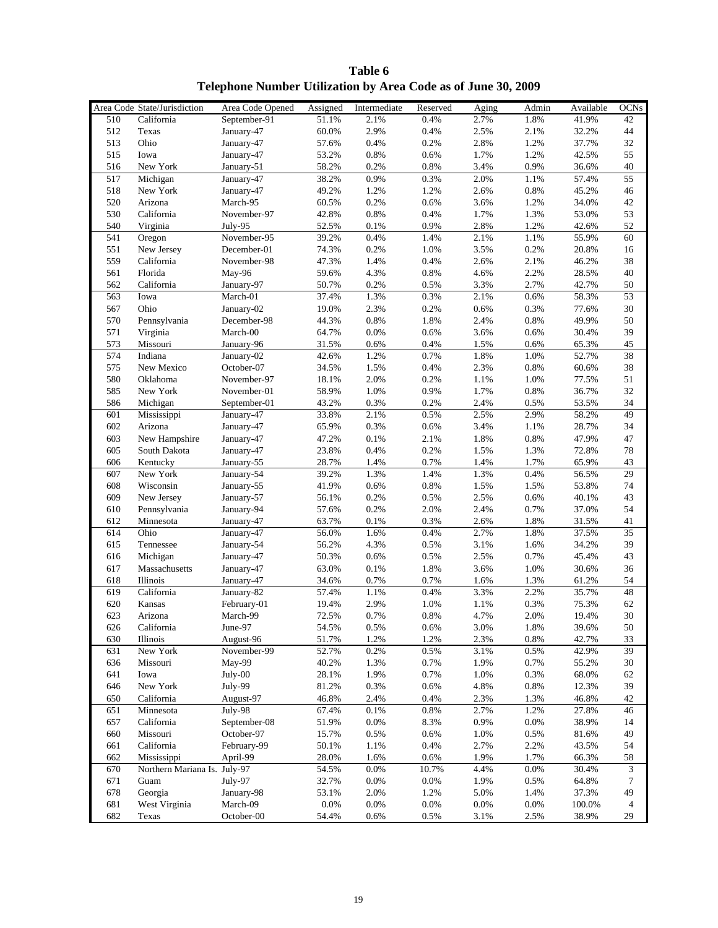| Table 6                                                       |  |
|---------------------------------------------------------------|--|
| Telephone Number Utilization by Area Code as of June 30, 2009 |  |

|     | Area Code State/Jurisdiction | Area Code Opened | Assigned | Intermediate | Reserved | Aging | Admin   | Available | <b>OCNs</b>     |
|-----|------------------------------|------------------|----------|--------------|----------|-------|---------|-----------|-----------------|
| 510 | California                   | September-91     | 51.1%    | 2.1%         | 0.4%     | 2.7%  | 1.8%    | 41.9%     | 42              |
| 512 | Texas                        | January-47       | 60.0%    | 2.9%         | 0.4%     | 2.5%  | 2.1%    | 32.2%     | 44              |
| 513 | Ohio                         | January-47       | 57.6%    | 0.4%         | 0.2%     | 2.8%  | 1.2%    | 37.7%     | 32              |
| 515 | Iowa                         | January-47       | 53.2%    | 0.8%         | 0.6%     | 1.7%  | 1.2%    | 42.5%     | 55              |
|     |                              |                  |          |              |          |       |         |           |                 |
| 516 | New York                     | January-51       | 58.2%    | 0.2%         | 0.8%     | 3.4%  | 0.9%    | 36.6%     | $40\,$          |
| 517 | Michigan                     | January-47       | 38.2%    | 0.9%         | 0.3%     | 2.0%  | 1.1%    | 57.4%     | 55              |
| 518 | New York                     | January-47       | 49.2%    | 1.2%         | 1.2%     | 2.6%  | 0.8%    | 45.2%     | $46\,$          |
| 520 | Arizona                      | March-95         | 60.5%    | 0.2%         | 0.6%     | 3.6%  | 1.2%    | 34.0%     | 42              |
| 530 | California                   | November-97      | 42.8%    | 0.8%         | 0.4%     | 1.7%  | 1.3%    | 53.0%     | 53              |
| 540 | Virginia                     | July-95          | 52.5%    | 0.1%         | 0.9%     | 2.8%  | 1.2%    | 42.6%     | 52              |
| 541 | Oregon                       | November-95      | 39.2%    | 0.4%         | 1.4%     | 2.1%  | 1.1%    | 55.9%     | 60              |
| 551 | New Jersey                   | December-01      | 74.3%    | 0.2%         | 1.0%     | 3.5%  | 0.2%    | 20.8%     | 16              |
| 559 | California                   | November-98      | 47.3%    | 1.4%         | 0.4%     | 2.6%  | 2.1%    | 46.2%     | 38              |
| 561 | Florida                      | May-96           | 59.6%    | 4.3%         | 0.8%     | 4.6%  | 2.2%    | 28.5%     | $40\,$          |
| 562 | California                   | January-97       | 50.7%    | 0.2%         | 0.5%     | 3.3%  | 2.7%    | 42.7%     | $50\,$          |
| 563 | Iowa                         | March-01         | 37.4%    | 1.3%         | 0.3%     | 2.1%  | 0.6%    | 58.3%     | 53              |
| 567 | Ohio                         | January-02       | 19.0%    | 2.3%         | 0.2%     | 0.6%  | 0.3%    | 77.6%     | $30\,$          |
| 570 | Pennsylvania                 | December-98      | 44.3%    | 0.8%         | 1.8%     | 2.4%  | 0.8%    | 49.9%     | $50\,$          |
| 571 | Virginia                     | March-00         | 64.7%    | 0.0%         | 0.6%     | 3.6%  | 0.6%    | 30.4%     | 39              |
| 573 | Missouri                     | January-96       | 31.5%    | 0.6%         | 0.4%     | 1.5%  | 0.6%    | 65.3%     | 45              |
| 574 | Indiana                      | January-02       | 42.6%    | 1.2%         | 0.7%     | 1.8%  | 1.0%    | 52.7%     | 38              |
| 575 | New Mexico                   | October-07       | 34.5%    | 1.5%         | 0.4%     | 2.3%  | 0.8%    | 60.6%     | 38              |
| 580 | Oklahoma                     | November-97      | 18.1%    | 2.0%         | 0.2%     | 1.1%  | 1.0%    | 77.5%     | 51              |
| 585 | New York                     | November-01      | 58.9%    | 1.0%         | 0.9%     | 1.7%  | 0.8%    | 36.7%     | 32              |
| 586 | Michigan                     |                  | 43.2%    | 0.3%         | 0.2%     |       |         | 53.5%     | 34              |
|     |                              | September-01     |          |              |          | 2.4%  | 0.5%    |           |                 |
| 601 | Mississippi                  | January-47       | 33.8%    | 2.1%         | 0.5%     | 2.5%  | 2.9%    | 58.2%     | 49              |
| 602 | Arizona                      | January-47       | 65.9%    | 0.3%         | 0.6%     | 3.4%  | 1.1%    | 28.7%     | 34              |
| 603 | New Hampshire                | January-47       | 47.2%    | 0.1%         | 2.1%     | 1.8%  | 0.8%    | 47.9%     | 47              |
| 605 | South Dakota                 | January-47       | 23.8%    | 0.4%         | 0.2%     | 1.5%  | 1.3%    | 72.8%     | $78\,$          |
| 606 | Kentucky                     | January-55       | 28.7%    | 1.4%         | 0.7%     | 1.4%  | 1.7%    | 65.9%     | 43              |
| 607 | New York                     | January-54       | 39.2%    | 1.3%         | 1.4%     | 1.3%  | 0.4%    | 56.5%     | 29              |
| 608 | Wisconsin                    | January-55       | 41.9%    | 0.6%         | 0.8%     | 1.5%  | 1.5%    | 53.8%     | 74              |
| 609 | New Jersey                   | January-57       | 56.1%    | 0.2%         | 0.5%     | 2.5%  | 0.6%    | 40.1%     | 43              |
| 610 | Pennsylvania                 | January-94       | 57.6%    | 0.2%         | 2.0%     | 2.4%  | 0.7%    | 37.0%     | 54              |
| 612 | Minnesota                    | January-47       | 63.7%    | 0.1%         | 0.3%     | 2.6%  | 1.8%    | 31.5%     | 41              |
| 614 | Ohio                         | January-47       | 56.0%    | 1.6%         | 0.4%     | 2.7%  | 1.8%    | 37.5%     | $\overline{35}$ |
| 615 | Tennessee                    | January-54       | 56.2%    | 4.3%         | 0.5%     | 3.1%  | 1.6%    | 34.2%     | 39              |
| 616 | Michigan                     | January-47       | 50.3%    | 0.6%         | 0.5%     | 2.5%  | 0.7%    | 45.4%     | 43              |
| 617 | Massachusetts                | January-47       | 63.0%    | 0.1%         | 1.8%     | 3.6%  | 1.0%    | 30.6%     | 36              |
| 618 | Illinois                     | January-47       | 34.6%    | 0.7%         | 0.7%     | 1.6%  | 1.3%    | 61.2%     | 54              |
| 619 | California                   | January-82       | 57.4%    | 1.1%         | 0.4%     | 3.3%  | 2.2%    | 35.7%     | 48              |
| 620 | Kansas                       | February-01      | 19.4%    | 2.9%         | 1.0%     | 1.1%  | 0.3%    | 75.3%     | 62              |
| 623 | Arizona                      | March-99         | 72.5%    | 0.7%         | 0.8%     | 4.7%  | 2.0%    | 19.4%     | 30              |
| 626 | California                   | June-97          | 54.5%    | 0.5%         | 0.6%     | 3.0%  | 1.8%    | 39.6%     | 50              |
| 630 | Illinois                     | August-96        | 51.7%    | 1.2%         | 1.2%     | 2.3%  | 0.8%    | 42.7%     | 33              |
| 631 | New York                     | November-99      | 52.7%    | 0.2%         | 0.5%     | 3.1%  | 0.5%    | 42.9%     | 39              |
| 636 | Missouri                     | May-99           | 40.2%    | 1.3%         | 0.7%     | 1.9%  | 0.7%    | 55.2%     | 30              |
| 641 | Iowa                         | July-00          | 28.1%    | 1.9%         | 0.7%     | 1.0%  | 0.3%    | 68.0%     | 62              |
| 646 | New York                     | July-99          | 81.2%    |              | 0.6%     |       |         | 12.3%     |                 |
|     |                              |                  |          | 0.3%         |          | 4.8%  | $0.8\%$ |           | 39              |
| 650 | California                   | August-97        | 46.8%    | 2.4%         | 0.4%     | 2.3%  | 1.3%    | 46.8%     | 42              |
| 651 | Minnesota                    | July-98          | 67.4%    | 0.1%         | 0.8%     | 2.7%  | 1.2%    | 27.8%     | 46              |
| 657 | California                   | September-08     | 51.9%    | 0.0%         | 8.3%     | 0.9%  | 0.0%    | 38.9%     | 14              |
| 660 | Missouri                     | October-97       | 15.7%    | 0.5%         | 0.6%     | 1.0%  | 0.5%    | 81.6%     | 49              |
| 661 | California                   | February-99      | 50.1%    | 1.1%         | 0.4%     | 2.7%  | 2.2%    | 43.5%     | 54              |
| 662 | Mississippi                  | April-99         | 28.0%    | 1.6%         | 0.6%     | 1.9%  | 1.7%    | 66.3%     | 58              |
| 670 | Northern Mariana Is. July-97 |                  | 54.5%    | 0.0%         | 10.7%    | 4.4%  | 0.0%    | 30.4%     | 3               |
| 671 | Guam                         | July-97          | 32.7%    | 0.0%         | 0.0%     | 1.9%  | 0.5%    | 64.8%     | 7               |
| 678 | Georgia                      | January-98       | 53.1%    | 2.0%         | 1.2%     | 5.0%  | 1.4%    | 37.3%     | 49              |
| 681 | West Virginia                | March-09         | 0.0%     | 0.0%         | 0.0%     | 0.0%  | 0.0%    | 100.0%    | 4               |
| 682 | Texas                        | October-00       | 54.4%    | 0.6%         | 0.5%     | 3.1%  | 2.5%    | 38.9%     | 29              |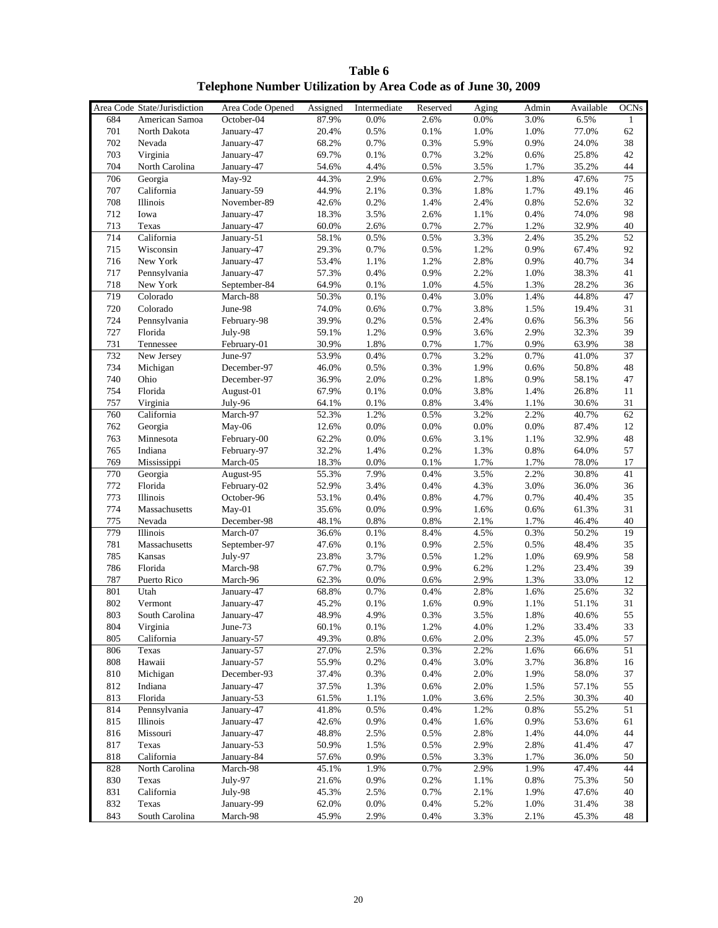| Table 6                                                       |  |
|---------------------------------------------------------------|--|
| Telephone Number Utilization by Area Code as of June 30, 2009 |  |

|     | Area Code State/Jurisdiction | Area Code Opened             | Assigned | Intermediate | Reserved | Aging | Admin | Available | <b>OCNs</b>     |
|-----|------------------------------|------------------------------|----------|--------------|----------|-------|-------|-----------|-----------------|
| 684 | American Samoa               | October-04                   | 87.9%    | 0.0%         | 2.6%     | 0.0%  | 3.0%  | 6.5%      | $\mathbf{1}$    |
| 701 | North Dakota                 | January-47                   | 20.4%    | 0.5%         | 0.1%     | 1.0%  | 1.0%  | 77.0%     | 62              |
| 702 | Nevada                       | January-47                   | 68.2%    | 0.7%         | 0.3%     | 5.9%  | 0.9%  | 24.0%     | 38              |
| 703 | Virginia                     | January-47                   | 69.7%    | 0.1%         | 0.7%     | 3.2%  | 0.6%  | 25.8%     | 42              |
|     |                              |                              |          |              |          |       |       |           |                 |
| 704 | North Carolina               | January-47                   | 54.6%    | 4.4%         | 0.5%     | 3.5%  | 1.7%  | 35.2%     | 44              |
| 706 | Georgia                      | May-92                       | 44.3%    | 2.9%         | 0.6%     | 2.7%  | 1.8%  | 47.6%     | 75              |
| 707 | California                   | January-59                   | 44.9%    | 2.1%         | 0.3%     | 1.8%  | 1.7%  | 49.1%     | 46              |
| 708 | Illinois                     | November-89                  | 42.6%    | 0.2%         | 1.4%     | 2.4%  | 0.8%  | 52.6%     | 32              |
| 712 | Iowa                         | January-47                   | 18.3%    | 3.5%         | 2.6%     | 1.1%  | 0.4%  | 74.0%     | 98              |
| 713 | Texas                        | January-47                   | 60.0%    | 2.6%         | 0.7%     | 2.7%  | 1.2%  | 32.9%     | 40              |
| 714 | California                   | January-51                   | 58.1%    | 0.5%         | 0.5%     | 3.3%  | 2.4%  | 35.2%     | $\overline{52}$ |
| 715 | Wisconsin                    | January-47                   | 29.3%    | 0.7%         | 0.5%     | 1.2%  | 0.9%  | 67.4%     | 92              |
| 716 | New York                     | January-47                   | 53.4%    | 1.1%         | 1.2%     | 2.8%  | 0.9%  | 40.7%     | 34              |
| 717 | Pennsylvania                 | January-47                   | 57.3%    | 0.4%         | 0.9%     | 2.2%  | 1.0%  | 38.3%     | 41              |
| 718 | New York                     | September-84                 | 64.9%    | 0.1%         | 1.0%     | 4.5%  | 1.3%  | 28.2%     | 36              |
| 719 | Colorado                     | $\overline{\text{March-88}}$ | 50.3%    | 0.1%         | 0.4%     | 3.0%  | 1.4%  | 44.8%     | 47              |
| 720 | Colorado                     | June-98                      | 74.0%    | 0.6%         | 0.7%     | 3.8%  | 1.5%  | 19.4%     | 31              |
| 724 | Pennsylvania                 | February-98                  | 39.9%    | 0.2%         | 0.5%     | 2.4%  | 0.6%  | 56.3%     | 56              |
| 727 | Florida                      | July-98                      | 59.1%    | 1.2%         | 0.9%     | 3.6%  | 2.9%  | 32.3%     | 39              |
| 731 | Tennessee                    | February-01                  | 30.9%    | 1.8%         | 0.7%     | 1.7%  | 0.9%  | 63.9%     | 38              |
| 732 | New Jersey                   | June-97                      | 53.9%    | 0.4%         | 0.7%     | 3.2%  | 0.7%  | 41.0%     | 37              |
| 734 | Michigan                     | December-97                  | 46.0%    | 0.5%         | 0.3%     | 1.9%  | 0.6%  | 50.8%     | 48              |
| 740 | Ohio                         | December-97                  | 36.9%    | 2.0%         | 0.2%     | 1.8%  | 0.9%  | 58.1%     | 47              |
| 754 | Florida                      | August-01                    | 67.9%    | 0.1%         | 0.0%     | 3.8%  | 1.4%  | 26.8%     | 11              |
| 757 | Virginia                     | July-96                      | 64.1%    | 0.1%         | 0.8%     | 3.4%  | 1.1%  | 30.6%     | 31              |
| 760 | California                   | March-97                     | 52.3%    | 1.2%         | 0.5%     | 3.2%  | 2.2%  | 40.7%     | 62              |
|     |                              |                              |          |              |          |       |       |           |                 |
| 762 | Georgia                      | May-06                       | 12.6%    | 0.0%         | 0.0%     | 0.0%  | 0.0%  | 87.4%     | 12              |
| 763 | Minnesota                    | February-00                  | 62.2%    | 0.0%         | 0.6%     | 3.1%  | 1.1%  | 32.9%     | 48              |
| 765 | Indiana                      | February-97                  | 32.2%    | 1.4%         | 0.2%     | 1.3%  | 0.8%  | 64.0%     | 57              |
| 769 | Mississippi                  | March-05                     | 18.3%    | 0.0%         | 0.1%     | 1.7%  | 1.7%  | 78.0%     | 17              |
| 770 | Georgia                      | August-95                    | 55.3%    | 7.9%         | 0.4%     | 3.5%  | 2.2%  | 30.8%     | 41              |
| 772 | Florida                      | February-02                  | 52.9%    | 3.4%         | 0.4%     | 4.3%  | 3.0%  | 36.0%     | 36              |
| 773 | Illinois                     | October-96                   | 53.1%    | 0.4%         | 0.8%     | 4.7%  | 0.7%  | 40.4%     | 35              |
| 774 | Massachusetts                | $May-01$                     | 35.6%    | 0.0%         | 0.9%     | 1.6%  | 0.6%  | 61.3%     | 31              |
| 775 | Nevada                       | December-98                  | 48.1%    | 0.8%         | 0.8%     | 2.1%  | 1.7%  | 46.4%     | 40              |
| 779 | Illinois                     | March-07                     | 36.6%    | 0.1%         | 8.4%     | 4.5%  | 0.3%  | 50.2%     | $\overline{19}$ |
| 781 | Massachusetts                | September-97                 | 47.6%    | 0.1%         | 0.9%     | 2.5%  | 0.5%  | 48.4%     | 35              |
| 785 | Kansas                       | July-97                      | 23.8%    | 3.7%         | 0.5%     | 1.2%  | 1.0%  | 69.9%     | 58              |
| 786 | Florida                      | March-98                     | 67.7%    | 0.7%         | 0.9%     | 6.2%  | 1.2%  | 23.4%     | 39              |
| 787 | Puerto Rico                  | March-96                     | 62.3%    | 0.0%         | 0.6%     | 2.9%  | 1.3%  | 33.0%     | $12\,$          |
| 801 | Utah                         | January-47                   | 68.8%    | 0.7%         | 0.4%     | 2.8%  | 1.6%  | 25.6%     | 32              |
| 802 | Vermont                      | January-47                   | 45.2%    | 0.1%         | 1.6%     | 0.9%  | 1.1%  | 51.1%     | 31              |
| 803 | South Carolina               | January-47                   | 48.9%    | 4.9%         | 0.3%     | 3.5%  | 1.8%  | 40.6%     | 55              |
| 804 | Virginia                     | June- $73$                   | 60.1%    | $0.1\%$      | 1.2%     | 4.0%  | 1.2%  | 33.4%     | 33              |
| 805 | California                   | January-57                   | 49.3%    | 0.8%         | 0.6%     | 2.0%  | 2.3%  | 45.0%     | 57              |
| 806 | Texas                        | January-57                   | 27.0%    | 2.5%         | 0.3%     | 2.2%  | 1.6%  | 66.6%     | 51              |
| 808 | Hawaii                       | January-57                   | 55.9%    | 0.2%         | 0.4%     | 3.0%  | 3.7%  | 36.8%     | 16              |
| 810 | Michigan                     | December-93                  | 37.4%    | 0.3%         | 0.4%     | 2.0%  | 1.9%  | 58.0%     | 37              |
| 812 | Indiana                      | January-47                   | 37.5%    |              | 0.6%     |       |       | 57.1%     |                 |
|     |                              | January-53                   |          | 1.3%         |          | 2.0%  | 1.5%  |           | 55              |
| 813 | Florida                      |                              | 61.5%    | 1.1%         | 1.0%     | 3.6%  | 2.5%  | 30.3%     | 40              |
| 814 | Pennsylvania                 | January-47                   | 41.8%    | 0.5%         | 0.4%     | 1.2%  | 0.8%  | 55.2%     | 51              |
| 815 | Illinois                     | January-47                   | 42.6%    | 0.9%         | 0.4%     | 1.6%  | 0.9%  | 53.6%     | 61              |
| 816 | Missouri                     | January-47                   | 48.8%    | 2.5%         | 0.5%     | 2.8%  | 1.4%  | 44.0%     | 44              |
| 817 | Texas                        | January-53                   | 50.9%    | 1.5%         | 0.5%     | 2.9%  | 2.8%  | 41.4%     | 47              |
| 818 | California                   | January-84                   | 57.6%    | 0.9%         | 0.5%     | 3.3%  | 1.7%  | 36.0%     | 50              |
| 828 | North Carolina               | March-98                     | 45.1%    | 1.9%         | 0.7%     | 2.9%  | 1.9%  | 47.4%     | 44              |
| 830 | Texas                        | July-97                      | 21.6%    | 0.9%         | 0.2%     | 1.1%  | 0.8%  | 75.3%     | 50              |
| 831 | California                   | July-98                      | 45.3%    | 2.5%         | 0.7%     | 2.1%  | 1.9%  | 47.6%     | 40              |
| 832 | Texas                        | January-99                   | 62.0%    | $0.0\%$      | 0.4%     | 5.2%  | 1.0%  | 31.4%     | 38              |
| 843 | South Carolina               | March-98                     | 45.9%    | 2.9%         | 0.4%     | 3.3%  | 2.1%  | 45.3%     | 48              |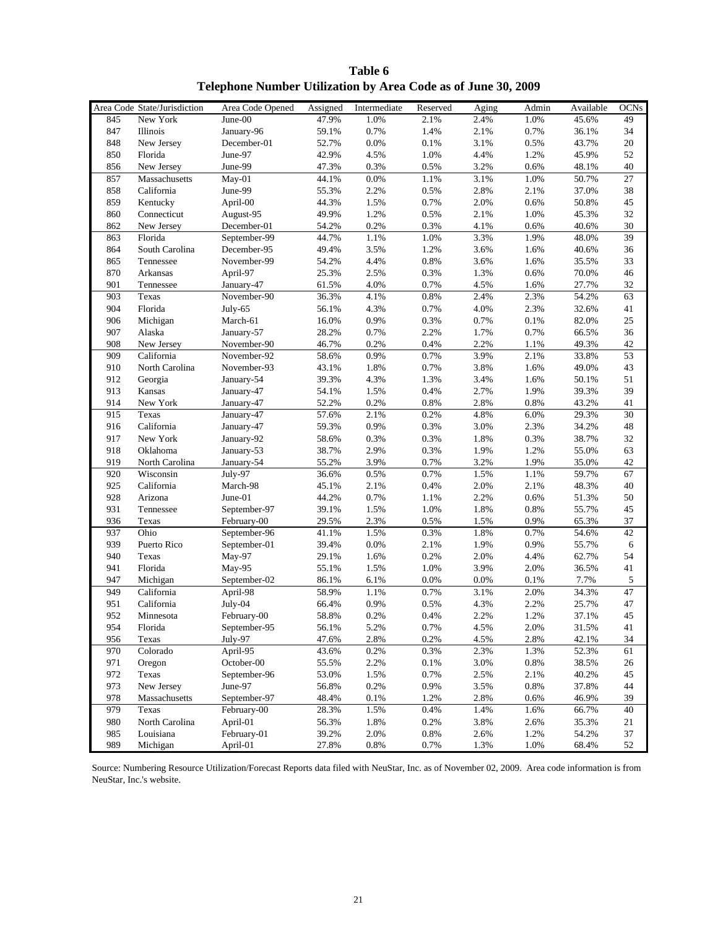**Table 6 Telephone Number Utilization by Area Code as of June 30, 2009**

|     | Area Code State/Jurisdiction |                             |                   | Intermediate | Reserved |               | Admin | Available | <b>OCNs</b> |
|-----|------------------------------|-----------------------------|-------------------|--------------|----------|---------------|-------|-----------|-------------|
| 845 | New York                     | Area Code Opened<br>June-00 | Assigned<br>47.9% | 1.0%         | 2.1%     | Aging<br>2.4% | 1.0%  | 45.6%     | 49          |
| 847 | Illinois                     | January-96                  | 59.1%             | 0.7%         | 1.4%     | 2.1%          | 0.7%  | 36.1%     | 34          |
| 848 |                              | December-01                 | 52.7%             | 0.0%         | 0.1%     | 3.1%          | 0.5%  | 43.7%     | 20          |
| 850 | New Jersey                   |                             |                   |              |          |               |       |           | 52          |
|     | Florida                      | June-97                     | 42.9%             | 4.5%         | 1.0%     | 4.4%          | 1.2%  | 45.9%     |             |
| 856 | New Jersey                   | June-99                     | 47.3%             | 0.3%         | 0.5%     | 3.2%          | 0.6%  | 48.1%     | 40          |
| 857 | Massachusetts                | May-01                      | 44.1%             | 0.0%         | 1.1%     | 3.1%          | 1.0%  | 50.7%     | 27          |
| 858 | California                   | June-99                     | 55.3%             | 2.2%         | 0.5%     | 2.8%          | 2.1%  | 37.0%     | 38          |
| 859 | Kentucky                     | April-00                    | 44.3%             | 1.5%         | 0.7%     | 2.0%          | 0.6%  | 50.8%     | 45          |
| 860 | Connecticut                  | August-95                   | 49.9%             | 1.2%         | 0.5%     | 2.1%          | 1.0%  | 45.3%     | 32          |
| 862 | New Jersey                   | December-01                 | 54.2%             | 0.2%         | 0.3%     | 4.1%          | 0.6%  | 40.6%     | 30          |
| 863 | Florida                      | September-99                | 44.7%             | 1.1%         | 1.0%     | 3.3%          | 1.9%  | 48.0%     | 39          |
| 864 | South Carolina               | December-95                 | 49.4%             | 3.5%         | 1.2%     | 3.6%          | 1.6%  | 40.6%     | 36          |
| 865 | Tennessee                    | November-99                 | 54.2%             | 4.4%         | 0.8%     | 3.6%          | 1.6%  | 35.5%     | 33          |
| 870 | Arkansas                     | April-97                    | 25.3%             | 2.5%         | 0.3%     | 1.3%          | 0.6%  | 70.0%     | 46          |
| 901 | Tennessee                    | January-47                  | 61.5%             | 4.0%         | 0.7%     | 4.5%          | 1.6%  | 27.7%     | 32          |
| 903 | Texas                        | November-90                 | 36.3%             | 4.1%         | $0.8\%$  | 2.4%          | 2.3%  | 54.2%     | 63          |
| 904 | Florida                      | July-65                     | 56.1%             | 4.3%         | 0.7%     | 4.0%          | 2.3%  | 32.6%     | 41          |
| 906 | Michigan                     | March-61                    | 16.0%             | 0.9%         | 0.3%     | 0.7%          | 0.1%  | 82.0%     | 25          |
| 907 | Alaska                       | January-57                  | 28.2%             | 0.7%         | 2.2%     | 1.7%          | 0.7%  | 66.5%     | 36          |
| 908 | New Jersey                   | November-90                 | 46.7%             | 0.2%         | 0.4%     | 2.2%          | 1.1%  | 49.3%     | 42          |
| 909 | California                   | November-92                 | 58.6%             | 0.9%         | 0.7%     | 3.9%          | 2.1%  | 33.8%     | 53          |
| 910 | North Carolina               | November-93                 | 43.1%             | 1.8%         | 0.7%     | 3.8%          | 1.6%  | 49.0%     | 43          |
| 912 | Georgia                      | January-54                  | 39.3%             | 4.3%         | 1.3%     | 3.4%          | 1.6%  | 50.1%     | 51          |
| 913 | Kansas                       | January-47                  | 54.1%             | 1.5%         | 0.4%     | 2.7%          | 1.9%  | 39.3%     | 39          |
| 914 | New York                     | January-47                  | 52.2%             | 0.2%         | 0.8%     | 2.8%          | 0.8%  | 43.2%     | 41          |
| 915 | Texas                        | January-47                  | 57.6%             | 2.1%         | 0.2%     | 4.8%          | 6.0%  | 29.3%     | 30          |
| 916 | California                   | January-47                  | 59.3%             | 0.9%         | 0.3%     | 3.0%          | 2.3%  | 34.2%     | 48          |
| 917 | New York                     | January-92                  | 58.6%             | 0.3%         | 0.3%     | 1.8%          | 0.3%  | 38.7%     | 32          |
| 918 | Oklahoma                     | January-53                  | 38.7%             | 2.9%         | 0.3%     | 1.9%          | 1.2%  | 55.0%     | 63          |
| 919 | North Carolina               | January-54                  | 55.2%             | 3.9%         | 0.7%     | 3.2%          | 1.9%  | 35.0%     | 42          |
| 920 | Wisconsin                    | July-97                     | 36.6%             | 0.5%         | 0.7%     | 1.5%          | 1.1%  | 59.7%     | 67          |
| 925 | California                   | March-98                    | 45.1%             | 2.1%         | 0.4%     | 2.0%          | 2.1%  | 48.3%     | 40          |
| 928 | Arizona                      | June-01                     | 44.2%             | 0.7%         | 1.1%     | 2.2%          | 0.6%  | 51.3%     | $50\,$      |
| 931 | Tennessee                    | September-97                | 39.1%             | 1.5%         | 1.0%     | 1.8%          | 0.8%  | 55.7%     | 45          |
| 936 | Texas                        | February-00                 | 29.5%             | 2.3%         | 0.5%     | 1.5%          | 0.9%  | 65.3%     | 37          |
| 937 | Ohio                         | September-96                | 41.1%             | 1.5%         | 0.3%     | 1.8%          | 0.7%  | 54.6%     | 42          |
| 939 | Puerto Rico                  |                             | 39.4%             | 0.0%         | 2.1%     | 1.9%          | 0.9%  | 55.7%     | 6           |
|     |                              | September-01                |                   |              |          |               |       |           | 54          |
| 940 | Texas                        | May-97                      | 29.1%             | 1.6%         | 0.2%     | 2.0%          | 4.4%  | 62.7%     |             |
| 941 | Florida                      | May-95                      | 55.1%             | 1.5%         | 1.0%     | 3.9%          | 2.0%  | 36.5%     | 41          |
| 947 | Michigan                     | September-02                | 86.1%             | 6.1%         | 0.0%     | 0.0%          | 0.1%  | 7.7%      | 5           |
| 949 | California                   | April-98                    | 58.9%             | 1.1%         | 0.7%     | 3.1%          | 2.0%  | 34.3%     | 47          |
| 951 | California                   | July-04                     | 66.4%             | 0.9%         | 0.5%     | 4.3%          | 2.2%  | 25.7%     | 47          |
| 952 | Minnesota                    | February-00                 | 58.8%             | 0.2%         | 0.4%     | 2.2%          | 1.2%  | 37.1%     | 45          |
| 954 | Florida                      | September-95                | 56.1%             | 5.2%         | 0.7%     | 4.5%          | 2.0%  | 31.5%     | 41          |
| 956 | Texas                        | July-97                     | 47.6%             | 2.8%         | 0.2%     | 4.5%          | 2.8%  | 42.1%     | 34          |
| 970 | Colorado                     | April-95                    | 43.6%             | 0.2%         | 0.3%     | 2.3%          | 1.3%  | 52.3%     | 61          |
| 971 | Oregon                       | October-00                  | 55.5%             | 2.2%         | 0.1%     | 3.0%          | 0.8%  | 38.5%     | 26          |
| 972 | Texas                        | September-96                | 53.0%             | 1.5%         | 0.7%     | 2.5%          | 2.1%  | 40.2%     | 45          |
| 973 | New Jersey                   | June-97                     | 56.8%             | 0.2%         | 0.9%     | 3.5%          | 0.8%  | 37.8%     | 44          |
| 978 | Massachusetts                | September-97                | 48.4%             | 0.1%         | 1.2%     | 2.8%          | 0.6%  | 46.9%     | 39          |
| 979 | Texas                        | February-00                 | 28.3%             | 1.5%         | 0.4%     | 1.4%          | 1.6%  | 66.7%     | 40          |
| 980 | North Carolina               | April-01                    | 56.3%             | 1.8%         | 0.2%     | 3.8%          | 2.6%  | 35.3%     | 21          |
| 985 | Louisiana                    | February-01                 | 39.2%             | 2.0%         | $0.8\%$  | 2.6%          | 1.2%  | 54.2%     | 37          |
| 989 | Michigan                     | April-01                    | 27.8%             | $0.8\%$      | 0.7%     | 1.3%          | 1.0%  | 68.4%     | 52          |

Source: Numbering Resource Utilization/Forecast Reports data filed with NeuStar, Inc. as of November 02, 2009. Area code information is from NeuStar, Inc.'s website.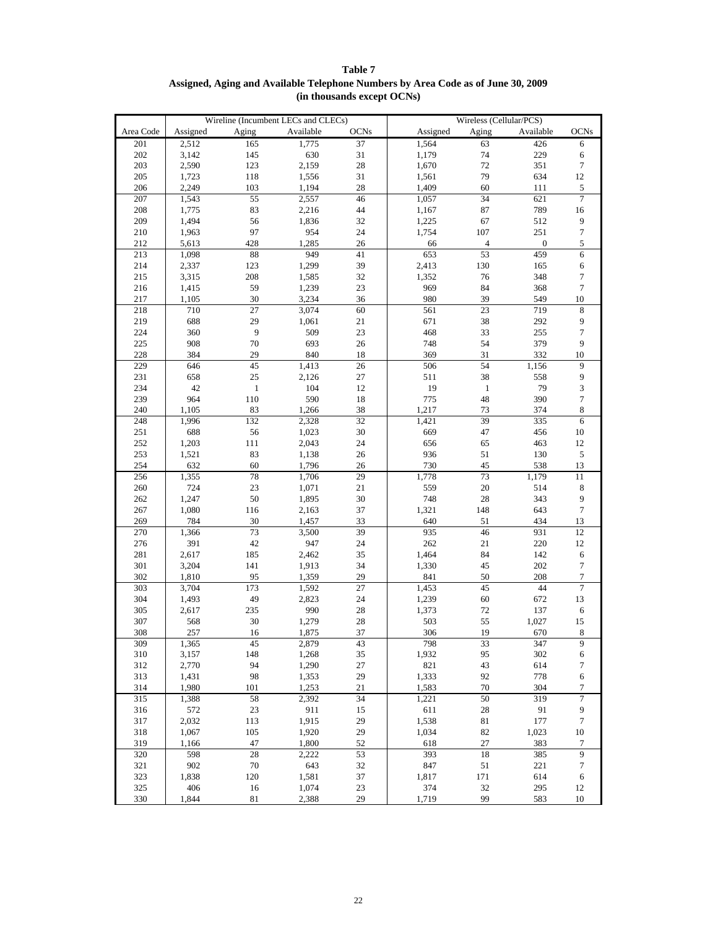**Table 7 Assigned, Aging and Available Telephone Numbers by Area Code as of June 30, 2009 (in thousands except OCNs)**

| Assigned<br>Aging<br>Available<br><b>OCNs</b><br>Assigned<br><b>OCNs</b><br>Area Code<br>Aging<br>Available<br>1,775<br>37<br>201<br>2,512<br>165<br>1,564<br>63<br>426<br>6<br>202<br>630<br>74<br>3,142<br>145<br>31<br>1,179<br>229<br>6<br>203<br>$\boldsymbol{7}$<br>2,590<br>123<br>2,159<br>28<br>1,670<br>72<br>351<br>205<br>79<br>$12\,$<br>1,723<br>118<br>1,556<br>31<br>1,561<br>634<br>5<br>206<br>2,249<br>103<br>1,194<br>28<br>1,409<br>60<br>111<br>$\overline{7}$<br>55<br>2,557<br>1,057<br>34<br>207<br>1,543<br>46<br>621<br>208<br>87<br>789<br>$16\,$<br>1,775<br>83<br>2,216<br>44<br>1,167<br>9<br>209<br>1,494<br>56<br>1,836<br>32<br>1,225<br>67<br>512<br>210<br>97<br>954<br>251<br>$\tau$<br>1,963<br>24<br>1,754<br>107<br>1,285<br>5<br>212<br>5,613<br>428<br>26<br>66<br>4<br>$\boldsymbol{0}$<br>949<br>653<br>53<br>459<br>6<br>213<br>1,098<br>88<br>41<br>1,299<br>214<br>2,337<br>123<br>39<br>2,413<br>130<br>165<br>6<br>208<br>7<br>215<br>3,315<br>1,585<br>32<br>1,352<br>76<br>348<br>$\tau$<br>59<br>84<br>216<br>1,415<br>1,239<br>23<br>969<br>368<br>217<br>30<br>3,234<br>980<br>39<br>549<br>10<br>1,105<br>36<br>710<br>27<br>3,074<br>23<br>719<br>8<br>218<br>60<br>561<br>9<br>219<br>688<br>29<br>1,061<br>38<br>292<br>21<br>671<br>9<br>509<br>$\tau$<br>224<br>360<br>23<br>468<br>33<br>255<br>225<br>908<br>693<br>54<br>379<br>9<br>70<br>26<br>748<br>332<br>10<br>228<br>384<br>29<br>840<br>18<br>369<br>31<br>54<br>229<br>646<br>45<br>1,413<br>26<br>506<br>1,156<br>9<br>25<br>38<br>9<br>231<br>658<br>2,126<br>27<br>511<br>558<br>3<br>79<br>234<br>42<br>$\mathbf{1}$<br>104<br>19<br>12<br>1<br>$\overline{7}$<br>239<br>590<br>775<br>390<br>964<br>110<br>18<br>48<br>8<br>240<br>1,105<br>83<br>1,266<br>38<br>1,217<br>73<br>374<br>39<br>6<br>248<br>1,996<br>132<br>2,328<br>32<br>1,421<br>335<br>251<br>688<br>56<br>1,023<br>30<br>669<br>47<br>456<br>$10\,$<br>656<br>$12\,$<br>252<br>1,203<br>111<br>2,043<br>24<br>65<br>463<br>$\sqrt{5}$<br>253<br>1,138<br>936<br>51<br>1,521<br>83<br>26<br>130<br>13<br>254<br>632<br>60<br>1,796<br>730<br>45<br>538<br>26<br>73<br>256<br>78<br>29<br>1,179<br>11<br>1,355<br>1,706<br>1,778<br>724<br>23<br>559<br>$\,8\,$<br>260<br>1,071<br>21<br>20<br>514<br>9<br>1,247<br>50<br>1,895<br>748<br>343<br>262<br>30<br>28<br>1,080<br>1,321<br>643<br>$\boldsymbol{7}$<br>267<br>116<br>2,163<br>37<br>148<br>269<br>13<br>784<br>30<br>33<br>640<br>51<br>434<br>1,457<br>73<br>39<br>935<br>46<br>931<br>12<br>270<br>1,366<br>3,500<br>391<br>276<br>42<br>947<br>24<br>262<br>21<br>220<br>12<br>281<br>2,462<br>84<br>142<br>6<br>2,617<br>185<br>35<br>1,464<br>202<br>$\tau$<br>301<br>3,204<br>141<br>1,913<br>34<br>1,330<br>45<br>302<br>95<br>29<br>1,810<br>1,359<br>841<br>50<br>208<br>7<br>$\tau$<br>173<br>27<br>45<br>44<br>303<br>3,704<br>1,592<br>1,453<br>13<br>304<br>49<br>2,823<br>24<br>60<br>672<br>1,493<br>1,239<br>990<br>305<br>2,617<br>235<br>28<br>1,373<br>72<br>137<br>$\sqrt{6}$<br>503<br>1,027<br>307<br>568<br>30<br>1,279<br>28<br>55<br>15<br>308<br>257<br>306<br>19<br>8<br>1,875<br>37<br>670<br>16<br>309<br>2,879<br>798<br>347<br>9<br>1,365<br>45<br>43<br>33<br>310<br>148<br>1,932<br>302<br>6<br>3,157<br>1,268<br>35<br>95<br>94<br>821<br>$\boldsymbol{7}$<br>312<br>2,770<br>1,290<br>27<br>43<br>614<br>313<br>1,431<br>98<br>29<br>1,333<br>92<br>778<br>6<br>1,353<br>1,253<br>1,583<br>304<br>7<br>314<br>1,980<br>101<br>21<br>70<br>$\tau$<br>50<br>319<br>315<br>58<br>2,392<br>34<br>1,221<br>1,388<br>$23\,$<br>9<br>316<br>572<br>911<br>15<br>611<br>28<br>91<br>1,538<br>$\boldsymbol{7}$<br>317<br>2,032<br>113<br>1,915<br>29<br>81<br>177<br>1,034<br>318<br>1,067<br>105<br>1,920<br>29<br>82<br>1,023<br>$10\,$<br>319<br>1,166<br>47<br>1,800<br>52<br>618<br>27<br>383<br>7<br>28<br>2,222<br>53<br>9<br>320<br>598<br>393<br>18<br>385<br>902<br>$70\,$<br>643<br>847<br>51<br>$221\,$<br>$\boldsymbol{7}$<br>321<br>32<br>323<br>1,838<br>120<br>1,581<br>37<br>1,817<br>171<br>614<br>$\sqrt{6}$<br>406<br>374<br>32<br>295<br>325<br>16<br>1,074<br>23<br>12<br>81<br>29<br>1,719<br>99<br>330<br>1,844<br>2,388<br>583<br>10 | Wireline (Incumbent LECs and CLECs) |  |  |  | Wireless (Cellular/PCS) |  |  |  |  |
|------------------------------------------------------------------------------------------------------------------------------------------------------------------------------------------------------------------------------------------------------------------------------------------------------------------------------------------------------------------------------------------------------------------------------------------------------------------------------------------------------------------------------------------------------------------------------------------------------------------------------------------------------------------------------------------------------------------------------------------------------------------------------------------------------------------------------------------------------------------------------------------------------------------------------------------------------------------------------------------------------------------------------------------------------------------------------------------------------------------------------------------------------------------------------------------------------------------------------------------------------------------------------------------------------------------------------------------------------------------------------------------------------------------------------------------------------------------------------------------------------------------------------------------------------------------------------------------------------------------------------------------------------------------------------------------------------------------------------------------------------------------------------------------------------------------------------------------------------------------------------------------------------------------------------------------------------------------------------------------------------------------------------------------------------------------------------------------------------------------------------------------------------------------------------------------------------------------------------------------------------------------------------------------------------------------------------------------------------------------------------------------------------------------------------------------------------------------------------------------------------------------------------------------------------------------------------------------------------------------------------------------------------------------------------------------------------------------------------------------------------------------------------------------------------------------------------------------------------------------------------------------------------------------------------------------------------------------------------------------------------------------------------------------------------------------------------------------------------------------------------------------------------------------------------------------------------------------------------------------------------------------------------------------------------------------------------------------------------------------------------------------------------------------------------------------------------------------------------------------------------------------------------------------------------------------------------------------------------------------------------------------------------------------------------------------------------------------------------------------------------------------------------------------------------------------------------------------------------------------------------------------------------------------------------------------------------------------------------------------------------------------------------------------------------------------------------------------------------------------------------------------------------------------------------------------------------------------------------------------------|-------------------------------------|--|--|--|-------------------------|--|--|--|--|
|                                                                                                                                                                                                                                                                                                                                                                                                                                                                                                                                                                                                                                                                                                                                                                                                                                                                                                                                                                                                                                                                                                                                                                                                                                                                                                                                                                                                                                                                                                                                                                                                                                                                                                                                                                                                                                                                                                                                                                                                                                                                                                                                                                                                                                                                                                                                                                                                                                                                                                                                                                                                                                                                                                                                                                                                                                                                                                                                                                                                                                                                                                                                                                                                                                                                                                                                                                                                                                                                                                                                                                                                                                                                                                                                                                                                                                                                                                                                                                                                                                                                                                                                                                                                                                                |                                     |  |  |  |                         |  |  |  |  |
|                                                                                                                                                                                                                                                                                                                                                                                                                                                                                                                                                                                                                                                                                                                                                                                                                                                                                                                                                                                                                                                                                                                                                                                                                                                                                                                                                                                                                                                                                                                                                                                                                                                                                                                                                                                                                                                                                                                                                                                                                                                                                                                                                                                                                                                                                                                                                                                                                                                                                                                                                                                                                                                                                                                                                                                                                                                                                                                                                                                                                                                                                                                                                                                                                                                                                                                                                                                                                                                                                                                                                                                                                                                                                                                                                                                                                                                                                                                                                                                                                                                                                                                                                                                                                                                |                                     |  |  |  |                         |  |  |  |  |
|                                                                                                                                                                                                                                                                                                                                                                                                                                                                                                                                                                                                                                                                                                                                                                                                                                                                                                                                                                                                                                                                                                                                                                                                                                                                                                                                                                                                                                                                                                                                                                                                                                                                                                                                                                                                                                                                                                                                                                                                                                                                                                                                                                                                                                                                                                                                                                                                                                                                                                                                                                                                                                                                                                                                                                                                                                                                                                                                                                                                                                                                                                                                                                                                                                                                                                                                                                                                                                                                                                                                                                                                                                                                                                                                                                                                                                                                                                                                                                                                                                                                                                                                                                                                                                                |                                     |  |  |  |                         |  |  |  |  |
|                                                                                                                                                                                                                                                                                                                                                                                                                                                                                                                                                                                                                                                                                                                                                                                                                                                                                                                                                                                                                                                                                                                                                                                                                                                                                                                                                                                                                                                                                                                                                                                                                                                                                                                                                                                                                                                                                                                                                                                                                                                                                                                                                                                                                                                                                                                                                                                                                                                                                                                                                                                                                                                                                                                                                                                                                                                                                                                                                                                                                                                                                                                                                                                                                                                                                                                                                                                                                                                                                                                                                                                                                                                                                                                                                                                                                                                                                                                                                                                                                                                                                                                                                                                                                                                |                                     |  |  |  |                         |  |  |  |  |
|                                                                                                                                                                                                                                                                                                                                                                                                                                                                                                                                                                                                                                                                                                                                                                                                                                                                                                                                                                                                                                                                                                                                                                                                                                                                                                                                                                                                                                                                                                                                                                                                                                                                                                                                                                                                                                                                                                                                                                                                                                                                                                                                                                                                                                                                                                                                                                                                                                                                                                                                                                                                                                                                                                                                                                                                                                                                                                                                                                                                                                                                                                                                                                                                                                                                                                                                                                                                                                                                                                                                                                                                                                                                                                                                                                                                                                                                                                                                                                                                                                                                                                                                                                                                                                                |                                     |  |  |  |                         |  |  |  |  |
|                                                                                                                                                                                                                                                                                                                                                                                                                                                                                                                                                                                                                                                                                                                                                                                                                                                                                                                                                                                                                                                                                                                                                                                                                                                                                                                                                                                                                                                                                                                                                                                                                                                                                                                                                                                                                                                                                                                                                                                                                                                                                                                                                                                                                                                                                                                                                                                                                                                                                                                                                                                                                                                                                                                                                                                                                                                                                                                                                                                                                                                                                                                                                                                                                                                                                                                                                                                                                                                                                                                                                                                                                                                                                                                                                                                                                                                                                                                                                                                                                                                                                                                                                                                                                                                |                                     |  |  |  |                         |  |  |  |  |
|                                                                                                                                                                                                                                                                                                                                                                                                                                                                                                                                                                                                                                                                                                                                                                                                                                                                                                                                                                                                                                                                                                                                                                                                                                                                                                                                                                                                                                                                                                                                                                                                                                                                                                                                                                                                                                                                                                                                                                                                                                                                                                                                                                                                                                                                                                                                                                                                                                                                                                                                                                                                                                                                                                                                                                                                                                                                                                                                                                                                                                                                                                                                                                                                                                                                                                                                                                                                                                                                                                                                                                                                                                                                                                                                                                                                                                                                                                                                                                                                                                                                                                                                                                                                                                                |                                     |  |  |  |                         |  |  |  |  |
|                                                                                                                                                                                                                                                                                                                                                                                                                                                                                                                                                                                                                                                                                                                                                                                                                                                                                                                                                                                                                                                                                                                                                                                                                                                                                                                                                                                                                                                                                                                                                                                                                                                                                                                                                                                                                                                                                                                                                                                                                                                                                                                                                                                                                                                                                                                                                                                                                                                                                                                                                                                                                                                                                                                                                                                                                                                                                                                                                                                                                                                                                                                                                                                                                                                                                                                                                                                                                                                                                                                                                                                                                                                                                                                                                                                                                                                                                                                                                                                                                                                                                                                                                                                                                                                |                                     |  |  |  |                         |  |  |  |  |
|                                                                                                                                                                                                                                                                                                                                                                                                                                                                                                                                                                                                                                                                                                                                                                                                                                                                                                                                                                                                                                                                                                                                                                                                                                                                                                                                                                                                                                                                                                                                                                                                                                                                                                                                                                                                                                                                                                                                                                                                                                                                                                                                                                                                                                                                                                                                                                                                                                                                                                                                                                                                                                                                                                                                                                                                                                                                                                                                                                                                                                                                                                                                                                                                                                                                                                                                                                                                                                                                                                                                                                                                                                                                                                                                                                                                                                                                                                                                                                                                                                                                                                                                                                                                                                                |                                     |  |  |  |                         |  |  |  |  |
|                                                                                                                                                                                                                                                                                                                                                                                                                                                                                                                                                                                                                                                                                                                                                                                                                                                                                                                                                                                                                                                                                                                                                                                                                                                                                                                                                                                                                                                                                                                                                                                                                                                                                                                                                                                                                                                                                                                                                                                                                                                                                                                                                                                                                                                                                                                                                                                                                                                                                                                                                                                                                                                                                                                                                                                                                                                                                                                                                                                                                                                                                                                                                                                                                                                                                                                                                                                                                                                                                                                                                                                                                                                                                                                                                                                                                                                                                                                                                                                                                                                                                                                                                                                                                                                |                                     |  |  |  |                         |  |  |  |  |
|                                                                                                                                                                                                                                                                                                                                                                                                                                                                                                                                                                                                                                                                                                                                                                                                                                                                                                                                                                                                                                                                                                                                                                                                                                                                                                                                                                                                                                                                                                                                                                                                                                                                                                                                                                                                                                                                                                                                                                                                                                                                                                                                                                                                                                                                                                                                                                                                                                                                                                                                                                                                                                                                                                                                                                                                                                                                                                                                                                                                                                                                                                                                                                                                                                                                                                                                                                                                                                                                                                                                                                                                                                                                                                                                                                                                                                                                                                                                                                                                                                                                                                                                                                                                                                                |                                     |  |  |  |                         |  |  |  |  |
|                                                                                                                                                                                                                                                                                                                                                                                                                                                                                                                                                                                                                                                                                                                                                                                                                                                                                                                                                                                                                                                                                                                                                                                                                                                                                                                                                                                                                                                                                                                                                                                                                                                                                                                                                                                                                                                                                                                                                                                                                                                                                                                                                                                                                                                                                                                                                                                                                                                                                                                                                                                                                                                                                                                                                                                                                                                                                                                                                                                                                                                                                                                                                                                                                                                                                                                                                                                                                                                                                                                                                                                                                                                                                                                                                                                                                                                                                                                                                                                                                                                                                                                                                                                                                                                |                                     |  |  |  |                         |  |  |  |  |
|                                                                                                                                                                                                                                                                                                                                                                                                                                                                                                                                                                                                                                                                                                                                                                                                                                                                                                                                                                                                                                                                                                                                                                                                                                                                                                                                                                                                                                                                                                                                                                                                                                                                                                                                                                                                                                                                                                                                                                                                                                                                                                                                                                                                                                                                                                                                                                                                                                                                                                                                                                                                                                                                                                                                                                                                                                                                                                                                                                                                                                                                                                                                                                                                                                                                                                                                                                                                                                                                                                                                                                                                                                                                                                                                                                                                                                                                                                                                                                                                                                                                                                                                                                                                                                                |                                     |  |  |  |                         |  |  |  |  |
|                                                                                                                                                                                                                                                                                                                                                                                                                                                                                                                                                                                                                                                                                                                                                                                                                                                                                                                                                                                                                                                                                                                                                                                                                                                                                                                                                                                                                                                                                                                                                                                                                                                                                                                                                                                                                                                                                                                                                                                                                                                                                                                                                                                                                                                                                                                                                                                                                                                                                                                                                                                                                                                                                                                                                                                                                                                                                                                                                                                                                                                                                                                                                                                                                                                                                                                                                                                                                                                                                                                                                                                                                                                                                                                                                                                                                                                                                                                                                                                                                                                                                                                                                                                                                                                |                                     |  |  |  |                         |  |  |  |  |
|                                                                                                                                                                                                                                                                                                                                                                                                                                                                                                                                                                                                                                                                                                                                                                                                                                                                                                                                                                                                                                                                                                                                                                                                                                                                                                                                                                                                                                                                                                                                                                                                                                                                                                                                                                                                                                                                                                                                                                                                                                                                                                                                                                                                                                                                                                                                                                                                                                                                                                                                                                                                                                                                                                                                                                                                                                                                                                                                                                                                                                                                                                                                                                                                                                                                                                                                                                                                                                                                                                                                                                                                                                                                                                                                                                                                                                                                                                                                                                                                                                                                                                                                                                                                                                                |                                     |  |  |  |                         |  |  |  |  |
|                                                                                                                                                                                                                                                                                                                                                                                                                                                                                                                                                                                                                                                                                                                                                                                                                                                                                                                                                                                                                                                                                                                                                                                                                                                                                                                                                                                                                                                                                                                                                                                                                                                                                                                                                                                                                                                                                                                                                                                                                                                                                                                                                                                                                                                                                                                                                                                                                                                                                                                                                                                                                                                                                                                                                                                                                                                                                                                                                                                                                                                                                                                                                                                                                                                                                                                                                                                                                                                                                                                                                                                                                                                                                                                                                                                                                                                                                                                                                                                                                                                                                                                                                                                                                                                |                                     |  |  |  |                         |  |  |  |  |
|                                                                                                                                                                                                                                                                                                                                                                                                                                                                                                                                                                                                                                                                                                                                                                                                                                                                                                                                                                                                                                                                                                                                                                                                                                                                                                                                                                                                                                                                                                                                                                                                                                                                                                                                                                                                                                                                                                                                                                                                                                                                                                                                                                                                                                                                                                                                                                                                                                                                                                                                                                                                                                                                                                                                                                                                                                                                                                                                                                                                                                                                                                                                                                                                                                                                                                                                                                                                                                                                                                                                                                                                                                                                                                                                                                                                                                                                                                                                                                                                                                                                                                                                                                                                                                                |                                     |  |  |  |                         |  |  |  |  |
|                                                                                                                                                                                                                                                                                                                                                                                                                                                                                                                                                                                                                                                                                                                                                                                                                                                                                                                                                                                                                                                                                                                                                                                                                                                                                                                                                                                                                                                                                                                                                                                                                                                                                                                                                                                                                                                                                                                                                                                                                                                                                                                                                                                                                                                                                                                                                                                                                                                                                                                                                                                                                                                                                                                                                                                                                                                                                                                                                                                                                                                                                                                                                                                                                                                                                                                                                                                                                                                                                                                                                                                                                                                                                                                                                                                                                                                                                                                                                                                                                                                                                                                                                                                                                                                |                                     |  |  |  |                         |  |  |  |  |
|                                                                                                                                                                                                                                                                                                                                                                                                                                                                                                                                                                                                                                                                                                                                                                                                                                                                                                                                                                                                                                                                                                                                                                                                                                                                                                                                                                                                                                                                                                                                                                                                                                                                                                                                                                                                                                                                                                                                                                                                                                                                                                                                                                                                                                                                                                                                                                                                                                                                                                                                                                                                                                                                                                                                                                                                                                                                                                                                                                                                                                                                                                                                                                                                                                                                                                                                                                                                                                                                                                                                                                                                                                                                                                                                                                                                                                                                                                                                                                                                                                                                                                                                                                                                                                                |                                     |  |  |  |                         |  |  |  |  |
|                                                                                                                                                                                                                                                                                                                                                                                                                                                                                                                                                                                                                                                                                                                                                                                                                                                                                                                                                                                                                                                                                                                                                                                                                                                                                                                                                                                                                                                                                                                                                                                                                                                                                                                                                                                                                                                                                                                                                                                                                                                                                                                                                                                                                                                                                                                                                                                                                                                                                                                                                                                                                                                                                                                                                                                                                                                                                                                                                                                                                                                                                                                                                                                                                                                                                                                                                                                                                                                                                                                                                                                                                                                                                                                                                                                                                                                                                                                                                                                                                                                                                                                                                                                                                                                |                                     |  |  |  |                         |  |  |  |  |
|                                                                                                                                                                                                                                                                                                                                                                                                                                                                                                                                                                                                                                                                                                                                                                                                                                                                                                                                                                                                                                                                                                                                                                                                                                                                                                                                                                                                                                                                                                                                                                                                                                                                                                                                                                                                                                                                                                                                                                                                                                                                                                                                                                                                                                                                                                                                                                                                                                                                                                                                                                                                                                                                                                                                                                                                                                                                                                                                                                                                                                                                                                                                                                                                                                                                                                                                                                                                                                                                                                                                                                                                                                                                                                                                                                                                                                                                                                                                                                                                                                                                                                                                                                                                                                                |                                     |  |  |  |                         |  |  |  |  |
|                                                                                                                                                                                                                                                                                                                                                                                                                                                                                                                                                                                                                                                                                                                                                                                                                                                                                                                                                                                                                                                                                                                                                                                                                                                                                                                                                                                                                                                                                                                                                                                                                                                                                                                                                                                                                                                                                                                                                                                                                                                                                                                                                                                                                                                                                                                                                                                                                                                                                                                                                                                                                                                                                                                                                                                                                                                                                                                                                                                                                                                                                                                                                                                                                                                                                                                                                                                                                                                                                                                                                                                                                                                                                                                                                                                                                                                                                                                                                                                                                                                                                                                                                                                                                                                |                                     |  |  |  |                         |  |  |  |  |
|                                                                                                                                                                                                                                                                                                                                                                                                                                                                                                                                                                                                                                                                                                                                                                                                                                                                                                                                                                                                                                                                                                                                                                                                                                                                                                                                                                                                                                                                                                                                                                                                                                                                                                                                                                                                                                                                                                                                                                                                                                                                                                                                                                                                                                                                                                                                                                                                                                                                                                                                                                                                                                                                                                                                                                                                                                                                                                                                                                                                                                                                                                                                                                                                                                                                                                                                                                                                                                                                                                                                                                                                                                                                                                                                                                                                                                                                                                                                                                                                                                                                                                                                                                                                                                                |                                     |  |  |  |                         |  |  |  |  |
|                                                                                                                                                                                                                                                                                                                                                                                                                                                                                                                                                                                                                                                                                                                                                                                                                                                                                                                                                                                                                                                                                                                                                                                                                                                                                                                                                                                                                                                                                                                                                                                                                                                                                                                                                                                                                                                                                                                                                                                                                                                                                                                                                                                                                                                                                                                                                                                                                                                                                                                                                                                                                                                                                                                                                                                                                                                                                                                                                                                                                                                                                                                                                                                                                                                                                                                                                                                                                                                                                                                                                                                                                                                                                                                                                                                                                                                                                                                                                                                                                                                                                                                                                                                                                                                |                                     |  |  |  |                         |  |  |  |  |
|                                                                                                                                                                                                                                                                                                                                                                                                                                                                                                                                                                                                                                                                                                                                                                                                                                                                                                                                                                                                                                                                                                                                                                                                                                                                                                                                                                                                                                                                                                                                                                                                                                                                                                                                                                                                                                                                                                                                                                                                                                                                                                                                                                                                                                                                                                                                                                                                                                                                                                                                                                                                                                                                                                                                                                                                                                                                                                                                                                                                                                                                                                                                                                                                                                                                                                                                                                                                                                                                                                                                                                                                                                                                                                                                                                                                                                                                                                                                                                                                                                                                                                                                                                                                                                                |                                     |  |  |  |                         |  |  |  |  |
|                                                                                                                                                                                                                                                                                                                                                                                                                                                                                                                                                                                                                                                                                                                                                                                                                                                                                                                                                                                                                                                                                                                                                                                                                                                                                                                                                                                                                                                                                                                                                                                                                                                                                                                                                                                                                                                                                                                                                                                                                                                                                                                                                                                                                                                                                                                                                                                                                                                                                                                                                                                                                                                                                                                                                                                                                                                                                                                                                                                                                                                                                                                                                                                                                                                                                                                                                                                                                                                                                                                                                                                                                                                                                                                                                                                                                                                                                                                                                                                                                                                                                                                                                                                                                                                |                                     |  |  |  |                         |  |  |  |  |
|                                                                                                                                                                                                                                                                                                                                                                                                                                                                                                                                                                                                                                                                                                                                                                                                                                                                                                                                                                                                                                                                                                                                                                                                                                                                                                                                                                                                                                                                                                                                                                                                                                                                                                                                                                                                                                                                                                                                                                                                                                                                                                                                                                                                                                                                                                                                                                                                                                                                                                                                                                                                                                                                                                                                                                                                                                                                                                                                                                                                                                                                                                                                                                                                                                                                                                                                                                                                                                                                                                                                                                                                                                                                                                                                                                                                                                                                                                                                                                                                                                                                                                                                                                                                                                                |                                     |  |  |  |                         |  |  |  |  |
|                                                                                                                                                                                                                                                                                                                                                                                                                                                                                                                                                                                                                                                                                                                                                                                                                                                                                                                                                                                                                                                                                                                                                                                                                                                                                                                                                                                                                                                                                                                                                                                                                                                                                                                                                                                                                                                                                                                                                                                                                                                                                                                                                                                                                                                                                                                                                                                                                                                                                                                                                                                                                                                                                                                                                                                                                                                                                                                                                                                                                                                                                                                                                                                                                                                                                                                                                                                                                                                                                                                                                                                                                                                                                                                                                                                                                                                                                                                                                                                                                                                                                                                                                                                                                                                |                                     |  |  |  |                         |  |  |  |  |
|                                                                                                                                                                                                                                                                                                                                                                                                                                                                                                                                                                                                                                                                                                                                                                                                                                                                                                                                                                                                                                                                                                                                                                                                                                                                                                                                                                                                                                                                                                                                                                                                                                                                                                                                                                                                                                                                                                                                                                                                                                                                                                                                                                                                                                                                                                                                                                                                                                                                                                                                                                                                                                                                                                                                                                                                                                                                                                                                                                                                                                                                                                                                                                                                                                                                                                                                                                                                                                                                                                                                                                                                                                                                                                                                                                                                                                                                                                                                                                                                                                                                                                                                                                                                                                                |                                     |  |  |  |                         |  |  |  |  |
|                                                                                                                                                                                                                                                                                                                                                                                                                                                                                                                                                                                                                                                                                                                                                                                                                                                                                                                                                                                                                                                                                                                                                                                                                                                                                                                                                                                                                                                                                                                                                                                                                                                                                                                                                                                                                                                                                                                                                                                                                                                                                                                                                                                                                                                                                                                                                                                                                                                                                                                                                                                                                                                                                                                                                                                                                                                                                                                                                                                                                                                                                                                                                                                                                                                                                                                                                                                                                                                                                                                                                                                                                                                                                                                                                                                                                                                                                                                                                                                                                                                                                                                                                                                                                                                |                                     |  |  |  |                         |  |  |  |  |
|                                                                                                                                                                                                                                                                                                                                                                                                                                                                                                                                                                                                                                                                                                                                                                                                                                                                                                                                                                                                                                                                                                                                                                                                                                                                                                                                                                                                                                                                                                                                                                                                                                                                                                                                                                                                                                                                                                                                                                                                                                                                                                                                                                                                                                                                                                                                                                                                                                                                                                                                                                                                                                                                                                                                                                                                                                                                                                                                                                                                                                                                                                                                                                                                                                                                                                                                                                                                                                                                                                                                                                                                                                                                                                                                                                                                                                                                                                                                                                                                                                                                                                                                                                                                                                                |                                     |  |  |  |                         |  |  |  |  |
|                                                                                                                                                                                                                                                                                                                                                                                                                                                                                                                                                                                                                                                                                                                                                                                                                                                                                                                                                                                                                                                                                                                                                                                                                                                                                                                                                                                                                                                                                                                                                                                                                                                                                                                                                                                                                                                                                                                                                                                                                                                                                                                                                                                                                                                                                                                                                                                                                                                                                                                                                                                                                                                                                                                                                                                                                                                                                                                                                                                                                                                                                                                                                                                                                                                                                                                                                                                                                                                                                                                                                                                                                                                                                                                                                                                                                                                                                                                                                                                                                                                                                                                                                                                                                                                |                                     |  |  |  |                         |  |  |  |  |
|                                                                                                                                                                                                                                                                                                                                                                                                                                                                                                                                                                                                                                                                                                                                                                                                                                                                                                                                                                                                                                                                                                                                                                                                                                                                                                                                                                                                                                                                                                                                                                                                                                                                                                                                                                                                                                                                                                                                                                                                                                                                                                                                                                                                                                                                                                                                                                                                                                                                                                                                                                                                                                                                                                                                                                                                                                                                                                                                                                                                                                                                                                                                                                                                                                                                                                                                                                                                                                                                                                                                                                                                                                                                                                                                                                                                                                                                                                                                                                                                                                                                                                                                                                                                                                                |                                     |  |  |  |                         |  |  |  |  |
|                                                                                                                                                                                                                                                                                                                                                                                                                                                                                                                                                                                                                                                                                                                                                                                                                                                                                                                                                                                                                                                                                                                                                                                                                                                                                                                                                                                                                                                                                                                                                                                                                                                                                                                                                                                                                                                                                                                                                                                                                                                                                                                                                                                                                                                                                                                                                                                                                                                                                                                                                                                                                                                                                                                                                                                                                                                                                                                                                                                                                                                                                                                                                                                                                                                                                                                                                                                                                                                                                                                                                                                                                                                                                                                                                                                                                                                                                                                                                                                                                                                                                                                                                                                                                                                |                                     |  |  |  |                         |  |  |  |  |
|                                                                                                                                                                                                                                                                                                                                                                                                                                                                                                                                                                                                                                                                                                                                                                                                                                                                                                                                                                                                                                                                                                                                                                                                                                                                                                                                                                                                                                                                                                                                                                                                                                                                                                                                                                                                                                                                                                                                                                                                                                                                                                                                                                                                                                                                                                                                                                                                                                                                                                                                                                                                                                                                                                                                                                                                                                                                                                                                                                                                                                                                                                                                                                                                                                                                                                                                                                                                                                                                                                                                                                                                                                                                                                                                                                                                                                                                                                                                                                                                                                                                                                                                                                                                                                                |                                     |  |  |  |                         |  |  |  |  |
|                                                                                                                                                                                                                                                                                                                                                                                                                                                                                                                                                                                                                                                                                                                                                                                                                                                                                                                                                                                                                                                                                                                                                                                                                                                                                                                                                                                                                                                                                                                                                                                                                                                                                                                                                                                                                                                                                                                                                                                                                                                                                                                                                                                                                                                                                                                                                                                                                                                                                                                                                                                                                                                                                                                                                                                                                                                                                                                                                                                                                                                                                                                                                                                                                                                                                                                                                                                                                                                                                                                                                                                                                                                                                                                                                                                                                                                                                                                                                                                                                                                                                                                                                                                                                                                |                                     |  |  |  |                         |  |  |  |  |
|                                                                                                                                                                                                                                                                                                                                                                                                                                                                                                                                                                                                                                                                                                                                                                                                                                                                                                                                                                                                                                                                                                                                                                                                                                                                                                                                                                                                                                                                                                                                                                                                                                                                                                                                                                                                                                                                                                                                                                                                                                                                                                                                                                                                                                                                                                                                                                                                                                                                                                                                                                                                                                                                                                                                                                                                                                                                                                                                                                                                                                                                                                                                                                                                                                                                                                                                                                                                                                                                                                                                                                                                                                                                                                                                                                                                                                                                                                                                                                                                                                                                                                                                                                                                                                                |                                     |  |  |  |                         |  |  |  |  |
|                                                                                                                                                                                                                                                                                                                                                                                                                                                                                                                                                                                                                                                                                                                                                                                                                                                                                                                                                                                                                                                                                                                                                                                                                                                                                                                                                                                                                                                                                                                                                                                                                                                                                                                                                                                                                                                                                                                                                                                                                                                                                                                                                                                                                                                                                                                                                                                                                                                                                                                                                                                                                                                                                                                                                                                                                                                                                                                                                                                                                                                                                                                                                                                                                                                                                                                                                                                                                                                                                                                                                                                                                                                                                                                                                                                                                                                                                                                                                                                                                                                                                                                                                                                                                                                |                                     |  |  |  |                         |  |  |  |  |
|                                                                                                                                                                                                                                                                                                                                                                                                                                                                                                                                                                                                                                                                                                                                                                                                                                                                                                                                                                                                                                                                                                                                                                                                                                                                                                                                                                                                                                                                                                                                                                                                                                                                                                                                                                                                                                                                                                                                                                                                                                                                                                                                                                                                                                                                                                                                                                                                                                                                                                                                                                                                                                                                                                                                                                                                                                                                                                                                                                                                                                                                                                                                                                                                                                                                                                                                                                                                                                                                                                                                                                                                                                                                                                                                                                                                                                                                                                                                                                                                                                                                                                                                                                                                                                                |                                     |  |  |  |                         |  |  |  |  |
|                                                                                                                                                                                                                                                                                                                                                                                                                                                                                                                                                                                                                                                                                                                                                                                                                                                                                                                                                                                                                                                                                                                                                                                                                                                                                                                                                                                                                                                                                                                                                                                                                                                                                                                                                                                                                                                                                                                                                                                                                                                                                                                                                                                                                                                                                                                                                                                                                                                                                                                                                                                                                                                                                                                                                                                                                                                                                                                                                                                                                                                                                                                                                                                                                                                                                                                                                                                                                                                                                                                                                                                                                                                                                                                                                                                                                                                                                                                                                                                                                                                                                                                                                                                                                                                |                                     |  |  |  |                         |  |  |  |  |
|                                                                                                                                                                                                                                                                                                                                                                                                                                                                                                                                                                                                                                                                                                                                                                                                                                                                                                                                                                                                                                                                                                                                                                                                                                                                                                                                                                                                                                                                                                                                                                                                                                                                                                                                                                                                                                                                                                                                                                                                                                                                                                                                                                                                                                                                                                                                                                                                                                                                                                                                                                                                                                                                                                                                                                                                                                                                                                                                                                                                                                                                                                                                                                                                                                                                                                                                                                                                                                                                                                                                                                                                                                                                                                                                                                                                                                                                                                                                                                                                                                                                                                                                                                                                                                                |                                     |  |  |  |                         |  |  |  |  |
|                                                                                                                                                                                                                                                                                                                                                                                                                                                                                                                                                                                                                                                                                                                                                                                                                                                                                                                                                                                                                                                                                                                                                                                                                                                                                                                                                                                                                                                                                                                                                                                                                                                                                                                                                                                                                                                                                                                                                                                                                                                                                                                                                                                                                                                                                                                                                                                                                                                                                                                                                                                                                                                                                                                                                                                                                                                                                                                                                                                                                                                                                                                                                                                                                                                                                                                                                                                                                                                                                                                                                                                                                                                                                                                                                                                                                                                                                                                                                                                                                                                                                                                                                                                                                                                |                                     |  |  |  |                         |  |  |  |  |
|                                                                                                                                                                                                                                                                                                                                                                                                                                                                                                                                                                                                                                                                                                                                                                                                                                                                                                                                                                                                                                                                                                                                                                                                                                                                                                                                                                                                                                                                                                                                                                                                                                                                                                                                                                                                                                                                                                                                                                                                                                                                                                                                                                                                                                                                                                                                                                                                                                                                                                                                                                                                                                                                                                                                                                                                                                                                                                                                                                                                                                                                                                                                                                                                                                                                                                                                                                                                                                                                                                                                                                                                                                                                                                                                                                                                                                                                                                                                                                                                                                                                                                                                                                                                                                                |                                     |  |  |  |                         |  |  |  |  |
|                                                                                                                                                                                                                                                                                                                                                                                                                                                                                                                                                                                                                                                                                                                                                                                                                                                                                                                                                                                                                                                                                                                                                                                                                                                                                                                                                                                                                                                                                                                                                                                                                                                                                                                                                                                                                                                                                                                                                                                                                                                                                                                                                                                                                                                                                                                                                                                                                                                                                                                                                                                                                                                                                                                                                                                                                                                                                                                                                                                                                                                                                                                                                                                                                                                                                                                                                                                                                                                                                                                                                                                                                                                                                                                                                                                                                                                                                                                                                                                                                                                                                                                                                                                                                                                |                                     |  |  |  |                         |  |  |  |  |
|                                                                                                                                                                                                                                                                                                                                                                                                                                                                                                                                                                                                                                                                                                                                                                                                                                                                                                                                                                                                                                                                                                                                                                                                                                                                                                                                                                                                                                                                                                                                                                                                                                                                                                                                                                                                                                                                                                                                                                                                                                                                                                                                                                                                                                                                                                                                                                                                                                                                                                                                                                                                                                                                                                                                                                                                                                                                                                                                                                                                                                                                                                                                                                                                                                                                                                                                                                                                                                                                                                                                                                                                                                                                                                                                                                                                                                                                                                                                                                                                                                                                                                                                                                                                                                                |                                     |  |  |  |                         |  |  |  |  |
|                                                                                                                                                                                                                                                                                                                                                                                                                                                                                                                                                                                                                                                                                                                                                                                                                                                                                                                                                                                                                                                                                                                                                                                                                                                                                                                                                                                                                                                                                                                                                                                                                                                                                                                                                                                                                                                                                                                                                                                                                                                                                                                                                                                                                                                                                                                                                                                                                                                                                                                                                                                                                                                                                                                                                                                                                                                                                                                                                                                                                                                                                                                                                                                                                                                                                                                                                                                                                                                                                                                                                                                                                                                                                                                                                                                                                                                                                                                                                                                                                                                                                                                                                                                                                                                |                                     |  |  |  |                         |  |  |  |  |
|                                                                                                                                                                                                                                                                                                                                                                                                                                                                                                                                                                                                                                                                                                                                                                                                                                                                                                                                                                                                                                                                                                                                                                                                                                                                                                                                                                                                                                                                                                                                                                                                                                                                                                                                                                                                                                                                                                                                                                                                                                                                                                                                                                                                                                                                                                                                                                                                                                                                                                                                                                                                                                                                                                                                                                                                                                                                                                                                                                                                                                                                                                                                                                                                                                                                                                                                                                                                                                                                                                                                                                                                                                                                                                                                                                                                                                                                                                                                                                                                                                                                                                                                                                                                                                                |                                     |  |  |  |                         |  |  |  |  |
|                                                                                                                                                                                                                                                                                                                                                                                                                                                                                                                                                                                                                                                                                                                                                                                                                                                                                                                                                                                                                                                                                                                                                                                                                                                                                                                                                                                                                                                                                                                                                                                                                                                                                                                                                                                                                                                                                                                                                                                                                                                                                                                                                                                                                                                                                                                                                                                                                                                                                                                                                                                                                                                                                                                                                                                                                                                                                                                                                                                                                                                                                                                                                                                                                                                                                                                                                                                                                                                                                                                                                                                                                                                                                                                                                                                                                                                                                                                                                                                                                                                                                                                                                                                                                                                |                                     |  |  |  |                         |  |  |  |  |
|                                                                                                                                                                                                                                                                                                                                                                                                                                                                                                                                                                                                                                                                                                                                                                                                                                                                                                                                                                                                                                                                                                                                                                                                                                                                                                                                                                                                                                                                                                                                                                                                                                                                                                                                                                                                                                                                                                                                                                                                                                                                                                                                                                                                                                                                                                                                                                                                                                                                                                                                                                                                                                                                                                                                                                                                                                                                                                                                                                                                                                                                                                                                                                                                                                                                                                                                                                                                                                                                                                                                                                                                                                                                                                                                                                                                                                                                                                                                                                                                                                                                                                                                                                                                                                                |                                     |  |  |  |                         |  |  |  |  |
|                                                                                                                                                                                                                                                                                                                                                                                                                                                                                                                                                                                                                                                                                                                                                                                                                                                                                                                                                                                                                                                                                                                                                                                                                                                                                                                                                                                                                                                                                                                                                                                                                                                                                                                                                                                                                                                                                                                                                                                                                                                                                                                                                                                                                                                                                                                                                                                                                                                                                                                                                                                                                                                                                                                                                                                                                                                                                                                                                                                                                                                                                                                                                                                                                                                                                                                                                                                                                                                                                                                                                                                                                                                                                                                                                                                                                                                                                                                                                                                                                                                                                                                                                                                                                                                |                                     |  |  |  |                         |  |  |  |  |
|                                                                                                                                                                                                                                                                                                                                                                                                                                                                                                                                                                                                                                                                                                                                                                                                                                                                                                                                                                                                                                                                                                                                                                                                                                                                                                                                                                                                                                                                                                                                                                                                                                                                                                                                                                                                                                                                                                                                                                                                                                                                                                                                                                                                                                                                                                                                                                                                                                                                                                                                                                                                                                                                                                                                                                                                                                                                                                                                                                                                                                                                                                                                                                                                                                                                                                                                                                                                                                                                                                                                                                                                                                                                                                                                                                                                                                                                                                                                                                                                                                                                                                                                                                                                                                                |                                     |  |  |  |                         |  |  |  |  |
|                                                                                                                                                                                                                                                                                                                                                                                                                                                                                                                                                                                                                                                                                                                                                                                                                                                                                                                                                                                                                                                                                                                                                                                                                                                                                                                                                                                                                                                                                                                                                                                                                                                                                                                                                                                                                                                                                                                                                                                                                                                                                                                                                                                                                                                                                                                                                                                                                                                                                                                                                                                                                                                                                                                                                                                                                                                                                                                                                                                                                                                                                                                                                                                                                                                                                                                                                                                                                                                                                                                                                                                                                                                                                                                                                                                                                                                                                                                                                                                                                                                                                                                                                                                                                                                |                                     |  |  |  |                         |  |  |  |  |
|                                                                                                                                                                                                                                                                                                                                                                                                                                                                                                                                                                                                                                                                                                                                                                                                                                                                                                                                                                                                                                                                                                                                                                                                                                                                                                                                                                                                                                                                                                                                                                                                                                                                                                                                                                                                                                                                                                                                                                                                                                                                                                                                                                                                                                                                                                                                                                                                                                                                                                                                                                                                                                                                                                                                                                                                                                                                                                                                                                                                                                                                                                                                                                                                                                                                                                                                                                                                                                                                                                                                                                                                                                                                                                                                                                                                                                                                                                                                                                                                                                                                                                                                                                                                                                                |                                     |  |  |  |                         |  |  |  |  |
|                                                                                                                                                                                                                                                                                                                                                                                                                                                                                                                                                                                                                                                                                                                                                                                                                                                                                                                                                                                                                                                                                                                                                                                                                                                                                                                                                                                                                                                                                                                                                                                                                                                                                                                                                                                                                                                                                                                                                                                                                                                                                                                                                                                                                                                                                                                                                                                                                                                                                                                                                                                                                                                                                                                                                                                                                                                                                                                                                                                                                                                                                                                                                                                                                                                                                                                                                                                                                                                                                                                                                                                                                                                                                                                                                                                                                                                                                                                                                                                                                                                                                                                                                                                                                                                |                                     |  |  |  |                         |  |  |  |  |
|                                                                                                                                                                                                                                                                                                                                                                                                                                                                                                                                                                                                                                                                                                                                                                                                                                                                                                                                                                                                                                                                                                                                                                                                                                                                                                                                                                                                                                                                                                                                                                                                                                                                                                                                                                                                                                                                                                                                                                                                                                                                                                                                                                                                                                                                                                                                                                                                                                                                                                                                                                                                                                                                                                                                                                                                                                                                                                                                                                                                                                                                                                                                                                                                                                                                                                                                                                                                                                                                                                                                                                                                                                                                                                                                                                                                                                                                                                                                                                                                                                                                                                                                                                                                                                                |                                     |  |  |  |                         |  |  |  |  |
|                                                                                                                                                                                                                                                                                                                                                                                                                                                                                                                                                                                                                                                                                                                                                                                                                                                                                                                                                                                                                                                                                                                                                                                                                                                                                                                                                                                                                                                                                                                                                                                                                                                                                                                                                                                                                                                                                                                                                                                                                                                                                                                                                                                                                                                                                                                                                                                                                                                                                                                                                                                                                                                                                                                                                                                                                                                                                                                                                                                                                                                                                                                                                                                                                                                                                                                                                                                                                                                                                                                                                                                                                                                                                                                                                                                                                                                                                                                                                                                                                                                                                                                                                                                                                                                |                                     |  |  |  |                         |  |  |  |  |
|                                                                                                                                                                                                                                                                                                                                                                                                                                                                                                                                                                                                                                                                                                                                                                                                                                                                                                                                                                                                                                                                                                                                                                                                                                                                                                                                                                                                                                                                                                                                                                                                                                                                                                                                                                                                                                                                                                                                                                                                                                                                                                                                                                                                                                                                                                                                                                                                                                                                                                                                                                                                                                                                                                                                                                                                                                                                                                                                                                                                                                                                                                                                                                                                                                                                                                                                                                                                                                                                                                                                                                                                                                                                                                                                                                                                                                                                                                                                                                                                                                                                                                                                                                                                                                                |                                     |  |  |  |                         |  |  |  |  |
|                                                                                                                                                                                                                                                                                                                                                                                                                                                                                                                                                                                                                                                                                                                                                                                                                                                                                                                                                                                                                                                                                                                                                                                                                                                                                                                                                                                                                                                                                                                                                                                                                                                                                                                                                                                                                                                                                                                                                                                                                                                                                                                                                                                                                                                                                                                                                                                                                                                                                                                                                                                                                                                                                                                                                                                                                                                                                                                                                                                                                                                                                                                                                                                                                                                                                                                                                                                                                                                                                                                                                                                                                                                                                                                                                                                                                                                                                                                                                                                                                                                                                                                                                                                                                                                |                                     |  |  |  |                         |  |  |  |  |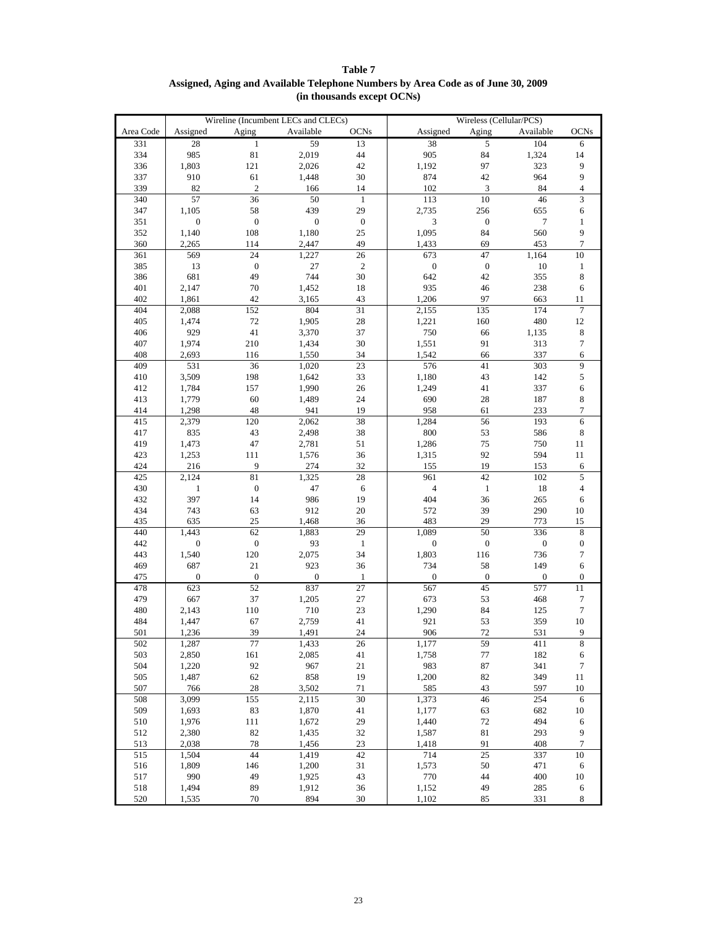**Table 7 Assigned, Aging and Available Telephone Numbers by Area Code as of June 30, 2009 (in thousands except OCNs)**

|            |                         |                  | Wireline (Incumbent LECs and CLECs) |                    | Wireless (Cellular/PCS)   |                        |                  |                       |
|------------|-------------------------|------------------|-------------------------------------|--------------------|---------------------------|------------------------|------------------|-----------------------|
| Area Code  | Assigned                | Aging            | Available                           | <b>OCNs</b>        | Assigned                  | Aging                  | Available        | <b>OCNs</b>           |
| 331        | 28                      | $\mathbf{1}$     | 59                                  | 13                 | 38                        | $\sqrt{5}$             | 104              | 6                     |
| 334        | 985                     | 81               | 2,019                               | 44                 | 905                       | 84                     | 1,324            | 14                    |
| 336        | 1,803                   | 121              | 2,026                               | 42                 | 1,192                     | 97                     | 323              | 9                     |
| 337        | 910                     | 61               | 1,448                               | 30                 | 874                       | 42                     | 964              | 9                     |
| 339        | 82                      | $\mathbf{2}$     | 166                                 | 14                 | 102                       | 3                      | 84               | 4                     |
| 340        | 57                      | 36               | 50                                  | $\mathbf{1}$       | 113                       | 10                     | 46               | 3                     |
| 347        | 1,105                   | 58               | 439                                 | 29                 | 2,735                     | 256                    | 655              | 6                     |
| 351        | $\boldsymbol{0}$        | $\boldsymbol{0}$ | $\boldsymbol{0}$                    | $\boldsymbol{0}$   | 3                         | $\boldsymbol{0}$       | 7                | $\mathbf{1}$          |
| 352        | 1,140                   | 108              | 1,180                               | 25                 | 1,095                     | 84                     | 560              | 9                     |
| 360        | 2,265                   | 114              | 2,447                               | 49                 | 1,433                     | 69                     | 453              | $\boldsymbol{7}$      |
| 361        | 569                     | 24               | 1,227                               | 26                 | 673                       | 47                     | 1,164            | 10                    |
| 385        | 13                      | $\mathbf{0}$     | 27                                  | $\boldsymbol{2}$   | $\boldsymbol{0}$          | $\boldsymbol{0}$       | 10               | $\mathbf{1}$          |
| 386        | 681                     | 49               | 744                                 | 30                 | 642                       | 42                     | 355              | $\,$ 8 $\,$           |
| 401        | 2,147                   | 70               | 1,452                               | 18                 | 935                       | 46                     | 238              | 6                     |
| 402        | 1,861                   | 42               | 3,165                               | 43                 | 1,206                     | 97                     | 663              | 11                    |
| 404        | 2,088                   | 152              | 804                                 | 31                 | 2,155                     | 135                    | 174              | $\tau$                |
| 405        | 1,474                   | 72               | 1,905                               | 28                 | 1,221                     | 160                    | 480              | 12                    |
| 406        | 929                     | 41               | 3,370                               | 37                 | 750                       | 66                     | 1,135            | $\,$ 8 $\,$           |
| 407        | 1,974                   | 210              | 1,434                               | 30                 | 1,551                     | 91                     | 313              | $\boldsymbol{7}$      |
| 408        | 2,693                   | 116              | 1,550                               | 34                 | 1,542                     | 66                     | 337              | 6                     |
| 409        | 531                     | 36               | 1,020                               | 23                 | 576                       | 41                     | 303              | 9                     |
| 410        | 3,509                   | 198              | 1,642                               | 33                 | 1,180                     | 43                     | 142              | 5                     |
| 412        | 1,784                   | 157              | 1,990                               | 26                 | 1,249                     | 41                     | 337              | 6                     |
| 413        | 1,779                   | 60               | 1,489                               | 24                 | 690                       | 28                     | 187              | 8                     |
| 414        | 1,298                   | 48               | 941                                 | 19                 | 958                       | 61                     | 233              | $\overline{7}$        |
| 415        | 2,379                   | 120              | 2,062                               | 38                 | 1,284                     | 56                     | 193              | 6                     |
| 417        | 835                     | 43               | 2,498                               | 38                 | 800                       | 53                     | 586              | $\,$ 8 $\,$           |
| 419        | 1,473                   | 47               | 2,781                               | 51                 | 1,286                     | 75                     | 750              | 11                    |
| 423        | 1,253                   | 111              | 1,576                               | 36                 | 1,315                     | 92                     | 594              | 11                    |
| 424        | 216                     | 9                | 274                                 | 32                 | 155                       | 19                     | 153              | 6                     |
| 425        | 2,124                   | 81               | 1,325                               | 28                 | 961                       | 42                     | 102              | 5                     |
| 430        | 1                       | $\boldsymbol{0}$ | 47                                  | 6                  | $\overline{4}$            | $\mathbf{1}$           | 18               | 4                     |
| 432        | 397                     | 14               | 986                                 | 19                 | 404                       | 36                     | 265              | 6                     |
| 434        | 743                     | 63               | 912                                 | 20                 | 572                       | 39                     | 290              | 10                    |
| 435        | 635                     | 25               | 1,468                               | 36                 | 483                       | 29                     | 773              | 15                    |
| 440        | 1,443                   | 62               | 1,883                               | 29                 | 1,089                     | 50                     | 336              | 8                     |
| 442        | $\mathbf{0}$<br>1,540   | $\boldsymbol{0}$ | 93<br>2,075                         | 1<br>34            | $\boldsymbol{0}$<br>1,803 | $\boldsymbol{0}$       | $\boldsymbol{0}$ | $\boldsymbol{0}$      |
| 443        |                         | 120<br>21        |                                     |                    | 734                       | 116                    | 736<br>149       | $\boldsymbol{7}$      |
| 469<br>475 | 687<br>$\boldsymbol{0}$ | $\boldsymbol{0}$ | 923<br>$\mathbf{0}$                 | 36<br>$\mathbf{1}$ | $\mathbf{0}$              | 58<br>$\boldsymbol{0}$ | $\boldsymbol{0}$ | 6<br>$\boldsymbol{0}$ |
|            |                         | 52               | 837                                 | 27                 |                           | 45                     | 577              | 11                    |
| 478<br>479 | 623<br>667              | 37               | 1,205                               | 27                 | 567<br>673                | 53                     | 468              | $\boldsymbol{7}$      |
| 480        | 2,143                   | 110              | 710                                 | 23                 | 1,290                     | 84                     | 125              | $\boldsymbol{7}$      |
| 484        | 1,447                   | 67               | 2,759                               | 41                 | 921                       | 53                     | 359              | $10\,$                |
| 501        | 1,236                   | 39               | 1,491                               | 24                 | 906                       | 72                     | 531              | 9                     |
| 502        | 1,287                   | 77               | 1,433                               | 26                 | 1,177                     | 59                     | 411              | $\,8\,$               |
| 503        | 2,850                   | 161              | 2,085                               | 41                 | 1,758                     | $77 \,$                | 182              | 6                     |
| 504        | 1,220                   | 92               | 967                                 | 21                 | 983                       | 87                     | 341              | 7                     |
| 505        | 1,487                   | 62               | 858                                 | 19                 | 1,200                     | 82                     | 349              | 11                    |
| 507        | 766                     | 28               | 3,502                               | 71                 | 585                       | 43                     | 597              | 10                    |
| 508        | 3,099                   | 155              | 2,115                               | 30                 | 1,373                     | 46                     | 254              | $\sqrt{6}$            |
| 509        | 1,693                   | 83               | 1,870                               | 41                 | 1,177                     | 63                     | 682              | 10                    |
| 510        | 1,976                   | 111              | 1,672                               | 29                 | 1,440                     | 72                     | 494              | $\sqrt{6}$            |
| 512        | 2,380                   | 82               | 1,435                               | 32                 | 1,587                     | 81                     | 293              | 9                     |
| 513        | 2,038                   | 78               | 1,456                               | 23                 | 1,418                     | 91                     | 408              | $\boldsymbol{7}$      |
| 515        | 1,504                   | 44               | 1,419                               | 42                 | 714                       | 25                     | 337              | $10\,$                |
| 516        | 1,809                   | 146              | 1,200                               | 31                 | 1,573                     | $50\,$                 | 471              | 6                     |
| 517        | 990                     | 49               | 1,925                               | 43                 | 770                       | 44                     | 400              | $10\,$                |
| 518        | 1,494                   | 89               | 1,912                               | 36                 | 1,152                     | 49                     | 285              | $\sqrt{6}$            |
| 520        | 1,535                   | 70               | 894                                 | 30                 | 1,102                     | 85                     | 331              | 8                     |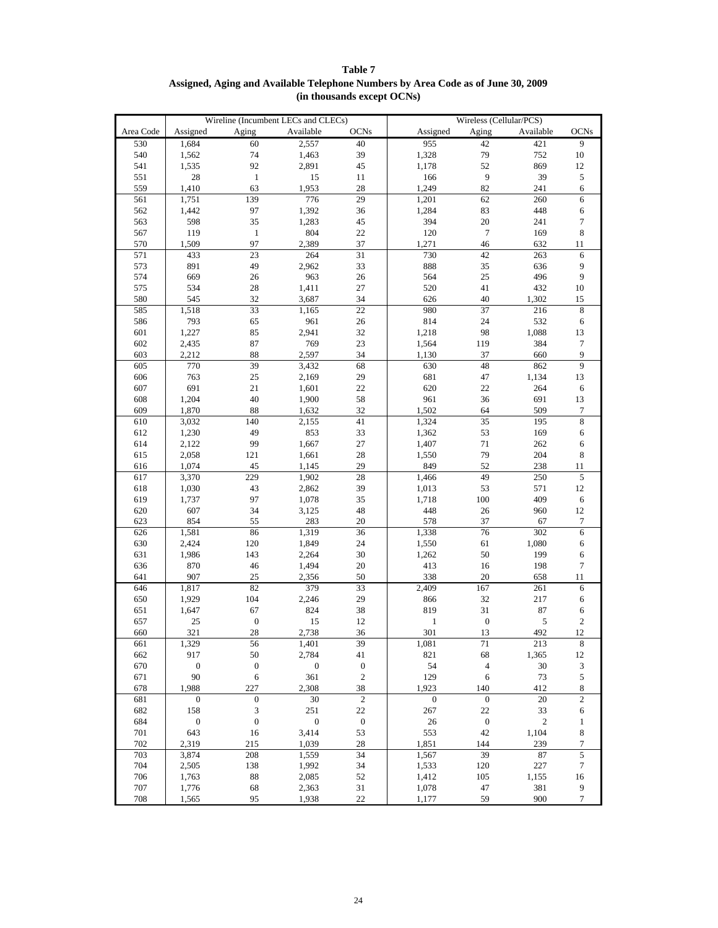**Table 7 Assigned, Aging and Available Telephone Numbers by Area Code as of June 30, 2009 (in thousands except OCNs)**

|            |                  |                  | Wireline (Incumbent LECs and CLECs) |                  | Wireless (Cellular/PCS) |                  |            |                  |  |
|------------|------------------|------------------|-------------------------------------|------------------|-------------------------|------------------|------------|------------------|--|
| Area Code  | Assigned         | Aging            | Available                           | <b>OCNs</b>      | Assigned                | Aging            | Available  | <b>OCNs</b>      |  |
| 530        | 1,684            | 60               | 2,557                               | 40               | 955                     | 42               | 421        | $\overline{9}$   |  |
| 540        | 1,562            | 74               | 1,463                               | 39               | 1,328                   | 79               | 752        | $10\,$           |  |
| 541        | 1,535            | 92               | 2,891                               | 45               | 1,178                   | 52               | 869        | 12               |  |
| 551        | 28               | $\mathbf{1}$     | 15                                  | 11               | 166                     | 9                | 39         | $\sqrt{5}$       |  |
| 559        | 1,410            | 63               | 1,953                               | 28               | 1,249                   | 82               | 241        | 6                |  |
| 561        | 1,751            | 139              | 776                                 | 29               | 1,201                   | 62               | 260        | 6                |  |
| 562        | 1,442            | 97               | 1,392                               | 36               | 1,284                   | 83               | 448        | 6                |  |
| 563        | 598              | 35               | 1,283                               | 45               | 394                     | 20               | 241        | $\boldsymbol{7}$ |  |
| 567        | 119              | $\mathbf{1}$     | 804                                 | $22\,$           | 120                     | $\tau$           | 169        | $\,$ 8 $\,$      |  |
| 570        | 1,509            | 97               | 2,389                               | 37               | 1,271                   | 46               | 632        | 11               |  |
| 571        | 433              | 23               | 264                                 | 31               | 730                     | 42               | 263        | 6                |  |
| 573        | 891              | 49               | 2,962                               | 33               | 888                     | 35               | 636        | 9                |  |
| 574        | 669              | 26               | 963                                 | 26               | 564                     | 25               | 496        | 9                |  |
| 575        | 534              | 28               | 1,411                               | 27               | 520                     | 41               | 432        | $10\,$           |  |
| 580        | 545              | 32               | 3,687                               | 34               | 626                     | 40               | 1,302      | 15               |  |
| 585        | 1,518            | 33               | 1,165                               | 22               | 980                     | 37               | 216        | $\,8\,$          |  |
| 586        | 793              | 65               | 961                                 | 26               | 814                     | 24               | 532        | 6                |  |
| 601        | 1,227            | 85               | 2,941                               | 32               | 1,218                   | 98               | 1,088      | 13               |  |
| 602        | 2,435            | 87               | 769                                 | 23               | 1,564                   | 119              | 384        | $\boldsymbol{7}$ |  |
| 603        | 2,212            | 88               | 2,597                               | 34               | 1,130                   | 37               | 660        | 9                |  |
| 605        | 770              | 39               | 3,432                               | 68               | 630                     | 48               | 862        | 9                |  |
| 606        | 763              | 25               | 2,169                               | 29               | 681                     | 47               | 1,134      | 13               |  |
| 607        | 691              | 21               | 1,601                               | $22\,$           | 620                     | 22               | 264        | $\,$ 6 $\,$      |  |
| 608        | 1,204            | 40               | 1,900                               | 58               | 961                     | 36               | 691        | 13               |  |
| 609        | 1,870            | 88               | 1,632                               | 32               | 1,502                   | 64               | 509        | $\boldsymbol{7}$ |  |
| 610        | 3,032            | 140              | 2,155                               | 41               | 1,324                   | 35               | 195        | $\,$ 8 $\,$      |  |
| 612        | 1,230            | 49               | 853                                 | 33               | 1,362                   | 53               | 169        | 6                |  |
| 614        | 2,122            | 99               | 1,667                               | 27               | 1,407                   | 71               | 262        | 6                |  |
| 615        | 2,058            | 121              | 1,661                               | 28<br>29         | 1,550                   | 79<br>52         | 204        | $\,$ 8 $\,$      |  |
| 616<br>617 | 1,074<br>3,370   | 45<br>229        | 1,145<br>1,902                      | 28               | 849<br>1,466            | 49               | 238<br>250 | 11<br>$\sqrt{5}$ |  |
| 618        | 1,030            | 43               | 2,862                               | 39               | 1,013                   | 53               | 571        | $12\,$           |  |
| 619        | 1,737            | 97               | 1,078                               | 35               | 1,718                   | 100              | 409        | $\,$ 6 $\,$      |  |
| 620        | 607              | 34               | 3,125                               | 48               | 448                     | 26               | 960        | $12\,$           |  |
| 623        | 854              | 55               | 283                                 | 20               | 578                     | 37               | 67         | $\boldsymbol{7}$ |  |
| 626        | 1,581            | 86               | 1,319                               | 36               | 1,338                   | 76               | 302        | 6                |  |
| 630        | 2,424            | 120              | 1,849                               | 24               | 1,550                   | 61               | 1,080      | 6                |  |
| 631        | 1,986            | 143              | 2,264                               | 30               | 1,262                   | 50               | 199        | 6                |  |
| 636        | 870              | 46               | 1,494                               | 20               | 413                     | 16               | 198        | $\tau$           |  |
| 641        | 907              | 25               | 2,356                               | 50               | 338                     | 20               | 658        | 11               |  |
| 646        | 1,817            | 82               | 379                                 | 33               | 2,409                   | 167              | 261        | 6                |  |
| 650        | 1,929            | 104              | 2,246                               | 29               | 866                     | 32               | 217        | 6                |  |
| 651        | 1,647            | 67               | 824                                 | 38               | 819                     | 31               | 87         | 6                |  |
| 657        | 25               | $\boldsymbol{0}$ | 15                                  | 12               | $\mathbf{1}$            | $\boldsymbol{0}$ | 5          | $\boldsymbol{2}$ |  |
| 660        | 321              | 28               | 2,738                               | 36               | 301                     | 13               | 492        | 12               |  |
| 661        | 1,329            | 56               | 1,401                               | 39               | 1,081                   | 71               | 213        | $\,8\,$          |  |
| 662        | 917              | 50               | 2,784                               | 41               | 821                     | 68               | 1,365      | $12\,$           |  |
| 670        | $\mathbf{0}$     | $\boldsymbol{0}$ | $\boldsymbol{0}$                    | $\boldsymbol{0}$ | 54                      | $\overline{4}$   | 30         | 3                |  |
| 671        | 90               | 6                | 361                                 | $\boldsymbol{2}$ | 129                     | 6                | 73         | 5                |  |
| 678        | 1,988            | 227              | 2,308                               | 38               | 1,923                   | 140              | 412        | 8                |  |
| 681        | $\boldsymbol{0}$ | $\boldsymbol{0}$ | 30                                  | $\overline{2}$   | $\boldsymbol{0}$        | $\boldsymbol{0}$ | 20         | $\overline{c}$   |  |
| 682        | 158              | $\mathfrak{Z}$   | $251\,$                             | 22               | 267                     | $22\,$           | 33         | 6                |  |
| 684        | $\boldsymbol{0}$ | $\boldsymbol{0}$ | $\boldsymbol{0}$                    | $\boldsymbol{0}$ | $26\,$                  | $\boldsymbol{0}$ | $\sqrt{2}$ | $\mathbf{1}$     |  |
| 701        | 643              | 16               | 3,414                               | 53               | 553                     | 42               | 1,104      | 8                |  |
| 702        | 2,319            | 215              | 1,039                               | 28               | 1,851                   | 144              | 239        | $\tau$           |  |
| 703        | 3,874            | 208              | 1,559                               | 34               | 1,567                   | 39               | 87         | 5                |  |
| 704        | 2,505            | 138              | 1,992                               | 34               | 1,533                   | 120              | 227        | $\boldsymbol{7}$ |  |
| 706        | 1,763            | 88               | 2,085                               | 52               | 1,412                   | 105              | 1,155      | 16               |  |
| 707        | 1,776            | 68               | 2,363                               | 31               | 1,078                   | 47               | 381        | 9                |  |
| 708        | 1,565            | 95               | 1,938                               | $22\,$           | 1,177                   | 59               | 900        | $\tau$           |  |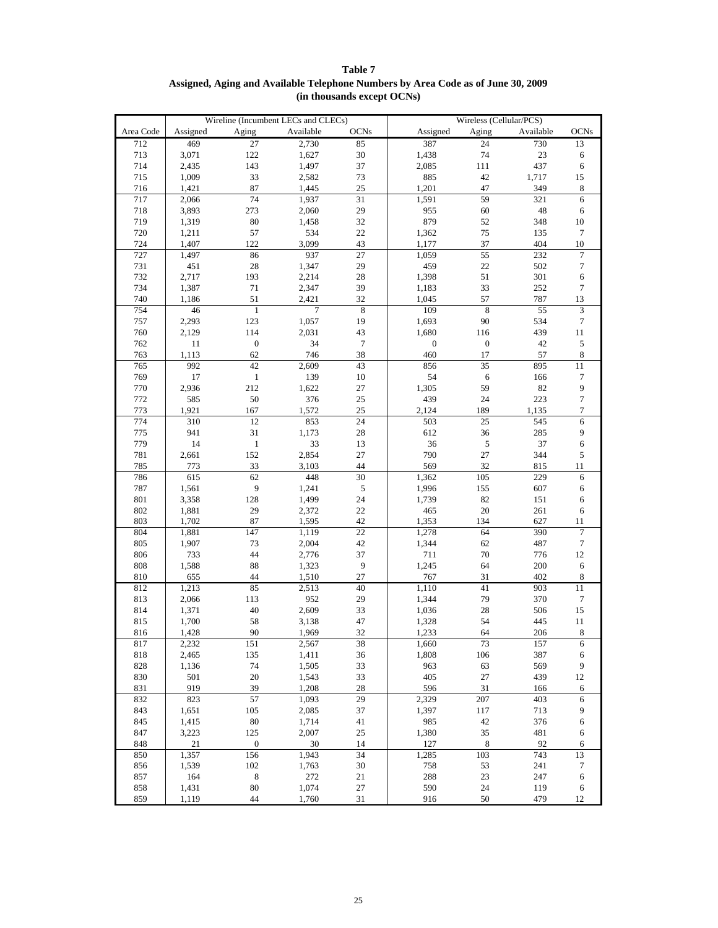**Table 7 Assigned, Aging and Available Telephone Numbers by Area Code as of June 30, 2009 (in thousands except OCNs)**

|           |          |                  | Wireline (Incumbent LECs and CLECs) |             | Wireless (Cellular/PCS) |                  |           |                  |
|-----------|----------|------------------|-------------------------------------|-------------|-------------------------|------------------|-----------|------------------|
| Area Code | Assigned | Aging            | Available                           | <b>OCNs</b> | Assigned                | Aging            | Available | <b>OCNs</b>      |
| 712       | 469      | 27               | 2,730                               | 85          | 387                     | 24               | 730       | 13               |
| 713       | 3,071    | 122              | 1,627                               | 30          | 1,438                   | 74               | 23        | $\sqrt{6}$       |
| 714       | 2,435    | 143              | 1,497                               | 37          | 2,085                   | 111              | 437       | $\,$ 6 $\,$      |
| 715       | 1,009    | 33               | 2,582                               | 73          | 885                     | 42               | 1,717     | 15               |
| 716       | 1,421    | 87               | 1,445                               | 25          | 1,201                   | 47               | 349       | $\,8\,$          |
| 717       | 2,066    | 74               | 1,937                               | 31          | 1,591                   | 59               | 321       | 6                |
| 718       | 3,893    | 273              | 2,060                               | 29          | 955                     | 60               | 48        | $\sqrt{6}$       |
| 719       | 1,319    | $80\,$           | 1,458                               | 32          | 879                     | 52               | 348       | $10\,$           |
| 720       | 1,211    | 57               | 534                                 | $22\,$      | 1,362                   | 75               | 135       | $\boldsymbol{7}$ |
| 724       | 1,407    | 122              | 3,099                               | 43          | 1,177                   | 37               | 404       | $10\,$           |
| 727       | 1,497    | 86               | 937                                 | 27          | 1,059                   | 55               | 232       | $\tau$           |
| 731       | 451      | 28               | 1,347                               | 29          | 459                     | $22\,$           | 502       | $\tau$           |
| 732       | 2,717    | 193              | 2,214                               | 28          | 1,398                   | 51               | 301       | 6                |
| 734       | 1,387    | 71               | 2,347                               | 39          | 1,183                   | 33               | 252       | $\tau$           |
| 740       | 1,186    | 51               | 2,421                               | 32          | 1,045                   | 57               | 787       | 13               |
| 754       | 46       | $\mathbf{1}$     | 7                                   | $\,8\,$     | 109                     | $\,8\,$          | 55        | $\mathfrak{Z}$   |
| 757       | 2,293    | 123              | 1,057                               | 19          | 1,693                   | 90               | 534       | $\boldsymbol{7}$ |
| 760       | 2,129    | 114              | 2,031                               | 43          | 1,680                   | 116              | 439       | $11\,$           |
| 762       | 11       | $\boldsymbol{0}$ | 34                                  | $\tau$      | $\boldsymbol{0}$        | $\boldsymbol{0}$ | 42        | $\sqrt{5}$       |
| 763       | 1,113    | 62               | 746                                 | 38          | 460                     | 17               | 57        | $\,$ 8 $\,$      |
| 765       | 992      | 42               | 2,609                               | 43          | 856                     | 35               | 895       | 11               |
| 769       | 17       | $1\,$            | 139                                 | $10\,$      | 54                      | 6                | 166       | $\boldsymbol{7}$ |
| 770       | 2,936    | 212              | 1,622                               | 27          | 1,305                   | 59               | 82        | 9                |
| 772       | 585      | 50               | 376                                 | 25          | 439                     | 24               | 223       | $\boldsymbol{7}$ |
| 773       | 1,921    | 167              | 1,572                               | 25          | 2,124                   | 189              | 1,135     | $\boldsymbol{7}$ |
| 774       | 310      | 12               | 853                                 | 24          | 503                     | 25               | 545       | 6                |
| 775       | 941      | 31               | 1,173                               | 28          | 612                     | 36               | 285       | 9                |
| 779       | 14       | $\mathbf{1}$     | 33                                  | 13          | 36                      | $\sqrt{5}$       | 37        | $\epsilon$       |
| 781       | 2,661    | 152              | 2,854                               | 27          | 790                     | 27               | 344       | 5                |
| 785       | 773      | 33               | 3,103                               | 44          | 569                     | 32               | 815       | 11               |
| 786       | 615      | 62               | 448                                 | 30          | 1,362                   | 105              | 229       | 6                |
| 787       | 1,561    | 9                | 1,241                               | $\sqrt{5}$  | 1,996                   | 155              | 607       | 6                |
| 801       | 3,358    | 128              | 1,499                               | 24          | 1,739                   | 82               | 151       | 6                |
| 802       | 1,881    | 29               | 2,372                               | 22          | 465                     | 20               | 261       | 6                |
| 803       | 1,702    | 87               | 1,595                               | 42          | 1,353                   | 134              | 627       | 11               |
| 804       | 1,881    | 147              | 1,119                               | 22          | 1,278                   | 64               | 390       | $\tau$           |
| 805       | 1,907    | 73               | 2,004                               | 42          | 1,344                   | 62               | 487       | $\boldsymbol{7}$ |
| 806       | 733      | 44               | 2,776                               | 37          | 711                     | 70               | 776       | 12               |
| 808       | 1,588    | 88               | 1,323                               | 9           | 1,245                   | 64               | 200       | $\,$ 6 $\,$      |
| 810       | 655      | 44               | 1,510                               | 27          | 767                     | 31               | 402       | $\,8\,$          |
| 812       | 1,213    | 85               | 2,513                               | 40          | 1,110                   | 41               | 903       | 11               |
| 813       | 2,066    | 113              | 952                                 | 29          | 1,344                   | 79               | 370       | $\boldsymbol{7}$ |
| 814       | 1,371    | 40               | 2,609                               | 33          | 1,036                   | 28               | 506       | 15               |
| 815       | 1,700    | 58               | 3,138                               | 47          | 1,328                   | 54               | 445       | 11               |
| 816       | 1,428    | 90               | 1,969                               | 32          | 1,233                   | 64               | 206       | $\,8\,$          |
| 817       | 2,232    | 151              | 2,567                               | 38          | 1,660                   | 73               | 157       | 6                |
| 818       | 2,465    | 135              | 1,411                               | 36          | 1,808                   | 106              | 387       | 6                |
| 828       | 1,136    | 74               | 1,505                               | 33          | 963                     | 63               | 569       | 9                |
| 830       | 501      | 20               | 1,543                               | 33          | 405                     | 27               | 439       | 12               |
| 831       | 919      | 39               | 1,208                               | 28          | 596                     | 31               | 166       | 6                |
| 832       | 823      | 57               | 1,093                               | 29          | 2,329                   | 207              | 403       | 6                |
| 843       | 1,651    | 105              | 2,085                               | 37          | 1,397                   | 117              | 713       | 9                |
| 845       | 1,415    | $80\,$           | 1,714                               | 41          | 985                     | 42               | 376       | 6                |
| 847       | 3,223    | 125              | 2,007                               | 25          | 1,380                   | 35               | 481       | 6                |
| 848       | 21       | $\boldsymbol{0}$ | 30                                  | 14          | 127                     | $\,8\,$          | 92        | 6                |
| 850       | 1,357    | 156              | 1,943                               | 34          | 1,285                   | 103              | 743       | 13               |
| 856       | 1,539    | 102              | 1,763                               | 30          | 758                     | 53               | 241       | $\boldsymbol{7}$ |
| 857       | 164      | 8                | 272                                 | 21          | 288                     | 23               | 247       | 6                |
| 858       | 1,431    | 80               | 1,074                               | $27\,$      | 590                     | 24               | 119       | 6                |
| 859       | 1,119    | 44               | 1,760                               | 31          | 916                     | 50               | 479       | 12               |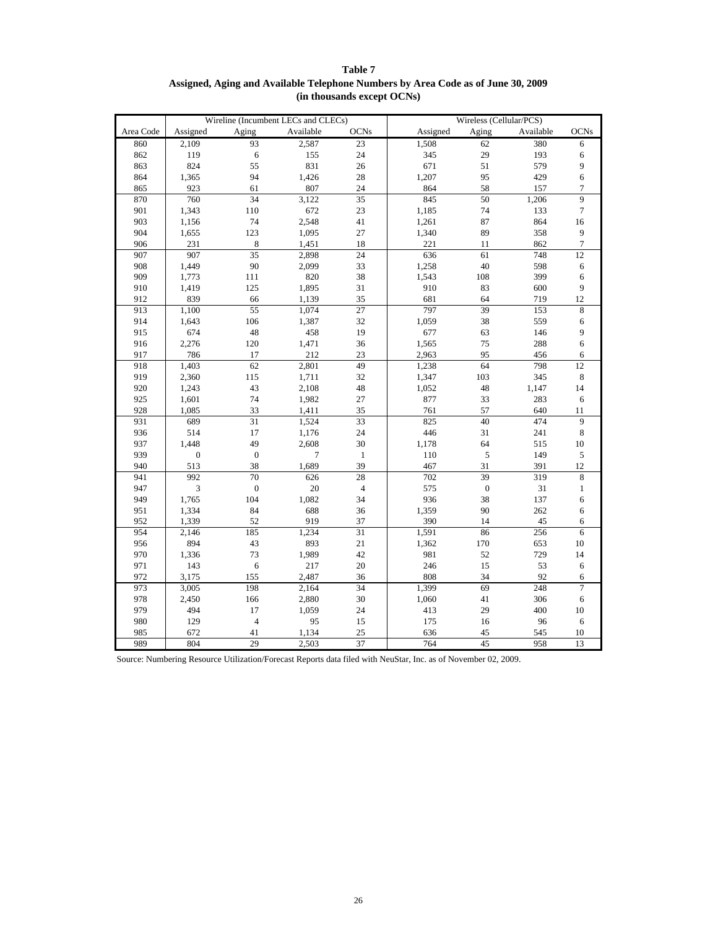| Table 7                                                                          |
|----------------------------------------------------------------------------------|
| Assigned, Aging and Available Telephone Numbers by Area Code as of June 30, 2009 |
| (in thousands except OCNs)                                                       |

|            |                | Wireline (Incumbent LECs and CLECs) |                |                          | Wireless (Cellular/PCS) |                  |            |                |  |
|------------|----------------|-------------------------------------|----------------|--------------------------|-------------------------|------------------|------------|----------------|--|
| Area Code  | Assigned       | Aging                               | Available      | <b>OCNs</b>              | Assigned                | Aging            | Available  | <b>OCNs</b>    |  |
| 860        | 2,109          | 93                                  | 2,587          | 23                       | 1,508                   | 62               | 380        | 6              |  |
| 862        | 119            | 6                                   | 155            | 24                       | 345                     | 29               | 193        | 6              |  |
| 863        | 824            | 55                                  | 831            | 26                       | 671                     | 51               | 579        | 9              |  |
| 864        | 1,365          | 94                                  | 1,426          | 28                       | 1,207                   | 95               | 429        | 6              |  |
| 865        | 923            | 61                                  | 807            | 24                       | 864                     | 58               | 157        | 7              |  |
| 870        | 760            | 34                                  | 3,122          | 35                       | 845                     | 50               | 1,206      | 9              |  |
| 901        | 1,343          | 110                                 | 672            | 23                       | 1,185                   | 74               | 133        | $\tau$         |  |
| 903        | 1,156          | 74                                  | 2,548          | 41                       | 1,261                   | 87               | 864        | 16             |  |
| 904        | 1,655          | 123                                 | 1,095          | 27                       | 1,340                   | 89               | 358        | 9              |  |
| 906        | 231            | 8                                   | 1,451          | 18                       | 221                     | 11               | 862        | $\tau$         |  |
| 907        | 907            | 35                                  | 2,898          | 24                       | 636                     | 61               | 748        | 12             |  |
| 908        | 1,449          | 90                                  | 2,099          | 33                       | 1,258                   | 40               | 598        | 6              |  |
| 909        | 1,773          | 111                                 | 820            | 38                       | 1,543                   | 108              | 399        | 6              |  |
| 910        | 1,419          | 125                                 | 1,895          | 31                       | 910                     | 83               | 600        | 9              |  |
| 912        | 839            | 66                                  | 1,139          | 35                       | 681                     | 64               | 719        | 12             |  |
| 913        | 1,100          | 55                                  | 1,074          | 27                       | 797                     | 39               | 153        | 8              |  |
| 914        | 1,643          | 106                                 | 1,387          | 32                       | 1,059                   | 38               | 559        | 6              |  |
| 915        | 674            | 48                                  | 458            | 19                       | 677                     | 63               | 146        | 9              |  |
| 916        | 2,276          | 120                                 | 1,471          | 36                       | 1,565                   | 75               | 288        | 6              |  |
| 917        | 786            | 17                                  | 212            | 23                       | 2,963                   | 95               | 456        | 6              |  |
| 918        | 1,403          | 62                                  | 2,801          | 49                       | 1,238                   | 64               | 798        | 12             |  |
| 919        | 2,360          | 115                                 | 1,711          | 32                       | 1,347                   | 103              | 345        | $\,$ 8 $\,$    |  |
| 920        | 1,243          | 43                                  | 2,108          | 48                       | 1,052                   | 48               | 1,147      | 14             |  |
| 925        | 1,601          | 74                                  | 1,982          | 27                       | 877                     | 33               | 283        | 6              |  |
| 928        | 1,085          | 33                                  | 1.411          | 35                       | 761                     | 57               | 640        | 11             |  |
| 931        | 689            | 31                                  | 1,524          | 33                       | 825                     | 40               | 474        | 9              |  |
| 936        | 514            | 17                                  | 1,176          | 24                       | 446                     | 31               | 241        | 8              |  |
| 937        | 1,448          | 49                                  | 2,608          | 30                       | 1,178                   | 64               | 515        | 10             |  |
| 939        | $\overline{0}$ | $\boldsymbol{0}$                    | $\overline{7}$ | $\mathbf{1}$             | 110                     | 5                | 149        | 5              |  |
| 940        | 513            | 38                                  | 1,689          | 39                       | 467                     | 31               | 391        | 12             |  |
| 941        | 992            | 70                                  | 626            | 28                       | 702                     | 39               | 319        | 8              |  |
| 947        | 3              | $\boldsymbol{0}$                    | 20             | $\overline{\mathcal{L}}$ | 575                     | $\boldsymbol{0}$ | 31         | $\mathbf{1}$   |  |
| 949        | 1,765          | 104                                 | 1,082          | 34                       | 936                     | 38               | 137        | 6              |  |
| 951        | 1,334          | 84                                  | 688            | 36                       | 1,359                   | 90               | 262        | 6              |  |
| 952        | 1,339          | 52                                  | 919            | 37                       | 390                     | 14               | 45         | 6              |  |
| 954        | 2,146          | 185                                 | 1,234          | 31                       | 1,591                   | 86               | 256        | 6              |  |
| 956        | 894            | 43                                  | 893            | 21                       | 1,362                   | 170              | 653        | 10             |  |
| 970        | 1,336          | 73                                  | 1,989          | 42                       | 981                     | 52               | 729        | 14             |  |
| 971        | 143            | 6                                   | 217            | 20                       | 246                     | 15               | 53         | 6              |  |
| 972        | 3,175          | 155                                 | 2,487          | 36                       | 808                     | 34               | 92         | 6              |  |
| 973        | 3,005          | 198                                 | 2,164          | 34                       | 1,399                   | 69               | 248        | $\overline{7}$ |  |
| 978        | 2,450          | 166                                 | 2,880          | 30                       | 1,060                   | 41               | 306        | 6              |  |
| 979        | 494            | 17<br>$\overline{4}$                | 1,059          | 24                       | 413                     | 29               | 400        | 10             |  |
| 980        | 129            |                                     | 95             | 15                       | 175                     | 16               | 96         | 6              |  |
| 985<br>989 | 672<br>804     | 41<br>29                            | 1,134          | 25<br>37                 | 636<br>764              | 45<br>45         | 545<br>958 | 10<br>13       |  |
|            |                |                                     | 2,503          |                          |                         |                  |            |                |  |

Source: Numbering Resource Utilization/Forecast Reports data filed with NeuStar, Inc. as of November 02, 2009.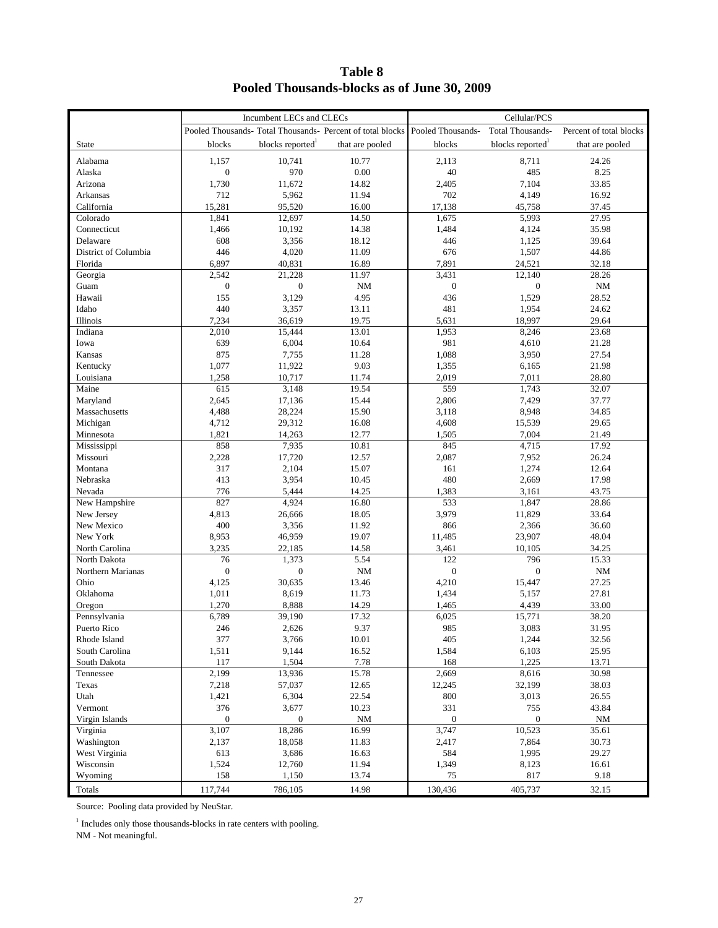**Table 8 Pooled Thousands-blocks as of June 30, 2009**

|                      | Incumbent LECs and CLECs |                  |                                                            | Cellular/PCS      |                         |                         |  |
|----------------------|--------------------------|------------------|------------------------------------------------------------|-------------------|-------------------------|-------------------------|--|
|                      |                          |                  | Pooled Thousands- Total Thousands- Percent of total blocks | Pooled Thousands- | <b>Total Thousands-</b> | Percent of total blocks |  |
| <b>State</b>         | blocks                   | blocks reported  | that are pooled                                            | blocks            | blocks reported         | that are pooled         |  |
| Alabama              | 1,157                    | 10,741           | 10.77                                                      | 2,113             | 8,711                   | 24.26                   |  |
| Alaska               | $\mathbf{0}$             | 970              | 0.00                                                       | 40                | 485                     | 8.25                    |  |
| Arizona              | 1,730                    | 11,672           | 14.82                                                      | 2,405             | 7,104                   | 33.85                   |  |
| Arkansas             | 712                      | 5,962            | 11.94                                                      | 702               | 4,149                   | 16.92                   |  |
| California           | 15,281                   | 95,520           | 16.00                                                      | 17,138            | 45,758                  | 37.45                   |  |
| Colorado             | 1,841                    | 12,697           | 14.50                                                      | 1,675             | 5,993                   | 27.95                   |  |
| Connecticut          | 1,466                    | 10,192           | 14.38                                                      | 1,484             | 4,124                   | 35.98                   |  |
| Delaware             | 608                      | 3,356            | 18.12                                                      | 446               | 1,125                   | 39.64                   |  |
| District of Columbia | 446                      | 4,020            | 11.09                                                      | 676               | 1,507                   | 44.86                   |  |
| Florida              | 6,897                    | 40,831           | 16.89                                                      | 7,891             | 24,521                  | 32.18                   |  |
| Georgia              | 2,542                    | 21,228           | 11.97                                                      | 3,431             | 12,140                  | 28.26                   |  |
| Guam                 | $\boldsymbol{0}$         | $\boldsymbol{0}$ | <b>NM</b>                                                  | $\boldsymbol{0}$  | $\boldsymbol{0}$        |                         |  |
|                      |                          |                  |                                                            |                   |                         | NM                      |  |
| Hawaii               | 155                      | 3,129            | 4.95                                                       | 436               | 1,529                   | 28.52                   |  |
| Idaho                | 440                      | 3,357            | 13.11                                                      | 481               | 1,954                   | 24.62                   |  |
| Illinois             | 7,234                    | 36,619           | 19.75                                                      | 5,631             | 18,997                  | 29.64                   |  |
| Indiana              | 2,010                    | 15,444           | 13.01                                                      | 1,953             | 8,246                   | 23.68                   |  |
| Iowa                 | 639                      | 6,004            | 10.64                                                      | 981               | 4,610                   | 21.28                   |  |
| Kansas               | 875                      | 7,755            | 11.28                                                      | 1,088             | 3,950                   | 27.54                   |  |
| Kentucky             | 1,077                    | 11,922           | 9.03                                                       | 1,355             | 6,165                   | 21.98                   |  |
| Louisiana            | 1,258                    | 10,717           | 11.74                                                      | 2,019             | 7,011                   | 28.80                   |  |
| Maine                | 615                      | 3,148            | 19.54                                                      | 559               | 1,743                   | 32.07                   |  |
| Maryland             | 2,645                    | 17,136           | 15.44                                                      | 2,806             | 7,429                   | 37.77                   |  |
| Massachusetts        | 4,488                    | 28,224           | 15.90                                                      | 3,118             | 8,948                   | 34.85                   |  |
| Michigan             | 4,712                    | 29,312           | 16.08                                                      | 4,608             | 15,539                  | 29.65                   |  |
| Minnesota            | 1,821                    | 14,263           | 12.77                                                      | 1,505             | 7,004                   | 21.49                   |  |
| Mississippi          | 858                      | 7,935            | 10.81                                                      | 845               | 4,715                   | 17.92                   |  |
| Missouri             | 2,228                    | 17,720           | 12.57                                                      | 2,087             | 7,952                   | 26.24                   |  |
| Montana              | 317                      | 2,104            | 15.07                                                      | 161               | 1,274                   | 12.64                   |  |
| Nebraska             | 413                      | 3,954            | 10.45                                                      | 480               | 2,669                   | 17.98                   |  |
| Nevada               | 776                      | 5,444            | 14.25                                                      | 1,383             | 3,161                   | 43.75                   |  |
| New Hampshire        | 827                      | 4,924            | 16.80                                                      | 533               | 1,847                   | 28.86                   |  |
| New Jersey           | 4,813                    | 26,666           | 18.05                                                      | 3,979             | 11,829                  | 33.64                   |  |
| New Mexico           | 400                      | 3,356            | 11.92                                                      | 866               | 2,366                   | 36.60                   |  |
| New York             | 8,953                    | 46,959           | 19.07                                                      | 11,485            | 23,907                  | 48.04                   |  |
| North Carolina       | 3,235                    | 22,185           | 14.58                                                      | 3,461             | 10,105                  | 34.25                   |  |
| North Dakota         | 76                       | 1,373            | 5.54                                                       | 122               | 796                     | 15.33                   |  |
| Northern Marianas    | $\boldsymbol{0}$         | $\boldsymbol{0}$ | NM                                                         | $\boldsymbol{0}$  | $\boldsymbol{0}$        | NM                      |  |
| Ohio                 | 4,125                    | 30,635           | 13.46                                                      | 4,210             | 15,447                  | 27.25                   |  |
| Oklahoma             | 1,011                    | 8,619            | 11.73                                                      | 1,434             | 5,157                   | 27.81                   |  |
| Oregon               | 1,270                    | 8,888            | 14.29                                                      | 1,465             | 4,439                   | 33.00                   |  |
| Pennsylvania         | 6,789                    | 39,190           | 17.32                                                      | 6,025             | 15,771                  | 38.20                   |  |
| Puerto Rico          | 246                      | 2,626            | 9.37                                                       | 985               | 3,083                   | 31.95                   |  |
| Rhode Island         | 377                      | 3,766            | 10.01                                                      | 405               | 1,244                   | 32.56                   |  |
| South Carolina       | 1,511                    | 9,144            | 16.52                                                      | 1,584             | 6,103                   | 25.95                   |  |
| South Dakota         | 117                      | 1,504            | 7.78                                                       | 168               | 1,225                   | 13.71                   |  |
| Tennessee            | 2,199                    | 13,936           | 15.78                                                      | 2,669             | 8,616                   | 30.98                   |  |
| Texas                | 7,218                    | 57,037           | 12.65                                                      | 12,245            | 32,199                  | 38.03                   |  |
| Utah                 | 1,421                    | 6,304            | 22.54                                                      | 800               | 3,013                   | 26.55                   |  |
| Vermont              | 376                      | 3,677            | 10.23                                                      | 331               | 755                     | 43.84                   |  |
| Virgin Islands       | $\boldsymbol{0}$         | $\boldsymbol{0}$ | <b>NM</b>                                                  | $\boldsymbol{0}$  | $\boldsymbol{0}$        | <b>NM</b>               |  |
| Virginia             | 3,107                    | 18,286           | 16.99                                                      | 3,747             | 10,523                  | 35.61                   |  |
| Washington           | 2,137                    | 18,058           | 11.83                                                      | 2,417             | 7,864                   | 30.73                   |  |
| West Virginia        | 613                      | 3,686            | 16.63                                                      | 584               | 1,995                   | 29.27                   |  |
| Wisconsin            | 1,524                    | 12,760           | 11.94                                                      | 1,349             | 8,123                   | 16.61                   |  |
| Wyoming              | 158                      | 1,150            | 13.74                                                      | 75                | 817                     | 9.18                    |  |
| Totals               | 117,744                  | 786,105          | 14.98                                                      | 130,436           | 405,737                 | 32.15                   |  |

Source: Pooling data provided by NeuStar.

<sup>1</sup> Includes only those thousands-blocks in rate centers with pooling.

NM - Not meaningful.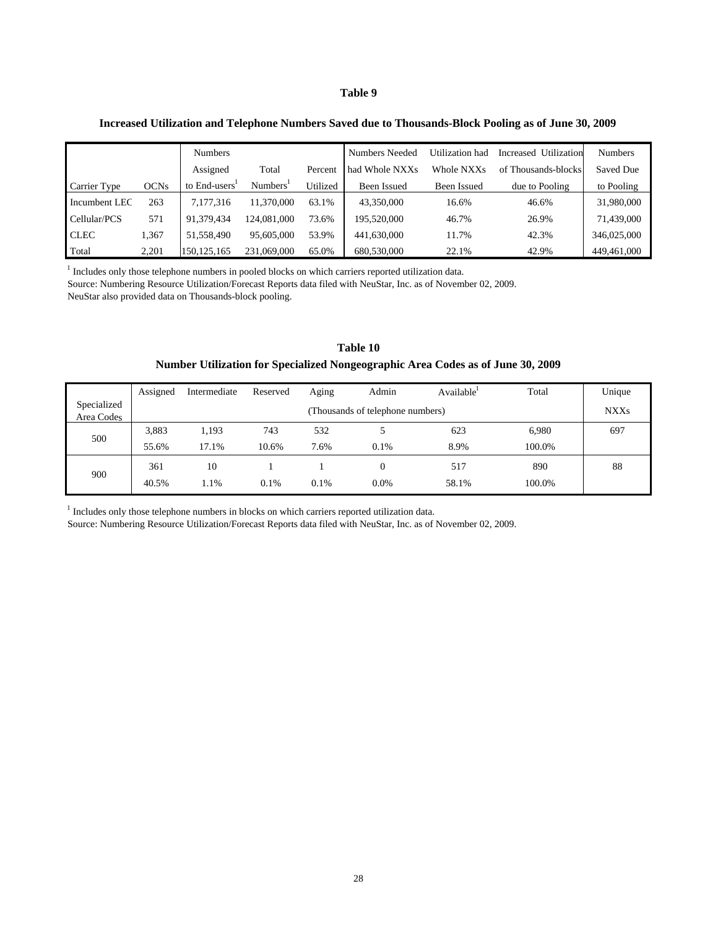#### **Table 9**

| Increased Utilization and Telephone Numbers Saved due to Thousands-Block Pooling as of June 30, 2009 |
|------------------------------------------------------------------------------------------------------|
|------------------------------------------------------------------------------------------------------|

|               |             | <b>Numbers</b>            |                      |          | Numbers Needed | Utilization had | Increased Utilization | <b>Numbers</b> |
|---------------|-------------|---------------------------|----------------------|----------|----------------|-----------------|-----------------------|----------------|
|               |             | Assigned                  | Total                | Percent  | had Whole NXXs | Whole NXXs      | of Thousands-blocks   | Saved Due      |
| Carrier Type  | <b>OCNs</b> | to End-users <sup>1</sup> | Numbers <sup>1</sup> | Utilized | Been Issued    | Been Issued     | due to Pooling        | to Pooling     |
| Incumbent LEC | 263         | 7,177,316                 | 11,370,000           | 63.1%    | 43,350,000     | 16.6%           | 46.6%                 | 31,980,000     |
| Cellular/PCS  | 571         | 91.379.434                | 124,081,000          | 73.6%    | 195,520,000    | 46.7%           | 26.9%                 | 71,439,000     |
| <b>CLEC</b>   | 1.367       | 51,558,490                | 95,605,000           | 53.9%    | 441,630,000    | 11.7%           | 42.3%                 | 346,025,000    |
| Total         | 2.201       | 150, 125, 165             | 231,069,000          | 65.0%    | 680,530,000    | 22.1%           | 42.9%                 | 449,461,000    |

<sup>1</sup> Includes only those telephone numbers in pooled blocks on which carriers reported utilization data.

Source: Numbering Resource Utilization/Forecast Reports data filed with NeuStar, Inc. as of November 02, 2009. NeuStar also provided data on Thousands-block pooling.

|                           | Assigned | Intermediate | Reserved | Aging | Admin                            | Available <sup>1</sup> | Total  | Unique      |
|---------------------------|----------|--------------|----------|-------|----------------------------------|------------------------|--------|-------------|
| Specialized<br>Area Codes |          |              |          |       | (Thousands of telephone numbers) |                        |        | <b>NXXs</b> |
| 500                       | 3.883    | 1,193        | 743      | 532   |                                  | 623                    | 6,980  | 697         |
|                           | 55.6%    | 17.1%        | 10.6%    | 7.6%  | 0.1%                             | 8.9%                   | 100.0% |             |
| 900                       | 361      | 10           |          |       | $\boldsymbol{0}$                 | 517                    | 890    | 88          |
|                           | 40.5%    | 1.1%         | 0.1%     | 0.1%  | $0.0\%$                          | 58.1%                  | 100.0% |             |

**Table 10 Number Utilization for Specialized Nongeographic Area Codes as of June 30, 2009**

<sup>1</sup> Includes only those telephone numbers in blocks on which carriers reported utilization data.

Source: Numbering Resource Utilization/Forecast Reports data filed with NeuStar, Inc. as of November 02, 2009.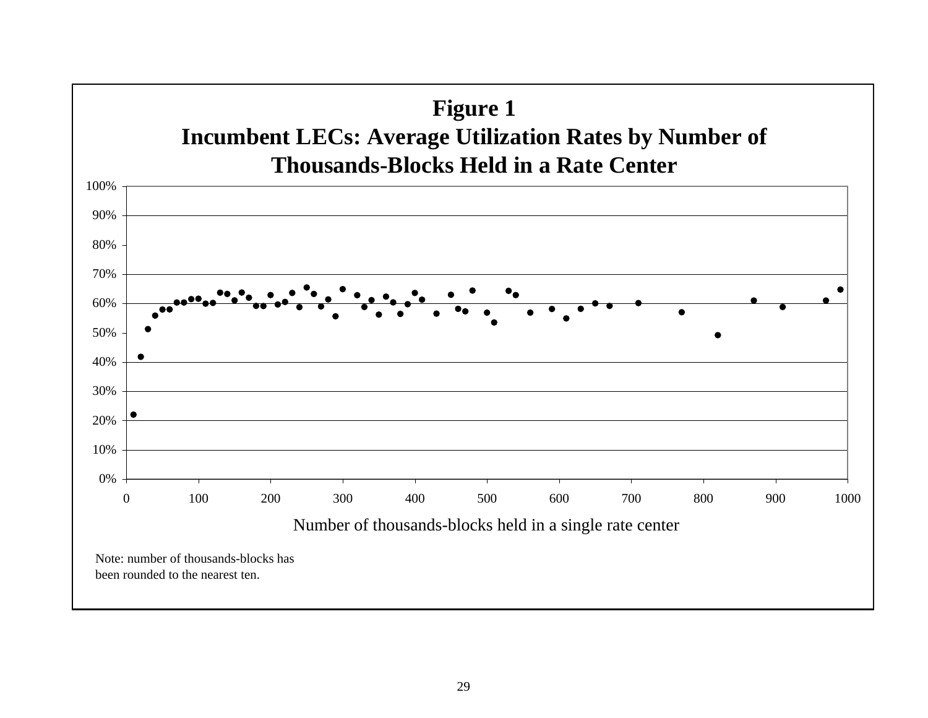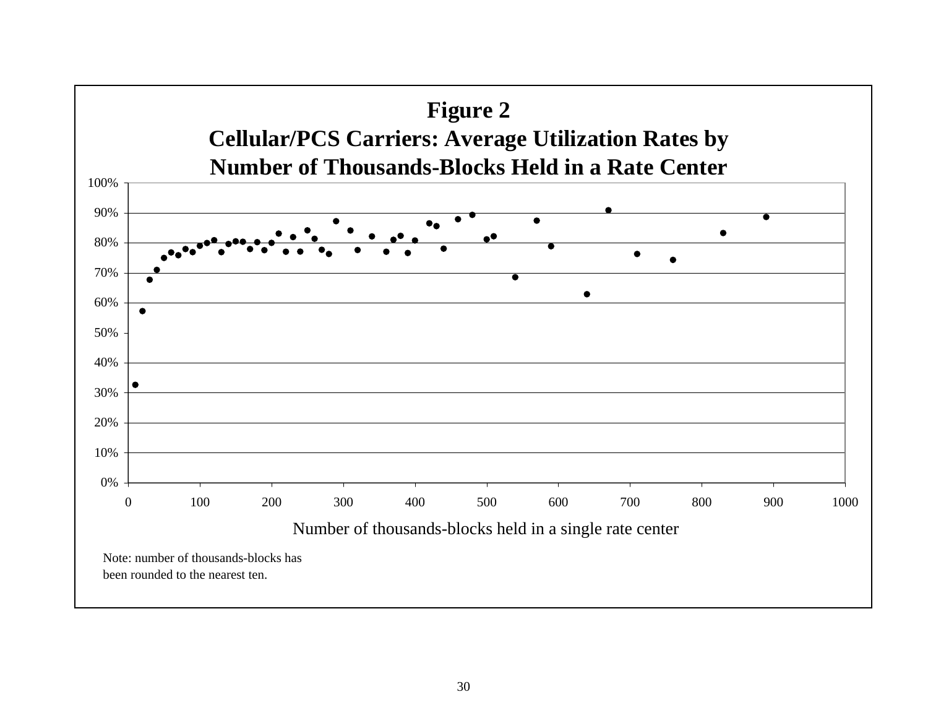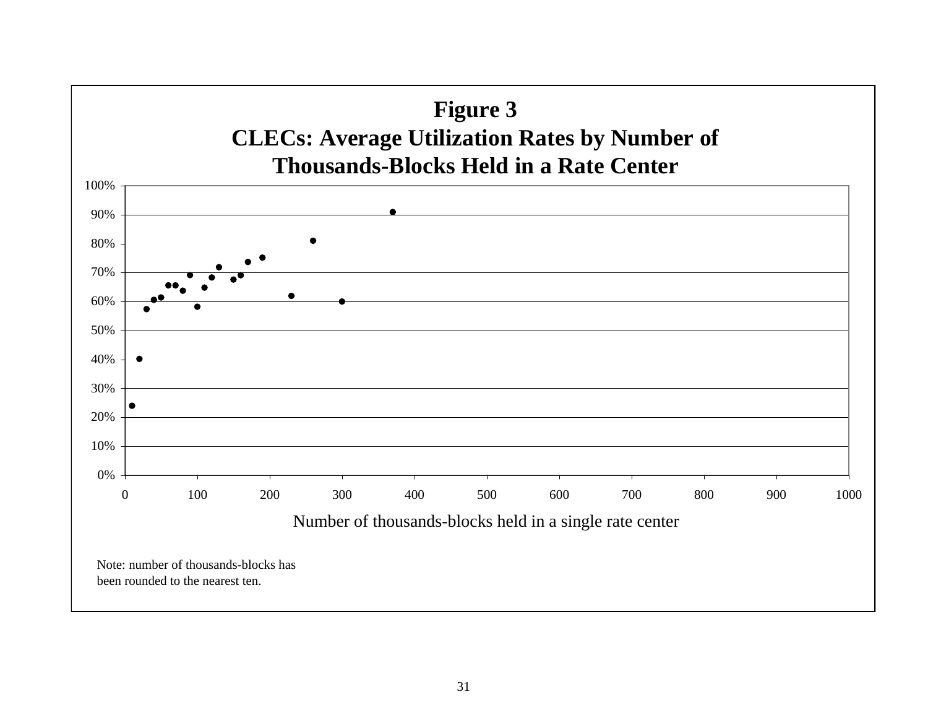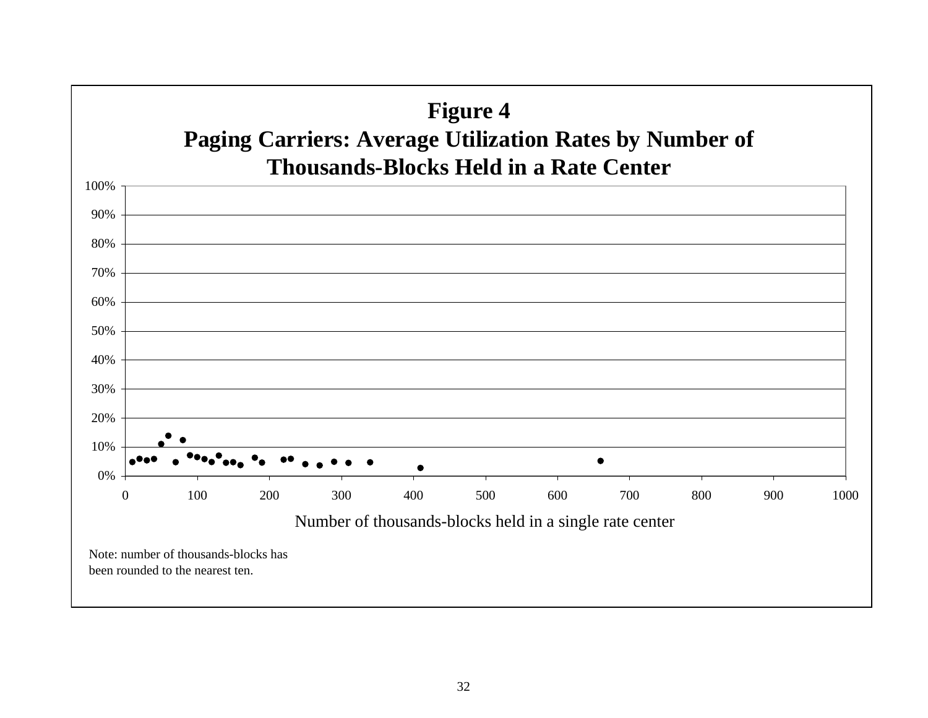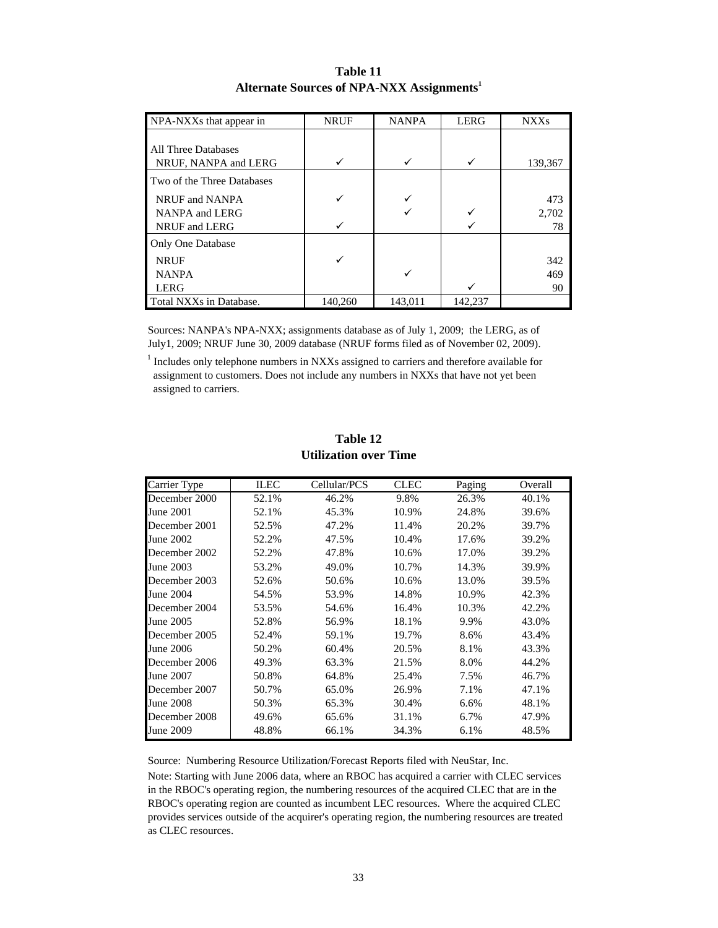| NPA-NXXs that appear in      | <b>NRUF</b> | <b>NANPA</b> | <b>LERG</b> | <b>NXXs</b> |
|------------------------------|-------------|--------------|-------------|-------------|
|                              |             |              |             |             |
| All Three Databases          |             |              |             |             |
| NRUF, NANPA and LERG         |             |              |             | 139,367     |
| Two of the Three Databases   |             |              |             |             |
| <b>NRUF</b> and <b>NANPA</b> |             |              |             | 473         |
| NANPA and LERG               |             |              |             | 2,702       |
| <b>NRUF</b> and LERG         |             |              |             | 78          |
| Only One Database            |             |              |             |             |
| <b>NRUF</b>                  |             |              |             | 342         |
| <b>NANPA</b>                 |             |              |             | 469         |
| <b>LERG</b>                  |             |              |             | 90          |
| Total NXXs in Database.      | 140,260     | 143,011      | 142,237     |             |

## **Table 11 Alternate Sources of NPA-NXX Assignments1**

Sources: NANPA's NPA-NXX; assignments database as of July 1, 2009; the LERG, as of July1, 2009; NRUF June 30, 2009 database (NRUF forms filed as of November 02, 2009).

 $1$  Includes only telephone numbers in NXXs assigned to carriers and therefore available for assignment to customers. Does not include any numbers in NXXs that have not yet been assigned to carriers.

| Carrier Type     | <b>ILEC</b> | Cellular/PCS | <b>CLEC</b> | Paging | Overall |
|------------------|-------------|--------------|-------------|--------|---------|
| December 2000    | 52.1%       | 46.2%        | 9.8%        | 26.3%  | 40.1%   |
| June 2001        | 52.1%       | 45.3%        | 10.9%       | 24.8%  | 39.6%   |
| December 2001    | 52.5%       | 47.2%        | 11.4%       | 20.2%  | 39.7%   |
| June 2002        | 52.2%       | 47.5%        | 10.4%       | 17.6%  | 39.2%   |
| December 2002    | 52.2%       | 47.8%        | 10.6%       | 17.0%  | 39.2%   |
| June 2003        | 53.2%       | 49.0%        | 10.7%       | 14.3%  | 39.9%   |
| December 2003    | 52.6%       | 50.6%        | 10.6%       | 13.0%  | 39.5%   |
| June 2004        | 54.5%       | 53.9%        | 14.8%       | 10.9%  | 42.3%   |
| December 2004    | 53.5%       | 54.6%        | 16.4%       | 10.3%  | 42.2%   |
| June 2005        | 52.8%       | 56.9%        | 18.1%       | 9.9%   | 43.0%   |
| December 2005    | 52.4%       | 59.1%        | 19.7%       | 8.6%   | 43.4%   |
| <b>June 2006</b> | 50.2%       | 60.4%        | 20.5%       | 8.1%   | 43.3%   |
| December 2006    | 49.3%       | 63.3%        | 21.5%       | 8.0%   | 44.2%   |
| June 2007        | 50.8%       | 64.8%        | 25.4%       | 7.5%   | 46.7%   |
| December 2007    | 50.7%       | 65.0%        | 26.9%       | 7.1%   | 47.1%   |
| June 2008        | 50.3%       | 65.3%        | 30.4%       | 6.6%   | 48.1%   |
| December 2008    | 49.6%       | 65.6%        | 31.1%       | 6.7%   | 47.9%   |
| June 2009        | 48.8%       | 66.1%        | 34.3%       | 6.1%   | 48.5%   |

## **Table 12 Utilization over Time**

Source: Numbering Resource Utilization/Forecast Reports filed with NeuStar, Inc.

Note: Starting with June 2006 data, where an RBOC has acquired a carrier with CLEC services in the RBOC's operating region, the numbering resources of the acquired CLEC that are in the RBOC's operating region are counted as incumbent LEC resources. Where the acquired CLEC provides services outside of the acquirer's operating region, the numbering resources are treated as CLEC resources.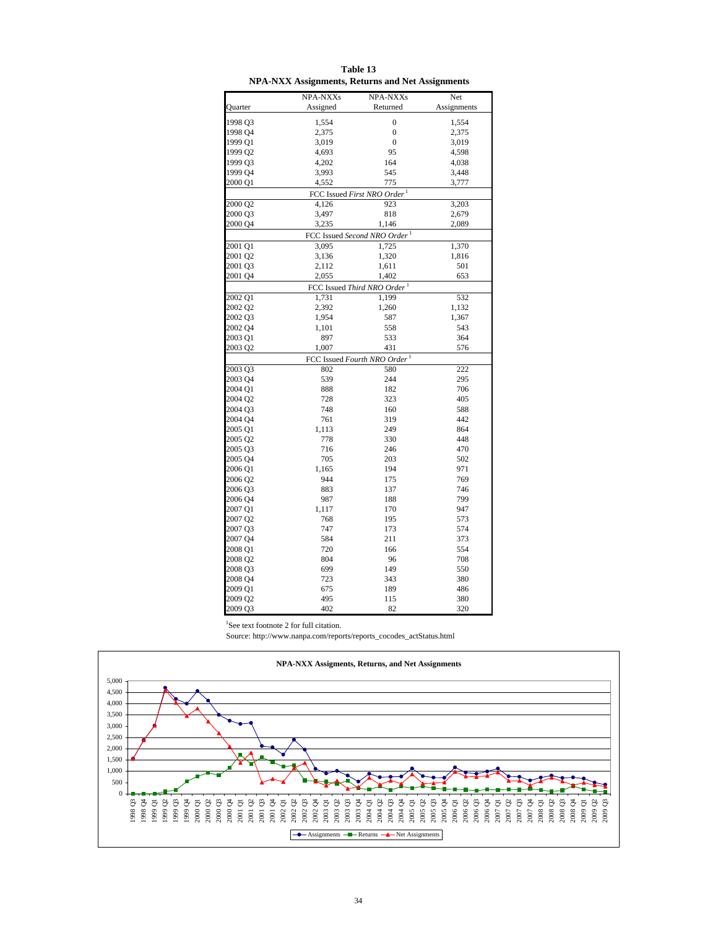| NPA-NXXs<br>Net<br>Assigned<br>Returned<br>Assignments<br>Ouarter<br>1998 Q3<br>1,554<br>$\overline{0}$<br>1,554<br>1998 Q4<br>2,375<br>$\boldsymbol{0}$<br>2,375<br>1999 Q1<br>$\boldsymbol{0}$<br>3,019<br>3,019<br>95<br>1999 Q2<br>4,693<br>4,598<br>1999 Q3<br>4,202<br>164<br>4,038<br>1999 Q4<br>3,993<br>545<br>3,448<br>2000 Q1<br>4,552<br>775<br>3,777<br>FCC Issued First NRO Order <sup>1</sup><br>923<br>2000 Q2<br>4,126<br>3,203<br>2000 Q3<br>3,497<br>818<br>2,679<br>2000 Q4<br>3,235<br>1,146<br>2,089<br>FCC Issued Second NRO Order <sup>1</sup> |
|------------------------------------------------------------------------------------------------------------------------------------------------------------------------------------------------------------------------------------------------------------------------------------------------------------------------------------------------------------------------------------------------------------------------------------------------------------------------------------------------------------------------------------------------------------------------|
|                                                                                                                                                                                                                                                                                                                                                                                                                                                                                                                                                                        |
|                                                                                                                                                                                                                                                                                                                                                                                                                                                                                                                                                                        |
|                                                                                                                                                                                                                                                                                                                                                                                                                                                                                                                                                                        |
|                                                                                                                                                                                                                                                                                                                                                                                                                                                                                                                                                                        |
|                                                                                                                                                                                                                                                                                                                                                                                                                                                                                                                                                                        |
|                                                                                                                                                                                                                                                                                                                                                                                                                                                                                                                                                                        |
|                                                                                                                                                                                                                                                                                                                                                                                                                                                                                                                                                                        |
|                                                                                                                                                                                                                                                                                                                                                                                                                                                                                                                                                                        |
|                                                                                                                                                                                                                                                                                                                                                                                                                                                                                                                                                                        |
|                                                                                                                                                                                                                                                                                                                                                                                                                                                                                                                                                                        |
|                                                                                                                                                                                                                                                                                                                                                                                                                                                                                                                                                                        |
|                                                                                                                                                                                                                                                                                                                                                                                                                                                                                                                                                                        |
|                                                                                                                                                                                                                                                                                                                                                                                                                                                                                                                                                                        |
| 1,725<br>1,370<br>2001 Q1<br>3,095                                                                                                                                                                                                                                                                                                                                                                                                                                                                                                                                     |
| 3,136<br>1,320<br>2001 Q2<br>1,816                                                                                                                                                                                                                                                                                                                                                                                                                                                                                                                                     |
| 2001 Q3<br>2,112<br>1,611<br>501                                                                                                                                                                                                                                                                                                                                                                                                                                                                                                                                       |
| 2001 Q4<br>2,055<br>1,402<br>653                                                                                                                                                                                                                                                                                                                                                                                                                                                                                                                                       |
| FCC Issued Third NRO Order <sup>1</sup>                                                                                                                                                                                                                                                                                                                                                                                                                                                                                                                                |
| 1,199<br>2002 Q1<br>1,731<br>532                                                                                                                                                                                                                                                                                                                                                                                                                                                                                                                                       |
| 2002 Q2<br>2,392<br>1,260<br>1,132                                                                                                                                                                                                                                                                                                                                                                                                                                                                                                                                     |
| 1,954<br>1,367<br>2002 Q3<br>587                                                                                                                                                                                                                                                                                                                                                                                                                                                                                                                                       |
| 2002 Q4<br>558<br>1,101<br>543                                                                                                                                                                                                                                                                                                                                                                                                                                                                                                                                         |
| 897<br>533<br>364<br>2003 Q1                                                                                                                                                                                                                                                                                                                                                                                                                                                                                                                                           |
| 2003 Q2<br>1,007<br>431<br>576                                                                                                                                                                                                                                                                                                                                                                                                                                                                                                                                         |
| FCC Issued Fourth NRO Order <sup>1</sup>                                                                                                                                                                                                                                                                                                                                                                                                                                                                                                                               |
| 2003 Q3<br>802<br>580<br>222                                                                                                                                                                                                                                                                                                                                                                                                                                                                                                                                           |
| 244<br>2003 Q4<br>539<br>295                                                                                                                                                                                                                                                                                                                                                                                                                                                                                                                                           |
| 2004 Q1<br>888<br>182<br>706                                                                                                                                                                                                                                                                                                                                                                                                                                                                                                                                           |
| 2004 Q2<br>323<br>405<br>728                                                                                                                                                                                                                                                                                                                                                                                                                                                                                                                                           |
| 2004 O3<br>748<br>160<br>588                                                                                                                                                                                                                                                                                                                                                                                                                                                                                                                                           |
| 319<br>442<br>2004 Q4<br>761                                                                                                                                                                                                                                                                                                                                                                                                                                                                                                                                           |
| 2005 Q1<br>1,113<br>249<br>864                                                                                                                                                                                                                                                                                                                                                                                                                                                                                                                                         |
| 2005 Q2<br>778<br>330<br>448                                                                                                                                                                                                                                                                                                                                                                                                                                                                                                                                           |
| 470<br>2005 Q3<br>716<br>246                                                                                                                                                                                                                                                                                                                                                                                                                                                                                                                                           |
| 2005 Q4<br>705<br>203<br>502                                                                                                                                                                                                                                                                                                                                                                                                                                                                                                                                           |
| 194<br>2006 Q1<br>1,165<br>971                                                                                                                                                                                                                                                                                                                                                                                                                                                                                                                                         |
| 2006 Q2<br>944<br>175<br>769                                                                                                                                                                                                                                                                                                                                                                                                                                                                                                                                           |
| 2006 Q3<br>883<br>137<br>746                                                                                                                                                                                                                                                                                                                                                                                                                                                                                                                                           |
| 2006 Q4<br>987<br>188<br>799                                                                                                                                                                                                                                                                                                                                                                                                                                                                                                                                           |
| 2007 Q1<br>1,117<br>170<br>947                                                                                                                                                                                                                                                                                                                                                                                                                                                                                                                                         |
| 2007 Q2<br>768<br>195<br>573                                                                                                                                                                                                                                                                                                                                                                                                                                                                                                                                           |
| 2007 Q3<br>747<br>173<br>574                                                                                                                                                                                                                                                                                                                                                                                                                                                                                                                                           |
| 211<br>2007 Q4<br>584<br>373<br>2008 Q1<br>720<br>166<br>554                                                                                                                                                                                                                                                                                                                                                                                                                                                                                                           |
| 804<br>96<br>708<br>2008 Q2                                                                                                                                                                                                                                                                                                                                                                                                                                                                                                                                            |
| 699<br>149<br>2008 Q3<br>550                                                                                                                                                                                                                                                                                                                                                                                                                                                                                                                                           |
| 2008 Q4<br>723<br>343<br>380                                                                                                                                                                                                                                                                                                                                                                                                                                                                                                                                           |
| 2009 Q1<br>675<br>189<br>486                                                                                                                                                                                                                                                                                                                                                                                                                                                                                                                                           |
| 495<br>2009 Q2<br>115<br>380                                                                                                                                                                                                                                                                                                                                                                                                                                                                                                                                           |
| 2009 Q3<br>402<br>320<br>82                                                                                                                                                                                                                                                                                                                                                                                                                                                                                                                                            |

| Table 13                                         |
|--------------------------------------------------|
| NPA-NXX Assignments, Returns and Net Assignments |

<sup>1</sup>See text footnote 2 for full citation.

Source: http://www.nanpa.com/reports/reports\_cocodes\_actStatus.html

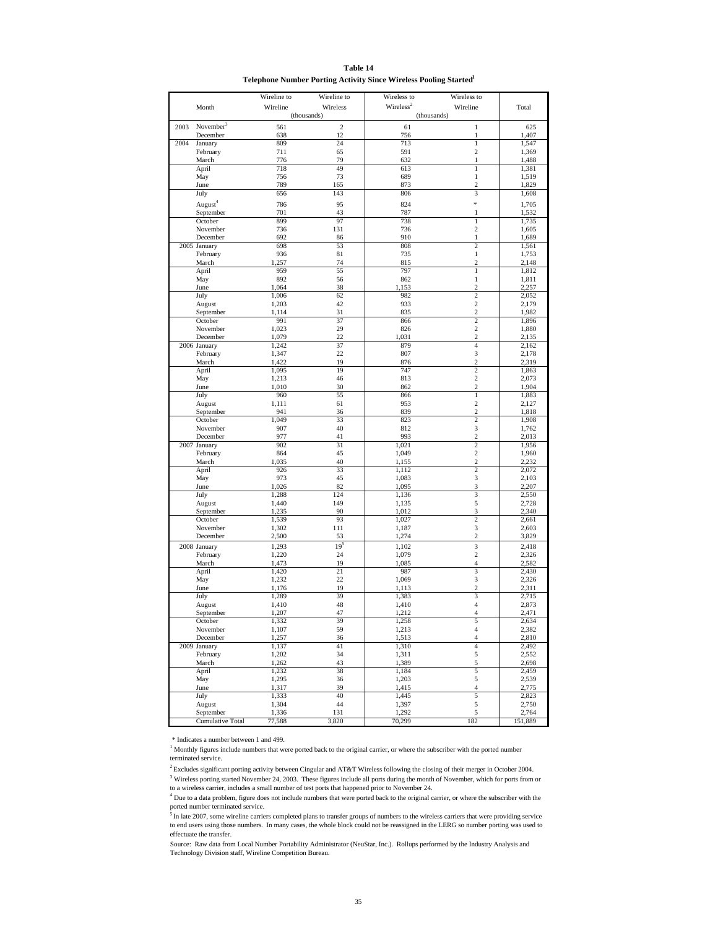|      |                       | Wireline to  | Wireline to    | Wireless to           | Wireless to             |                |
|------|-----------------------|--------------|----------------|-----------------------|-------------------------|----------------|
|      | Month                 | Wireline     | Wireless       | Wireless <sup>2</sup> | Wireline                | Total          |
|      |                       | (thousands)  |                | (thousands)           |                         |                |
| 2003 | November <sup>3</sup> | 561          | $\overline{c}$ | 61                    | $\mathbf{1}$            | 625            |
|      | December              | 638          | 12             | 756                   | 1                       | 1,407          |
| 2004 | January               | 809          | 24             | 713                   | $\overline{1}$          | 1,547          |
|      | February              | 711          | 65             | 591                   | $\overline{c}$          | 1,369          |
|      | March                 | 776          | 79             | 632                   | $\mathbf{1}$            | 1,488          |
|      | April                 | 718          | 49             | 613                   | $\overline{1}$          | 1,381          |
|      | May                   | 756          | 73             | 689                   | $\mathbf{1}$            | 1,519          |
|      | June                  | 789          | 165            | 873                   | $\overline{c}$          | 1,829          |
|      | July                  | 656          | 143            | 806                   | 3                       | 1,608          |
|      | August <sup>4</sup>   | 786          | 95             | 824                   | $\ast$                  | 1,705          |
|      | September             | 701          | 43             | 787                   | 1                       | 1,532          |
|      | October               | 899          | 97             | 738                   | 1                       | 1,735          |
|      | November              | 736          | 131            | 736                   | $\overline{c}$          | 1,605          |
|      | December              | 692          | 86             | 910                   | $\,1$                   | 1,689          |
|      | 2005 January          | 698          | 53             | 808                   | $\overline{2}$          | 1,561          |
|      | February              | 936          | 81             | 735                   | $\mathbf{1}$            | 1,753          |
|      | March                 | 1,257        | 74             | 815                   | 2                       | 2,148          |
|      | April                 | 959          | 55             | 797                   | $\mathbf{1}$            | 1,812          |
|      | May                   | 892          | 56             | 862                   | $\,1$                   | 1,811          |
|      | June                  | 1,064        | 38             | 1,153                 | $\overline{c}$          | 2,257          |
|      | July                  | 1,006        | 62             | 982                   | 2                       | 2,052          |
|      | August                | 1,203        | 42             | 933                   | $\,2$<br>$\overline{c}$ | 2,179          |
|      | September<br>October  | 1,114<br>991 | 31<br>37       | 835<br>866            | $\mathfrak{2}$          | 1,982<br>1,896 |
|      | November              | 1,023        | 29             | 826                   | $\overline{c}$          | 1,880          |
|      | December              | 1.079        | 22             | 1,031                 | $\overline{c}$          | 2,135          |
|      | 2006 January          | 1,242        | 37             | 879                   | 4                       | 2,162          |
|      | February              | 1,347        | 22             | 807                   | 3                       | 2,178          |
|      | March                 | 1,422        | 19             | 876                   | $\overline{c}$          | 2,319          |
|      | April                 | 1,095        | 19             | 747                   | $\overline{2}$          | 1,863          |
|      | May                   | 1,213        | 46             | 813                   | $\overline{c}$          | 2,073          |
|      | June                  | 1,010        | 30             | 862                   | $\overline{c}$          | 1.904          |
|      | July                  | 960          | 55             | 866                   | 1                       | 1,883          |
|      | August                | 1,111        | 61             | 953                   | $\overline{c}$          | 2,127          |
|      | September             | 941          | 36             | 839                   | 2                       | 1,818          |
|      | October               | 1,049        | 33             | 823                   | 2                       | 1.908          |
|      | November              | 907          | 40             | 812                   | 3                       | 1,762          |
|      | December              | 977          | 41             | 993                   | $\overline{c}$          | 2,013          |
|      | 2007 January          | 902          | 31             | 1,021                 | 2                       | 1,956          |
|      | February              | 864          | 45             | 1,049                 | $\,2$                   | 1,960          |
|      | March                 | 1,035        | 40             | 1,155                 | $\,2$                   | 2,232          |
|      | April                 | 926          | 33             | 1,112                 | 2<br>3                  | 2,072          |
|      | May<br>June           | 973<br>1,026 | 45<br>82       | 1,083<br>1,095        | 3                       | 2,103          |
|      | July                  | 1,288        | 124            | 1,136                 | 3                       | 2,207<br>2,550 |
|      | August                | 1,440        | 149            | 1,135                 | 5                       | 2,728          |
|      | September             | 1,235        | 90             | 1,012                 | 3                       | 2,340          |
|      | October               | 1,539        | 93             | 1,027                 | $\overline{2}$          | 2,661          |
|      | November              | 1,302        | 111            | 1,187                 | 3                       | 2,603          |
|      | December              | 2,500        | 53             | 1,274                 | $\overline{c}$          | 3,829          |
|      | 2008 January          | 1,293        | $19^5$         | 1,102                 | 3                       | 2,418          |
|      | February              | 1,220        | 24             | 1,079                 | $\overline{c}$          | 2,326          |
|      | March                 | 1,473        | 19             | 1,085                 | $\overline{4}$          | 2,582          |
|      | April                 | 1,420        | 21             | 987                   | 3                       | 2,430          |
|      | May                   | 1,232        | 22             | 1,069                 | 3                       | 2,326          |
|      | June                  | 1,176        | 19             | 1,113                 | $\overline{\mathbf{c}}$ | 2,311          |
|      | July                  | 1,289        | 39             | 1,383                 | 3                       | 2,715          |
|      | August                | 1,410        | 48             | 1,410                 | 4                       | 2,873          |
|      | September             | 1,207        | 47             | 1,212                 | 4                       | 2,471          |
|      | October               | 1,332        | 39             | 1,258                 | 5                       | 2,634          |
|      | November              | 1,107        | 59             | 1,213                 | $\overline{4}$          | 2,382          |
|      | December              | 1,257        | 36             | 1,513                 | $\overline{4}$          | 2,810          |
|      | 2009 January          | 1,137        | 41             | 1,310                 | 4                       | 2,492          |
|      | February              | 1,202        | 34             | 1,311                 | 5                       | 2,552          |
|      | March                 | 1.262        | 43             | 1,389                 | 5                       | 2,698          |
|      | April                 | 1,232        | 38             | 1,184                 | 5                       | 2,459          |
|      | May                   | 1,295        | 36             | 1,203                 | 5                       | 2,539          |
|      | June                  | 1,317        | 39             | 1,415                 | $\overline{4}$          | 2,775          |
|      | July                  | 1,333        | 40             | 1,445                 | 5                       | 2,823          |
|      | August                | 1,304        | 44             | 1,397                 | 5                       | 2,750          |
|      | September             | 1,336        | 131            | 1,292<br>70,299       | 5<br>182                | 2,764          |
|      | Cumulative Total      | 77,588       | 3,820          |                       |                         | 151,889        |

**Table 14 Telephone Number Porting Activity Since Wireless Pooling Started1**

\* Indicates a number between 1 and 499.

<sup>1</sup> Monthly figures include numbers that were ported back to the original carrier, or where the subscriber with the ported number terminated service.

<sup>3</sup> Wireless porting started November 24, 2003. These figures include all ports during the month of November, which for ports from or  $^2$  Excludes significant porting activity between Cingular and AT&T Wireless following the closing of their merger in October 2004.

to a wireless carrier, includes a small number of test ports that happened prior to November 24.

 $<sup>4</sup>$  Due to a data problem, figure does not include numbers that were ported back to the original carrier, or where the subscriber with the</sup> ported number terminated service.

<sup>5</sup> In late 2007, some wireline carriers completed plans to transfer groups of numbers to the wireless carriers that were providing service to end users using those numbers. In many cases, the whole block could not be reassigned in the LERG so number porting was used to effectuate the transfer.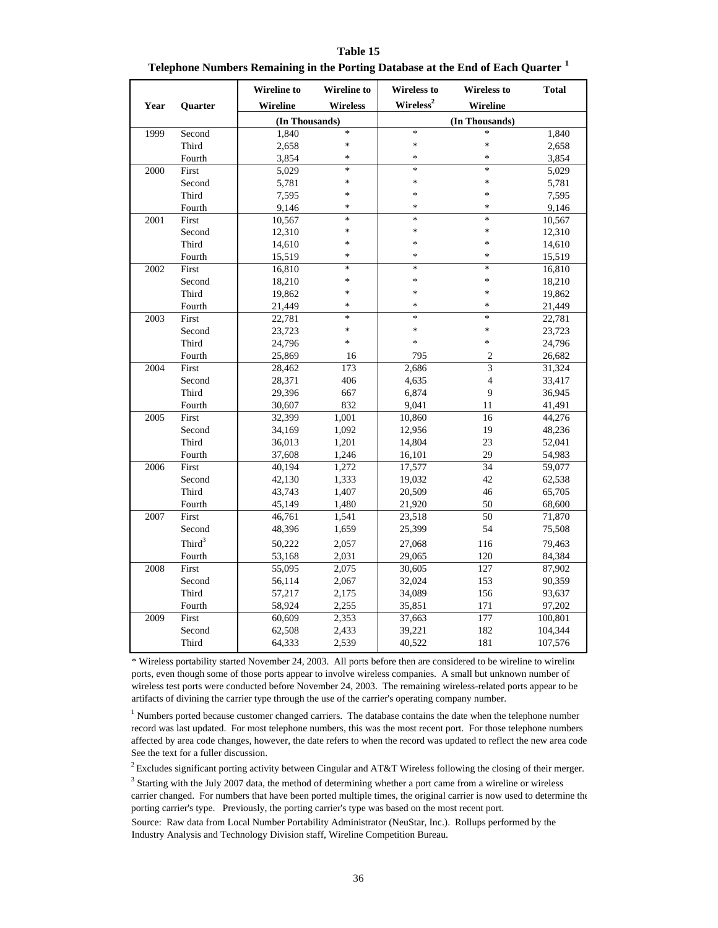|      |                    | <b>Wireline to</b> | <b>Wireline to</b> | <b>Wireless to</b>    | <b>Wireless to</b> | <b>Total</b> |
|------|--------------------|--------------------|--------------------|-----------------------|--------------------|--------------|
| Year | <b>Quarter</b>     | <b>Wireline</b>    | <b>Wireless</b>    | Wireless <sup>2</sup> | Wireline           |              |
|      |                    | (In Thousands)     |                    |                       | (In Thousands)     |              |
| 1999 | Second             | 1,840              | $\ast$             | $\ast$                | ×                  | 1,840        |
|      | Third              | 2,658              | *                  | $\ast$                | $\ast$             | 2,658        |
|      | Fourth             | 3.854              | *                  | $\ast$                | $\ast$             | 3,854        |
| 2000 | First              | 5,029              | $\ast$             | $\ast$                | $\ast$             | 5,029        |
|      | Second             | 5,781              | *                  | *                     | *                  | 5,781        |
|      | Third              | 7,595              | *                  | *                     | *                  | 7,595        |
|      | Fourth             | 9.146              | *.                 | $\ast$                | $\ast$             | 9,146        |
| 2001 | First              | 10,567             | $\ast$             | *                     | $\ast$             | 10,567       |
|      | Second             | 12,310             | $\ast$             | *                     | *                  | 12,310       |
|      | Third              | 14,610             | *                  | $\ast$                | $\ast$             | 14,610       |
|      | Fourth             | 15,519             | *                  | *                     | $\ast$             | 15,519       |
| 2002 | First              | 16,810             | $\ast$             | *                     | $\ast$             | 16,810       |
|      | Second             | 18,210             | $\ast$             | *                     | $\ast$             | 18,210       |
|      | Third              | 19,862             | $\ast$             | $\ast$                | $\ast$             | 19,862       |
|      | Fourth             | 21,449             | $\ast$             | $\ast$                | $\ast$             | 21,449       |
| 2003 | First              | 22,781             | $\ast$             | $\ast$                | $\ast$             | 22,781       |
|      | Second             | 23.723             | *                  | $\ast$                | $\ast$             | 23,723       |
|      | Third              | 24,796             | $\ast$             | $\ast$                | *                  | 24,796       |
|      | Fourth             | 25,869             | 16                 | 795                   | $\overline{c}$     | 26,682       |
| 2004 | First              | 28,462             | 173                | 2,686                 | 3                  | 31,324       |
|      | Second             | 28,371             | 406                | 4,635                 | $\overline{4}$     | 33,417       |
|      | Third              | 29,396             | 667                | 6,874                 | 9                  | 36,945       |
|      | Fourth             | 30,607             | 832                | 9,041                 | 11                 | 41,491       |
| 2005 | First              | 32.399             | 1.001              | 10.860                | 16                 | 44.276       |
|      | Second             | 34,169             | 1,092              | 12,956                | 19                 | 48,236       |
|      | Third              | 36,013             | 1,201              | 14,804                | 23                 | 52,041       |
|      | Fourth             | 37,608             | 1,246              | 16,101                | 29                 | 54,983       |
| 2006 | First              | 40,194             | 1,272              | 17,577                | 34                 | 59,077       |
|      | Second             | 42,130             | 1,333              | 19,032                | 42                 | 62,538       |
|      | Third              | 43.743             | 1,407              | 20.509                | 46                 | 65,705       |
|      | Fourth             | 45,149             | 1,480              | 21,920                | 50                 | 68,600       |
| 2007 | First              | 46,761             | 1,541              | 23,518                | 50                 | 71,870       |
|      | Second             | 48,396             | 1,659              | 25,399                | 54                 | 75,508       |
|      | Third <sup>3</sup> | 50,222             | 2,057              | 27,068                | 116                | 79,463       |
|      | Fourth             | 53,168             | 2,031              | 29,065                | 120                | 84,384       |
| 2008 | First              | 55,095             | 2,075              | 30,605                | 127                | 87,902       |
|      | Second             | 56,114             | 2,067              | 32,024                | 153                | 90,359       |
|      | Third              | 57,217             | 2,175              | 34,089                | 156                | 93,637       |
|      | Fourth             | 58,924             | 2,255              | 35,851                | 171                | 97,202       |
| 2009 | First              | 60,609             | 2,353              | 37,663                | 177                | 100,801      |
|      | Second             | 62,508             | 2,433              | 39,221                | 182                | 104,344      |
|      | Third              | 64,333             | 2,539              | 40,522                | 181                | 107,576      |

#### **Table 15 Telephone Numbers Remaining in the Porting Database at the End of Each Quarter <sup>1</sup>**

\* Wireless portability started November 24, 2003. All ports before then are considered to be wireline to wireline ports, even though some of those ports appear to involve wireless companies. A small but unknown number of wireless test ports were conducted before November 24, 2003. The remaining wireless-related ports appear to be artifacts of divining the carrier type through the use of the carrier's operating company number.

<sup>1</sup> Numbers ported because customer changed carriers. The database contains the date when the telephone number record was last updated. For most telephone numbers, this was the most recent port. For those telephone numbers affected by area code changes, however, the date refers to when the record was updated to reflect the new area code See the text for a fuller discussion.

2 Excludes significant porting activity between Cingular and AT&T Wireless following the closing of their merger.

 $3$  Starting with the July 2007 data, the method of determining whether a port came from a wireline or wireless carrier changed. For numbers that have been ported multiple times, the original carrier is now used to determine the porting carrier's type. Previously, the porting carrier's type was based on the most recent port.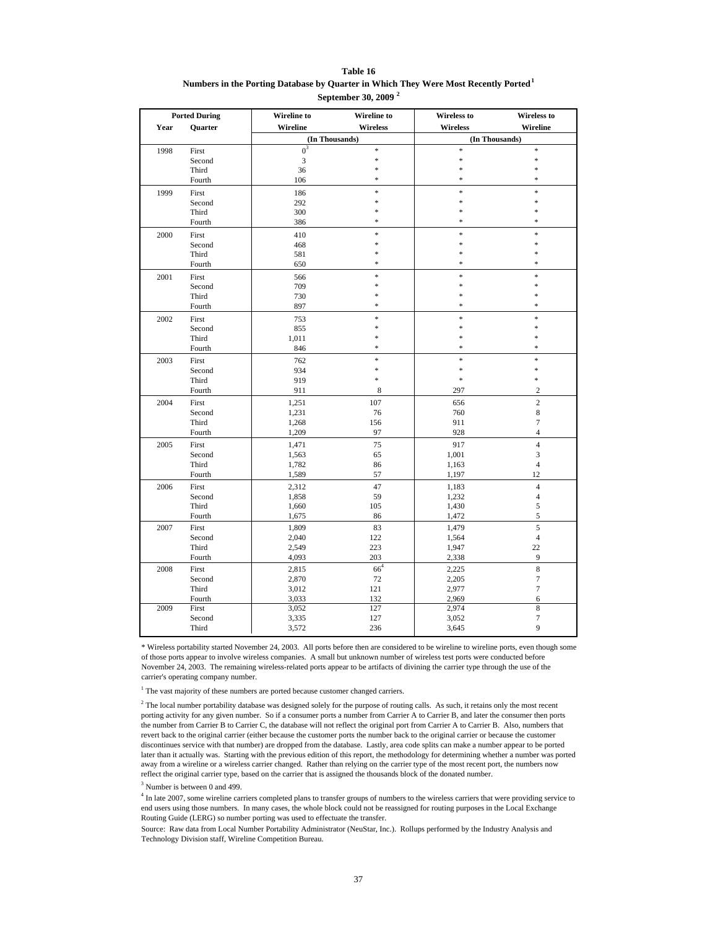**Table 16 Numbers in the Porting Database by Quarter in Which They Were Most Recently Ported<sup>1</sup> September 30, 2009 <sup>2</sup>**

| <b>Ported During</b> |                 | <b>Wireline to</b> | <b>Wireline to</b> | <b>Wireless to</b> | <b>Wireless to</b> |
|----------------------|-----------------|--------------------|--------------------|--------------------|--------------------|
| Year                 | Quarter         | Wireline           | Wireless           | Wireless           | Wireline           |
|                      |                 |                    | (In Thousands)     |                    | (In Thousands)     |
| 1998                 | First           | $0^3$              | *                  | *                  | *                  |
|                      | Second          | 3                  | $\ast$             | *                  | *                  |
|                      | Third           | 36                 | $\ast$             | *                  | *                  |
|                      | Fourth          | 106                | $\ast$             | *                  | *                  |
| 1999                 | First           | 186                | *                  | *                  | *                  |
|                      | Second          | 292                | *                  | *                  | *                  |
|                      | Third           | 300                | $\ast$             | *                  | *                  |
|                      | Fourth          | 386                | *                  | $\ast$             | *                  |
| 2000                 | First           | 410                | *                  | *                  | *                  |
|                      | Second          | 468                | $\ast$             | ∗                  | ∗                  |
|                      | Third           | 581                | $\ast$             | *                  | *                  |
|                      | Fourth          | 650                | *                  | $\ast$             | *                  |
| 2001                 | First           | 566                | *                  | *                  | *                  |
|                      | Second          | 709                | $\ast$             | ∗                  | ∗                  |
|                      | Third           | 730                | *                  | *                  | *                  |
|                      | Fourth          | 897                | *                  | $\ast$             | *                  |
| 2002                 | First           | 753                | *                  | *                  | *                  |
|                      | Second          | 855                | $\ast$             | *                  | *                  |
|                      | Third           | 1,011              | *                  | *                  | *                  |
|                      | Fourth          | 846                | $\ast$             | *                  | *                  |
| 2003                 | First           | 762                | $\ast$             | *                  | *                  |
|                      | Second          | 934                | $\ast$             | $\ast$             | *                  |
|                      | Third           | 919                | *                  | $\ast$             | *                  |
|                      | Fourth          | 911                | 8                  | 297                | $\overline{2}$     |
| 2004                 | First           | 1,251              | 107                | 656                | $\overline{c}$     |
|                      | Second          | 1,231              | 76                 | 760                | 8                  |
|                      | Third           | 1,268              | 156                | 911                | $\tau$             |
|                      | Fourth          | 1,209              | 97                 | 928                | $\overline{4}$     |
| 2005                 | First           | 1,471              | 75                 | 917                | $\overline{4}$     |
|                      | Second          | 1,563              | 65                 | 1,001              | 3                  |
|                      | Third           | 1,782              | 86                 | 1,163              | $\overline{4}$     |
|                      | Fourth          | 1,589              | 57                 | 1,197              | 12                 |
| 2006                 | First           | 2,312              | 47                 | 1,183              | $\overline{4}$     |
|                      | Second          | 1,858              | 59                 | 1,232              | $\sqrt{4}$         |
|                      | Third           | 1,660              | 105                | 1,430              | $\sqrt{5}$         |
|                      | Fourth          | 1,675              | 86                 | 1,472              | 5                  |
| 2007                 | First           | 1,809              | 83                 | 1,479              | 5                  |
|                      | Second<br>Third | 2,040<br>2,549     | 122<br>223         | 1,564<br>1,947     | $\sqrt{4}$<br>22   |
|                      | Fourth          | 4,093              | 203                | 2,338              | 9                  |
| 2008                 | First           |                    | 66 <sup>4</sup>    |                    | $\,$ 8 $\,$        |
|                      | Second          | 2,815              | 72                 | 2,225              | $\tau$             |
|                      | Third           | 2,870<br>3,012     | 121                | 2,205<br>2,977     | $\tau$             |
|                      | Fourth          | 3,033              | 132                | 2,969              | 6                  |
| 2009                 | First           | 3,052              | 127                | 2,974              | $\,$ 8 $\,$        |
|                      | Second          | 3,335              | 127                | 3,052              | $\tau$             |
|                      | Third           | 3,572              | 236                | 3,645              | $\mathbf{Q}$       |

\* Wireless portability started November 24, 2003. All ports before then are considered to be wireline to wireline ports, even though some of those ports appear to involve wireless companies. A small but unknown number of wireless test ports were conducted before November 24, 2003. The remaining wireless-related ports appear to be artifacts of divining the carrier type through the use of the carrier's operating company number.

<sup>1</sup> The vast majority of these numbers are ported because customer changed carriers.

 $<sup>2</sup>$  The local number portability database was designed solely for the purpose of routing calls. As such, it retains only the most recent</sup> porting activity for any given number. So if a consumer ports a number from Carrier A to Carrier B, and later the consumer then ports the number from Carrier B to Carrier C, the database will not reflect the original port from Carrier A to Carrier B. Also, numbers that revert back to the original carrier (either because the customer ports the number back to the original carrier or because the customer discontinues service with that number) are dropped from the database. Lastly, area code splits can make a number appear to be ported later than it actually was. Starting with the previous edition of this report, the methodology for determining whether a number was ported away from a wireline or a wireless carrier changed. Rather than relying on the carrier type of the most recent port, the numbers now reflect the original carrier type, based on the carrier that is assigned the thousands block of the donated number.

<sup>3</sup> Number is between 0 and 499.

<sup>4</sup> In late 2007, some wireline carriers completed plans to transfer groups of numbers to the wireless carriers that were providing service to end users using those numbers. In many cases, the whole block could not be reassigned for routing purposes in the Local Exchange Routing Guide (LERG) so number porting was used to effectuate the transfer.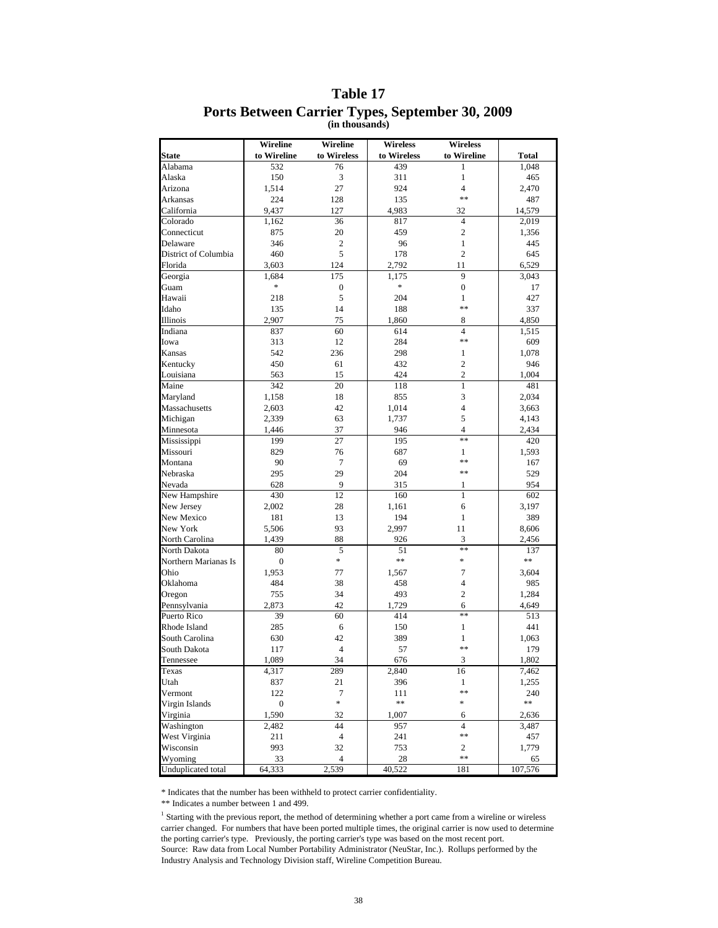#### **Table 17**

# **Ports Between Carrier Types, September 30, 2009**

|                      | Wireline         | Wireline                 | <b>Wireless</b> | <b>Wireless</b>  |              |
|----------------------|------------------|--------------------------|-----------------|------------------|--------------|
| <b>State</b>         | to Wireline      | to Wireless              | to Wireless     | to Wireline      | <b>Total</b> |
| Alabama              | 532              | 76                       | 439             | 1                | 1,048        |
| Alaska               | 150              | 3                        | 311             | 1                | 465          |
| Arizona              | 1,514            | 27                       | 924             | $\overline{4}$   | 2,470        |
| <b>Arkansas</b>      | 224              | 128                      | 135             | **               | 487          |
| California           | 9,437            | 127                      | 4.983           | 32               | 14,579       |
| Colorado             | 1,162            | 36                       | 817             | $\overline{4}$   | 2,019        |
| Connecticut          | 875              | 20                       | 459             | $\mathbf{2}$     | 1,356        |
| Delaware             | 346              | $\overline{c}$           | 96              | 1                | 445          |
| District of Columbia | 460              | 5                        | 178             | $\mathbf{2}$     | 645          |
| Florida              | 3,603            | 124                      | 2,792           | 11               | 6,529        |
| Georgia              | 1,684            | 175                      | 1,175           | 9                | 3,043        |
| Guam                 | *                | $\boldsymbol{0}$         | *               | $\boldsymbol{0}$ | 17           |
| Hawaii               | 218              | 5                        | 204             | 1                | 427          |
| Idaho                | 135              | 14                       | 188             | **               | 337          |
| Illinois             | 2,907            | 75                       | 1,860           | 8                | 4,850        |
| Indiana              | 837              | 60                       | 614             | $\overline{4}$   | 1,515        |
| Iowa                 | 313              | 12                       | 284             | **               | 609          |
|                      | 542              | 236                      | 298             |                  |              |
| Kansas               |                  |                          |                 | 1                | 1,078        |
| Kentucky             | 450              | 61                       | 432             | $\mathbf{2}$     | 946          |
| Louisiana            | 563              | 15                       | 424             | $\overline{c}$   | 1,004        |
| Maine                | 342              | 20                       | 118             | $\mathbf{1}$     | 481          |
| Maryland             | 1,158            | 18                       | 855             | 3                | 2,034        |
| Massachusetts        | 2,603            | 42                       | 1,014           | $\overline{4}$   | 3,663        |
| Michigan             | 2,339            | 63                       | 1,737           | 5                | 4,143        |
| Minnesota            | 1,446            | 37                       | 946             | $\overline{4}$   | 2,434        |
| Mississippi          | 199              | 27                       | 195             | **               | 420          |
| Missouri             | 829              | 76                       | 687             | 1                | 1,593        |
| Montana              | 90               | 7                        | 69              | **               | 167          |
| Nebraska             | 295              | 29                       | 204             | $**$             | 529          |
| Nevada               | 628              | 9                        | 315             | 1                | 954          |
| New Hampshire        | 430              | 12                       | 160             | $\mathbf{1}$     | 602          |
| New Jersey           | 2,002            | 28                       | 1,161           | 6                | 3,197        |
| New Mexico           | 181              | 13                       | 194             | 1                | 389          |
| New York             | 5,506            | 93                       | 2,997           | 11               | 8,606        |
| North Carolina       | 1,439            | 88                       | 926             | 3                | 2,456        |
| North Dakota         | 80               | 5                        | 51              | **               | 137          |
| Northern Marianas Is | $\boldsymbol{0}$ | *                        | **              | $\ast$           | $**$         |
| Ohio                 | 1,953            | 77                       | 1,567           | 7                | 3,604        |
| Oklahoma             | 484              | 38                       | 458             | 4                | 985          |
| Oregon               | 755              | 34                       | 493             | $\mathbf{2}$     | 1,284        |
| Pennsylvania         | 2,873            | 42                       | 1,729           | 6                | 4,649        |
| Puerto Rico          | 39               | 60                       | 414             | **               | 513          |
| Rhode Island         | 285              | 6                        | 150             | 1                | 441          |
| South Carolina       | 630              | 42                       | 389             | 1                | 1,063        |
| South Dakota         | 117              | 4                        | 57              | **               | 179          |
| Tennessee            | 1,089            | 34                       | 676             | 3                | 1,802        |
| Texas                | 4,317            | 289                      | 2,840           | 16               | 7,462        |
| Utah                 | 837              | 21                       | 396             | 1                | 1,255        |
| Vermont              | 122              | $\tau$                   | 111             | **               | 240          |
| Virgin Islands       | $\boldsymbol{0}$ | *                        | $***$           | *                | $\ast\ast$   |
| Virginia             | 1,590            | 32                       | 1,007           | 6                | 2,636        |
| Washington           | 2,482            | 44                       | 957             | $\overline{4}$   | 3,487        |
| West Virginia        | 211              | $\overline{\mathcal{L}}$ | 241             | **               | 457          |
| Wisconsin            | 993              | 32                       | 753             | 2                | 1,779        |
| Wyoming              | 33               | 4                        | 28              | **               | 65           |
| Unduplicated total   | 64,333           | 2,539                    | 40,522          | 181              | 107,576      |

**(in thousands)**

\* Indicates that the number has been withheld to protect carrier confidentiality.

\*\* Indicates a number between 1 and 499.

Source: Raw data from Local Number Portability Administrator (NeuStar, Inc.). Rollups performed by the Industry Analysis and Technology Division staff, Wireline Competition Bureau. <sup>1</sup> Starting with the previous report, the method of determining whether a port came from a wireline or wireless carrier changed. For numbers that have been ported multiple times, the original carrier is now used to determine the porting carrier's type. Previously, the porting carrier's type was based on the most recent port.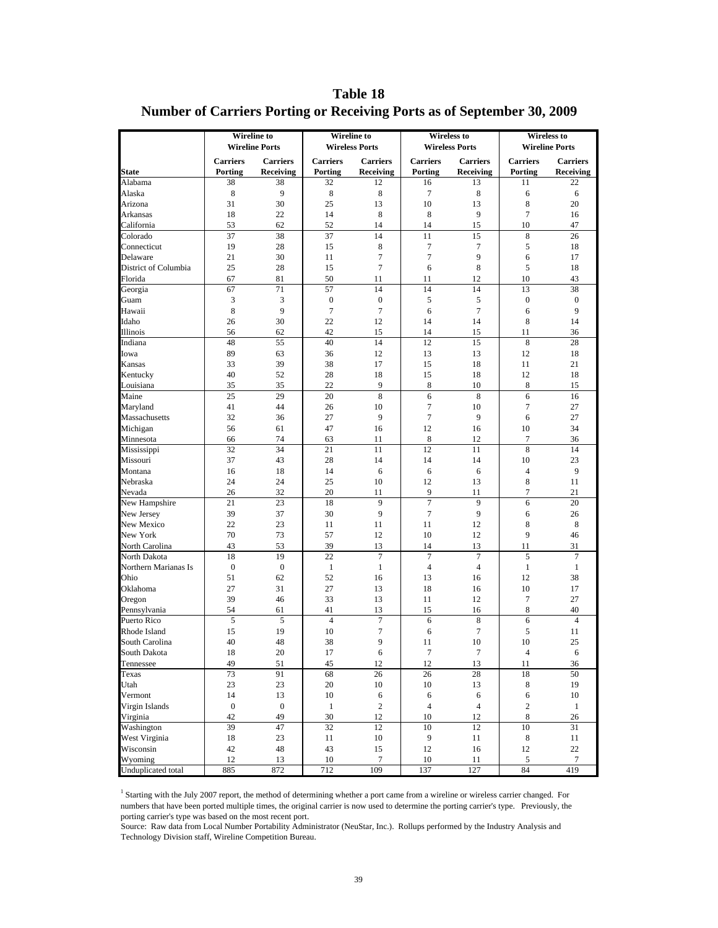|                                 | <b>Wireline to</b> |                              |                      | <b>Wireline to</b>    |                 | <b>Wireless to</b>    |                  | <b>Wireless to</b>           |
|---------------------------------|--------------------|------------------------------|----------------------|-----------------------|-----------------|-----------------------|------------------|------------------------------|
|                                 |                    | <b>Wireline Ports</b>        |                      | <b>Wireless Ports</b> |                 | <b>Wireless Ports</b> |                  | <b>Wireline Ports</b>        |
|                                 | <b>Carriers</b>    |                              | <b>Carriers</b>      | <b>Carriers</b>       | <b>Carriers</b> | <b>Carriers</b>       | <b>Carriers</b>  |                              |
| <b>State</b>                    | Porting            | <b>Carriers</b><br>Receiving | Porting              | Receiving             | Porting         | Receiving             | Porting          | <b>Carriers</b><br>Receiving |
| Alabama                         | 38                 | 38                           | 32                   | 12                    | 16              | 13                    | 11               | 22                           |
| Alaska                          | 8                  | 9                            | $\,$ 8 $\,$          | $\,$ 8 $\,$           | $\tau$          | 8                     | 6                | 6                            |
| Arizona                         | 31                 | 30                           | 25                   | 13                    | 10              | 13                    | 8                | 20                           |
| Arkansas                        | 18                 | 22                           | 14                   | 8                     | 8               | 9                     | $\overline{7}$   | 16                           |
| California                      | 53                 | 62                           | 52                   | 14                    | 14              | 15                    | 10               | 47                           |
| Colorado                        | 37                 | 38                           | 37                   | 14                    | 11              | 15                    | 8                | 26                           |
| Connecticut                     | 19                 | 28                           | 15                   | 8                     | $\tau$          | $\tau$                | 5                | 18                           |
| Delaware                        | 21                 | 30                           | 11                   | $\overline{7}$        | $\overline{7}$  | 9                     | 6                | 17                           |
|                                 | 25                 | 28                           |                      | $\overline{7}$        |                 |                       | 5                |                              |
| District of Columbia<br>Florida | 67                 | 81                           | 15<br>50             | 11                    | 6<br>11         | 8<br>12               | 10               | 18<br>43                     |
|                                 | 67                 | 71                           | 57                   | 14                    | 14              | $\overline{14}$       | 13               | 38                           |
| Georgia                         |                    |                              |                      |                       |                 |                       |                  |                              |
| Guam                            | 3                  | 3<br>9                       | $\boldsymbol{0}$     | $\mathbf{0}$          | 5               | 5                     | $\boldsymbol{0}$ | $\boldsymbol{0}$<br>9        |
| Hawaii                          | 8                  |                              | $\overline{7}$<br>22 | $\tau$                | 6               | $\overline{7}$        | 6<br>8           |                              |
| Idaho                           | 26                 | 30                           |                      | 12                    | 14              | 14                    |                  | 14                           |
| Illinois                        | 56<br>48           | 62                           | 42<br>40             | 15<br>14              | 14<br>12        | 15                    | 11               | 36                           |
| Indiana                         |                    | 55                           |                      |                       |                 | 15                    | 8                | 28                           |
| Iowa                            | 89                 | 63                           | 36                   | 12                    | 13              | 13                    | 12               | 18                           |
| Kansas                          | 33                 | 39                           | 38                   | 17                    | 15              | 18                    | 11               | 21                           |
| Kentucky                        | 40                 | 52                           | 28                   | 18                    | 15              | 18                    | 12               | 18                           |
| Louisiana                       | 35                 | 35                           | 22                   | 9                     | 8               | 10                    | 8                | 15                           |
| Maine                           | 25                 | 29                           | 20                   | 8                     | 6               | 8                     | 6                | 16                           |
| Maryland                        | 41                 | 44                           | 26                   | 10                    | $\overline{7}$  | 10                    | $\overline{7}$   | 27                           |
| Massachusetts                   | 32                 | 36                           | 27                   | 9                     | $\tau$          | 9                     | 6                | 27                           |
| Michigan                        | 56                 | 61                           | 47                   | 16                    | 12              | 16                    | 10               | 34                           |
| Minnesota                       | 66                 | 74                           | 63                   | 11                    | 8               | 12                    | $\tau$           | 36                           |
| Mississippi                     | 32                 | 34                           | 21                   | 11                    | 12              | 11                    | 8                | 14                           |
| Missouri                        | 37                 | 43                           | 28                   | 14                    | 14              | 14                    | 10               | 23                           |
| Montana                         | 16                 | 18                           | 14                   | 6                     | 6               | 6                     | $\overline{4}$   | 9                            |
| Nebraska                        | 24                 | 24                           | 25                   | 10                    | 12              | 13                    | 8                | 11                           |
| Nevada                          | 26                 | 32                           | 20                   | 11                    | 9               | 11                    | $\overline{7}$   | 21                           |
| New Hampshire                   | 21                 | 23                           | 18                   | 9                     | $\overline{7}$  | 9                     | 6                | 20                           |
| New Jersey                      | 39                 | 37                           | 30                   | 9                     | $\overline{7}$  | 9                     | 6                | 26                           |
| New Mexico                      | 22                 | 23                           | 11                   | 11                    | 11              | 12                    | 8                | 8                            |
| New York                        | 70                 | 73                           | 57                   | 12                    | 10              | 12                    | 9                | 46                           |
| North Carolina                  | 43                 | 53                           | 39                   | 13                    | 14              | 13                    | 11               | 31                           |
| North Dakota                    | 18                 | 19                           | 22                   | $\overline{7}$        | $\overline{7}$  | $\overline{7}$        | 5                | $\overline{7}$               |
| Northern Marianas Is            | $\boldsymbol{0}$   | $\mathbf{0}$                 | $\mathbf{1}$         | $\mathbf{1}$          | $\overline{4}$  | 4                     | $\mathbf{1}$     | $\mathbf{1}$                 |
| Ohio                            | 51                 | 62                           | 52                   | 16                    | 13              | 16                    | 12               | 38                           |
| Oklahoma                        | 27                 | 31                           | 27                   | 13                    | 18              | 16                    | 10               | 17                           |
| Oregon                          | 39                 | 46                           | 33                   | 13                    | 11              | 12                    | $\overline{7}$   | 27                           |
| Pennsylvania                    | 54                 | 61                           | 41                   | 13                    | 15              | 16                    | 8                | 40                           |
| Puerto Rico                     | 5                  | 5                            | $\overline{4}$       | $\overline{7}$        | 6               | 8                     | 6                | $\overline{4}$               |
| Rhode Island                    | 15                 | 19                           | 10                   | $\overline{7}$        | 6               | $\overline{7}$        | 5                | 11                           |
| South Carolina                  | 40                 | 48                           | 38                   | 9                     | 11              | 10                    | 10               | 25                           |
| South Dakota                    | 18                 | 20                           | 17                   | 6                     | $\overline{7}$  | $\tau$                | $\overline{4}$   | 6                            |
| Tennessee                       | 49                 | 51                           | 45                   | 12                    | 12              | 13                    | 11               | 36                           |

**Table 18 Number of Carriers Porting or Receiving Ports as of September 30, 2009**

<sup>1</sup> Starting with the July 2007 report, the method of determining whether a port came from a wireline or wireless carrier changed. For numbers that have been ported multiple times, the original carrier is now used to determine the porting carrier's type. Previously, the porting carrier's type was based on the most recent port.

Texas 73 91 68 26 26 28 18 50 Utah (23 23 20 10 10 13 8 19 Vermont 14 13 10 6 6 6 6 10 Virgin Islands 0 0 1 2 4 4 2 1 Virginia 12 42 49 30 12 10 12 8 26 Washington 39 47 32 12 10 12 10 31 West Virginia 18 23 11 10 9 11 8 11<br>Wisconsin 42 48 43 15 12 16 12 22 Wisconsin 12 42 48 43 15 12 16 12 22 Wyoming 12 13 10 7 10 11 5 7 Unduplicated total 885 872 712 109 137 127 84 419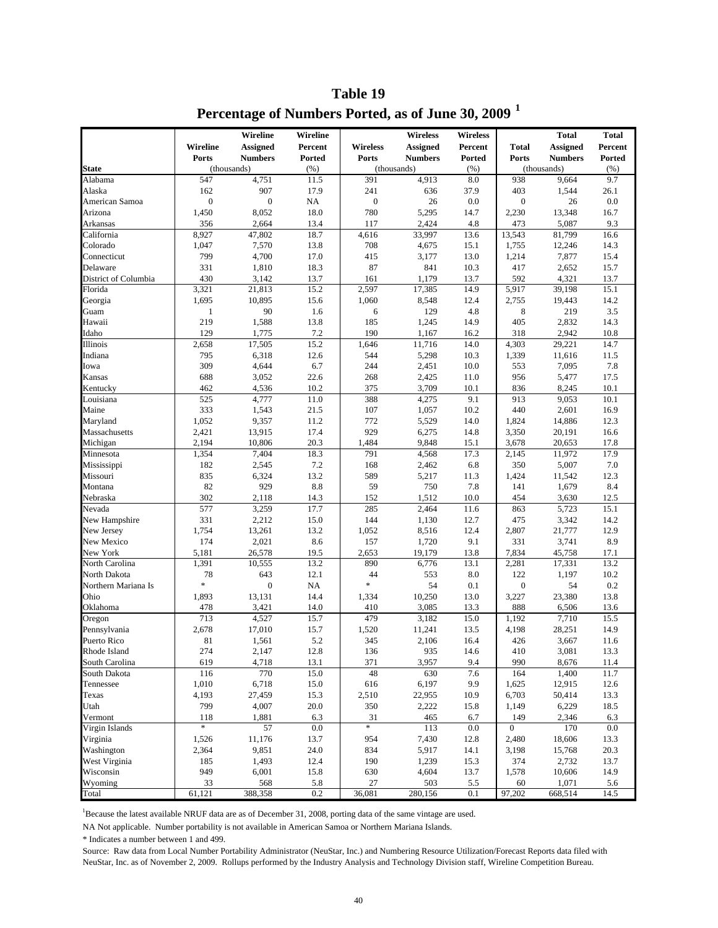|                      |                  | Wireline         | Wireline |                  | <b>Wireless</b> | <b>Wireless</b> |                  | <b>Total</b>    | <b>Total</b> |
|----------------------|------------------|------------------|----------|------------------|-----------------|-----------------|------------------|-----------------|--------------|
|                      | Wireline         | <b>Assigned</b>  | Percent  | <b>Wireless</b>  | <b>Assigned</b> | Percent         | <b>Total</b>     | <b>Assigned</b> | Percent      |
|                      | Ports            | <b>Numbers</b>   | Ported   | Ports            | <b>Numbers</b>  | Ported          | Ports            | <b>Numbers</b>  | Ported       |
| <b>State</b>         |                  | (thousands)      | (%)      |                  | (thousands)     | (%)             |                  | (thousands)     | $(\%)$       |
| Alabama              | 547              | 4,751            | 11.5     | 391              | 4,913           | 8.0             | 938              | 9,664           | 9.7          |
| Alaska               | 162              | 907              | 17.9     | 241              | 636             | 37.9            | 403              | 1,544           | 26.1         |
| American Samoa       | $\boldsymbol{0}$ | $\boldsymbol{0}$ | NA       | $\boldsymbol{0}$ | 26              | 0.0             | $\mathbf{0}$     | 26              | 0.0          |
| Arizona              | 1,450            | 8,052            | 18.0     | 780              | 5,295           | 14.7            | 2,230            | 13,348          | 16.7         |
| Arkansas             | 356              | 2,664            | 13.4     | 117              | 2,424           | 4.8             | 473              | 5,087           | 9.3          |
| California           | 8,927            | 47,802           | 18.7     | 4,616            | 33,997          | 13.6            | 13,543           | 81,799          | 16.6         |
| Colorado             | 1,047            | 7,570            | 13.8     | 708              | 4,675           | 15.1            | 1,755            | 12,246          | 14.3         |
| Connecticut          | 799              | 4,700            | 17.0     | 415              | 3,177           | 13.0            | 1,214            | 7,877           | 15.4         |
| Delaware             | 331              | 1,810            | 18.3     | 87               | 841             | 10.3            | 417              | 2,652           | 15.7         |
| District of Columbia | 430              | 3,142            | 13.7     | 161              | 1,179           | 13.7            | 592              | 4,321           | 13.7         |
| Florida              | 3,321            | 21,813           | 15.2     | 2,597            | 17,385          | 14.9            | 5,917            | 39,198          | 15.1         |
|                      | 1,695            | 10,895           | 15.6     | 1,060            | 8,548           | 12.4            | 2,755            | 19,443          | 14.2         |
| Georgia<br>Guam      | 1                | 90               | 1.6      | 6                | 129             | 4.8             | 8                | 219             | 3.5          |
| Hawaii               | 219              | 1,588            | 13.8     | 185              | 1,245           | 14.9            | 405              | 2,832           | 14.3         |
| Idaho                | 129              | 1,775            | 7.2      | 190              | 1,167           | 16.2            | 318              | 2,942           | 10.8         |
| Illinois             | 2,658            | 17,505           | 15.2     | 1,646            | 11,716          | 14.0            | 4,303            | 29,221          | 14.7         |
| Indiana              | 795              | 6,318            | 12.6     | 544              | 5,298           | 10.3            | 1,339            | 11,616          | 11.5         |
| Iowa                 | 309              | 4,644            | 6.7      | 244              | 2,451           | 10.0            | 553              | 7,095           | 7.8          |
| Kansas               | 688              | 3,052            | 22.6     | 268              | 2,425           | 11.0            | 956              | 5,477           | 17.5         |
| Kentucky             | 462              | 4,536            | 10.2     | 375              | 3,709           | 10.1            | 836              | 8,245           | 10.1         |
| Louisiana            | 525              | 4,777            | 11.0     | 388              | 4,275           | 9.1             | 913              | 9,053           | 10.1         |
| Maine                | 333              | 1,543            | 21.5     | 107              | 1,057           | 10.2            | 440              | 2,601           | 16.9         |
| Maryland             | 1,052            | 9,357            | 11.2     | 772              | 5,529           | 14.0            | 1,824            | 14,886          | 12.3         |
| Massachusetts        | 2,421            | 13,915           | 17.4     | 929              | 6,275           | 14.8            | 3,350            | 20,191          | 16.6         |
| Michigan             | 2,194            | 10,806           | 20.3     | 1,484            | 9,848           | 15.1            | 3,678            | 20,653          | 17.8         |
| Minnesota            | 1,354            | 7,404            | 18.3     | 791              | 4,568           | 17.3            | 2,145            | 11,972          | 17.9         |
| Mississippi          | 182              | 2,545            | 7.2      | 168              | 2,462           | 6.8             | 350              | 5,007           | 7.0          |
| Missouri             | 835              | 6,324            | 13.2     | 589              | 5,217           | 11.3            | 1,424            | 11,542          | 12.3         |
| Montana              | 82               | 929              | 8.8      | 59               | 750             | 7.8             | 141              | 1,679           | 8.4          |
| Nebraska             | 302              | 2,118            | 14.3     | 152              | 1,512           | 10.0            | 454              | 3,630           | 12.5         |
| Nevada               | 577              | 3,259            | 17.7     | 285              | 2,464           | 11.6            | 863              | 5,723           | 15.1         |
| New Hampshire        | 331              | 2,212            | 15.0     | 144              | 1,130           | 12.7            | 475              | 3,342           | 14.2         |
| New Jersey           | 1,754            | 13,261           | 13.2     | 1,052            | 8,516           | 12.4            | 2,807            | 21,777          | 12.9         |
| New Mexico           | 174              | 2,021            | 8.6      | 157              | 1,720           | 9.1             | 331              | 3,741           | 8.9          |
| New York             | 5,181            | 26,578           | 19.5     | 2,653            | 19,179          | 13.8            | 7,834            | 45,758          | 17.1         |
| North Carolina       | 1,391            | 10,555           | 13.2     | 890              | 6,776           | 13.1            | 2,281            | 17,331          | 13.2         |
| North Dakota         | 78               | 643              | 12.1     | 44               | 553             | 8.0             | 122              | 1,197           | 10.2         |
| Northern Mariana Is  | *                | $\mathbf{0}$     | NA       | $\ast$           | 54              | 0.1             | $\boldsymbol{0}$ | 54              | 0.2          |
| Ohio                 | 1,893            | 13,131           | 14.4     | 1,334            | 10,250          | 13.0            | 3,227            | 23,380          | 13.8         |
| Oklahoma             | 478              | 3,421            | 14.0     | 410              | 3,085           | 13.3            | 888              | 6,506           | 13.6         |
| Oregon               | 713              | 4,527            | 15.7     | 479              | 3,182           | 15.0            | 1,192            | 7,710           | 15.5         |
| Pennsylvania         | 2,678            | 17,010           | 15.7     | 1,520            | 11,241          | 13.5            | 4,198            | 28,251          | 14.9         |
| Puerto Rico          | 81               | 1,561            | 5.2      | 345              | 2,106           | 16.4            | 426              | 3,667           | 11.6         |
| Rhode Island         | 274              | 2,147            | 12.8     | 136              | 935             | 14.6            | 410              | 3,081           | 13.3         |
| South Carolina       | 619              | 4,718            | 13.1     | 371              | 3,957           | 9.4             | 990              | 8,676           | 11.4         |
| South Dakota         | 116              | 770              | 15.0     | 48               | 630             | 7.6             | 164              | 1,400           | 11.7         |
| Tennessee            | 1,010            | 6,718            | 15.0     | 616              | 6,197           | 9.9             | 1,625            | 12,915          | 12.6         |
| Texas                | 4,193            | 27,459           | 15.3     | 2,510            | 22,955          | 10.9            | 6,703            | 50,414          | 13.3         |
| Utah                 | 799              | 4,007            | 20.0     | 350              | 2,222           | 15.8            | 1,149            | 6,229           | 18.5         |
| Vermont              | 118              | 1,881            | 6.3      | 31               | 465             | 6.7             | 149              | 2,346           | 6.3          |
| Virgin Islands       | $\ast$           | 57               | 0.0      | $\ast$           | 113             | 0.0             | $\mathbf{0}$     | 170             | 0.0          |
| Virginia             | 1,526            | 11,176           | 13.7     | 954              | 7,430           | 12.8            | 2,480            | 18,606          | 13.3         |
| Washington           | 2,364            | 9,851            | 24.0     | 834              | 5,917           | 14.1            | 3,198            | 15,768          | 20.3         |
| West Virginia        | 185              | 1,493            | 12.4     | 190              | 1,239           | 15.3            | 374              | 2,732           | 13.7         |
| Wisconsin            | 949              | 6,001            | 15.8     | 630              | 4,604           | 13.7            | 1,578            | 10,606          | 14.9         |
| Wyoming              | 33               | 568              | 5.8      | 27               | 503             | 5.5             | 60               | 1,071           | 5.6          |
| Total                | 61,121           | 388,358          | 0.2      | 36,081           | 280,156         | 0.1             | 97,202           | 668,514         | 14.5         |

<sup>1</sup>Because the latest available NRUF data are as of December 31, 2008, porting data of the same vintage are used.

NA Not applicable. Number portability is not available in American Samoa or Northern Mariana Islands.

\* Indicates a number between 1 and 499.

Source: Raw data from Local Number Portability Administrator (NeuStar, Inc.) and Numbering Resource Utilization/Forecast Reports data filed with NeuStar, Inc. as of November 2, 2009. Rollups performed by the Industry Analysis and Technology Division staff, Wireline Competition Bureau.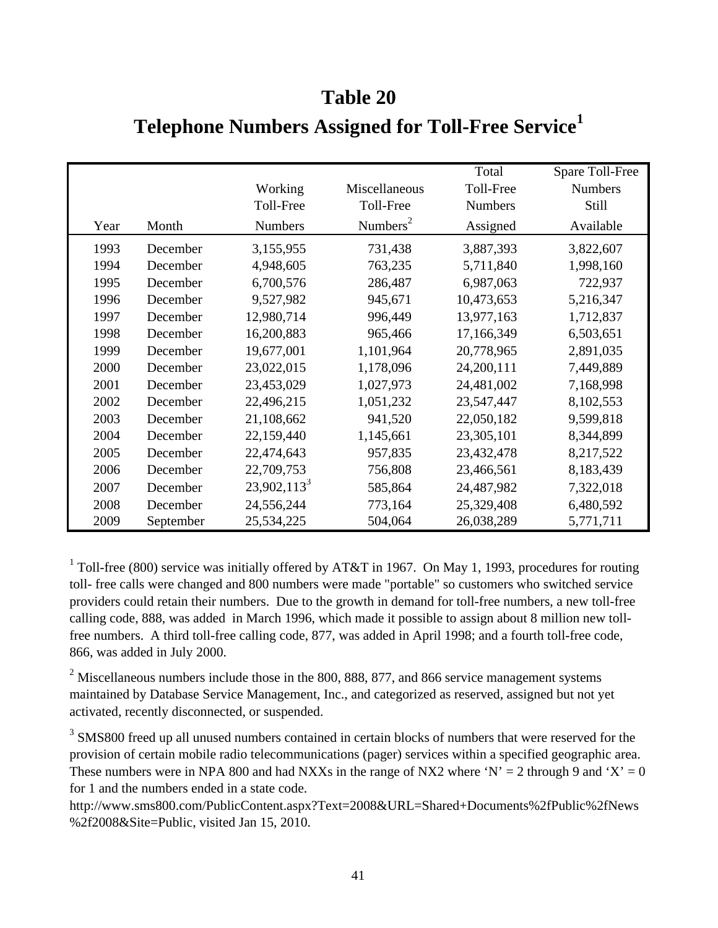# **Table 20**

# **Telephone Numbers Assigned for Toll-Free Service<sup>1</sup>**

|      |           |                |                      | Total          | Spare Toll-Free |
|------|-----------|----------------|----------------------|----------------|-----------------|
|      |           | Working        | Miscellaneous        | Toll-Free      | <b>Numbers</b>  |
|      |           | Toll-Free      | Toll-Free            | <b>Numbers</b> | <b>Still</b>    |
| Year | Month     | <b>Numbers</b> | Numbers <sup>2</sup> | Assigned       | Available       |
| 1993 | December  | 3,155,955      | 731,438              | 3,887,393      | 3,822,607       |
| 1994 | December  | 4,948,605      | 763,235              | 5,711,840      | 1,998,160       |
| 1995 | December  | 6,700,576      | 286,487              | 6,987,063      | 722,937         |
| 1996 | December  | 9,527,982      | 945,671              | 10,473,653     | 5,216,347       |
| 1997 | December  | 12,980,714     | 996,449              | 13,977,163     | 1,712,837       |
| 1998 | December  | 16,200,883     | 965,466              | 17,166,349     | 6,503,651       |
| 1999 | December  | 19,677,001     | 1,101,964            | 20,778,965     | 2,891,035       |
| 2000 | December  | 23,022,015     | 1,178,096            | 24,200,111     | 7,449,889       |
| 2001 | December  | 23,453,029     | 1,027,973            | 24,481,002     | 7,168,998       |
| 2002 | December  | 22,496,215     | 1,051,232            | 23,547,447     | 8,102,553       |
| 2003 | December  | 21,108,662     | 941,520              | 22,050,182     | 9,599,818       |
| 2004 | December  | 22,159,440     | 1,145,661            | 23,305,101     | 8,344,899       |
| 2005 | December  | 22,474,643     | 957,835              | 23,432,478     | 8,217,522       |
| 2006 | December  | 22,709,753     | 756,808              | 23,466,561     | 8,183,439       |
| 2007 | December  | $23,902,113^3$ | 585,864              | 24,487,982     | 7,322,018       |
| 2008 | December  | 24,556,244     | 773,164              | 25,329,408     | 6,480,592       |
| 2009 | September | 25,534,225     | 504,064              | 26,038,289     | 5,771,711       |

<sup>1</sup> Toll-free (800) service was initially offered by AT&T in 1967. On May 1, 1993, procedures for routing toll- free calls were changed and 800 numbers were made "portable" so customers who switched service providers could retain their numbers. Due to the growth in demand for toll-free numbers, a new toll-free calling code, 888, was added in March 1996, which made it possible to assign about 8 million new tollfree numbers. A third toll-free calling code, 877, was added in April 1998; and a fourth toll-free code, 866, was added in July 2000.

<sup>2</sup> Miscellaneous numbers include those in the 800, 888, 877, and 866 service management systems maintained by Database Service Management, Inc., and categorized as reserved, assigned but not yet activated, recently disconnected, or suspended.

<sup>3</sup> SMS800 freed up all unused numbers contained in certain blocks of numbers that were reserved for the provision of certain mobile radio telecommunications (pager) services within a specified geographic area. These numbers were in NPA 800 and had NXXs in the range of NX2 where 'N' = 2 through 9 and 'X' = 0 for 1 and the numbers ended in a state code.

http://www.sms800.com/PublicContent.aspx?Text=2008&URL=Shared+Documents%2fPublic%2fNews %2f2008&Site=Public, visited Jan 15, 2010.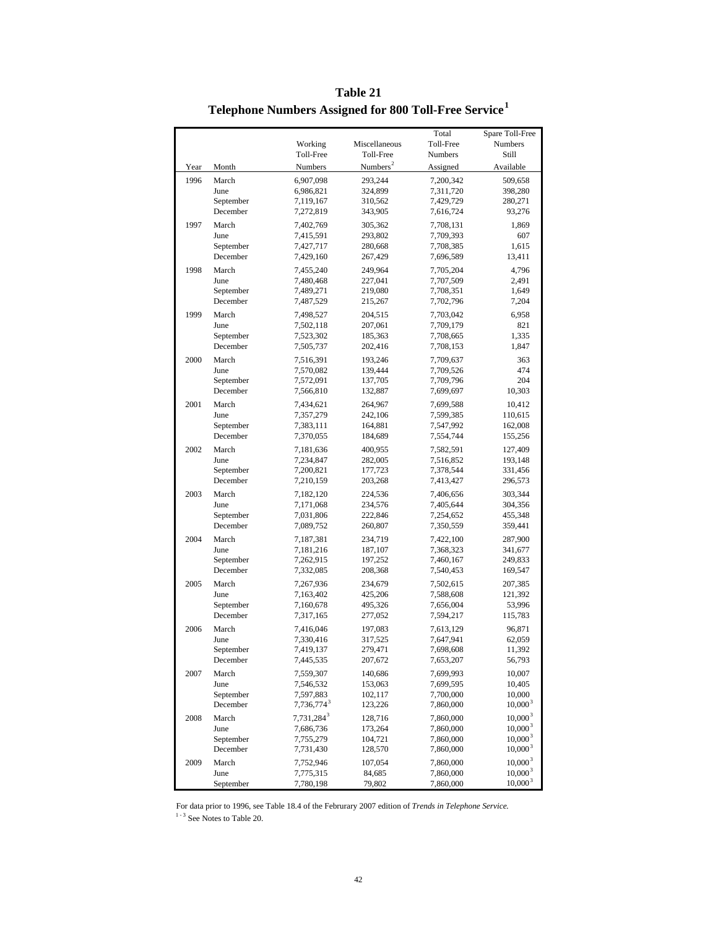| Working<br>Miscellaneous<br>Toll-Free<br>Numbers<br>Toll-Free<br>Toll-Free<br><b>Numbers</b><br>Still<br>Numbers <sup>2</sup><br>Assigned<br>Available<br>Year<br>Month<br>Numbers<br>1996<br>March<br>6,907,098<br>293,244<br>7,200,342<br>509,658<br>June<br>6,986,821<br>324,899<br>7,311,720<br>398,280<br>September<br>7,119,167<br>310,562<br>7,429,729<br>280,271<br>December<br>343,905<br>7,616,724<br>93,276<br>7,272,819<br>1997<br>March<br>1,869<br>7,402,769<br>305,362<br>7,708,131<br>June<br>7,415,591<br>7,709,393<br>607<br>293,802<br>September<br>1,615<br>7,427,717<br>280,668<br>7,708,385<br>December<br>7,429,160<br>267,429<br>7,696,589<br>13,411<br>1998<br>March<br>4,796<br>7,455,240<br>249,964<br>7,705,204<br>June<br>7,707,509<br>2,491<br>7,480,468<br>227,041<br>September<br>7,489,271<br>219,080<br>7,708,351<br>1,649<br>December<br>7,487,529<br>215,267<br>7,702,796<br>7,204<br>1999<br>March<br>7,703,042<br>7,498,527<br>204,515<br>6,958<br>June<br>7,502,118<br>207,061<br>7,709,179<br>821<br>September<br>7,523,302<br>185,363<br>7,708,665<br>1,335<br>December<br>7,505,737<br>202,416<br>7,708,153<br>1,847<br>2000<br>March<br>193,246<br>7,516,391<br>7,709,637<br>363<br>June<br>474<br>7,570,082<br>139,444<br>7,709,526<br>September<br>7,572,091<br>137,705<br>7,709,796<br>204<br>December<br>7,566,810<br>132,887<br>7,699,697<br>10,303<br>2001<br>March<br>7,434,621<br>264,967<br>7,699,588<br>10,412<br>June<br>7,357,279<br>242,106<br>7,599,385<br>110,615<br>September<br>164,881<br>7,547,992<br>162,008<br>7,383,111<br>December<br>7,370,055<br>184,689<br>7,554,744<br>155,256<br>2002<br>March<br>127,409<br>7,181,636<br>400,955<br>7,582,591<br>June<br>7,234,847<br>282,005<br>7,516,852<br>193,148<br>September<br>7,200,821<br>177,723<br>7,378,544<br>331,456<br>December<br>7,210,159<br>203,268<br>7,413,427<br>296,573<br>2003<br>March<br>303,344<br>7,182,120<br>224,536<br>7,406,656<br>June<br>7,171,068<br>234,576<br>7,405,644<br>304,356<br>September<br>7,031,806<br>222,846<br>7,254,652<br>455,348<br>December<br>7,089,752<br>260,807<br>7,350,559<br>359,441<br>2004<br>March<br>234,719<br>7,187,381<br>7,422,100<br>287,900<br>June<br>7,181,216<br>187,107<br>7,368,323<br>341,677<br>September<br>7,262,915<br>7,460,167<br>197,252<br>249,833<br>December<br>7,332,085<br>208,368<br>7,540,453<br>169,547<br>2005<br>March<br>7,267,936<br>234,679<br>7,502,615<br>207,385<br>June<br>7,163,402<br>425,206<br>7,588,608<br>121,392<br>September<br>495,326<br>7,656,004<br>53,996<br>7,160,678<br>December<br>7,317,165<br>277,052<br>7,594,217<br>115,783<br>2006<br>March<br>7,416,046<br>197,083<br>7,613,129<br>96,871<br>62,059<br>June<br>7,330,416<br>317,525<br>7,647,941<br>September<br>7,419,137<br>279,471<br>7,698,608<br>11,392<br>December<br>7,445,535<br>207,672<br>7,653,207<br>56,793<br>2007<br>March<br>140,686<br>7,699,993<br>10,007<br>7,559,307<br>June<br>10,405<br>7,546,532<br>153,063<br>7,699,595<br>September<br>7,597,883<br>102,117<br>7,700,000<br>10,000<br>$7,736,774^3$<br>$10,000^3$<br>December<br>123,226<br>7,860,000<br>7,731,284 <sup>3</sup><br>$10,000^3$<br>2008<br>March<br>128,716<br>7,860,000<br>$10,000^3$<br>June<br>7,686,736<br>173,264<br>7,860,000<br>$10,000^3$<br>September<br>7,755,279<br>104,721<br>7,860,000<br>$10,000^3$<br>December<br>7,731,430<br>128,570<br>7,860,000<br>$10,000^3$<br>2009<br>March<br>7,752,946<br>107,054<br>7,860,000<br>$10,000^3$<br>June<br>84,685<br>7,775,315<br>7,860,000<br>$10,000^3$<br>September<br>7,780,198<br>79,802<br>7,860,000 |  |  | Total | Spare Toll-Free |
|-----------------------------------------------------------------------------------------------------------------------------------------------------------------------------------------------------------------------------------------------------------------------------------------------------------------------------------------------------------------------------------------------------------------------------------------------------------------------------------------------------------------------------------------------------------------------------------------------------------------------------------------------------------------------------------------------------------------------------------------------------------------------------------------------------------------------------------------------------------------------------------------------------------------------------------------------------------------------------------------------------------------------------------------------------------------------------------------------------------------------------------------------------------------------------------------------------------------------------------------------------------------------------------------------------------------------------------------------------------------------------------------------------------------------------------------------------------------------------------------------------------------------------------------------------------------------------------------------------------------------------------------------------------------------------------------------------------------------------------------------------------------------------------------------------------------------------------------------------------------------------------------------------------------------------------------------------------------------------------------------------------------------------------------------------------------------------------------------------------------------------------------------------------------------------------------------------------------------------------------------------------------------------------------------------------------------------------------------------------------------------------------------------------------------------------------------------------------------------------------------------------------------------------------------------------------------------------------------------------------------------------------------------------------------------------------------------------------------------------------------------------------------------------------------------------------------------------------------------------------------------------------------------------------------------------------------------------------------------------------------------------------------------------------------------------------------------------------------------------------------------------------------------------------------------------------------------------------------------------------------------------------------------------------------------------------------------------------------------------------------------------------------------------------------------------------------------------------------------------------------------------------------------------------------------------------------------------------------------------------------------------------|--|--|-------|-----------------|
|                                                                                                                                                                                                                                                                                                                                                                                                                                                                                                                                                                                                                                                                                                                                                                                                                                                                                                                                                                                                                                                                                                                                                                                                                                                                                                                                                                                                                                                                                                                                                                                                                                                                                                                                                                                                                                                                                                                                                                                                                                                                                                                                                                                                                                                                                                                                                                                                                                                                                                                                                                                                                                                                                                                                                                                                                                                                                                                                                                                                                                                                                                                                                                                                                                                                                                                                                                                                                                                                                                                                                                                                                                         |  |  |       |                 |
|                                                                                                                                                                                                                                                                                                                                                                                                                                                                                                                                                                                                                                                                                                                                                                                                                                                                                                                                                                                                                                                                                                                                                                                                                                                                                                                                                                                                                                                                                                                                                                                                                                                                                                                                                                                                                                                                                                                                                                                                                                                                                                                                                                                                                                                                                                                                                                                                                                                                                                                                                                                                                                                                                                                                                                                                                                                                                                                                                                                                                                                                                                                                                                                                                                                                                                                                                                                                                                                                                                                                                                                                                                         |  |  |       |                 |
|                                                                                                                                                                                                                                                                                                                                                                                                                                                                                                                                                                                                                                                                                                                                                                                                                                                                                                                                                                                                                                                                                                                                                                                                                                                                                                                                                                                                                                                                                                                                                                                                                                                                                                                                                                                                                                                                                                                                                                                                                                                                                                                                                                                                                                                                                                                                                                                                                                                                                                                                                                                                                                                                                                                                                                                                                                                                                                                                                                                                                                                                                                                                                                                                                                                                                                                                                                                                                                                                                                                                                                                                                                         |  |  |       |                 |
|                                                                                                                                                                                                                                                                                                                                                                                                                                                                                                                                                                                                                                                                                                                                                                                                                                                                                                                                                                                                                                                                                                                                                                                                                                                                                                                                                                                                                                                                                                                                                                                                                                                                                                                                                                                                                                                                                                                                                                                                                                                                                                                                                                                                                                                                                                                                                                                                                                                                                                                                                                                                                                                                                                                                                                                                                                                                                                                                                                                                                                                                                                                                                                                                                                                                                                                                                                                                                                                                                                                                                                                                                                         |  |  |       |                 |
|                                                                                                                                                                                                                                                                                                                                                                                                                                                                                                                                                                                                                                                                                                                                                                                                                                                                                                                                                                                                                                                                                                                                                                                                                                                                                                                                                                                                                                                                                                                                                                                                                                                                                                                                                                                                                                                                                                                                                                                                                                                                                                                                                                                                                                                                                                                                                                                                                                                                                                                                                                                                                                                                                                                                                                                                                                                                                                                                                                                                                                                                                                                                                                                                                                                                                                                                                                                                                                                                                                                                                                                                                                         |  |  |       |                 |
|                                                                                                                                                                                                                                                                                                                                                                                                                                                                                                                                                                                                                                                                                                                                                                                                                                                                                                                                                                                                                                                                                                                                                                                                                                                                                                                                                                                                                                                                                                                                                                                                                                                                                                                                                                                                                                                                                                                                                                                                                                                                                                                                                                                                                                                                                                                                                                                                                                                                                                                                                                                                                                                                                                                                                                                                                                                                                                                                                                                                                                                                                                                                                                                                                                                                                                                                                                                                                                                                                                                                                                                                                                         |  |  |       |                 |
|                                                                                                                                                                                                                                                                                                                                                                                                                                                                                                                                                                                                                                                                                                                                                                                                                                                                                                                                                                                                                                                                                                                                                                                                                                                                                                                                                                                                                                                                                                                                                                                                                                                                                                                                                                                                                                                                                                                                                                                                                                                                                                                                                                                                                                                                                                                                                                                                                                                                                                                                                                                                                                                                                                                                                                                                                                                                                                                                                                                                                                                                                                                                                                                                                                                                                                                                                                                                                                                                                                                                                                                                                                         |  |  |       |                 |
|                                                                                                                                                                                                                                                                                                                                                                                                                                                                                                                                                                                                                                                                                                                                                                                                                                                                                                                                                                                                                                                                                                                                                                                                                                                                                                                                                                                                                                                                                                                                                                                                                                                                                                                                                                                                                                                                                                                                                                                                                                                                                                                                                                                                                                                                                                                                                                                                                                                                                                                                                                                                                                                                                                                                                                                                                                                                                                                                                                                                                                                                                                                                                                                                                                                                                                                                                                                                                                                                                                                                                                                                                                         |  |  |       |                 |
|                                                                                                                                                                                                                                                                                                                                                                                                                                                                                                                                                                                                                                                                                                                                                                                                                                                                                                                                                                                                                                                                                                                                                                                                                                                                                                                                                                                                                                                                                                                                                                                                                                                                                                                                                                                                                                                                                                                                                                                                                                                                                                                                                                                                                                                                                                                                                                                                                                                                                                                                                                                                                                                                                                                                                                                                                                                                                                                                                                                                                                                                                                                                                                                                                                                                                                                                                                                                                                                                                                                                                                                                                                         |  |  |       |                 |
|                                                                                                                                                                                                                                                                                                                                                                                                                                                                                                                                                                                                                                                                                                                                                                                                                                                                                                                                                                                                                                                                                                                                                                                                                                                                                                                                                                                                                                                                                                                                                                                                                                                                                                                                                                                                                                                                                                                                                                                                                                                                                                                                                                                                                                                                                                                                                                                                                                                                                                                                                                                                                                                                                                                                                                                                                                                                                                                                                                                                                                                                                                                                                                                                                                                                                                                                                                                                                                                                                                                                                                                                                                         |  |  |       |                 |
|                                                                                                                                                                                                                                                                                                                                                                                                                                                                                                                                                                                                                                                                                                                                                                                                                                                                                                                                                                                                                                                                                                                                                                                                                                                                                                                                                                                                                                                                                                                                                                                                                                                                                                                                                                                                                                                                                                                                                                                                                                                                                                                                                                                                                                                                                                                                                                                                                                                                                                                                                                                                                                                                                                                                                                                                                                                                                                                                                                                                                                                                                                                                                                                                                                                                                                                                                                                                                                                                                                                                                                                                                                         |  |  |       |                 |
|                                                                                                                                                                                                                                                                                                                                                                                                                                                                                                                                                                                                                                                                                                                                                                                                                                                                                                                                                                                                                                                                                                                                                                                                                                                                                                                                                                                                                                                                                                                                                                                                                                                                                                                                                                                                                                                                                                                                                                                                                                                                                                                                                                                                                                                                                                                                                                                                                                                                                                                                                                                                                                                                                                                                                                                                                                                                                                                                                                                                                                                                                                                                                                                                                                                                                                                                                                                                                                                                                                                                                                                                                                         |  |  |       |                 |
|                                                                                                                                                                                                                                                                                                                                                                                                                                                                                                                                                                                                                                                                                                                                                                                                                                                                                                                                                                                                                                                                                                                                                                                                                                                                                                                                                                                                                                                                                                                                                                                                                                                                                                                                                                                                                                                                                                                                                                                                                                                                                                                                                                                                                                                                                                                                                                                                                                                                                                                                                                                                                                                                                                                                                                                                                                                                                                                                                                                                                                                                                                                                                                                                                                                                                                                                                                                                                                                                                                                                                                                                                                         |  |  |       |                 |
|                                                                                                                                                                                                                                                                                                                                                                                                                                                                                                                                                                                                                                                                                                                                                                                                                                                                                                                                                                                                                                                                                                                                                                                                                                                                                                                                                                                                                                                                                                                                                                                                                                                                                                                                                                                                                                                                                                                                                                                                                                                                                                                                                                                                                                                                                                                                                                                                                                                                                                                                                                                                                                                                                                                                                                                                                                                                                                                                                                                                                                                                                                                                                                                                                                                                                                                                                                                                                                                                                                                                                                                                                                         |  |  |       |                 |
|                                                                                                                                                                                                                                                                                                                                                                                                                                                                                                                                                                                                                                                                                                                                                                                                                                                                                                                                                                                                                                                                                                                                                                                                                                                                                                                                                                                                                                                                                                                                                                                                                                                                                                                                                                                                                                                                                                                                                                                                                                                                                                                                                                                                                                                                                                                                                                                                                                                                                                                                                                                                                                                                                                                                                                                                                                                                                                                                                                                                                                                                                                                                                                                                                                                                                                                                                                                                                                                                                                                                                                                                                                         |  |  |       |                 |
|                                                                                                                                                                                                                                                                                                                                                                                                                                                                                                                                                                                                                                                                                                                                                                                                                                                                                                                                                                                                                                                                                                                                                                                                                                                                                                                                                                                                                                                                                                                                                                                                                                                                                                                                                                                                                                                                                                                                                                                                                                                                                                                                                                                                                                                                                                                                                                                                                                                                                                                                                                                                                                                                                                                                                                                                                                                                                                                                                                                                                                                                                                                                                                                                                                                                                                                                                                                                                                                                                                                                                                                                                                         |  |  |       |                 |
|                                                                                                                                                                                                                                                                                                                                                                                                                                                                                                                                                                                                                                                                                                                                                                                                                                                                                                                                                                                                                                                                                                                                                                                                                                                                                                                                                                                                                                                                                                                                                                                                                                                                                                                                                                                                                                                                                                                                                                                                                                                                                                                                                                                                                                                                                                                                                                                                                                                                                                                                                                                                                                                                                                                                                                                                                                                                                                                                                                                                                                                                                                                                                                                                                                                                                                                                                                                                                                                                                                                                                                                                                                         |  |  |       |                 |
|                                                                                                                                                                                                                                                                                                                                                                                                                                                                                                                                                                                                                                                                                                                                                                                                                                                                                                                                                                                                                                                                                                                                                                                                                                                                                                                                                                                                                                                                                                                                                                                                                                                                                                                                                                                                                                                                                                                                                                                                                                                                                                                                                                                                                                                                                                                                                                                                                                                                                                                                                                                                                                                                                                                                                                                                                                                                                                                                                                                                                                                                                                                                                                                                                                                                                                                                                                                                                                                                                                                                                                                                                                         |  |  |       |                 |
|                                                                                                                                                                                                                                                                                                                                                                                                                                                                                                                                                                                                                                                                                                                                                                                                                                                                                                                                                                                                                                                                                                                                                                                                                                                                                                                                                                                                                                                                                                                                                                                                                                                                                                                                                                                                                                                                                                                                                                                                                                                                                                                                                                                                                                                                                                                                                                                                                                                                                                                                                                                                                                                                                                                                                                                                                                                                                                                                                                                                                                                                                                                                                                                                                                                                                                                                                                                                                                                                                                                                                                                                                                         |  |  |       |                 |
|                                                                                                                                                                                                                                                                                                                                                                                                                                                                                                                                                                                                                                                                                                                                                                                                                                                                                                                                                                                                                                                                                                                                                                                                                                                                                                                                                                                                                                                                                                                                                                                                                                                                                                                                                                                                                                                                                                                                                                                                                                                                                                                                                                                                                                                                                                                                                                                                                                                                                                                                                                                                                                                                                                                                                                                                                                                                                                                                                                                                                                                                                                                                                                                                                                                                                                                                                                                                                                                                                                                                                                                                                                         |  |  |       |                 |
|                                                                                                                                                                                                                                                                                                                                                                                                                                                                                                                                                                                                                                                                                                                                                                                                                                                                                                                                                                                                                                                                                                                                                                                                                                                                                                                                                                                                                                                                                                                                                                                                                                                                                                                                                                                                                                                                                                                                                                                                                                                                                                                                                                                                                                                                                                                                                                                                                                                                                                                                                                                                                                                                                                                                                                                                                                                                                                                                                                                                                                                                                                                                                                                                                                                                                                                                                                                                                                                                                                                                                                                                                                         |  |  |       |                 |
|                                                                                                                                                                                                                                                                                                                                                                                                                                                                                                                                                                                                                                                                                                                                                                                                                                                                                                                                                                                                                                                                                                                                                                                                                                                                                                                                                                                                                                                                                                                                                                                                                                                                                                                                                                                                                                                                                                                                                                                                                                                                                                                                                                                                                                                                                                                                                                                                                                                                                                                                                                                                                                                                                                                                                                                                                                                                                                                                                                                                                                                                                                                                                                                                                                                                                                                                                                                                                                                                                                                                                                                                                                         |  |  |       |                 |
|                                                                                                                                                                                                                                                                                                                                                                                                                                                                                                                                                                                                                                                                                                                                                                                                                                                                                                                                                                                                                                                                                                                                                                                                                                                                                                                                                                                                                                                                                                                                                                                                                                                                                                                                                                                                                                                                                                                                                                                                                                                                                                                                                                                                                                                                                                                                                                                                                                                                                                                                                                                                                                                                                                                                                                                                                                                                                                                                                                                                                                                                                                                                                                                                                                                                                                                                                                                                                                                                                                                                                                                                                                         |  |  |       |                 |
|                                                                                                                                                                                                                                                                                                                                                                                                                                                                                                                                                                                                                                                                                                                                                                                                                                                                                                                                                                                                                                                                                                                                                                                                                                                                                                                                                                                                                                                                                                                                                                                                                                                                                                                                                                                                                                                                                                                                                                                                                                                                                                                                                                                                                                                                                                                                                                                                                                                                                                                                                                                                                                                                                                                                                                                                                                                                                                                                                                                                                                                                                                                                                                                                                                                                                                                                                                                                                                                                                                                                                                                                                                         |  |  |       |                 |
|                                                                                                                                                                                                                                                                                                                                                                                                                                                                                                                                                                                                                                                                                                                                                                                                                                                                                                                                                                                                                                                                                                                                                                                                                                                                                                                                                                                                                                                                                                                                                                                                                                                                                                                                                                                                                                                                                                                                                                                                                                                                                                                                                                                                                                                                                                                                                                                                                                                                                                                                                                                                                                                                                                                                                                                                                                                                                                                                                                                                                                                                                                                                                                                                                                                                                                                                                                                                                                                                                                                                                                                                                                         |  |  |       |                 |
|                                                                                                                                                                                                                                                                                                                                                                                                                                                                                                                                                                                                                                                                                                                                                                                                                                                                                                                                                                                                                                                                                                                                                                                                                                                                                                                                                                                                                                                                                                                                                                                                                                                                                                                                                                                                                                                                                                                                                                                                                                                                                                                                                                                                                                                                                                                                                                                                                                                                                                                                                                                                                                                                                                                                                                                                                                                                                                                                                                                                                                                                                                                                                                                                                                                                                                                                                                                                                                                                                                                                                                                                                                         |  |  |       |                 |
|                                                                                                                                                                                                                                                                                                                                                                                                                                                                                                                                                                                                                                                                                                                                                                                                                                                                                                                                                                                                                                                                                                                                                                                                                                                                                                                                                                                                                                                                                                                                                                                                                                                                                                                                                                                                                                                                                                                                                                                                                                                                                                                                                                                                                                                                                                                                                                                                                                                                                                                                                                                                                                                                                                                                                                                                                                                                                                                                                                                                                                                                                                                                                                                                                                                                                                                                                                                                                                                                                                                                                                                                                                         |  |  |       |                 |
|                                                                                                                                                                                                                                                                                                                                                                                                                                                                                                                                                                                                                                                                                                                                                                                                                                                                                                                                                                                                                                                                                                                                                                                                                                                                                                                                                                                                                                                                                                                                                                                                                                                                                                                                                                                                                                                                                                                                                                                                                                                                                                                                                                                                                                                                                                                                                                                                                                                                                                                                                                                                                                                                                                                                                                                                                                                                                                                                                                                                                                                                                                                                                                                                                                                                                                                                                                                                                                                                                                                                                                                                                                         |  |  |       |                 |
|                                                                                                                                                                                                                                                                                                                                                                                                                                                                                                                                                                                                                                                                                                                                                                                                                                                                                                                                                                                                                                                                                                                                                                                                                                                                                                                                                                                                                                                                                                                                                                                                                                                                                                                                                                                                                                                                                                                                                                                                                                                                                                                                                                                                                                                                                                                                                                                                                                                                                                                                                                                                                                                                                                                                                                                                                                                                                                                                                                                                                                                                                                                                                                                                                                                                                                                                                                                                                                                                                                                                                                                                                                         |  |  |       |                 |
|                                                                                                                                                                                                                                                                                                                                                                                                                                                                                                                                                                                                                                                                                                                                                                                                                                                                                                                                                                                                                                                                                                                                                                                                                                                                                                                                                                                                                                                                                                                                                                                                                                                                                                                                                                                                                                                                                                                                                                                                                                                                                                                                                                                                                                                                                                                                                                                                                                                                                                                                                                                                                                                                                                                                                                                                                                                                                                                                                                                                                                                                                                                                                                                                                                                                                                                                                                                                                                                                                                                                                                                                                                         |  |  |       |                 |
|                                                                                                                                                                                                                                                                                                                                                                                                                                                                                                                                                                                                                                                                                                                                                                                                                                                                                                                                                                                                                                                                                                                                                                                                                                                                                                                                                                                                                                                                                                                                                                                                                                                                                                                                                                                                                                                                                                                                                                                                                                                                                                                                                                                                                                                                                                                                                                                                                                                                                                                                                                                                                                                                                                                                                                                                                                                                                                                                                                                                                                                                                                                                                                                                                                                                                                                                                                                                                                                                                                                                                                                                                                         |  |  |       |                 |
|                                                                                                                                                                                                                                                                                                                                                                                                                                                                                                                                                                                                                                                                                                                                                                                                                                                                                                                                                                                                                                                                                                                                                                                                                                                                                                                                                                                                                                                                                                                                                                                                                                                                                                                                                                                                                                                                                                                                                                                                                                                                                                                                                                                                                                                                                                                                                                                                                                                                                                                                                                                                                                                                                                                                                                                                                                                                                                                                                                                                                                                                                                                                                                                                                                                                                                                                                                                                                                                                                                                                                                                                                                         |  |  |       |                 |
|                                                                                                                                                                                                                                                                                                                                                                                                                                                                                                                                                                                                                                                                                                                                                                                                                                                                                                                                                                                                                                                                                                                                                                                                                                                                                                                                                                                                                                                                                                                                                                                                                                                                                                                                                                                                                                                                                                                                                                                                                                                                                                                                                                                                                                                                                                                                                                                                                                                                                                                                                                                                                                                                                                                                                                                                                                                                                                                                                                                                                                                                                                                                                                                                                                                                                                                                                                                                                                                                                                                                                                                                                                         |  |  |       |                 |
|                                                                                                                                                                                                                                                                                                                                                                                                                                                                                                                                                                                                                                                                                                                                                                                                                                                                                                                                                                                                                                                                                                                                                                                                                                                                                                                                                                                                                                                                                                                                                                                                                                                                                                                                                                                                                                                                                                                                                                                                                                                                                                                                                                                                                                                                                                                                                                                                                                                                                                                                                                                                                                                                                                                                                                                                                                                                                                                                                                                                                                                                                                                                                                                                                                                                                                                                                                                                                                                                                                                                                                                                                                         |  |  |       |                 |
|                                                                                                                                                                                                                                                                                                                                                                                                                                                                                                                                                                                                                                                                                                                                                                                                                                                                                                                                                                                                                                                                                                                                                                                                                                                                                                                                                                                                                                                                                                                                                                                                                                                                                                                                                                                                                                                                                                                                                                                                                                                                                                                                                                                                                                                                                                                                                                                                                                                                                                                                                                                                                                                                                                                                                                                                                                                                                                                                                                                                                                                                                                                                                                                                                                                                                                                                                                                                                                                                                                                                                                                                                                         |  |  |       |                 |
|                                                                                                                                                                                                                                                                                                                                                                                                                                                                                                                                                                                                                                                                                                                                                                                                                                                                                                                                                                                                                                                                                                                                                                                                                                                                                                                                                                                                                                                                                                                                                                                                                                                                                                                                                                                                                                                                                                                                                                                                                                                                                                                                                                                                                                                                                                                                                                                                                                                                                                                                                                                                                                                                                                                                                                                                                                                                                                                                                                                                                                                                                                                                                                                                                                                                                                                                                                                                                                                                                                                                                                                                                                         |  |  |       |                 |
|                                                                                                                                                                                                                                                                                                                                                                                                                                                                                                                                                                                                                                                                                                                                                                                                                                                                                                                                                                                                                                                                                                                                                                                                                                                                                                                                                                                                                                                                                                                                                                                                                                                                                                                                                                                                                                                                                                                                                                                                                                                                                                                                                                                                                                                                                                                                                                                                                                                                                                                                                                                                                                                                                                                                                                                                                                                                                                                                                                                                                                                                                                                                                                                                                                                                                                                                                                                                                                                                                                                                                                                                                                         |  |  |       |                 |
|                                                                                                                                                                                                                                                                                                                                                                                                                                                                                                                                                                                                                                                                                                                                                                                                                                                                                                                                                                                                                                                                                                                                                                                                                                                                                                                                                                                                                                                                                                                                                                                                                                                                                                                                                                                                                                                                                                                                                                                                                                                                                                                                                                                                                                                                                                                                                                                                                                                                                                                                                                                                                                                                                                                                                                                                                                                                                                                                                                                                                                                                                                                                                                                                                                                                                                                                                                                                                                                                                                                                                                                                                                         |  |  |       |                 |
|                                                                                                                                                                                                                                                                                                                                                                                                                                                                                                                                                                                                                                                                                                                                                                                                                                                                                                                                                                                                                                                                                                                                                                                                                                                                                                                                                                                                                                                                                                                                                                                                                                                                                                                                                                                                                                                                                                                                                                                                                                                                                                                                                                                                                                                                                                                                                                                                                                                                                                                                                                                                                                                                                                                                                                                                                                                                                                                                                                                                                                                                                                                                                                                                                                                                                                                                                                                                                                                                                                                                                                                                                                         |  |  |       |                 |
|                                                                                                                                                                                                                                                                                                                                                                                                                                                                                                                                                                                                                                                                                                                                                                                                                                                                                                                                                                                                                                                                                                                                                                                                                                                                                                                                                                                                                                                                                                                                                                                                                                                                                                                                                                                                                                                                                                                                                                                                                                                                                                                                                                                                                                                                                                                                                                                                                                                                                                                                                                                                                                                                                                                                                                                                                                                                                                                                                                                                                                                                                                                                                                                                                                                                                                                                                                                                                                                                                                                                                                                                                                         |  |  |       |                 |
|                                                                                                                                                                                                                                                                                                                                                                                                                                                                                                                                                                                                                                                                                                                                                                                                                                                                                                                                                                                                                                                                                                                                                                                                                                                                                                                                                                                                                                                                                                                                                                                                                                                                                                                                                                                                                                                                                                                                                                                                                                                                                                                                                                                                                                                                                                                                                                                                                                                                                                                                                                                                                                                                                                                                                                                                                                                                                                                                                                                                                                                                                                                                                                                                                                                                                                                                                                                                                                                                                                                                                                                                                                         |  |  |       |                 |
|                                                                                                                                                                                                                                                                                                                                                                                                                                                                                                                                                                                                                                                                                                                                                                                                                                                                                                                                                                                                                                                                                                                                                                                                                                                                                                                                                                                                                                                                                                                                                                                                                                                                                                                                                                                                                                                                                                                                                                                                                                                                                                                                                                                                                                                                                                                                                                                                                                                                                                                                                                                                                                                                                                                                                                                                                                                                                                                                                                                                                                                                                                                                                                                                                                                                                                                                                                                                                                                                                                                                                                                                                                         |  |  |       |                 |
|                                                                                                                                                                                                                                                                                                                                                                                                                                                                                                                                                                                                                                                                                                                                                                                                                                                                                                                                                                                                                                                                                                                                                                                                                                                                                                                                                                                                                                                                                                                                                                                                                                                                                                                                                                                                                                                                                                                                                                                                                                                                                                                                                                                                                                                                                                                                                                                                                                                                                                                                                                                                                                                                                                                                                                                                                                                                                                                                                                                                                                                                                                                                                                                                                                                                                                                                                                                                                                                                                                                                                                                                                                         |  |  |       |                 |
|                                                                                                                                                                                                                                                                                                                                                                                                                                                                                                                                                                                                                                                                                                                                                                                                                                                                                                                                                                                                                                                                                                                                                                                                                                                                                                                                                                                                                                                                                                                                                                                                                                                                                                                                                                                                                                                                                                                                                                                                                                                                                                                                                                                                                                                                                                                                                                                                                                                                                                                                                                                                                                                                                                                                                                                                                                                                                                                                                                                                                                                                                                                                                                                                                                                                                                                                                                                                                                                                                                                                                                                                                                         |  |  |       |                 |
|                                                                                                                                                                                                                                                                                                                                                                                                                                                                                                                                                                                                                                                                                                                                                                                                                                                                                                                                                                                                                                                                                                                                                                                                                                                                                                                                                                                                                                                                                                                                                                                                                                                                                                                                                                                                                                                                                                                                                                                                                                                                                                                                                                                                                                                                                                                                                                                                                                                                                                                                                                                                                                                                                                                                                                                                                                                                                                                                                                                                                                                                                                                                                                                                                                                                                                                                                                                                                                                                                                                                                                                                                                         |  |  |       |                 |
|                                                                                                                                                                                                                                                                                                                                                                                                                                                                                                                                                                                                                                                                                                                                                                                                                                                                                                                                                                                                                                                                                                                                                                                                                                                                                                                                                                                                                                                                                                                                                                                                                                                                                                                                                                                                                                                                                                                                                                                                                                                                                                                                                                                                                                                                                                                                                                                                                                                                                                                                                                                                                                                                                                                                                                                                                                                                                                                                                                                                                                                                                                                                                                                                                                                                                                                                                                                                                                                                                                                                                                                                                                         |  |  |       |                 |
|                                                                                                                                                                                                                                                                                                                                                                                                                                                                                                                                                                                                                                                                                                                                                                                                                                                                                                                                                                                                                                                                                                                                                                                                                                                                                                                                                                                                                                                                                                                                                                                                                                                                                                                                                                                                                                                                                                                                                                                                                                                                                                                                                                                                                                                                                                                                                                                                                                                                                                                                                                                                                                                                                                                                                                                                                                                                                                                                                                                                                                                                                                                                                                                                                                                                                                                                                                                                                                                                                                                                                                                                                                         |  |  |       |                 |
|                                                                                                                                                                                                                                                                                                                                                                                                                                                                                                                                                                                                                                                                                                                                                                                                                                                                                                                                                                                                                                                                                                                                                                                                                                                                                                                                                                                                                                                                                                                                                                                                                                                                                                                                                                                                                                                                                                                                                                                                                                                                                                                                                                                                                                                                                                                                                                                                                                                                                                                                                                                                                                                                                                                                                                                                                                                                                                                                                                                                                                                                                                                                                                                                                                                                                                                                                                                                                                                                                                                                                                                                                                         |  |  |       |                 |
|                                                                                                                                                                                                                                                                                                                                                                                                                                                                                                                                                                                                                                                                                                                                                                                                                                                                                                                                                                                                                                                                                                                                                                                                                                                                                                                                                                                                                                                                                                                                                                                                                                                                                                                                                                                                                                                                                                                                                                                                                                                                                                                                                                                                                                                                                                                                                                                                                                                                                                                                                                                                                                                                                                                                                                                                                                                                                                                                                                                                                                                                                                                                                                                                                                                                                                                                                                                                                                                                                                                                                                                                                                         |  |  |       |                 |
|                                                                                                                                                                                                                                                                                                                                                                                                                                                                                                                                                                                                                                                                                                                                                                                                                                                                                                                                                                                                                                                                                                                                                                                                                                                                                                                                                                                                                                                                                                                                                                                                                                                                                                                                                                                                                                                                                                                                                                                                                                                                                                                                                                                                                                                                                                                                                                                                                                                                                                                                                                                                                                                                                                                                                                                                                                                                                                                                                                                                                                                                                                                                                                                                                                                                                                                                                                                                                                                                                                                                                                                                                                         |  |  |       |                 |
|                                                                                                                                                                                                                                                                                                                                                                                                                                                                                                                                                                                                                                                                                                                                                                                                                                                                                                                                                                                                                                                                                                                                                                                                                                                                                                                                                                                                                                                                                                                                                                                                                                                                                                                                                                                                                                                                                                                                                                                                                                                                                                                                                                                                                                                                                                                                                                                                                                                                                                                                                                                                                                                                                                                                                                                                                                                                                                                                                                                                                                                                                                                                                                                                                                                                                                                                                                                                                                                                                                                                                                                                                                         |  |  |       |                 |
|                                                                                                                                                                                                                                                                                                                                                                                                                                                                                                                                                                                                                                                                                                                                                                                                                                                                                                                                                                                                                                                                                                                                                                                                                                                                                                                                                                                                                                                                                                                                                                                                                                                                                                                                                                                                                                                                                                                                                                                                                                                                                                                                                                                                                                                                                                                                                                                                                                                                                                                                                                                                                                                                                                                                                                                                                                                                                                                                                                                                                                                                                                                                                                                                                                                                                                                                                                                                                                                                                                                                                                                                                                         |  |  |       |                 |
|                                                                                                                                                                                                                                                                                                                                                                                                                                                                                                                                                                                                                                                                                                                                                                                                                                                                                                                                                                                                                                                                                                                                                                                                                                                                                                                                                                                                                                                                                                                                                                                                                                                                                                                                                                                                                                                                                                                                                                                                                                                                                                                                                                                                                                                                                                                                                                                                                                                                                                                                                                                                                                                                                                                                                                                                                                                                                                                                                                                                                                                                                                                                                                                                                                                                                                                                                                                                                                                                                                                                                                                                                                         |  |  |       |                 |
|                                                                                                                                                                                                                                                                                                                                                                                                                                                                                                                                                                                                                                                                                                                                                                                                                                                                                                                                                                                                                                                                                                                                                                                                                                                                                                                                                                                                                                                                                                                                                                                                                                                                                                                                                                                                                                                                                                                                                                                                                                                                                                                                                                                                                                                                                                                                                                                                                                                                                                                                                                                                                                                                                                                                                                                                                                                                                                                                                                                                                                                                                                                                                                                                                                                                                                                                                                                                                                                                                                                                                                                                                                         |  |  |       |                 |
|                                                                                                                                                                                                                                                                                                                                                                                                                                                                                                                                                                                                                                                                                                                                                                                                                                                                                                                                                                                                                                                                                                                                                                                                                                                                                                                                                                                                                                                                                                                                                                                                                                                                                                                                                                                                                                                                                                                                                                                                                                                                                                                                                                                                                                                                                                                                                                                                                                                                                                                                                                                                                                                                                                                                                                                                                                                                                                                                                                                                                                                                                                                                                                                                                                                                                                                                                                                                                                                                                                                                                                                                                                         |  |  |       |                 |
|                                                                                                                                                                                                                                                                                                                                                                                                                                                                                                                                                                                                                                                                                                                                                                                                                                                                                                                                                                                                                                                                                                                                                                                                                                                                                                                                                                                                                                                                                                                                                                                                                                                                                                                                                                                                                                                                                                                                                                                                                                                                                                                                                                                                                                                                                                                                                                                                                                                                                                                                                                                                                                                                                                                                                                                                                                                                                                                                                                                                                                                                                                                                                                                                                                                                                                                                                                                                                                                                                                                                                                                                                                         |  |  |       |                 |
|                                                                                                                                                                                                                                                                                                                                                                                                                                                                                                                                                                                                                                                                                                                                                                                                                                                                                                                                                                                                                                                                                                                                                                                                                                                                                                                                                                                                                                                                                                                                                                                                                                                                                                                                                                                                                                                                                                                                                                                                                                                                                                                                                                                                                                                                                                                                                                                                                                                                                                                                                                                                                                                                                                                                                                                                                                                                                                                                                                                                                                                                                                                                                                                                                                                                                                                                                                                                                                                                                                                                                                                                                                         |  |  |       |                 |
|                                                                                                                                                                                                                                                                                                                                                                                                                                                                                                                                                                                                                                                                                                                                                                                                                                                                                                                                                                                                                                                                                                                                                                                                                                                                                                                                                                                                                                                                                                                                                                                                                                                                                                                                                                                                                                                                                                                                                                                                                                                                                                                                                                                                                                                                                                                                                                                                                                                                                                                                                                                                                                                                                                                                                                                                                                                                                                                                                                                                                                                                                                                                                                                                                                                                                                                                                                                                                                                                                                                                                                                                                                         |  |  |       |                 |
|                                                                                                                                                                                                                                                                                                                                                                                                                                                                                                                                                                                                                                                                                                                                                                                                                                                                                                                                                                                                                                                                                                                                                                                                                                                                                                                                                                                                                                                                                                                                                                                                                                                                                                                                                                                                                                                                                                                                                                                                                                                                                                                                                                                                                                                                                                                                                                                                                                                                                                                                                                                                                                                                                                                                                                                                                                                                                                                                                                                                                                                                                                                                                                                                                                                                                                                                                                                                                                                                                                                                                                                                                                         |  |  |       |                 |
|                                                                                                                                                                                                                                                                                                                                                                                                                                                                                                                                                                                                                                                                                                                                                                                                                                                                                                                                                                                                                                                                                                                                                                                                                                                                                                                                                                                                                                                                                                                                                                                                                                                                                                                                                                                                                                                                                                                                                                                                                                                                                                                                                                                                                                                                                                                                                                                                                                                                                                                                                                                                                                                                                                                                                                                                                                                                                                                                                                                                                                                                                                                                                                                                                                                                                                                                                                                                                                                                                                                                                                                                                                         |  |  |       |                 |
|                                                                                                                                                                                                                                                                                                                                                                                                                                                                                                                                                                                                                                                                                                                                                                                                                                                                                                                                                                                                                                                                                                                                                                                                                                                                                                                                                                                                                                                                                                                                                                                                                                                                                                                                                                                                                                                                                                                                                                                                                                                                                                                                                                                                                                                                                                                                                                                                                                                                                                                                                                                                                                                                                                                                                                                                                                                                                                                                                                                                                                                                                                                                                                                                                                                                                                                                                                                                                                                                                                                                                                                                                                         |  |  |       |                 |
|                                                                                                                                                                                                                                                                                                                                                                                                                                                                                                                                                                                                                                                                                                                                                                                                                                                                                                                                                                                                                                                                                                                                                                                                                                                                                                                                                                                                                                                                                                                                                                                                                                                                                                                                                                                                                                                                                                                                                                                                                                                                                                                                                                                                                                                                                                                                                                                                                                                                                                                                                                                                                                                                                                                                                                                                                                                                                                                                                                                                                                                                                                                                                                                                                                                                                                                                                                                                                                                                                                                                                                                                                                         |  |  |       |                 |
|                                                                                                                                                                                                                                                                                                                                                                                                                                                                                                                                                                                                                                                                                                                                                                                                                                                                                                                                                                                                                                                                                                                                                                                                                                                                                                                                                                                                                                                                                                                                                                                                                                                                                                                                                                                                                                                                                                                                                                                                                                                                                                                                                                                                                                                                                                                                                                                                                                                                                                                                                                                                                                                                                                                                                                                                                                                                                                                                                                                                                                                                                                                                                                                                                                                                                                                                                                                                                                                                                                                                                                                                                                         |  |  |       |                 |

**Table 21 Telephone Numbers Assigned for 800 Toll-Free Service<sup>1</sup>**

For data prior to 1996, see Table 18.4 of the Februrary 2007 edition of *Trends in Telephone Service.*

 $^{\rm 1-3}$  See Notes to Table 20.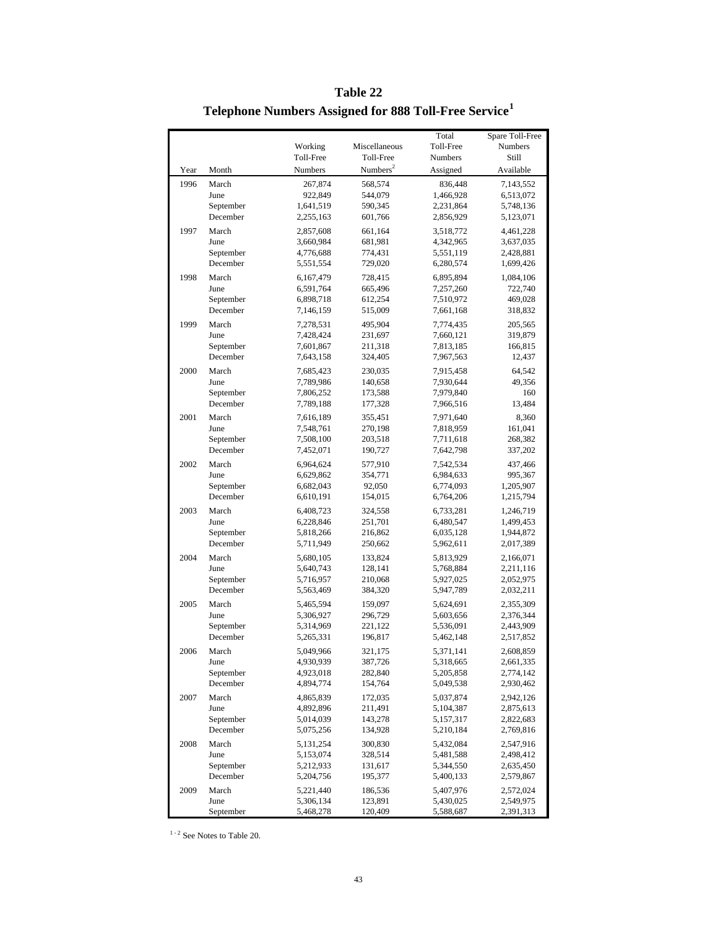|      |                   |                        |                      | Total     | Spare Toll-Free |
|------|-------------------|------------------------|----------------------|-----------|-----------------|
|      |                   | Working                | Miscellaneous        | Toll-Free | Numbers         |
|      |                   |                        |                      |           | Still           |
|      |                   | Toll-Free              | Toll-Free            | Numbers   |                 |
| Year | Month             | Numbers                | Numbers <sup>2</sup> | Assigned  | Available       |
| 1996 | March             | 267,874                | 568,574              | 836,448   | 7,143,552       |
|      | June              | 922,849                | 544,079              | 1,466,928 | 6,513,072       |
|      | September         | 1,641,519              | 590,345              | 2,231,864 | 5,748,136       |
|      | December          | 2,255,163              | 601,766              | 2,856,929 | 5,123,071       |
| 1997 | March             | 2,857,608              | 661,164              | 3,518,772 | 4,461,228       |
|      | June              | 3,660,984              | 681,981              | 4,342,965 | 3,637,035       |
|      | September         | 4,776,688              | 774,431              | 5,551,119 | 2,428,881       |
|      | December          | 5,551,554              | 729,020              | 6,280,574 | 1,699,426       |
| 1998 | March             | 6,167,479              | 728,415              | 6,895,894 | 1,084,106       |
|      | June              | 6,591,764              | 665,496              | 7,257,260 | 722,740         |
|      | September         | 6,898,718              | 612,254              | 7,510,972 | 469,028         |
|      | December          | 7,146,159              | 515,009              | 7,661,168 | 318,832         |
|      |                   |                        |                      |           |                 |
| 1999 | March             | 7,278,531              | 495,904              | 7,774,435 | 205,565         |
|      | June              | 7,428,424              | 231,697              | 7,660,121 | 319,879         |
|      | September         | 7,601,867              | 211,318              | 7,813,185 | 166,815         |
|      | December          | 7,643,158              | 324,405              | 7,967,563 | 12,437          |
| 2000 | March             | 7,685,423              | 230,035              | 7,915,458 | 64,542          |
|      | June              | 7,789,986              | 140,658              | 7,930,644 | 49,356          |
|      | September         | 7,806,252              | 173,588              | 7,979,840 | 160             |
|      | December          | 7,789,188              | 177,328              | 7,966,516 | 13,484          |
| 2001 | March             | 7,616,189              | 355,451              | 7,971,640 | 8,360           |
|      | June              | 7,548,761              | 270,198              | 7,818,959 | 161,041         |
|      | September         | 7,508,100              | 203,518              | 7,711,618 | 268,382         |
|      | December          | 7,452,071              | 190,727              | 7,642,798 | 337,202         |
| 2002 | March             | 6,964,624              | 577,910              | 7,542,534 | 437,466         |
|      | June              | 6,629,862              | 354,771              | 6,984,633 | 995,367         |
|      | September         | 6,682,043              | 92,050               | 6,774,093 | 1,205,907       |
|      | December          | 6,610,191              | 154,015              | 6,764,206 | 1,215,794       |
|      |                   |                        |                      |           |                 |
| 2003 | March             | 6,408,723              | 324,558              | 6,733,281 | 1,246,719       |
|      | June              | 6,228,846              | 251,701              | 6,480,547 | 1,499,453       |
|      | September         | 5,818,266              | 216,862              | 6,035,128 | 1,944,872       |
|      | December          | 5,711,949              | 250,662              | 5,962,611 | 2,017,389       |
| 2004 | March             | 5,680,105              | 133,824              | 5,813,929 | 2,166,071       |
|      | June              | 5,640,743              | 128,141              | 5,768,884 | 2,211,116       |
|      | September         | 5,716,957              | 210,068              | 5,927,025 | 2,052,975       |
|      | December          | 5,563,469              | 384,320              | 5,947,789 | 2,032,211       |
| 2005 | March             | 5,465,594              | 159,097              | 5,624,691 | 2,355,309       |
|      | June              | 5,306,927              | 296,729              | 5,603,656 | 2,376,344       |
|      | September         | 5,314,969              | 221,122              | 5,536,091 | 2,443,909       |
|      | December          | 5,265,331              | 196,817              | 5,462,148 | 2,517,852       |
| 2006 | March             | 5,049,966              | 321,175              | 5,371,141 | 2,608,859       |
|      | June              | 4,930,939              | 387,726              | 5,318,665 | 2,661,335       |
|      | September         | 4,923,018              | 282,840              | 5,205,858 | 2,774,142       |
|      | December          | 4,894,774              | 154,764              | 5,049,538 | 2,930,462       |
| 2007 | March             | 4,865,839              | 172,035              | 5,037,874 | 2,942,126       |
|      |                   |                        |                      | 5,104,387 | 2,875,613       |
|      | June<br>September | 4,892,896<br>5,014,039 | 211,491<br>143,278   | 5,157,317 | 2,822,683       |
|      | December          | 5,075,256              | 134,928              | 5,210,184 | 2,769,816       |
|      |                   |                        |                      |           |                 |
| 2008 | March             | 5,131,254              | 300,830              | 5,432,084 | 2,547,916       |
|      | June              | 5,153,074              | 328,514              | 5,481,588 | 2,498,412       |
|      | September         | 5,212,933              | 131,617              | 5,344,550 | 2,635,450       |
|      | December          | 5,204,756              | 195,377              | 5,400,133 | 2,579,867       |
| 2009 | March             | 5,221,440              | 186,536              | 5,407,976 | 2,572,024       |
|      | June              | 5,306,134              | 123,891              | 5,430,025 | 2,549,975       |
|      | September         | 5,468,278              | 120,409              | 5,588,687 | 2,391,313       |

# **Table 22 Telephone Numbers Assigned for 888 Toll-Free Service<sup>1</sup>**

 $1 - 2$  See Notes to Table 20.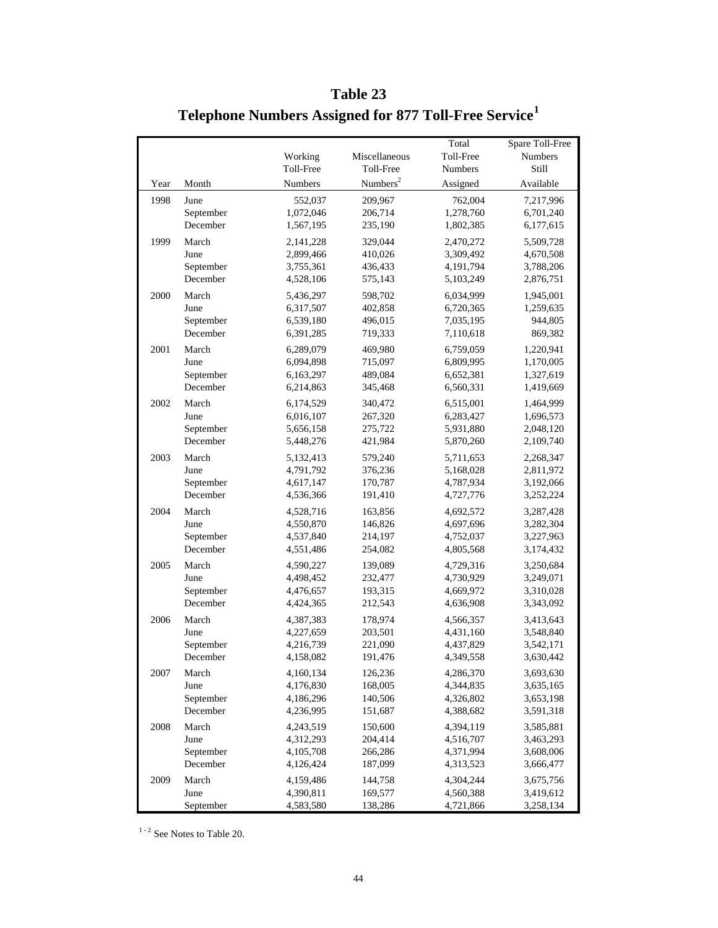# **Table 23**

|      |           |                |                      | Total          | Spare Toll-Free |
|------|-----------|----------------|----------------------|----------------|-----------------|
|      |           | Working        | Miscellaneous        | Toll-Free      | <b>Numbers</b>  |
|      |           | Toll-Free      | Toll-Free            | <b>Numbers</b> | Still           |
| Year | Month     | <b>Numbers</b> | Numbers <sup>2</sup> | Assigned       | Available       |
| 1998 | June      | 552,037        | 209,967              | 762,004        | 7,217,996       |
|      | September | 1,072,046      | 206,714              | 1,278,760      | 6,701,240       |
|      | December  | 1,567,195      | 235,190              | 1,802,385      | 6,177,615       |
| 1999 | March     | 2,141,228      | 329,044              | 2,470,272      | 5,509,728       |
|      | June      | 2,899,466      | 410,026              | 3,309,492      | 4,670,508       |
|      | September | 3,755,361      | 436,433              | 4,191,794      | 3,788,206       |
|      | December  | 4,528,106      | 575,143              | 5,103,249      | 2,876,751       |
| 2000 | March     | 5,436,297      | 598,702              | 6,034,999      | 1,945,001       |
|      | June      | 6,317,507      | 402,858              | 6,720,365      | 1,259,635       |
|      | September | 6,539,180      | 496,015              | 7,035,195      | 944,805         |
|      | December  | 6,391,285      | 719,333              | 7,110,618      | 869,382         |
| 2001 | March     | 6,289,079      | 469,980              | 6,759,059      | 1,220,941       |
|      | June      | 6,094,898      | 715,097              | 6,809,995      | 1,170,005       |
|      | September | 6,163,297      | 489,084              | 6,652,381      | 1,327,619       |
|      | December  | 6,214,863      | 345,468              | 6,560,331      | 1,419,669       |
| 2002 | March     | 6,174,529      | 340,472              | 6,515,001      | 1,464,999       |
|      | June      | 6,016,107      | 267,320              | 6,283,427      | 1,696,573       |
|      | September | 5,656,158      | 275,722              | 5,931,880      | 2,048,120       |
|      | December  | 5,448,276      | 421,984              | 5,870,260      | 2,109,740       |
| 2003 | March     | 5,132,413      | 579,240              | 5,711,653      | 2,268,347       |
|      | June      | 4,791,792      | 376,236              | 5,168,028      | 2,811,972       |
|      | September | 4,617,147      | 170,787              | 4,787,934      | 3,192,066       |
|      | December  | 4,536,366      | 191,410              | 4,727,776      | 3,252,224       |
| 2004 | March     | 4,528,716      | 163,856              | 4,692,572      | 3,287,428       |
|      | June      | 4,550,870      | 146,826              | 4,697,696      | 3,282,304       |
|      | September | 4,537,840      | 214,197              | 4,752,037      | 3,227,963       |
|      | December  | 4,551,486      | 254,082              | 4,805,568      | 3,174,432       |
| 2005 | March     | 4,590,227      | 139,089              | 4,729,316      | 3,250,684       |
|      | June      | 4,498,452      | 232,477              | 4,730,929      | 3,249,071       |
|      | September | 4,476,657      | 193,315              | 4,669,972      | 3,310,028       |
|      | December  | 4,424,365      | 212,543              | 4,636,908      | 3,343,092       |
| 2006 | March     | 4,387,383      | 178,974              | 4,566,357      | 3,413,643       |
|      | June      | 4,227,659      | 203,501              | 4,431,160      | 3,548,840       |
|      | September | 4,216,739      | 221,090              | 4,437,829      | 3,542,171       |
|      | December  | 4,158,082      | 191,476              | 4,349,558      | 3,630,442       |
| 2007 | March     | 4,160,134      | 126,236              | 4,286,370      | 3,693,630       |
|      | June      | 4,176,830      | 168,005              | 4,344,835      | 3,635,165       |
|      | September | 4,186,296      | 140,506              | 4,326,802      | 3,653,198       |
|      | December  | 4,236,995      | 151,687              | 4,388,682      | 3,591,318       |
| 2008 | March     | 4,243,519      | 150,600              | 4,394,119      | 3,585,881       |
|      | June      | 4,312,293      | 204,414              | 4,516,707      | 3,463,293       |
|      | September | 4,105,708      | 266,286              | 4,371,994      | 3,608,006       |
|      | December  | 4,126,424      | 187,099              | 4,313,523      | 3,666,477       |
| 2009 | March     | 4,159,486      | 144,758              | 4,304,244      | 3,675,756       |
|      | June      | 4,390,811      | 169,577              | 4,560,388      | 3,419,612       |
|      | September | 4,583,580      | 138,286              | 4,721,866      | 3,258,134       |

# **Telephone Numbers Assigned for 877 Toll-Free Service<sup>1</sup>**

 $1 - 2$  See Notes to Table 20.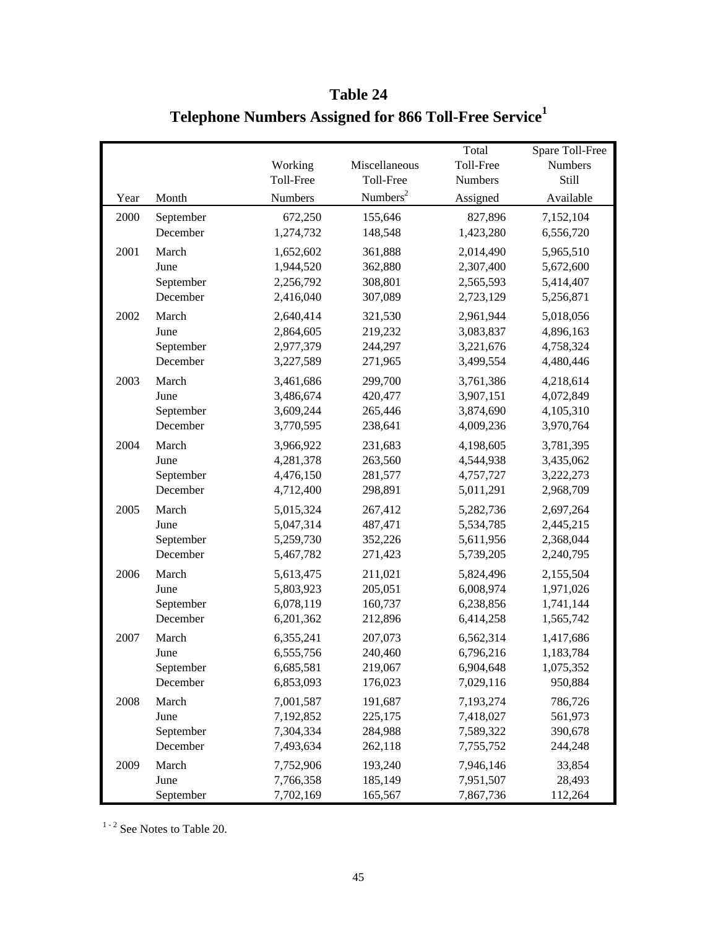|      |           |           |                      | Total     | Spare Toll-Free |
|------|-----------|-----------|----------------------|-----------|-----------------|
|      |           | Working   | Miscellaneous        | Toll-Free | Numbers         |
|      |           | Toll-Free | Toll-Free            | Numbers   | Still           |
| Year | Month     | Numbers   | Numbers <sup>2</sup> | Assigned  | Available       |
| 2000 | September | 672,250   | 155,646              | 827,896   | 7,152,104       |
|      | December  | 1,274,732 | 148,548              | 1,423,280 | 6,556,720       |
| 2001 | March     | 1,652,602 | 361,888              | 2,014,490 | 5,965,510       |
|      | June      | 1,944,520 | 362,880              | 2,307,400 | 5,672,600       |
|      | September | 2,256,792 | 308,801              | 2,565,593 | 5,414,407       |
|      | December  | 2,416,040 | 307,089              | 2,723,129 | 5,256,871       |
| 2002 | March     | 2,640,414 | 321,530              | 2,961,944 | 5,018,056       |
|      | June      | 2,864,605 | 219,232              | 3,083,837 | 4,896,163       |
|      | September | 2,977,379 | 244,297              | 3,221,676 | 4,758,324       |
|      | December  | 3,227,589 | 271,965              | 3,499,554 | 4,480,446       |
| 2003 | March     | 3,461,686 | 299,700              | 3,761,386 | 4,218,614       |
|      | June      | 3,486,674 | 420,477              | 3,907,151 | 4,072,849       |
|      | September | 3,609,244 | 265,446              | 3,874,690 | 4,105,310       |
|      | December  | 3,770,595 | 238,641              | 4,009,236 | 3,970,764       |
| 2004 | March     | 3,966,922 | 231,683              | 4,198,605 | 3,781,395       |
|      | June      | 4,281,378 | 263,560              | 4,544,938 | 3,435,062       |
|      | September | 4,476,150 | 281,577              | 4,757,727 | 3,222,273       |
|      | December  | 4,712,400 | 298,891              | 5,011,291 | 2,968,709       |
| 2005 | March     | 5,015,324 | 267,412              | 5,282,736 | 2,697,264       |
|      | June      | 5,047,314 | 487,471              | 5,534,785 | 2,445,215       |
|      | September | 5,259,730 | 352,226              | 5,611,956 | 2,368,044       |
|      | December  | 5,467,782 | 271,423              | 5,739,205 | 2,240,795       |
| 2006 | March     | 5,613,475 | 211,021              | 5,824,496 | 2,155,504       |
|      | June      | 5,803,923 | 205,051              | 6,008,974 | 1,971,026       |
|      | September | 6,078,119 | 160,737              | 6,238,856 | 1,741,144       |
|      | December  | 6,201,362 | 212,896              | 6,414,258 | 1,565,742       |
| 2007 | March     | 6,355,241 | 207,073              | 6,562,314 | 1,417,686       |
|      | June      | 6,555,756 | 240,460              | 6,796,216 | 1,183,784       |
|      | September | 6,685,581 | 219,067              | 6,904,648 | 1,075,352       |
|      | December  | 6,853,093 | 176,023              | 7,029,116 | 950,884         |
| 2008 | March     | 7,001,587 | 191,687              | 7,193,274 | 786,726         |
|      | June      | 7,192,852 | 225,175              | 7,418,027 | 561,973         |
|      | September | 7,304,334 | 284,988              | 7,589,322 | 390,678         |
|      | December  | 7,493,634 | 262,118              | 7,755,752 | 244,248         |
| 2009 | March     | 7,752,906 | 193,240              | 7,946,146 | 33,854          |
|      | June      | 7,766,358 | 185,149              | 7,951,507 | 28,493          |
|      | September | 7,702,169 | 165,567              | 7,867,736 | 112,264         |

**Table 24 Telephone Numbers Assigned for 866 Toll-Free Service<sup>1</sup>**

 $1 - 2$  See Notes to Table 20.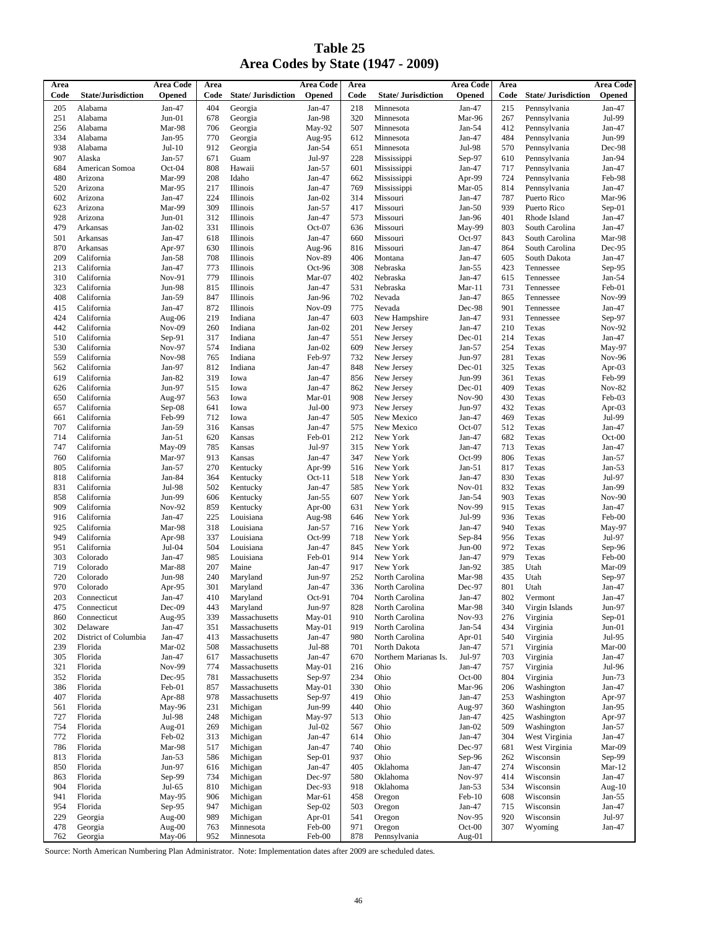**Table 25 Area Codes by State (1947 - 2009)**

| Area       |                           | Area Code          | Area       |                                | Area Code            | Area       |                             | Area Code          | Area       |                              | <b>Area Code</b>          |
|------------|---------------------------|--------------------|------------|--------------------------------|----------------------|------------|-----------------------------|--------------------|------------|------------------------------|---------------------------|
| Code       | <b>State/Jurisdiction</b> | <b>Opened</b>      | Code       | <b>State/Jurisdiction</b>      | <b>Opened</b>        | Code       | <b>State/Jurisdiction</b>   | <b>Opened</b>      | Code       | <b>State/ Jurisdiction</b>   | <b>Opened</b>             |
| 205        | Alabama                   | $Jan-47$           | 404        | Georgia                        | $Jan-47$             | 218        | Minnesota                   | $Jan-47$           | 215        | Pennsylvania                 | $Jan-47$                  |
| 251        | Alabama                   | $Jun-01$           | 678        | Georgia                        | Jan-98               | 320        | Minnesota                   | Mar-96             | 267        | Pennsylvania                 | Jul-99                    |
| 256        | Alabama                   | Mar-98             | 706        | Georgia                        | May-92               | 507        | Minnesota                   | Jan-54             | 412        | Pennsylvania                 | $Jan-47$                  |
| 334        | Alabama                   | Jan-95             | 770        | Georgia                        | Aug-95               | 612        | Minnesota                   | $Jan-47$           | 484        | Pennsylvania                 | Jun-99                    |
| 938<br>907 | Alabama                   | $Jul-10$           | 912        | Georgia                        | $Jan-54$             | 651        | Minnesota                   | <b>Jul-98</b>      | 570        | Pennsylvania                 | Dec-98                    |
| 684        | Alaska<br>American Somoa  | $Jan-57$<br>Oct-04 | 671<br>808 | Guam<br>Hawaii                 | Jul-97<br>$Jan-57$   | 228<br>601 | Mississippi                 | Sep-97<br>$Jan-47$ | 610<br>717 | Pennsylvania                 | Jan-94<br>$Jan-47$        |
| 480        | Arizona                   | Mar-99             | 208        | Idaho                          | $Jan-47$             | 662        | Mississippi<br>Mississippi  | Apr-99             | 724        | Pennsylvania<br>Pennsylvania | Feb-98                    |
| 520        | Arizona                   | Mar-95             | 217        | Illinois                       | $Jan-47$             | 769        | Mississippi                 | Mar-05             | 814        | Pennsylvania                 | $Jan-47$                  |
| 602        | Arizona                   | $Jan-47$           | 224        | Illinois                       | $Jan-02$             | 314        | Missouri                    | $Jan-47$           | 787        | Puerto Rico                  | Mar-96                    |
| 623        | Arizona                   | Mar-99             | 309        | Illinois                       | $Jan-57$             | 417        | Missouri                    | $Jan-50$           | 939        | Puerto Rico                  | $Sep-01$                  |
| 928        | Arizona                   | $Jun-01$           | 312        | Illinois                       | $Jan-47$             | 573        | Missouri                    | Jan-96             | 401        | Rhode Island                 | $Jan-47$                  |
| 479        | Arkansas                  | $Jan-02$           | 331        | Illinois                       | $Oct-07$             | 636        | Missouri                    | May-99             | 803        | South Carolina               | $Jan-47$                  |
| 501        | Arkansas                  | $Jan-47$           | 618        | Illinois                       | $Jan-47$             | 660        | Missouri                    | Oct-97             | 843        | South Carolina               | Mar-98                    |
| 870        | Arkansas                  | Apr-97             | 630        | Illinois                       | Aug-96               | 816        | Missouri                    | $Jan-47$           | 864        | South Carolina               | Dec-95                    |
| 209        | California                | $Jan-58$           | 708        | Illinois                       | <b>Nov-89</b>        | 406        | Montana                     | $Jan-47$           | 605        | South Dakota                 | $Jan-47$                  |
| 213        | California                | $Jan-47$           | 773        | Illinois                       | $Oct-96$             | 308        | Nebraska                    | $Jan-55$           | 423        | Tennessee                    | Sep-95                    |
| 310        | California                | <b>Nov-91</b>      | 779        | Illinois                       | Mar-07               | 402        | Nebraska                    | $Jan-47$           | 615        | Tennessee                    | Jan-54                    |
| 323        | California                | <b>Jun-98</b>      | 815        | Illinois                       | $Jan-47$             | 531        | Nebraska                    | $Mar-11$           | 731        | Tennessee                    | Feb-01                    |
| 408        | California                | $Jan-59$           | 847        | Illinois                       | Jan-96               | 702        | Nevada                      | $Jan-47$           | 865        | Tennessee                    | Nov-99                    |
| 415        | California                | $Jan-47$           | 872        | Illinois                       | $Nov-09$             | 775        | Nevada                      | Dec-98             | 901        | Tennessee                    | $Jan-47$                  |
| 424<br>442 | California                | Aug-06<br>$Nov-09$ | 219<br>260 | Indiana<br>Indiana             | $Jan-47$<br>$Jan-02$ | 603<br>201 | New Hampshire<br>New Jersey | $Jan-47$           | 931<br>210 | Tennessee                    | Sep-97<br>Nov-92          |
| 510        | California<br>California  | $Sep-91$           | 317        | Indiana                        | $Jan-47$             | 551        | New Jersey                  | $Jan-47$<br>Dec-01 | 214        | Texas<br>Texas               | $Jan-47$                  |
| 530        | California                | Nov-97             | 574        | Indiana                        | $Jan-02$             | 609        | New Jersey                  | $Jan-57$           | 254        | Texas                        | May-97                    |
| 559        | California                | <b>Nov-98</b>      | 765        | Indiana                        | Feb-97               | 732        | New Jersey                  | Jun-97             | 281        | Texas                        | Nov-96                    |
| 562        | California                | Jan-97             | 812        | Indiana                        | $Jan-47$             | 848        | New Jersey                  | Dec-01             | 325        | Texas                        | Apr-03                    |
| 619        | California                | Jan-82             | 319        | Iowa                           | $Jan-47$             | 856        | New Jersey                  | Jun-99             | 361        | Texas                        | Feb-99                    |
| 626        | California                | Jun-97             | 515        | Iowa                           | $Jan-47$             | 862        | New Jersey                  | Dec-01             | 409        | Texas                        | Nov-82                    |
| 650        | California                | Aug-97             | 563        | Iowa                           | Mar-01               | 908        | New Jersey                  | <b>Nov-90</b>      | 430        | Texas                        | Feb-03                    |
| 657        | California                | $Sep-08$           | 641        | Iowa                           | $Jul-00$             | 973        | New Jersey                  | Jun-97             | 432        | Texas                        | Apr-03                    |
| 661        | California                | Feb-99             | 712        | Iowa                           | $Jan-47$             | 505        | New Mexico                  | $Jan-47$           | 469        | Texas                        | Jul-99                    |
| 707        | California                | Jan-59             | 316        | Kansas                         | $Jan-47$             | 575        | New Mexico                  | Oct-07             | 512        | Texas                        | $Jan-47$                  |
| 714        | California                | $Jan-51$           | 620        | Kansas                         | Feb-01               | 212        | New York                    | $Jan-47$           | 682        | Texas                        | $Oct-00$                  |
| 747        | California                | May-09             | 785        | Kansas                         | Jul-97               | 315        | New York                    | $Jan-47$           | 713        | Texas                        | $Jan-47$                  |
| 760        | California                | Mar-97             | 913        | Kansas                         | $Jan-47$             | 347        | New York                    | Oct-99             | 806        | Texas                        | $Jan-57$                  |
| 805        | California                | $Jan-57$           | 270        | Kentucky                       | Apr-99               | 516        | New York                    | $Jan-51$           | 817        | Texas                        | $Jan-53$                  |
| 818        | California                | Jan-84             | 364        | Kentucky                       | $Oct-11$             | 518        | New York                    | $Jan-47$           | 830        | Texas                        | Jul-97                    |
| 831        | California                | <b>Jul-98</b>      | 502        | Kentucky                       | $Jan-47$             | 585        | New York                    | $Nov-01$           | 832        | Texas                        | Jan-99                    |
| 858<br>909 | California<br>California  | Jun-99<br>Nov-92   | 606<br>859 | Kentucky<br>Kentucky           | $Jan-55$             | 607<br>631 | New York<br>New York        | $Jan-54$<br>Nov-99 | 903<br>915 | Texas<br>Texas               | <b>Nov-90</b><br>$Jan-47$ |
| 916        | California                | $Jan-47$           | 225        | Louisiana                      | Apr- $00$<br>Aug-98  | 646        | New York                    | Jul-99             | 936        | Texas                        | Feb-00                    |
| 925        | California                | Mar-98             | 318        | Louisiana                      | Jan- $57$            | 716        | New York                    | $Jan-47$           | 940        | Texas                        | May-97                    |
| 949        | California                | Apr-98             | 337        | Louisiana                      | Oct-99               | 718        | New York                    | Sep-84             | 956        | Texas                        | Jul-97                    |
| 951        | California                | Jul-04             | 504        | Louisiana                      | $Jan-47$             | 845        | New York                    | $Jun-00$           | 972        | Texas                        | Sep-96                    |
| 303        | Colorado                  | $Jan-47$           | 985        | Louisiana                      | Feb-01               | 914        | New York                    | $Jan-47$           | 979        | Texas                        | Feb-00                    |
| 719        | Colorado                  | Mar-88             | 207        | Maine                          | $Jan-47$             | 917        | New York                    | Jan-92             | 385        | Utah                         | Mar-09                    |
| 720        | Colorado                  | <b>Jun-98</b>      | 240        | Maryland                       | $Jun-97$             | 252        | North Carolina              | Mar-98             | 435        | Utah                         | Sep-97                    |
| 970        | Colorado                  | Apr-95             | 301        | Maryland                       | $Jan-47$             | 336        | North Carolina              | Dec-97             | 801        | Utah                         | $Jan-47$                  |
| 203        | Connecticut               | $Jan-47$           | 410        | Maryland                       | $Oct-91$             | 704        | North Carolina              | $Jan-47$           | 802        | Vermont                      | $Jan-47$                  |
| 475        | Connecticut               | Dec-09             | 443        | Maryland                       | Jun-97               | 828        | North Carolina              | Mar-98             | 340        | Virgin Islands               | Jun-97                    |
| 860        | Connecticut               | Aug-95             | 339        | Massachusetts                  | May-01               | 910        | North Carolina              | Nov-93             | 276        | Virginia                     | $Sep-01$                  |
| 302        | Delaware                  | $Jan-47$           | 351        | Massachusetts                  | $May-01$             | 919        | North Carolina              | Jan-54             | 434        | Virginia                     | $Jun-01$                  |
| 202        | District of Columbia      | $Jan-47$           | 413        | Massachusetts                  | $Jan-47$             | 980        | North Carolina              | Apr-01             | 540        | Virginia                     | Jul-95                    |
| 239        | Florida                   | Mar-02             | 508        | Massachusetts                  | <b>Jul-88</b>        | 701        | North Dakota                | $Jan-47$           | 571        | Virginia                     | Mar-00                    |
| 305        | Florida                   | Jan-47             | 617        | Massachusetts                  | $Jan-47$             | 670        | Northern Marianas Is.       | Jul-97             | 703        | Virginia                     | $Jan-47$                  |
| 321        | Florida                   | Nov-99             | 774        | Massachusetts                  | May-01               | 216        | Ohio                        | $Jan-47$           | 757        | Virginia                     | Jul-96                    |
| 352<br>386 | Florida<br>Florida        | Dec-95<br>Feb-01   | 781<br>857 | Massachusetts<br>Massachusetts | Sep-97<br>$May-01$   | 234<br>330 | Ohio<br>Ohio                | $Oct-00$<br>Mar-96 | 804<br>206 | Virginia<br>Washington       | $Jun-73$<br>$Jan-47$      |
| 407        | Florida                   | Apr-88             | 978        | Massachusetts                  | Sep-97               | 419        | Ohio                        | $Jan-47$           | 253        | Washington                   | Apr-97                    |
| 561        | Florida                   | May-96             | 231        | Michigan                       | Jun-99               | 440        | Ohio                        | Aug-97             | 360        | Washington                   | Jan-95                    |
| 727        | Florida                   | Jul-98             | 248        | Michigan                       | May-97               | 513        | Ohio                        | $Jan-47$           | 425        | Washington                   | Apr-97                    |
| 754        | Florida                   | Aug-01             | 269        | Michigan                       | $Jul-02$             | 567        | Ohio                        | $Jan-02$           | 509        | Washington                   | Jan-57                    |
| 772        | Florida                   | Feb-02             | 313        | Michigan                       | $Jan-47$             | 614        | Ohio                        | $Jan-47$           | 304        | West Virginia                | $Jan-47$                  |
| 786        | Florida                   | Mar-98             | 517        | Michigan                       | $Jan-47$             | 740        | Ohio                        | Dec-97             | 681        | West Virginia                | Mar-09                    |
| 813        | Florida                   | $Jan-53$           | 586        | Michigan                       | $Sep-01$             | 937        | Ohio                        | Sep-96             | 262        | Wisconsin                    | Sep-99                    |
| 850        | Florida                   | Jun-97             | 616        | Michigan                       | $Jan-47$             | 405        | Oklahoma                    | $Jan-47$           | 274        | Wisconsin                    | $Mar-12$                  |
| 863        | Florida                   | Sep-99             | 734        | Michigan                       | Dec-97               | 580        | Oklahoma                    | Nov-97             | 414        | Wisconsin                    | $Jan-47$                  |
| 904        | Florida                   | $Jul-65$           | 810        | Michigan                       | $Dec-93$             | 918        | Oklahoma                    | Jan-53             | 534        | Wisconsin                    | Aug- $10$                 |
| 941        | Florida                   | May-95             | 906        | Michigan                       | Mar-61               | 458        | Oregon                      | $Feb-10$           | 608        | Wisconsin                    | $Jan-55$                  |
| 954        | Florida                   | Sep-95             | 947        | Michigan                       | $Sep-02$             | 503        | Oregon                      | $Jan-47$           | 715        | Wisconsin                    | $Jan-47$                  |
| 229        | Georgia                   | Aug-00             | 989        | Michigan                       | Apr- $01$            | 541        | Oregon                      | Nov-95             | 920        | Wisconsin                    | Jul-97                    |
| 478        | Georgia                   | Aug-00             | 763        | Minnesota                      | Feb-00               | 971        | Oregon                      | $Oct-00$           | 307        | Wyoming                      | $Jan-47$                  |
| 762        | Georgia                   | May-06             | 952        | Minnesota                      | Feb-00               | 878        | Pennsylvania                | Aug-01             |            |                              |                           |

Source: North American Numbering Plan Administrator. Note: Implementation dates after 2009 are scheduled dates.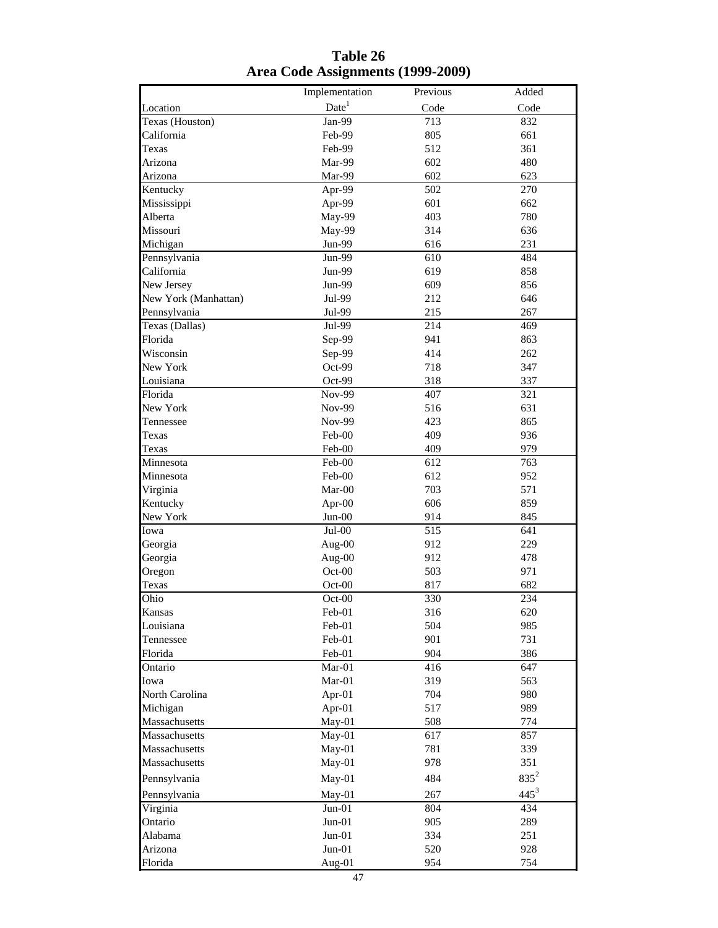|                            | Implementation    | Previous   | Added      |
|----------------------------|-------------------|------------|------------|
| Location                   | Date <sup>1</sup> | Code       | Code       |
| Texas (Houston)            | Jan-99            | 713        | 832        |
| California                 | Feb-99            | 805        | 661        |
| Texas                      | Feb-99            | 512        | 361        |
| Arizona                    | Mar-99            | 602        | 480        |
| Arizona                    | Mar-99            | 602        | 623        |
| Kentucky                   | Apr-99            | 502        | 270        |
| Mississippi                | Apr-99            | 601        | 662        |
| Alberta                    | May-99            | 403        | 780        |
| Missouri                   | May-99            | 314        | 636        |
| Michigan                   | Jun-99            | 616        | 231        |
| Pennsylvania               | Jun-99            | 610        | 484        |
| California                 | Jun-99            | 619        | 858        |
| New Jersey                 | Jun-99            | 609        | 856        |
| New York (Manhattan)       | Jul-99            | 212        | 646        |
| Pennsylvania               | Jul-99            | 215        | 267        |
| Texas (Dallas)             | Jul-99            | 214        | 469        |
| Florida                    | Sep-99            | 941        | 863        |
| Wisconsin                  | Sep-99            | 414        | 262        |
| New York                   | Oct-99            | 718        | 347        |
| Louisiana                  | Oct-99            | 318        | 337        |
| Florida                    | Nov-99            | 407        | 321        |
| New York                   | <b>Nov-99</b>     | 516        | 631        |
| Tennessee                  | Nov-99            | 423        | 865        |
| Texas                      | Feb-00            | 409        | 936        |
| Texas                      | Feb-00            | 409        | 979        |
| Minnesota                  | Feb-00            | 612        | 763        |
| Minnesota                  | Feb-00            | 612        | 952        |
| Virginia                   | Mar-00            | 703        | 571        |
| Kentucky                   | Apr-00            | 606        | 859        |
| New York                   | $Jun-00$          | 914        | 845        |
| Iowa                       | $Jul-00$          | 515        | 641        |
| Georgia                    | Aug-00            | 912        | 229        |
| Georgia                    | Aug-00            | 912        | 478        |
| Oregon                     | $Oct-00$          | 503        | 971        |
| Texas                      | $Oct-00$          | 817        | 682        |
| Ohio                       | $Oct-00$          | 330        | 234        |
| Kansas                     | Feb-01            | 316        | 620        |
| Louisiana                  | Feb-01            | 504        | 985        |
| Tennessee                  | Feb-01            | 901        | 731        |
| Florida                    | Feb-01            | 904        | 386        |
| Ontario                    | $Mar-01$          | 416        | 647        |
| Iowa                       | $Mar-01$          | 319        | 563        |
| North Carolina<br>Michigan | Apr-01            | 704<br>517 | 980<br>989 |
| Massachusetts              | Apr-01            |            |            |
| Massachusetts              | May-01<br>May-01  | 508<br>617 | 774<br>857 |
| Massachusetts              |                   |            |            |
| Massachusetts              | May-01<br>May-01  | 781<br>978 | 339<br>351 |
|                            |                   |            | $835^2$    |
| Pennsylvania               | May-01            | 484        |            |
| Pennsylvania               | $May-01$          | 267        | $445^3$    |
| Virginia                   | $Jun-01$          | 804        | 434        |
| Ontario                    | $Jun-01$          | 905        | 289        |
| Alabama                    | $Jun-01$          | 334        | 251        |
| Arizona                    | $Jun-01$          | 520        | 928        |
| Florida                    | Aug-01            | 954        | 754        |

# **Table 26 Area Code Assignments (1999-2009)**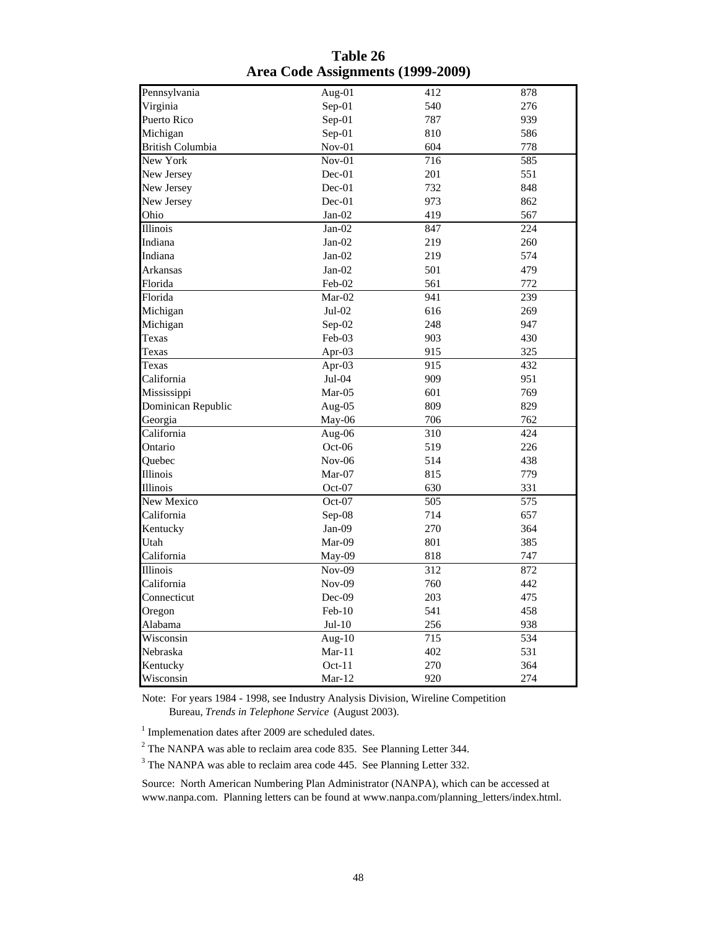| Pennsylvania            | Aug-01   | 412              | 878              |
|-------------------------|----------|------------------|------------------|
| Virginia                | Sep-01   | 540              | 276              |
| Puerto Rico             | Sep-01   | 787              | 939              |
| Michigan                | Sep-01   | 810              | 586              |
| <b>British Columbia</b> | $Nov-01$ | 604              | 778              |
| New York                | $Nov-01$ | 716              | 585              |
| New Jersey              | Dec-01   | 201              | 551              |
| New Jersey              | $Dec-01$ | 732              | 848              |
| New Jersey              | $Dec-01$ | 973              | 862              |
| Ohio                    | Jan-02   | 419              | 567              |
| Illinois                | Jan-02   | 847              | 224              |
| Indiana                 | $Jan-02$ | 219              | 260              |
| Indiana                 | $Jan-02$ | 219              | 574              |
| Arkansas                | Jan-02   | 501              | 479              |
| Florida                 | Feb-02   | 561              | 772              |
| Florida                 | Mar-02   | 941              | 239              |
| Michigan                | $Jul-02$ | 616              | 269              |
| Michigan                | Sep-02   | 248              | 947              |
| Texas                   | Feb-03   | 903              | 430              |
| Texas                   | Apr-03   | 915              | 325              |
| Texas                   | Apr-03   | 915              | 432              |
| California              | $Jul-04$ | 909              | 951              |
| Mississippi             | $Mar-05$ | 601              | 769              |
| Dominican Republic      | Aug-05   | 809              | 829              |
| Georgia                 | May-06   | 706              | 762              |
| California              | Aug-06   | 310              | 424              |
| Ontario                 | $Oct-06$ | 519              | 226              |
| Ouebec                  | $Nov-06$ | 514              | 438              |
| Illinois                | $Mar-07$ | 815              | 779              |
| Illinois                | Oct-07   | 630              | 331              |
| New Mexico              | Oct-07   | 505              | $\overline{575}$ |
| California              | Sep-08   | 714              | 657              |
| Kentucky                | $Jan-09$ | 270              | 364              |
| Utah                    | Mar-09   | 801              | 385              |
| California              | May-09   | 818              | 747              |
| Illinois                | $Nov-09$ | $\overline{312}$ | 872              |
| California              | $Nov-09$ | 760              | 442              |
| Connecticut             | Dec-09   | 203              | 475              |
| Oregon                  | Feb-10   | 541              | 458              |
| Alabama                 | $Jul-10$ | 256              | 938              |
| Wisconsin               | Aug-10   | 715              | 534              |
| Nebraska                | $Mar-11$ | 402              | 531              |
| Kentucky                | $Oct-11$ | 270              | 364              |
| Wisconsin               | $Mar-12$ | 920              | 274              |

**Table 26 Area Code Assignments (1999-2009)**

Note: For years 1984 - 1998, see Industry Analysis Division, Wireline Competition Bureau, *Trends in Telephone Service* (August 2003).

<sup>1</sup> Implemenation dates after 2009 are scheduled dates.

 $2^2$  The NANPA was able to reclaim area code 835. See Planning Letter 344.

<sup>3</sup> The NANPA was able to reclaim area code 445. See Planning Letter 332.

Source: North American Numbering Plan Administrator (NANPA), which can be accessed at www.nanpa.com. Planning letters can be found at www.nanpa.com/planning\_letters/index.html.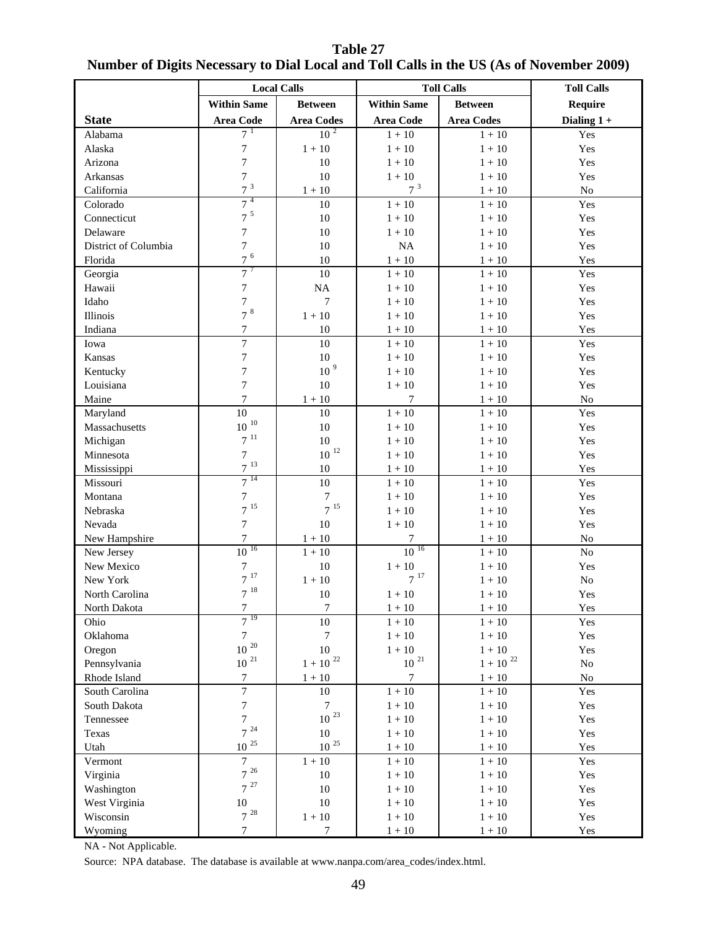|                      | <b>Local Calls</b>           |                            | <b>Toll Calls</b>       | <b>Toll Calls</b>    |               |
|----------------------|------------------------------|----------------------------|-------------------------|----------------------|---------------|
|                      | <b>Within Same</b>           | <b>Between</b>             | <b>Within Same</b>      | <b>Between</b>       | Require       |
| <b>State</b>         | <b>Area Code</b>             | <b>Area Codes</b>          | Area Code               | <b>Area Codes</b>    | Dialing $1 +$ |
| Alabama              | 7 <sup>1</sup>               | $\overline{10^2}$          | $1 + 10$                | $1 + 10$             | Yes           |
| Alaska               | 7                            | $1 + 10$                   | $1 + 10$                | $1 + 10$             | Yes           |
| Arizona              | $\overline{7}$               | 10                         | $1 + 10$                | $1 + 10$             | Yes           |
| Arkansas             | $\overline{7}$               | 10                         | $1 + 10$                | $1 + 10$             | Yes           |
| California           | 7 <sup>3</sup>               | $1 + 10$                   | 7 <sup>3</sup>          | $1\,+\,10$           | $\rm No$      |
| Colorado             | 7 <sup>4</sup>               | 10                         | $1 + 10$                | $1 + 10$             | Yes           |
| Connecticut          | 7 <sup>5</sup>               | 10                         | $1 + 10$                | $1 + 10$             | Yes           |
| Delaware             | $\overline{7}$               | 10                         | $1 + 10$                | $1 + 10$             | Yes           |
| District of Columbia | $\overline{7}$               | 10                         | NA                      | $1 + 10$             | Yes           |
| Florida              | $7^{6}$                      | 10                         | $1 + 10$                | $1 + 10$             | Yes           |
| Georgia              | $7^7$                        | 10                         | $1 + 10$                | $1 + 10$             | Yes           |
| Hawaii               | 7                            | NA                         | $1 + 10$                | $1 + 10$             | Yes           |
| Idaho                | $\overline{7}$               | $\overline{7}$             | $1 + 10$                | $1 + 10$             | Yes           |
| Illinois             | $7^{8}$                      | $1 + 10$                   | $1 + 10$                | $1 + 10$             | Yes           |
| Indiana              | 7                            | 10                         | $1 + 10$                | $1 + 10$             | Yes           |
| Iowa                 | $\overline{7}$               | 10                         | $1 + 10$                | $1 + 10$             | Yes           |
| Kansas               | $\overline{7}$               | 10                         | $1 + 10$                | $1 + 10$             | Yes           |
| Kentucky             | $\sqrt{ }$                   | $10$ $^9\,$                | $1 + 10$                | $1 + 10$             | Yes           |
| Louisiana            | $\boldsymbol{7}$             | 10                         | $1 + 10$                | $1 + 10$             | Yes           |
|                      | 7                            |                            |                         |                      |               |
| Maine                | 10                           | $1\,+\,10$<br>10           | 7<br>$1 + 10$           | $1 + 10$<br>$1 + 10$ | No<br>Yes     |
| Maryland             | $10\ ^{10}$                  | 10                         | $1 + 10$                |                      |               |
| Massachusetts        | $7\ ^{11}$                   |                            |                         | $1 + 10$             | Yes           |
| Michigan             |                              | 10<br>$10\ ^{12}$          | $1 + 10$                | $1 + 10$             | Yes           |
| Minnesota            | $\boldsymbol{7}$<br>$7^{13}$ |                            | $1 + 10$                | $1 + 10$             | Yes           |
| Mississippi          | $7^{14}$                     | 10                         | $1 + 10$                | $1 + 10$             | Yes           |
| Missouri             |                              | 10                         | $1 + 10$                | $1 + 10$             | Yes           |
| Montana              | 7<br>$7^{15}$                | $\tau$<br>$7^{15}$         | $1 + 10$                | $1 + 10$             | Yes           |
| Nebraska             |                              |                            | $1 + 10$                | $1 + 10$             | Yes           |
| Nevada               | 7                            | 10                         | $1 + 10$                | $1 + 10$             | Yes           |
| New Hampshire        | 7<br>$10^{16}$               | $1 + 10$                   | 7<br>$10^{-16}$         | $1 + 10$             | $\rm No$      |
| New Jersey           |                              | $1 + 10$                   |                         | $1 + 10$             | $\rm No$      |
| New Mexico           | 7<br>$7^{17}$                | 10                         | $1 + 10$<br>$7^{17}$    | $1 + 10$             | Yes           |
| New York             | $7^{18}$                     | $1 + 10$                   |                         | $1 + 10$             | $\rm No$      |
| North Carolina       |                              | 10                         | $1 + 10$                | $1 + 10$             | Yes           |
| North Dakota         | $\boldsymbol{7}$<br>$7^{19}$ | $\boldsymbol{7}$           | $1 + 10$                | $1 + 10$             | Yes           |
| Ohio                 |                              | 10                         | $1 + 10$                | $1 + 10$             | Yes           |
| Oklahoma             | 7<br>$10\ ^{20}$             | $\tau$                     | $1\,+\,10$              | $1 + 10$             | Yes           |
| Oregon               |                              | 10                         | $1 + 10$<br>$10\ ^{21}$ | $1 + 10$             | Yes           |
| Pennsylvania         | $10\ ^{21}$                  | $1$ + 10 $^{\rm 22}$       |                         | $1+10\ ^{22}$        | $\rm No$      |
| Rhode Island         | $\boldsymbol{7}$             | $1\,+\,10$                 | 7                       | $1 + 10$             | No            |
| South Carolina       | $\overline{7}$               | $10\,$                     | $1+10\,$                | $1 + 10$             | Yes           |
| South Dakota         | $\tau$                       | $\tau$<br>$10$ $^{\rm 23}$ | $1\,+\,10$              | $1 + 10$             | Yes           |
| Tennessee            | $\overline{7}$<br>$7^{24}$   |                            | $1\,+\,10$              | $1\,+\,10$           | Yes           |
| Texas                |                              | 10                         | $1 + 10$                | $1 + 10$             | Yes           |
| Utah                 | $10\ ^{25}$                  | $10$ $^{\rm 25}$           | $1 + 10$                | $1 + 10$             | Yes           |
| Vermont              | $\overline{7}$<br>$7^{26}$   | $1 + 10$                   | $1 + 10$                | $1 + 10$             | Yes           |
| Virginia             | $7^{27}$                     | $10\,$                     | $1\,+\,10$              | $1\,+\,10$           | Yes           |
| Washington           |                              | 10                         | $1 + 10$                | $1\,+\,10$           | Yes           |
| West Virginia        | 10<br>$7~^{28}$              | $10\,$                     | $1 + 10$                | $1\,+\,10$           | Yes           |
| Wisconsin            |                              | $1\,+\,10$                 | $1\,+\,10$              | $1\,+\,10$           | Yes           |
| Wyoming              | $\boldsymbol{7}$             | $\tau$                     | $1\,+\,10$              | $1\,+\,10$           | Yes           |

# **Table 27 Number of Digits Necessary to Dial Local and Toll Calls in the US (As of November 2009)**

NA - Not Applicable.

Source: NPA database. The database is available at www.nanpa.com/area\_codes/index.html.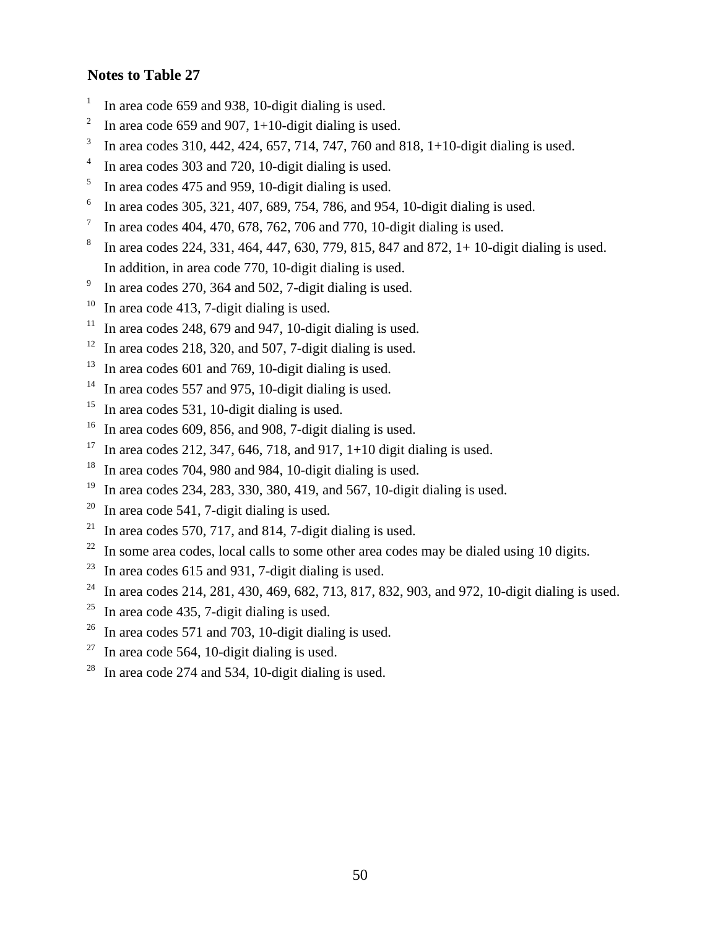# **Notes to Table 27**

- <sup>1</sup> In area code 659 and 938, 10-digit dialing is used.
- <sup>2</sup> In area code 659 and 907,  $1+10$ -digit dialing is used.
- <sup>3</sup> In area codes 310, 442, 424, 657, 714, 747, 760 and 818, 1+10-digit dialing is used.
- <sup>4</sup> In area codes 303 and 720, 10-digit dialing is used.
- $5$  In area codes 475 and 959, 10-digit dialing is used.
- <sup>6</sup> In area codes 305, 321, 407, 689, 754, 786, and 954, 10-digit dialing is used.
- <sup>7</sup> In area codes 404, 470, 678, 762, 706 and 770, 10-digit dialing is used.
- <sup>8</sup> In area codes 224, 331, 464, 447, 630, 779, 815, 847 and 872, 1+10-digit dialing is used. In addition, in area code 770, 10-digit dialing is used.
- <sup>9</sup> In area codes 270, 364 and 502, 7-digit dialing is used.
- $10$  In area code 413, 7-digit dialing is used.
- <sup>11</sup> In area codes 248, 679 and 947, 10-digit dialing is used.
- $12$  In area codes 218, 320, and 507, 7-digit dialing is used.
- $13$  In area codes 601 and 769, 10-digit dialing is used.
- <sup>14</sup> In area codes 557 and 975, 10-digit dialing is used.
- $15$  In area codes 531, 10-digit dialing is used.
- <sup>16</sup> In area codes 609, 856, and 908, 7-digit dialing is used.
- <sup>17</sup> In area codes 212, 347, 646, 718, and 917,  $1+10$  digit dialing is used.
- $18$  In area codes 704, 980 and 984, 10-digit dialing is used.
- <sup>19</sup> In area codes 234, 283, 330, 380, 419, and 567, 10-digit dialing is used.
- <sup>20</sup> In area code 541, 7-digit dialing is used.
- <sup>21</sup> In area codes 570, 717, and 814, 7-digit dialing is used.
- $22$  In some area codes, local calls to some other area codes may be dialed using 10 digits.
- <sup>23</sup> In area codes 615 and 931, 7-digit dialing is used.
- <sup>24</sup> In area codes 214, 281, 430, 469, 682, 713, 817, 832, 903, and 972, 10-digit dialing is used.
- <sup>25</sup> In area code 435, 7-digit dialing is used.
- <sup>26</sup> In area codes 571 and 703, 10-digit dialing is used.
- $27$  In area code 564, 10-digit dialing is used.
- <sup>28</sup> In area code 274 and 534, 10-digit dialing is used.